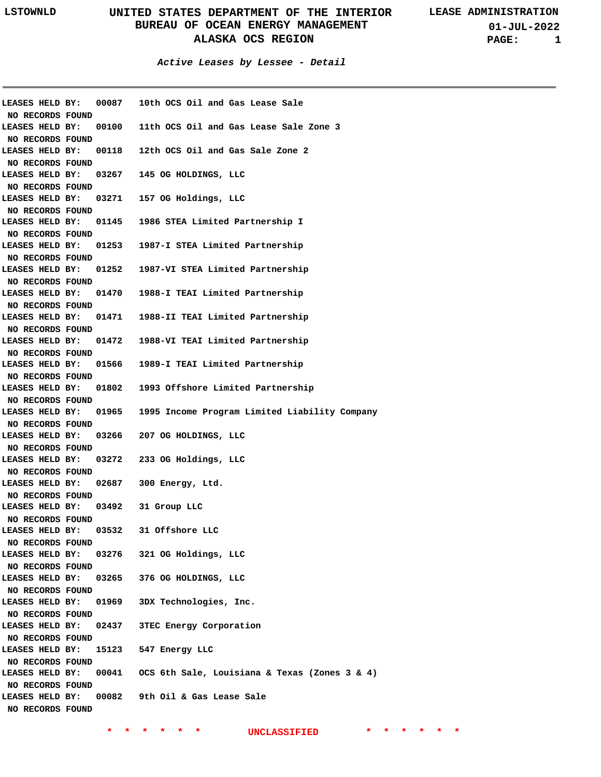**01-JUL-2022 PAGE: 1**

**Active Leases by Lessee - Detail**

| <b>LEASES HELD BY:</b>              | 00087                 | 10th OCS Oil and Gas Lease Sale               |
|-------------------------------------|-----------------------|-----------------------------------------------|
| NO RECORDS FOUND                    |                       |                                               |
| LEASES HELD BY:                     | 00100                 | 11th OCS Oil and Gas Lease Sale Zone 3        |
| NO RECORDS FOUND                    |                       |                                               |
| LEASES HELD BY:                     | 00118                 | 12th OCS Oil and Gas Sale Zone 2              |
| NO RECORDS FOUND                    |                       |                                               |
| LEASES HELD BY:                     | 03267                 | 145 OG HOLDINGS, LLC                          |
| NO RECORDS FOUND                    |                       |                                               |
| LEASES HELD BY:                     | 03271                 | 157 OG Holdings, LLC                          |
| NO RECORDS FOUND                    |                       |                                               |
| LEASES HELD BY:                     | 01145                 | 1986 STEA Limited Partnership I               |
| NO RECORDS FOUND                    |                       |                                               |
| LEASES HELD BY:                     | 01253                 | 1987-I STEA Limited Partnership               |
| NO RECORDS FOUND                    |                       |                                               |
|                                     | LEASES HELD BY: 01252 | 1987-VI STEA Limited Partnership              |
| NO RECORDS FOUND                    |                       |                                               |
|                                     | LEASES HELD BY: 01470 | 1988-I TEAI Limited Partnership               |
| NO RECORDS FOUND                    |                       |                                               |
| LEASES HELD BY:                     | 01471                 | 1988-II TEAI Limited Partnership              |
| NO RECORDS FOUND                    |                       |                                               |
| LEASES HELD BY:                     | 01472                 | 1988-VI TEAI Limited Partnership              |
| NO RECORDS FOUND                    |                       |                                               |
|                                     | LEASES HELD BY: 01566 | 1989-I TEAI Limited Partnership               |
| NO RECORDS FOUND                    |                       |                                               |
|                                     | LEASES HELD BY: 01802 | 1993 Offshore Limited Partnership             |
| NO RECORDS FOUND                    |                       |                                               |
|                                     | LEASES HELD BY: 01965 | 1995 Income Program Limited Liability Company |
| NO RECORDS FOUND                    |                       |                                               |
| LEASES HELD BY:                     | 03266                 | 207 OG HOLDINGS, LLC                          |
| NO RECORDS FOUND                    |                       |                                               |
| LEASES HELD BY:                     |                       | 03272 233 OG Holdings, LLC                    |
| NO RECORDS FOUND                    |                       |                                               |
| LEASES HELD BY:                     | 02687                 | 300 Energy, Ltd.                              |
| NO RECORDS FOUND                    |                       |                                               |
| LEASES HELD BY:                     | 03492                 | 31 Group LLC                                  |
| NO RECORDS FOUND                    |                       |                                               |
| LEASES HELD BY:                     | 03532                 | 31 Offshore LLC                               |
| NO RECORDS FOUND                    |                       |                                               |
| LEASES HELD BY:                     |                       | 03276 321 OG Holdings, LLC                    |
| NO RECORDS FOUND                    |                       |                                               |
| LEASES HELD BY:                     | 03265                 | 376 OG HOLDINGS, LLC                          |
| NO RECORDS FOUND                    |                       |                                               |
| LEASES HELD BY:                     | 01969                 | 3DX Technologies, Inc.                        |
| NO RECORDS FOUND                    |                       |                                               |
| LEASES HELD BY:                     | 02437                 | <b>3TEC Energy Corporation</b>                |
|                                     |                       |                                               |
| NO RECORDS FOUND<br>LEASES HELD BY: |                       | 547 Energy LLC                                |
|                                     | 15123                 |                                               |
| NO RECORDS FOUND                    |                       | OCS 6th Sale, Louisiana & Texas (Zones 3 & 4) |
| LEASES HELD BY:                     | 00041                 |                                               |
| NO RECORDS FOUND                    |                       |                                               |
| LEASES HELD BY:                     | 00082                 | 9th Oil & Gas Lease Sale                      |
| NO RECORDS FOUND                    |                       |                                               |
|                                     |                       |                                               |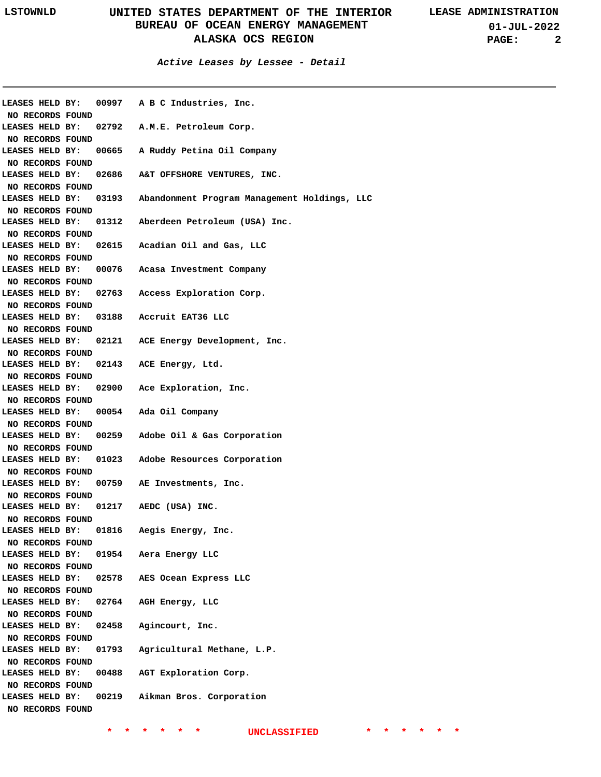**Active Leases by Lessee - Detail**

| LEASES HELD BY:  |                  |                                                                                                                                                                                                                                                                                                                                                                                                                                                                                                                                                                                                                                                                    | 00997 A B C Industries, Inc.                                                                     |
|------------------|------------------|--------------------------------------------------------------------------------------------------------------------------------------------------------------------------------------------------------------------------------------------------------------------------------------------------------------------------------------------------------------------------------------------------------------------------------------------------------------------------------------------------------------------------------------------------------------------------------------------------------------------------------------------------------------------|--------------------------------------------------------------------------------------------------|
|                  |                  |                                                                                                                                                                                                                                                                                                                                                                                                                                                                                                                                                                                                                                                                    |                                                                                                  |
|                  |                  |                                                                                                                                                                                                                                                                                                                                                                                                                                                                                                                                                                                                                                                                    | 02792 A.M.E. Petroleum Corp.                                                                     |
|                  |                  |                                                                                                                                                                                                                                                                                                                                                                                                                                                                                                                                                                                                                                                                    |                                                                                                  |
|                  |                  |                                                                                                                                                                                                                                                                                                                                                                                                                                                                                                                                                                                                                                                                    | 00665 A Ruddy Petina Oil Company                                                                 |
|                  |                  |                                                                                                                                                                                                                                                                                                                                                                                                                                                                                                                                                                                                                                                                    |                                                                                                  |
|                  |                  |                                                                                                                                                                                                                                                                                                                                                                                                                                                                                                                                                                                                                                                                    | 02686 A&T OFFSHORE VENTURES, INC.                                                                |
|                  |                  |                                                                                                                                                                                                                                                                                                                                                                                                                                                                                                                                                                                                                                                                    |                                                                                                  |
|                  |                  |                                                                                                                                                                                                                                                                                                                                                                                                                                                                                                                                                                                                                                                                    | 03193 Abandonment Program Management Holdings, LLC                                               |
|                  |                  |                                                                                                                                                                                                                                                                                                                                                                                                                                                                                                                                                                                                                                                                    |                                                                                                  |
|                  |                  |                                                                                                                                                                                                                                                                                                                                                                                                                                                                                                                                                                                                                                                                    | 01312 Aberdeen Petroleum (USA) Inc.                                                              |
|                  |                  |                                                                                                                                                                                                                                                                                                                                                                                                                                                                                                                                                                                                                                                                    |                                                                                                  |
|                  |                  |                                                                                                                                                                                                                                                                                                                                                                                                                                                                                                                                                                                                                                                                    | 02615 Acadian Oil and Gas, LLC                                                                   |
|                  |                  |                                                                                                                                                                                                                                                                                                                                                                                                                                                                                                                                                                                                                                                                    |                                                                                                  |
|                  |                  |                                                                                                                                                                                                                                                                                                                                                                                                                                                                                                                                                                                                                                                                    | 00076 Acasa Investment Company                                                                   |
|                  |                  |                                                                                                                                                                                                                                                                                                                                                                                                                                                                                                                                                                                                                                                                    |                                                                                                  |
|                  |                  |                                                                                                                                                                                                                                                                                                                                                                                                                                                                                                                                                                                                                                                                    | 02763 Access Exploration Corp.                                                                   |
|                  |                  |                                                                                                                                                                                                                                                                                                                                                                                                                                                                                                                                                                                                                                                                    |                                                                                                  |
|                  |                  |                                                                                                                                                                                                                                                                                                                                                                                                                                                                                                                                                                                                                                                                    | 03188 Accruit EAT36 LLC                                                                          |
|                  |                  |                                                                                                                                                                                                                                                                                                                                                                                                                                                                                                                                                                                                                                                                    |                                                                                                  |
|                  |                  |                                                                                                                                                                                                                                                                                                                                                                                                                                                                                                                                                                                                                                                                    | 02121 ACE Energy Development, Inc.                                                               |
|                  |                  |                                                                                                                                                                                                                                                                                                                                                                                                                                                                                                                                                                                                                                                                    |                                                                                                  |
|                  |                  |                                                                                                                                                                                                                                                                                                                                                                                                                                                                                                                                                                                                                                                                    |                                                                                                  |
|                  |                  |                                                                                                                                                                                                                                                                                                                                                                                                                                                                                                                                                                                                                                                                    | 02143 ACE Energy, Ltd.                                                                           |
|                  |                  |                                                                                                                                                                                                                                                                                                                                                                                                                                                                                                                                                                                                                                                                    |                                                                                                  |
|                  |                  |                                                                                                                                                                                                                                                                                                                                                                                                                                                                                                                                                                                                                                                                    | 02900 Ace Exploration, Inc.                                                                      |
|                  |                  |                                                                                                                                                                                                                                                                                                                                                                                                                                                                                                                                                                                                                                                                    |                                                                                                  |
|                  |                  |                                                                                                                                                                                                                                                                                                                                                                                                                                                                                                                                                                                                                                                                    |                                                                                                  |
|                  |                  |                                                                                                                                                                                                                                                                                                                                                                                                                                                                                                                                                                                                                                                                    |                                                                                                  |
|                  |                  |                                                                                                                                                                                                                                                                                                                                                                                                                                                                                                                                                                                                                                                                    | LEASES HELD BY: 00259 Adobe Oil & Gas Corporation                                                |
|                  |                  |                                                                                                                                                                                                                                                                                                                                                                                                                                                                                                                                                                                                                                                                    |                                                                                                  |
|                  |                  |                                                                                                                                                                                                                                                                                                                                                                                                                                                                                                                                                                                                                                                                    | LEASES HELD BY: 01023 Adobe Resources Corporation                                                |
|                  |                  |                                                                                                                                                                                                                                                                                                                                                                                                                                                                                                                                                                                                                                                                    |                                                                                                  |
|                  |                  |                                                                                                                                                                                                                                                                                                                                                                                                                                                                                                                                                                                                                                                                    | LEASES HELD BY: 00759 AE Investments, Inc.                                                       |
|                  |                  |                                                                                                                                                                                                                                                                                                                                                                                                                                                                                                                                                                                                                                                                    |                                                                                                  |
|                  |                  |                                                                                                                                                                                                                                                                                                                                                                                                                                                                                                                                                                                                                                                                    |                                                                                                  |
|                  |                  |                                                                                                                                                                                                                                                                                                                                                                                                                                                                                                                                                                                                                                                                    |                                                                                                  |
|                  |                  |                                                                                                                                                                                                                                                                                                                                                                                                                                                                                                                                                                                                                                                                    | Aegis Energy, Inc.                                                                               |
|                  |                  |                                                                                                                                                                                                                                                                                                                                                                                                                                                                                                                                                                                                                                                                    |                                                                                                  |
|                  |                  |                                                                                                                                                                                                                                                                                                                                                                                                                                                                                                                                                                                                                                                                    | Aera Energy LLC                                                                                  |
|                  |                  |                                                                                                                                                                                                                                                                                                                                                                                                                                                                                                                                                                                                                                                                    |                                                                                                  |
|                  |                  |                                                                                                                                                                                                                                                                                                                                                                                                                                                                                                                                                                                                                                                                    |                                                                                                  |
|                  | NO RECORDS FOUND |                                                                                                                                                                                                                                                                                                                                                                                                                                                                                                                                                                                                                                                                    |                                                                                                  |
| LEASES HELD BY:  |                  | 02578                                                                                                                                                                                                                                                                                                                                                                                                                                                                                                                                                                                                                                                              | AES Ocean Express LLC                                                                            |
| NO RECORDS FOUND |                  |                                                                                                                                                                                                                                                                                                                                                                                                                                                                                                                                                                                                                                                                    |                                                                                                  |
| LEASES HELD BY:  |                  | 02764                                                                                                                                                                                                                                                                                                                                                                                                                                                                                                                                                                                                                                                              | AGH Energy, LLC                                                                                  |
| NO RECORDS FOUND |                  |                                                                                                                                                                                                                                                                                                                                                                                                                                                                                                                                                                                                                                                                    |                                                                                                  |
| LEASES HELD BY:  |                  | 02458                                                                                                                                                                                                                                                                                                                                                                                                                                                                                                                                                                                                                                                              | Agincourt, Inc.                                                                                  |
| NO RECORDS FOUND |                  |                                                                                                                                                                                                                                                                                                                                                                                                                                                                                                                                                                                                                                                                    |                                                                                                  |
| LEASES HELD BY:  |                  | 01793                                                                                                                                                                                                                                                                                                                                                                                                                                                                                                                                                                                                                                                              | Agricultural Methane, L.P.                                                                       |
| NO RECORDS FOUND |                  |                                                                                                                                                                                                                                                                                                                                                                                                                                                                                                                                                                                                                                                                    |                                                                                                  |
| LEASES HELD BY:  |                  | 00488                                                                                                                                                                                                                                                                                                                                                                                                                                                                                                                                                                                                                                                              | AGT Exploration Corp.                                                                            |
| NO RECORDS FOUND |                  |                                                                                                                                                                                                                                                                                                                                                                                                                                                                                                                                                                                                                                                                    |                                                                                                  |
| LEASES HELD BY:  |                  | 00219                                                                                                                                                                                                                                                                                                                                                                                                                                                                                                                                                                                                                                                              | Aikman Bros. Corporation                                                                         |
|                  |                  | NO RECORDS FOUND<br>LEASES HELD BY:<br>NO RECORDS FOUND<br>LEASES HELD BY:<br>NO RECORDS FOUND<br>LEASES HELD BY:<br>NO RECORDS FOUND<br>LEASES HELD BY:<br>NO RECORDS FOUND<br>LEASES HELD BY:<br>NO RECORDS FOUND<br>LEASES HELD BY:<br>NO RECORDS FOUND<br>LEASES HELD BY:<br>NO RECORDS FOUND<br>LEASES HELD BY:<br>NO RECORDS FOUND<br>LEASES HELD BY:<br>NO RECORDS FOUND<br>LEASES HELD BY:<br>NO RECORDS FOUND<br>LEASES HELD BY:<br>NO RECORDS FOUND<br>LEASES HELD BY:<br>NO RECORDS FOUND<br>NO RECORDS FOUND<br>NO RECORDS FOUND<br>NO RECORDS FOUND<br>NO RECORDS FOUND<br>NO RECORDS FOUND<br>LEASES HELD BY:<br>NO RECORDS FOUND<br>LEASES HELD BY: | LEASES HELD BY: 00054 Ada Oil Company<br>LEASES HELD BY: 01217 AEDC (USA) INC.<br>01816<br>01954 |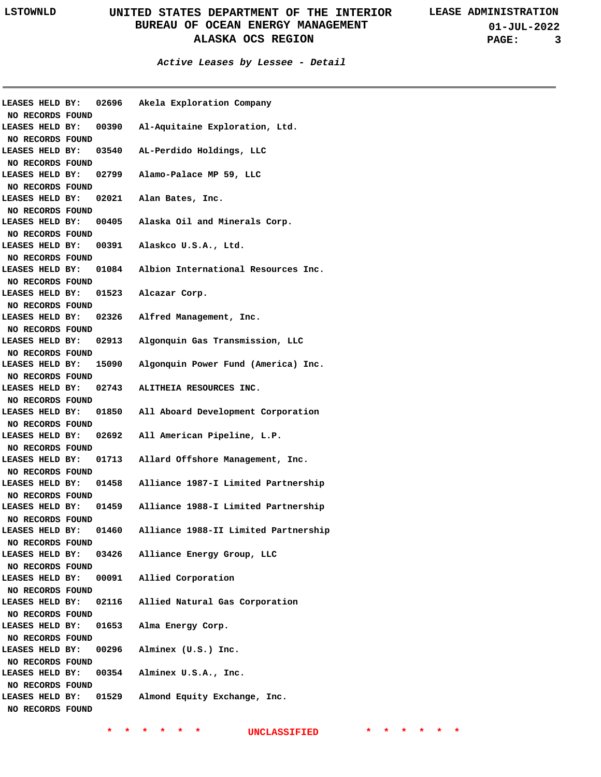**01-JUL-2022 PAGE: 3**

### **Active Leases by Lessee - Detail**

|                                     |  |       | LEASES HELD BY: 02696 Akela Exploration Company           |
|-------------------------------------|--|-------|-----------------------------------------------------------|
| NO RECORDS FOUND                    |  |       |                                                           |
| LEASES HELD BY:                     |  |       | 00390 Al-Aquitaine Exploration, Ltd.                      |
| NO RECORDS FOUND<br>LEASES HELD BY: |  |       | 03540 AL-Perdido Holdings, LLC                            |
|                                     |  |       |                                                           |
| NO RECORDS FOUND<br>LEASES HELD BY: |  |       | 02799 Alamo-Palace MP 59, LLC                             |
|                                     |  |       |                                                           |
| NO RECORDS FOUND<br>LEASES HELD BY: |  |       | 02021 Alan Bates, Inc.                                    |
|                                     |  |       |                                                           |
| NO RECORDS FOUND<br>LEASES HELD BY: |  |       | 00405 Alaska Oil and Minerals Corp.                       |
|                                     |  |       |                                                           |
| NO RECORDS FOUND<br>LEASES HELD BY: |  |       | 00391 Alaskco U.S.A., Ltd.                                |
|                                     |  |       |                                                           |
| NO RECORDS FOUND                    |  |       | 01084 Albion International Resources Inc.                 |
| LEASES HELD BY:                     |  |       |                                                           |
| NO RECORDS FOUND                    |  |       |                                                           |
| LEASES HELD BY:                     |  |       | 01523 Alcazar Corp.                                       |
| NO RECORDS FOUND                    |  |       |                                                           |
| LEASES HELD BY:                     |  |       | 02326 Alfred Management, Inc.                             |
| NO RECORDS FOUND                    |  |       |                                                           |
|                                     |  |       | LEASES HELD BY: 02913 Algonquin Gas Transmission, LLC     |
| NO RECORDS FOUND                    |  |       |                                                           |
|                                     |  |       | LEASES HELD BY: 15090 Algonquin Power Fund (America) Inc. |
| NO RECORDS FOUND                    |  |       |                                                           |
|                                     |  |       | LEASES HELD BY: 02743 ALITHEIA RESOURCES INC.             |
| NO RECORDS FOUND                    |  |       |                                                           |
|                                     |  |       | LEASES HELD BY: 01850 All Aboard Development Corporation  |
| NO RECORDS FOUND                    |  |       |                                                           |
|                                     |  |       | LEASES HELD BY: 02692 All American Pipeline, L.P.         |
| NO RECORDS FOUND                    |  |       |                                                           |
|                                     |  |       | LEASES HELD BY: 01713 Allard Offshore Management, Inc.    |
| NO RECORDS FOUND                    |  |       |                                                           |
|                                     |  |       | LEASES HELD BY: 01458 Alliance 1987-I Limited Partnership |
| NO RECORDS FOUND                    |  |       |                                                           |
|                                     |  |       | LEASES HELD BY: 01459 Alliance 1988-I Limited Partnership |
| NO RECORDS FOUND                    |  |       |                                                           |
| LEASES HELD BY:                     |  | 01460 | Alliance 1988-II Limited Partnership                      |
| NO RECORDS FOUND                    |  |       |                                                           |
| LEASES HELD BY:                     |  | 03426 | Alliance Energy Group, LLC                                |
| NO RECORDS FOUND                    |  |       |                                                           |
| LEASES HELD BY:                     |  |       | 00091 Allied Corporation                                  |
| NO RECORDS FOUND                    |  |       |                                                           |
| LEASES HELD BY:                     |  |       | 02116 Allied Natural Gas Corporation                      |
| NO RECORDS FOUND                    |  |       |                                                           |
| LEASES HELD BY:                     |  |       | 01653 Alma Energy Corp.                                   |
| NO RECORDS FOUND                    |  |       |                                                           |
| LEASES HELD BY:                     |  |       | 00296 Alminex (U.S.) Inc.                                 |
| NO RECORDS FOUND                    |  |       |                                                           |
| LEASES HELD BY:                     |  |       | 00354 Alminex U.S.A., Inc.                                |
| NO RECORDS FOUND                    |  |       |                                                           |
| LEASES HELD BY:                     |  |       | 01529 Almond Equity Exchange, Inc.                        |
| NO RECORDS FOUND                    |  |       |                                                           |
|                                     |  |       |                                                           |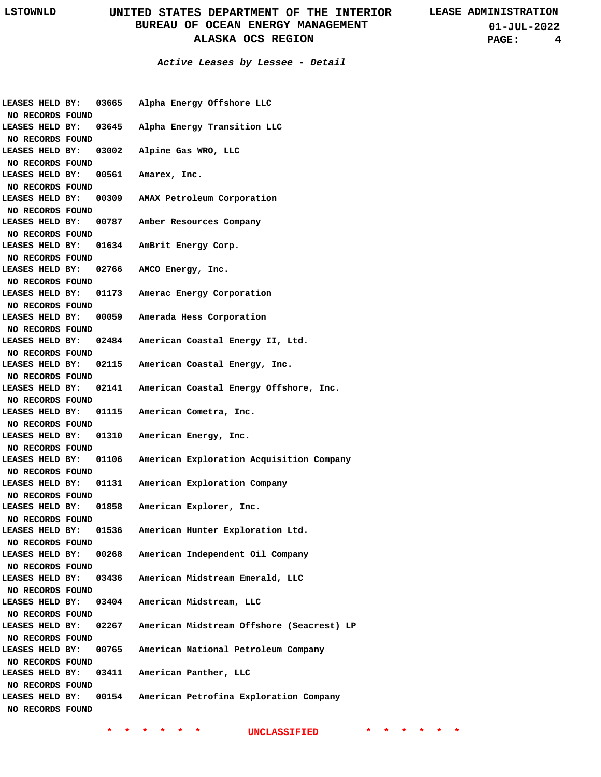**01-JUL-2022 PAGE: 4**

| LEASES HELD BY:                     |       | 03665 Alpha Energy Offshore LLC           |
|-------------------------------------|-------|-------------------------------------------|
| NO RECORDS FOUND                    |       |                                           |
| LEASES HELD BY:                     | 03645 | Alpha Energy Transition LLC               |
| NO RECORDS FOUND                    |       |                                           |
| LEASES HELD BY:                     | 03002 | Alpine Gas WRO, LLC                       |
| NO RECORDS FOUND                    |       |                                           |
| LEASES HELD BY:                     | 00561 | Amarex, Inc.                              |
| NO RECORDS FOUND                    |       |                                           |
| LEASES HELD BY:                     | 00309 | AMAX Petroleum Corporation                |
| NO RECORDS FOUND                    |       |                                           |
| LEASES HELD BY:                     | 00787 | Amber Resources Company                   |
| NO RECORDS FOUND                    |       |                                           |
| LEASES HELD BY:                     | 01634 | AmBrit Energy Corp.                       |
| NO RECORDS FOUND                    |       |                                           |
| LEASES HELD BY:                     | 02766 | AMCO Energy, Inc.                         |
| NO RECORDS FOUND                    |       |                                           |
| LEASES HELD BY:                     | 01173 | Amerac Energy Corporation                 |
| NO RECORDS FOUND                    |       |                                           |
| LEASES HELD BY:                     | 00059 | Amerada Hess Corporation                  |
| NO RECORDS FOUND                    |       |                                           |
| LEASES HELD BY:                     | 02484 | American Coastal Energy II, Ltd.          |
| NO RECORDS FOUND                    |       |                                           |
| LEASES HELD BY:                     | 02115 | American Coastal Energy, Inc.             |
| NO RECORDS FOUND                    |       |                                           |
| LEASES HELD BY:                     | 02141 | American Coastal Energy Offshore, Inc.    |
| NO RECORDS FOUND                    |       |                                           |
| LEASES HELD BY:                     | 01115 | American Cometra, Inc.                    |
| NO RECORDS FOUND                    |       |                                           |
| LEASES HELD BY:                     | 01310 | American Energy, Inc.                     |
| NO RECORDS FOUND                    |       |                                           |
| LEASES HELD BY:                     | 01106 | American Exploration Acquisition Company  |
| NO RECORDS FOUND                    |       |                                           |
| LEASES HELD BY:                     | 01131 | American Exploration Company              |
| NO RECORDS FOUND                    |       |                                           |
| LEASES HELD BY:                     | 01858 | American Explorer, Inc.                   |
| NO RECORDS FOUND                    |       |                                           |
| LEASES HELD BY:                     | 01536 | American Hunter Exploration Ltd.          |
| NO RECORDS FOUND                    |       |                                           |
| LEASES HELD BY:                     | 00268 | American Independent Oil Company          |
| NO RECORDS FOUND                    |       |                                           |
| LEASES HELD BY:                     | 03436 | American Midstream Emerald, LLC           |
| NO RECORDS FOUND                    |       |                                           |
| LEASES HELD BY:                     | 03404 | American Midstream, LLC                   |
| NO RECORDS FOUND                    |       |                                           |
| LEASES HELD BY:                     | 02267 | American Midstream Offshore (Seacrest) LP |
| NO RECORDS FOUND                    |       |                                           |
| LEASES HELD BY:                     | 00765 | American National Petroleum Company       |
|                                     |       |                                           |
| NO RECORDS FOUND<br>LEASES HELD BY: | 03411 | American Panther, LLC                     |
|                                     |       |                                           |
| NO RECORDS FOUND                    |       |                                           |
| LEASES HELD BY:                     | 00154 | American Petrofina Exploration Company    |
| NO RECORDS FOUND                    |       |                                           |
|                                     |       |                                           |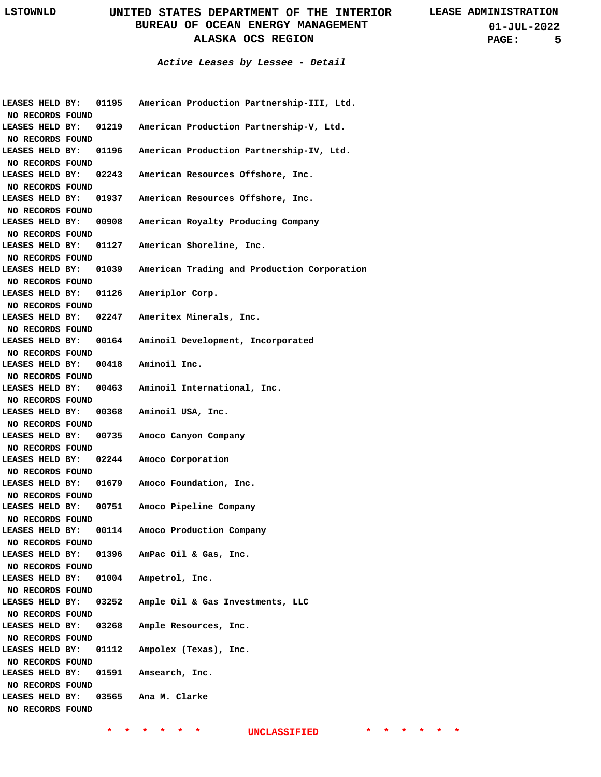|                                     |                                    | LEASES HELD BY: 01195 American Production Partnership-III, Ltd.   |
|-------------------------------------|------------------------------------|-------------------------------------------------------------------|
| NO RECORDS FOUND                    |                                    |                                                                   |
|                                     |                                    | LEASES HELD BY: 01219 American Production Partnership-V, Ltd.     |
| NO RECORDS FOUND                    |                                    |                                                                   |
|                                     |                                    | LEASES HELD BY: 01196 American Production Partnership-IV, Ltd.    |
| NO RECORDS FOUND                    |                                    |                                                                   |
|                                     |                                    | LEASES HELD BY: 02243 American Resources Offshore, Inc.           |
| NO RECORDS FOUND                    |                                    | LEASES HELD BY: 01937 American Resources Offshore, Inc.           |
| <b>NO RECORDS FOUND</b>             |                                    |                                                                   |
|                                     |                                    | LEASES HELD BY: 00908 American Royalty Producing Company          |
| NO RECORDS FOUND                    |                                    |                                                                   |
|                                     |                                    | LEASES HELD BY: 01127 American Shoreline, Inc.                    |
| NO RECORDS FOUND                    |                                    |                                                                   |
|                                     |                                    | LEASES HELD BY: 01039 American Trading and Production Corporation |
| NO RECORDS FOUND                    |                                    |                                                                   |
|                                     |                                    | LEASES HELD BY: 01126 Ameriplor Corp.                             |
| NO RECORDS FOUND                    |                                    |                                                                   |
|                                     |                                    | LEASES HELD BY: 02247 Ameritex Minerals, Inc.                     |
| NO RECORDS FOUND                    |                                    |                                                                   |
|                                     |                                    | LEASES HELD BY: 00164 Aminoil Development, Incorporated           |
| NO RECORDS FOUND                    |                                    |                                                                   |
|                                     | LEASES HELD BY: 00418 Aminoil Inc. |                                                                   |
| NO RECORDS FOUND                    |                                    |                                                                   |
|                                     |                                    | LEASES HELD BY: 00463 Aminoil International, Inc.                 |
| NO RECORDS FOUND                    |                                    |                                                                   |
|                                     |                                    | LEASES HELD BY: 00368 Aminoil USA, Inc.                           |
| <b>NO RECORDS FOUND</b>             |                                    |                                                                   |
|                                     |                                    | LEASES HELD BY: 00735 Amoco Canyon Company                        |
| NO RECORDS FOUND                    |                                    |                                                                   |
| LEASES HELD BY:                     |                                    | 02244 Amoco Corporation                                           |
| NO RECORDS FOUND                    |                                    |                                                                   |
|                                     |                                    | LEASES HELD BY: 01679 Amoco Foundation, Inc.                      |
| NO RECORDS FOUND                    |                                    |                                                                   |
|                                     |                                    | LEASES HELD BY: 00751 Amoco Pipeline Company                      |
| NO RECORDS FOUND                    |                                    |                                                                   |
| LEASES HELD BY:                     |                                    | 00114 Amoco Production Company                                    |
| NO RECORDS FOUND                    |                                    |                                                                   |
| LEASES HELD BY:                     |                                    | 01396 AmPac Oil & Gas, Inc.                                       |
| NO RECORDS FOUND                    |                                    |                                                                   |
| LEASES HELD BY:                     |                                    | 01004 Ampetrol, Inc.                                              |
| NO RECORDS FOUND                    |                                    |                                                                   |
| LEASES HELD BY:                     | 03252                              | Ample Oil & Gas Investments, LLC                                  |
| NO RECORDS FOUND<br>LEASES HELD BY: | 03268                              | Ample Resources, Inc.                                             |
| NO RECORDS FOUND                    |                                    |                                                                   |
| LEASES HELD BY:                     |                                    | 01112 Ampolex (Texas), Inc.                                       |
| NO RECORDS FOUND                    |                                    |                                                                   |
| LEASES HELD BY:                     |                                    | 01591 Amsearch, Inc.                                              |
| NO RECORDS FOUND                    |                                    |                                                                   |
| LEASES HELD BY:                     |                                    | 03565 Ana M. Clarke                                               |
| NO RECORDS FOUND                    |                                    |                                                                   |
|                                     |                                    |                                                                   |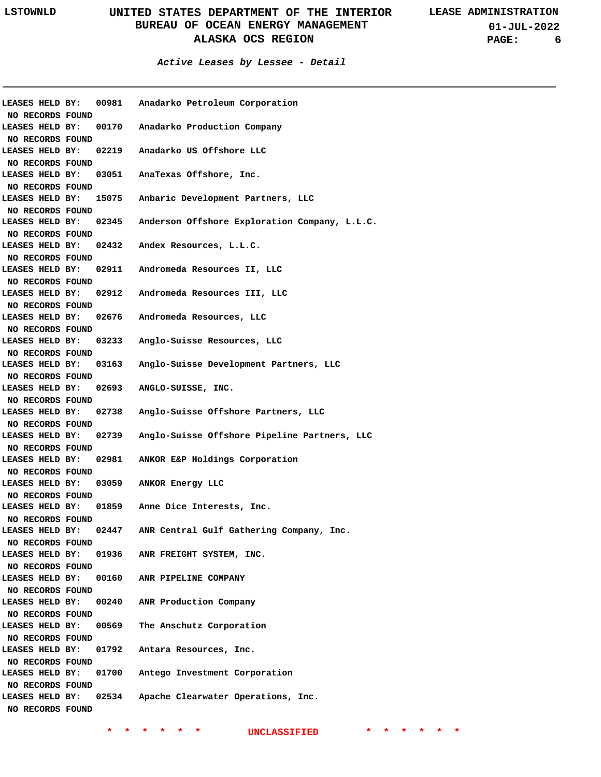### **Active Leases by Lessee - Detail**

|                                     |       | LEASES HELD BY: 00981 Anadarko Petroleum Corporation               |
|-------------------------------------|-------|--------------------------------------------------------------------|
| NO RECORDS FOUND                    |       |                                                                    |
| <b>LEASES HELD BY:</b>              |       | 00170 Anadarko Production Company                                  |
| NO RECORDS FOUND                    |       |                                                                    |
| <b>LEASES HELD BY:</b>              |       | 02219 Anadarko US Offshore LLC                                     |
| NO RECORDS FOUND                    |       |                                                                    |
| <b>LEASES HELD BY:</b>              |       | 03051 AnaTexas Offshore, Inc.                                      |
| NO RECORDS FOUND                    |       |                                                                    |
| LEASES HELD BY:                     |       | 15075 Anbaric Development Partners, LLC                            |
| NO RECORDS FOUND                    |       |                                                                    |
| LEASES HELD BY:                     |       | 02345 Anderson Offshore Exploration Company, L.L.C.                |
| NO RECORDS FOUND                    |       |                                                                    |
| LEASES HELD BY:                     |       | 02432 Andex Resources, L.L.C.                                      |
| NO RECORDS FOUND                    |       |                                                                    |
| <b>LEASES HELD BY:</b>              |       | 02911 Andromeda Resources II, LLC                                  |
| NO RECORDS FOUND                    |       |                                                                    |
| <b>LEASES HELD BY:</b>              |       | 02912 Andromeda Resources III, LLC                                 |
| NO RECORDS FOUND                    |       |                                                                    |
|                                     |       | LEASES HELD BY: 02676 Andromeda Resources, LLC                     |
| NO RECORDS FOUND                    |       |                                                                    |
|                                     |       | LEASES HELD BY: 03233 Anglo-Suisse Resources, LLC                  |
| NO RECORDS FOUND                    |       |                                                                    |
|                                     |       | LEASES HELD BY: 03163 Anglo-Suisse Development Partners, LLC       |
| NO RECORDS FOUND                    |       |                                                                    |
|                                     |       | LEASES HELD BY: 02693 ANGLO-SUISSE, INC.                           |
| NO RECORDS FOUND                    |       |                                                                    |
|                                     |       | LEASES HELD BY: 02738 Anglo-Suisse Offshore Partners, LLC          |
| NO RECORDS FOUND                    |       |                                                                    |
|                                     |       | LEASES HELD BY: 02739 Anglo-Suisse Offshore Pipeline Partners, LLC |
| NO RECORDS FOUND                    |       |                                                                    |
|                                     |       | LEASES HELD BY: 02981 ANKOR E&P Holdings Corporation               |
| NO RECORDS FOUND                    |       |                                                                    |
|                                     |       | LEASES HELD BY: 03059 ANKOR Energy LLC                             |
| NO RECORDS FOUND                    |       |                                                                    |
|                                     |       | LEASES HELD BY: 01859 Anne Dice Interests, Inc.                    |
| NO RECORDS FOUND                    |       |                                                                    |
| LEASES HELD BY:                     | 02447 | ANR Central Gulf Gathering Company, Inc.                           |
| NO RECORDS FOUND                    |       |                                                                    |
| LEASES HELD BY:                     |       | 01936 ANR FREIGHT SYSTEM, INC.                                     |
| NO RECORDS FOUND                    |       |                                                                    |
| LEASES HELD BY:                     |       | 00160 ANR PIPELINE COMPANY                                         |
| NO RECORDS FOUND                    |       |                                                                    |
| LEASES HELD BY:                     |       | 00240 ANR Production Company                                       |
| NO RECORDS FOUND                    |       |                                                                    |
| LEASES HELD BY:                     |       | 00569 The Anschutz Corporation                                     |
| NO RECORDS FOUND                    |       |                                                                    |
| LEASES HELD BY:                     |       | 01792 Antara Resources, Inc.                                       |
| NO RECORDS FOUND                    |       |                                                                    |
| LEASES HELD BY:                     |       | 01700 Antego Investment Corporation                                |
|                                     |       |                                                                    |
| NO RECORDS FOUND<br>LEASES HELD BY: | 02534 |                                                                    |
|                                     |       | Apache Clearwater Operations, Inc.                                 |
| NO RECORDS FOUND                    |       |                                                                    |
|                                     |       |                                                                    |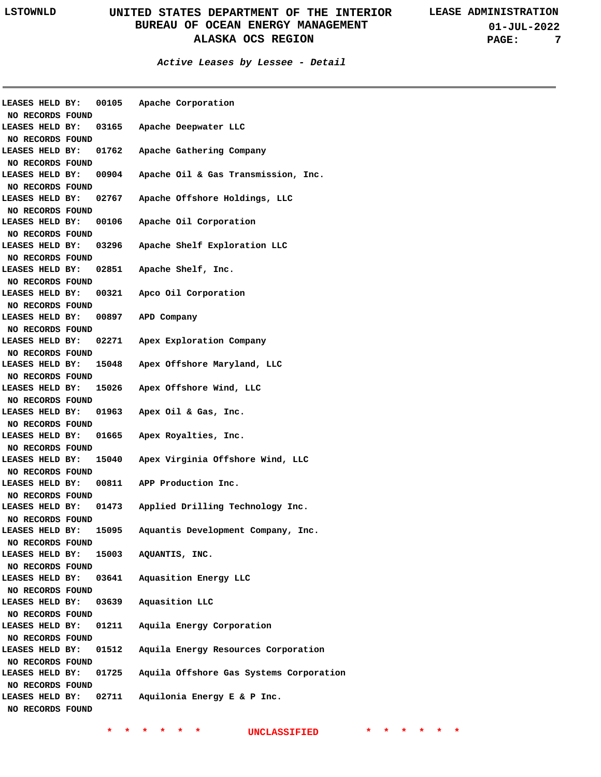**Active Leases by Lessee - Detail**

| LEASES HELD BY:                     |       | 00105 Apache Corporation                  |
|-------------------------------------|-------|-------------------------------------------|
| NO RECORDS FOUND                    |       |                                           |
| LEASES HELD BY:                     |       | 03165 Apache Deepwater LLC                |
| NO RECORDS FOUND                    |       |                                           |
| LEASES HELD BY:                     |       | 01762 Apache Gathering Company            |
| NO RECORDS FOUND                    |       |                                           |
| LEASES HELD BY:                     |       | 00904 Apache Oil & Gas Transmission, Inc. |
| NO RECORDS FOUND                    |       |                                           |
| LEASES HELD BY:                     |       | 02767 Apache Offshore Holdings, LLC       |
| NO RECORDS FOUND                    |       |                                           |
| LEASES HELD BY:                     |       | 00106 Apache Oil Corporation              |
| NO RECORDS FOUND                    |       |                                           |
| LEASES HELD BY:                     |       | 03296 Apache Shelf Exploration LLC        |
| NO RECORDS FOUND                    |       |                                           |
| LEASES HELD BY:                     |       | 02851 Apache Shelf, Inc.                  |
| NO RECORDS FOUND                    |       |                                           |
| LEASES HELD BY:                     |       | 00321 Apco Oil Corporation                |
| NO RECORDS FOUND                    |       |                                           |
| LEASES HELD BY:                     | 00897 | APD Company                               |
| NO RECORDS FOUND                    |       |                                           |
| LEASES HELD BY:                     |       | 02271 Apex Exploration Company            |
| NO RECORDS FOUND                    |       |                                           |
| LEASES HELD BY:                     |       | 15048 Apex Offshore Maryland, LLC         |
| NO RECORDS FOUND                    |       |                                           |
| LEASES HELD BY:                     |       | 15026 Apex Offshore Wind, LLC             |
| NO RECORDS FOUND                    |       |                                           |
|                                     |       |                                           |
| LEASES HELD BY:                     |       | 01963 Apex Oil & Gas, Inc.                |
| NO RECORDS FOUND                    |       |                                           |
| LEASES HELD BY:                     |       | 01665 Apex Royalties, Inc.                |
| NO RECORDS FOUND                    |       |                                           |
| LEASES HELD BY:                     |       | 15040 Apex Virginia Offshore Wind, LLC    |
| NO RECORDS FOUND                    |       |                                           |
| LEASES HELD BY:                     |       | 00811 APP Production Inc.                 |
| NO RECORDS FOUND                    |       |                                           |
| LEASES HELD BY:                     |       | 01473 Applied Drilling Technology Inc.    |
| NO RECORDS FOUND                    |       |                                           |
| LEASES HELD BY:                     | 15095 | Aquantis Development Company, Inc.        |
| NO RECORDS FOUND                    |       |                                           |
| LEASES HELD BY:                     |       | 15003 AQUANTIS, INC.                      |
| NO RECORDS FOUND                    |       |                                           |
| LEASES HELD BY:                     | 03641 | Aquasition Energy LLC                     |
| NO RECORDS FOUND                    |       |                                           |
| LEASES HELD BY:                     | 03639 | Aquasition LLC                            |
| NO RECORDS FOUND                    |       |                                           |
| LEASES HELD BY:                     | 01211 | Aquila Energy Corporation                 |
| NO RECORDS FOUND                    |       |                                           |
| LEASES HELD BY:                     | 01512 | Aquila Energy Resources Corporation       |
| NO RECORDS FOUND                    |       |                                           |
| LEASES HELD BY:                     | 01725 | Aquila Offshore Gas Systems Corporation   |
| NO RECORDS FOUND                    |       |                                           |
| LEASES HELD BY:<br>NO RECORDS FOUND | 02711 | Aquilonia Energy E & P Inc.               |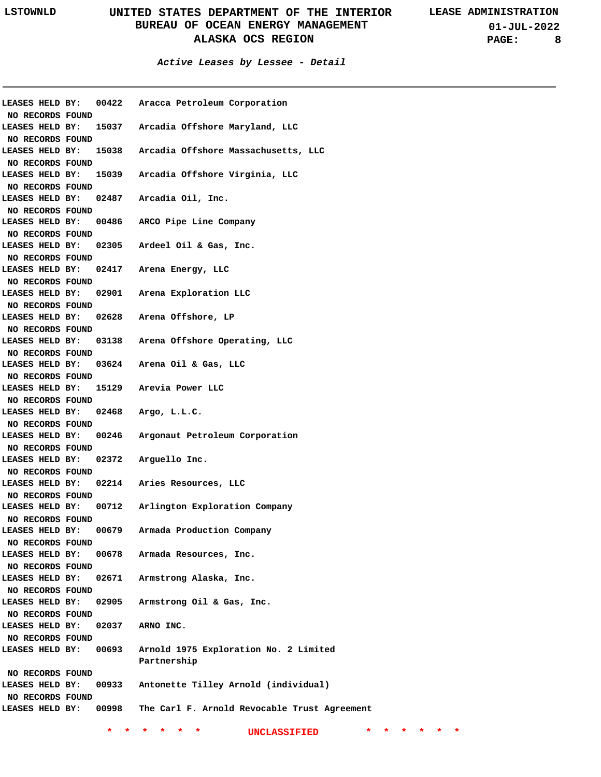**01-JUL-2022 PAGE: 8**

### **Active Leases by Lessee - Detail**

| LEASES HELD BY:  | 00422 | Aracca Petroleum Corporation                 |
|------------------|-------|----------------------------------------------|
| NO RECORDS FOUND |       |                                              |
| LEASES HELD BY:  | 15037 | Arcadia Offshore Maryland, LLC               |
| NO RECORDS FOUND |       |                                              |
| LEASES HELD BY:  | 15038 | Arcadia Offshore Massachusetts, LLC          |
| NO RECORDS FOUND |       |                                              |
| LEASES HELD BY:  | 15039 | Arcadia Offshore Virginia, LLC               |
| NO RECORDS FOUND |       |                                              |
| LEASES HELD BY:  | 02487 | Arcadia Oil, Inc.                            |
| NO RECORDS FOUND |       |                                              |
| LEASES HELD BY:  | 00486 | ARCO Pipe Line Company                       |
| NO RECORDS FOUND |       |                                              |
| LEASES HELD BY:  | 02305 | Ardeel Oil & Gas, Inc.                       |
| NO RECORDS FOUND |       |                                              |
| LEASES HELD BY:  | 02417 | Arena Energy, LLC                            |
| NO RECORDS FOUND |       |                                              |
| LEASES HELD BY:  | 02901 | Arena Exploration LLC                        |
| NO RECORDS FOUND |       |                                              |
| LEASES HELD BY:  | 02628 | Arena Offshore, LP                           |
|                  |       |                                              |
| NO RECORDS FOUND |       | Arena Offshore Operating, LLC                |
| LEASES HELD BY:  | 03138 |                                              |
| NO RECORDS FOUND |       |                                              |
| LEASES HELD BY:  | 03624 | Arena Oil & Gas, LLC                         |
| NO RECORDS FOUND |       |                                              |
| LEASES HELD BY:  | 15129 | Arevia Power LLC                             |
| NO RECORDS FOUND |       |                                              |
| LEASES HELD BY:  | 02468 | Argo, L.L.C.                                 |
| NO RECORDS FOUND |       |                                              |
| LEASES HELD BY:  | 00246 | Argonaut Petroleum Corporation               |
| NO RECORDS FOUND |       |                                              |
| LEASES HELD BY:  | 02372 | Arguello Inc.                                |
| NO RECORDS FOUND |       |                                              |
| LEASES HELD BY:  | 02214 | Aries Resources, LLC                         |
| NO RECORDS FOUND |       |                                              |
| LEASES HELD BY:  | 00712 | Arlington Exploration Company                |
| NO RECORDS FOUND |       |                                              |
| LEASES HELD BY:  | 00679 | Armada Production Company                    |
| NO RECORDS FOUND |       |                                              |
| LEASES HELD BY:  | 00678 | Armada Resources, Inc.                       |
| NO RECORDS FOUND |       |                                              |
| LEASES HELD BY:  | 02671 | Armstrong Alaska, Inc.                       |
| NO RECORDS FOUND |       |                                              |
| LEASES HELD BY:  | 02905 | Armstrong Oil & Gas, Inc.                    |
| NO RECORDS FOUND |       |                                              |
| LEASES HELD BY:  | 02037 | ARNO INC.                                    |
| NO RECORDS FOUND |       |                                              |
| LEASES HELD BY:  | 00693 | Arnold 1975 Exploration No. 2 Limited        |
|                  |       | Partnership                                  |
|                  |       |                                              |
| NO RECORDS FOUND |       |                                              |
| LEASES HELD BY:  | 00933 | Antonette Tilley Arnold (individual)         |
| NO RECORDS FOUND |       |                                              |
| LEASES HELD BY:  | 00998 | The Carl F. Arnold Revocable Trust Agreement |
|                  |       |                                              |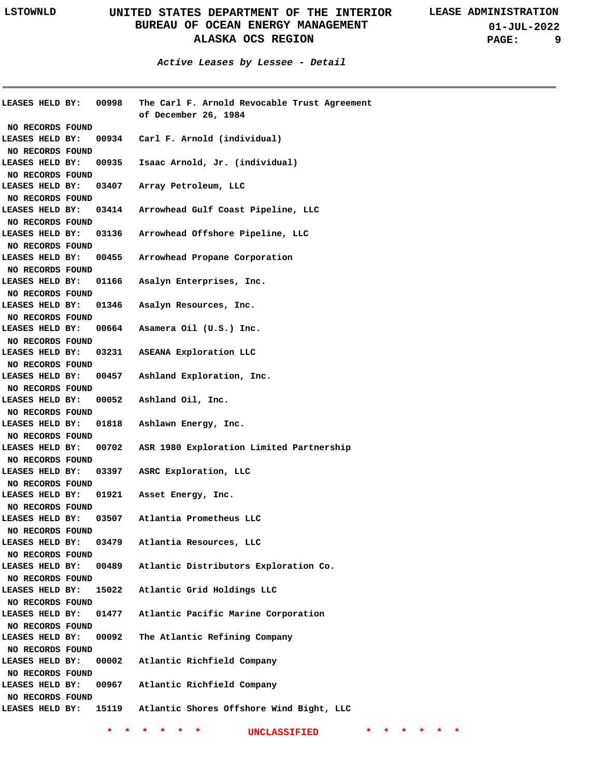**Active Leases by Lessee - Detail**

|                  | LEASES HELD BY: 00998 | The Carl F. Arnold Revocable Trust Agreement<br>of December 26, 1984 |
|------------------|-----------------------|----------------------------------------------------------------------|
| NO RECORDS FOUND |                       |                                                                      |
| LEASES HELD BY:  |                       | 00934 Carl F. Arnold (individual)                                    |
| NO RECORDS FOUND |                       |                                                                      |
| LEASES HELD BY:  |                       | 00935 Isaac Arnold, Jr. (individual)                                 |
| NO RECORDS FOUND |                       |                                                                      |
| LEASES HELD BY:  | 03407                 | Array Petroleum, LLC                                                 |
| NO RECORDS FOUND |                       |                                                                      |
| LEASES HELD BY:  |                       | 03414 Arrowhead Gulf Coast Pipeline, LLC                             |
| NO RECORDS FOUND |                       |                                                                      |
| LEASES HELD BY:  |                       | 03136 Arrowhead Offshore Pipeline, LLC                               |
| NO RECORDS FOUND |                       |                                                                      |
| LEASES HELD BY:  |                       | 00455 Arrowhead Propane Corporation                                  |
|                  |                       |                                                                      |
| NO RECORDS FOUND |                       |                                                                      |
| LEASES HELD BY:  | 01166                 | Asalyn Enterprises, Inc.                                             |
| NO RECORDS FOUND |                       |                                                                      |
| LEASES HELD BY:  | 01346                 | Asalyn Resources, Inc.                                               |
| NO RECORDS FOUND |                       |                                                                      |
| LEASES HELD BY:  |                       | 00664 Asamera Oil (U.S.) Inc.                                        |
| NO RECORDS FOUND |                       |                                                                      |
| LEASES HELD BY:  |                       | 03231 ASEANA Exploration LLC                                         |
| NO RECORDS FOUND |                       |                                                                      |
| LEASES HELD BY:  |                       | 00457 Ashland Exploration, Inc.                                      |
| NO RECORDS FOUND |                       |                                                                      |
| LEASES HELD BY:  | 00052                 | Ashland Oil, Inc.                                                    |
| NO RECORDS FOUND |                       |                                                                      |
| LEASES HELD BY:  | 01818                 | Ashlawn Energy, Inc.                                                 |
| NO RECORDS FOUND |                       |                                                                      |
| LEASES HELD BY:  | 00702                 | ASR 1980 Exploration Limited Partnership                             |
| NO RECORDS FOUND |                       |                                                                      |
|                  |                       | LEASES HELD BY: 03397 ASRC Exploration, LLC                          |
| NO RECORDS FOUND |                       |                                                                      |
|                  |                       | LEASES HELD BY: 01921 Asset Energy, Inc.                             |
| NO RECORDS FOUND |                       |                                                                      |
|                  |                       | LEASES HELD BY: 03507 Atlantia Prometheus LLC                        |
|                  |                       |                                                                      |
| NO RECORDS FOUND |                       |                                                                      |
| LEASES HELD BY:  | 03479                 | Atlantia Resources, LLC                                              |
| NO RECORDS FOUND |                       |                                                                      |
| LEASES HELD BY:  | 00489                 | Atlantic Distributors Exploration Co.                                |
| NO RECORDS FOUND |                       |                                                                      |
| LEASES HELD BY:  | 15022                 | Atlantic Grid Holdings LLC                                           |
| NO RECORDS FOUND |                       |                                                                      |
| LEASES HELD BY:  | 01477                 | Atlantic Pacific Marine Corporation                                  |
| NO RECORDS FOUND |                       |                                                                      |
| LEASES HELD BY:  | 00092                 | The Atlantic Refining Company                                        |
| NO RECORDS FOUND |                       |                                                                      |
| LEASES HELD BY:  | 00002                 | Atlantic Richfield Company                                           |
| NO RECORDS FOUND |                       |                                                                      |
| LEASES HELD BY:  |                       | 00967 Atlantic Richfield Company                                     |
| NO RECORDS FOUND |                       |                                                                      |
| LEASES HELD BY:  |                       | 15119 Atlantic Shores Offshore Wind Bight, LLC                       |
|                  |                       |                                                                      |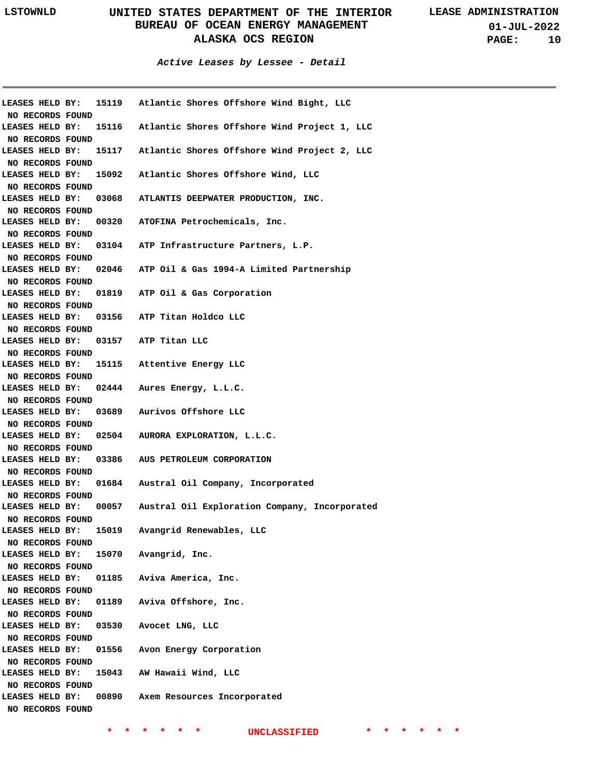**01-JUL-2022 PAGE: 10**

**Active Leases by Lessee - Detail**

| LEASES HELD BY:  |       | 15119 Atlantic Shores Offshore Wind Bight, LLC                 |
|------------------|-------|----------------------------------------------------------------|
| NO RECORDS FOUND |       |                                                                |
| LEASES HELD BY:  | 15116 | Atlantic Shores Offshore Wind Project 1, LLC                   |
| NO RECORDS FOUND |       |                                                                |
| LEASES HELD BY:  | 15117 | Atlantic Shores Offshore Wind Project 2, LLC                   |
| NO RECORDS FOUND |       |                                                                |
| LEASES HELD BY:  |       | 15092 Atlantic Shores Offshore Wind, LLC                       |
| NO RECORDS FOUND |       |                                                                |
| LEASES HELD BY:  |       | 03068 ATLANTIS DEEPWATER PRODUCTION, INC.                      |
| NO RECORDS FOUND |       |                                                                |
| LEASES HELD BY:  |       | 00320 ATOFINA Petrochemicals, Inc.                             |
| NO RECORDS FOUND |       |                                                                |
| LEASES HELD BY:  |       | 03104 ATP Infrastructure Partners, L.P.                        |
| NO RECORDS FOUND |       |                                                                |
|                  |       | LEASES HELD BY: 02046 ATP Oil & Gas 1994-A Limited Partnership |
| NO RECORDS FOUND |       |                                                                |
|                  |       | LEASES HELD BY: 01819 ATP Oil & Gas Corporation                |
| NO RECORDS FOUND |       |                                                                |
|                  |       | LEASES HELD BY: 03156 ATP Titan Holdco LLC                     |
| NO RECORDS FOUND |       |                                                                |
|                  |       | LEASES HELD BY: 03157 ATP Titan LLC                            |
| NO RECORDS FOUND |       |                                                                |
|                  |       | LEASES HELD BY: 15115 Attentive Energy LLC                     |
| NO RECORDS FOUND |       |                                                                |
|                  |       | LEASES HELD BY: 02444 Aures Energy, L.L.C.                     |
| NO RECORDS FOUND |       |                                                                |
|                  |       | LEASES HELD BY: 03689 Aurivos Offshore LLC                     |
| NO RECORDS FOUND |       |                                                                |
|                  |       | LEASES HELD BY: 02504 AURORA EXPLORATION, L.L.C.               |
| NO RECORDS FOUND |       |                                                                |
|                  |       | LEASES HELD BY: 03386 AUS PETROLEUM CORPORATION                |
| NO RECORDS FOUND |       |                                                                |
| LEASES HELD BY:  | 01684 | Austral Oil Company, Incorporated                              |
| NO RECORDS FOUND |       |                                                                |
| LEASES HELD BY:  | 00057 | Austral Oil Exploration Company, Incorporated                  |
| NO RECORDS FOUND |       |                                                                |
| LEASES HELD BY:  | 15019 | Avangrid Renewables, LLC                                       |
| NO RECORDS FOUND |       |                                                                |
| LEASES HELD BY:  |       | 15070 Avangrid, Inc.                                           |
| NO RECORDS FOUND |       |                                                                |
| LEASES HELD BY:  | 01185 | Aviva America, Inc.                                            |
| NO RECORDS FOUND |       |                                                                |
| LEASES HELD BY:  | 01189 | Aviva Offshore, Inc.                                           |
| NO RECORDS FOUND |       |                                                                |
| LEASES HELD BY:  | 03530 | Avocet LNG, LLC                                                |
| NO RECORDS FOUND |       |                                                                |
| LEASES HELD BY:  | 01556 | Avon Energy Corporation                                        |
| NO RECORDS FOUND |       |                                                                |
| LEASES HELD BY:  | 15043 | AW Hawaii Wind, LLC                                            |
| NO RECORDS FOUND |       |                                                                |
| LEASES HELD BY:  | 00890 | Axem Resources Incorporated                                    |
| NO RECORDS FOUND |       |                                                                |
|                  |       |                                                                |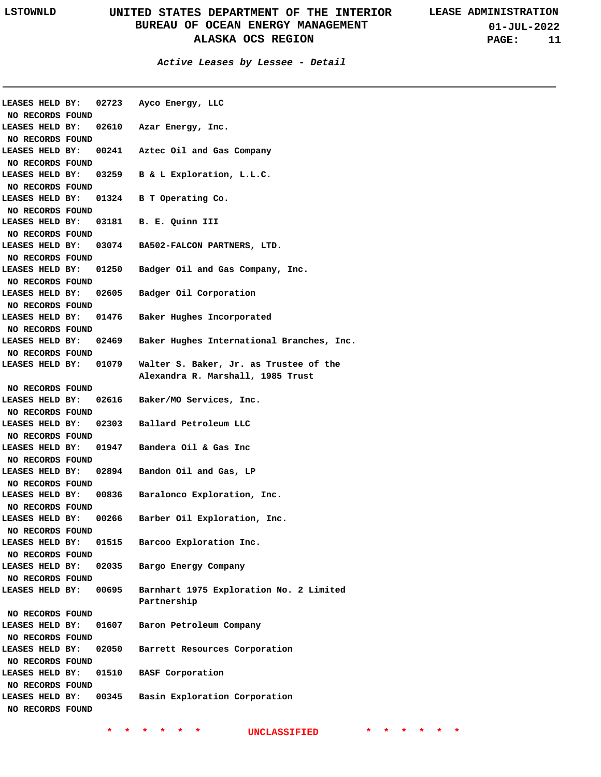**Active Leases by Lessee - Detail**

| NO RECORDS FOUND      |       | LEASES HELD BY: 02723 Ayco Energy, LLC                       |
|-----------------------|-------|--------------------------------------------------------------|
|                       |       |                                                              |
| LEASES HELD BY:       |       | 02610 Azar Energy, Inc.                                      |
| NO RECORDS FOUND      |       |                                                              |
| LEASES HELD BY:       |       | 00241 Aztec Oil and Gas Company                              |
| NO RECORDS FOUND      |       |                                                              |
| LEASES HELD BY:       |       | 03259 B & L Exploration, L.L.C.                              |
| NO RECORDS FOUND      |       |                                                              |
| LEASES HELD BY:       |       | 01324 B T Operating Co.                                      |
| NO RECORDS FOUND      |       |                                                              |
| LEASES HELD BY:       |       | 03181 B. E. Quinn III                                        |
| NO RECORDS FOUND      |       |                                                              |
| LEASES HELD BY:       |       | 03074 BA502-FALCON PARTNERS, LTD.                            |
| NO RECORDS FOUND      |       |                                                              |
| LEASES HELD BY:       |       | 01250 Badger Oil and Gas Company, Inc.                       |
| NO RECORDS FOUND      |       |                                                              |
| LEASES HELD BY:       |       | 02605 Badger Oil Corporation                                 |
| NO RECORDS FOUND      |       |                                                              |
| LEASES HELD BY:       |       | 01476 Baker Hughes Incorporated                              |
| NO RECORDS FOUND      |       |                                                              |
| LEASES HELD BY:       |       | 02469 Baker Hughes International Branches, Inc.              |
| NO RECORDS FOUND      |       |                                                              |
|                       |       |                                                              |
|                       |       | LEASES HELD BY: 01079 Walter S. Baker, Jr. as Trustee of the |
|                       |       | Alexandra R. Marshall, 1985 Trust                            |
| NO RECORDS FOUND      |       |                                                              |
| LEASES HELD BY:       |       | 02616 Baker/MO Services, Inc.                                |
| NO RECORDS FOUND      |       |                                                              |
|                       |       | LEASES HELD BY: 02303 Ballard Petroleum LLC                  |
| NO RECORDS FOUND      |       |                                                              |
|                       |       | LEASES HELD BY: 01947 Bandera Oil & Gas Inc                  |
| NO RECORDS FOUND      |       |                                                              |
|                       |       | LEASES HELD BY: 02894 Bandon Oil and Gas, LP                 |
| NO RECORDS FOUND      |       |                                                              |
|                       |       | LEASES HELD BY: 00836 Baralonco Exploration, Inc.            |
| NO RECORDS FOUND      |       |                                                              |
|                       |       | LEASES HELD BY: 00266 Barber Oil Exploration, Inc.           |
| NO RECORDS FOUND      |       |                                                              |
| LEASES HELD BY:       | 01515 | Barcoo Exploration Inc.                                      |
| NO RECORDS FOUND      |       |                                                              |
| LEASES HELD BY:       |       | 02035 Bargo Energy Company                                   |
| NO RECORDS FOUND      |       |                                                              |
| LEASES HELD BY: 00695 |       | Barnhart 1975 Exploration No. 2 Limited                      |
|                       |       |                                                              |
|                       |       |                                                              |
|                       |       | Partnership                                                  |
| NO RECORDS FOUND      |       |                                                              |
| LEASES HELD BY:       |       | 01607 Baron Petroleum Company                                |
| NO RECORDS FOUND      |       |                                                              |
| LEASES HELD BY:       |       | 02050 Barrett Resources Corporation                          |
| NO RECORDS FOUND      |       |                                                              |
| LEASES HELD BY:       |       | 01510 BASF Corporation                                       |
| NO RECORDS FOUND      |       |                                                              |
| LEASES HELD BY:       |       | 00345 Basin Exploration Corporation                          |
| NO RECORDS FOUND      |       |                                                              |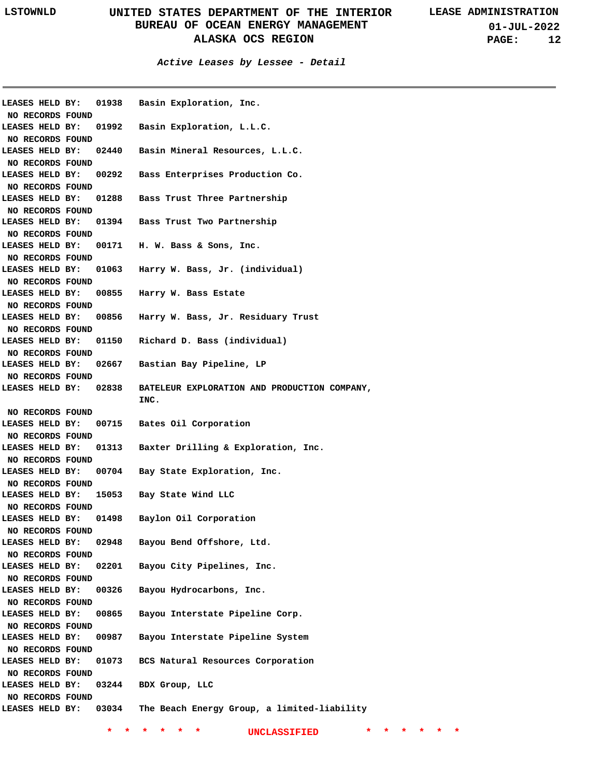|                                     |       | LEASES HELD BY: 01938 Basin Exploration, Inc. |  |
|-------------------------------------|-------|-----------------------------------------------|--|
| NO RECORDS FOUND                    |       |                                               |  |
| LEASES HELD BY:                     | 01992 | Basin Exploration, L.L.C.                     |  |
| NO RECORDS FOUND                    |       |                                               |  |
| LEASES HELD BY:                     | 02440 | Basin Mineral Resources, L.L.C.               |  |
| NO RECORDS FOUND                    |       |                                               |  |
| LEASES HELD BY:                     | 00292 | Bass Enterprises Production Co.               |  |
| NO RECORDS FOUND                    |       |                                               |  |
| LEASES HELD BY:                     | 01288 | Bass Trust Three Partnership                  |  |
| NO RECORDS FOUND                    |       |                                               |  |
| LEASES HELD BY:                     | 01394 | Bass Trust Two Partnership                    |  |
| NO RECORDS FOUND                    |       |                                               |  |
| LEASES HELD BY:                     |       | 00171 H. W. Bass & Sons, Inc.                 |  |
| NO RECORDS FOUND                    |       |                                               |  |
| LEASES HELD BY:                     | 01063 | Harry W. Bass, Jr. (individual)               |  |
| NO RECORDS FOUND                    |       |                                               |  |
| LEASES HELD BY:                     | 00855 | Harry W. Bass Estate                          |  |
| NO RECORDS FOUND                    |       |                                               |  |
| LEASES HELD BY:                     | 00856 | Harry W. Bass, Jr. Residuary Trust            |  |
| NO RECORDS FOUND                    |       |                                               |  |
| LEASES HELD BY:                     | 01150 | Richard D. Bass (individual)                  |  |
| NO RECORDS FOUND                    |       |                                               |  |
| LEASES HELD BY:                     | 02667 | Bastian Bay Pipeline, LP                      |  |
| NO RECORDS FOUND                    |       |                                               |  |
| LEASES HELD BY:                     | 02838 | BATELEUR EXPLORATION AND PRODUCTION COMPANY,  |  |
|                                     |       | INC.                                          |  |
|                                     |       |                                               |  |
| NO RECORDS FOUND                    |       |                                               |  |
| LEASES HELD BY:                     | 00715 | Bates Oil Corporation                         |  |
| NO RECORDS FOUND                    |       |                                               |  |
| LEASES HELD BY:                     | 01313 | Baxter Drilling & Exploration, Inc.           |  |
| NO RECORDS FOUND                    |       |                                               |  |
| LEASES HELD BY:                     | 00704 | Bay State Exploration, Inc.                   |  |
| NO RECORDS FOUND                    |       |                                               |  |
| LEASES HELD BY:                     | 15053 | Bay State Wind LLC                            |  |
| NO RECORDS FOUND                    |       |                                               |  |
| LEASES HELD BY:                     | 01498 | Baylon Oil Corporation                        |  |
| NO RECORDS FOUND                    |       |                                               |  |
| LEASES HELD BY:                     | 02948 | Bayou Bend Offshore, Ltd.                     |  |
| NO RECORDS FOUND                    |       |                                               |  |
| LEASES HELD BY:                     | 02201 | Bayou City Pipelines, Inc.                    |  |
| NO RECORDS FOUND                    |       |                                               |  |
| LEASES HELD BY:                     | 00326 | Bayou Hydrocarbons, Inc.                      |  |
| NO RECORDS FOUND                    |       |                                               |  |
| LEASES HELD BY:                     | 00865 | Bayou Interstate Pipeline Corp.               |  |
| NO RECORDS FOUND                    |       |                                               |  |
| LEASES HELD BY:                     | 00987 |                                               |  |
| NO RECORDS FOUND                    |       | Bayou Interstate Pipeline System              |  |
| LEASES HELD BY:                     | 01073 | BCS Natural Resources Corporation             |  |
|                                     |       |                                               |  |
| NO RECORDS FOUND<br>LEASES HELD BY: | 03244 | BDX Group, LLC                                |  |
|                                     |       |                                               |  |
| NO RECORDS FOUND<br>LEASES HELD BY: | 03034 | The Beach Energy Group, a limited-liability   |  |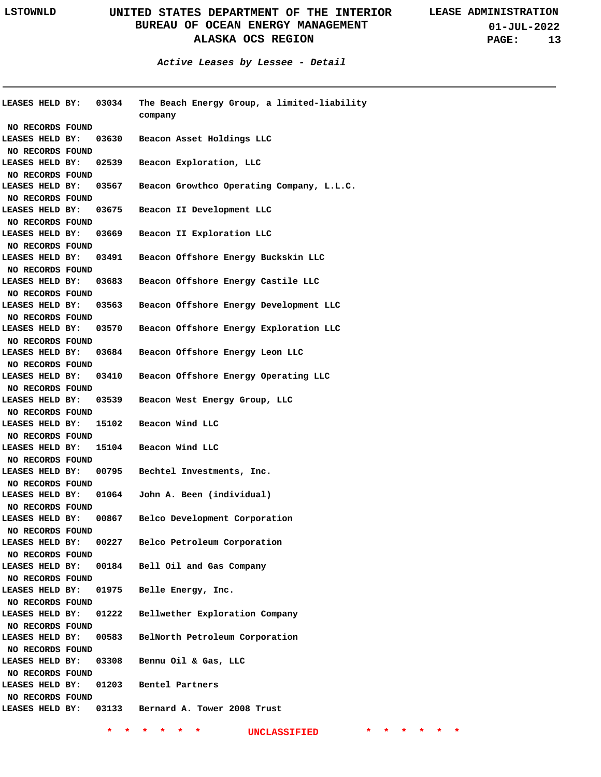**01-JUL-2022 PAGE: 13**

**Active Leases by Lessee - Detail**

|                                            | <b>LEASES HELD BY: 03034</b> | The Beach Energy Group, a limited-liability<br>company |
|--------------------------------------------|------------------------------|--------------------------------------------------------|
| NO RECORDS FOUND                           |                              |                                                        |
| <b>LEASES HELD BY:</b>                     | 03630                        | Beacon Asset Holdings LLC                              |
| NO RECORDS FOUND                           |                              |                                                        |
| <b>LEASES HELD BY:</b>                     | 02539                        | Beacon Exploration, LLC                                |
| NO RECORDS FOUND                           |                              |                                                        |
| <b>LEASES HELD BY:</b>                     | 03567                        | Beacon Growthco Operating Company, L.L.C.              |
| NO RECORDS FOUND                           |                              |                                                        |
| <b>LEASES HELD BY:</b>                     | 03675                        | Beacon II Development LLC                              |
| NO RECORDS FOUND                           |                              |                                                        |
| LEASES HELD BY:                            | 03669                        | Beacon II Exploration LLC                              |
| NO RECORDS FOUND                           |                              |                                                        |
| <b>LEASES HELD BY:</b>                     |                              | 03491 Beacon Offshore Energy Buckskin LLC              |
| NO RECORDS FOUND                           |                              |                                                        |
| <b>LEASES HELD BY:</b>                     | 03683                        | Beacon Offshore Energy Castile LLC                     |
| NO RECORDS FOUND                           |                              |                                                        |
| <b>LEASES HELD BY:</b>                     |                              | 03563 Beacon Offshore Energy Development LLC           |
| NO RECORDS FOUND                           |                              |                                                        |
| <b>LEASES HELD BY:</b>                     | 03570                        | Beacon Offshore Energy Exploration LLC                 |
| NO RECORDS FOUND                           |                              |                                                        |
| <b>LEASES HELD BY:</b>                     |                              | 03684 Beacon Offshore Energy Leon LLC                  |
| NO RECORDS FOUND                           |                              |                                                        |
| <b>LEASES HELD BY:</b>                     |                              | 03410 Beacon Offshore Energy Operating LLC             |
| NO RECORDS FOUND                           |                              |                                                        |
| <b>LEASES HELD BY:</b>                     | 03539                        | Beacon West Energy Group, LLC                          |
| NO RECORDS FOUND                           |                              |                                                        |
| <b>LEASES HELD BY:</b>                     |                              | 15102 Beacon Wind LLC                                  |
| NO RECORDS FOUND                           |                              |                                                        |
| <b>LEASES HELD BY:</b>                     |                              | 15104 Beacon Wind LLC                                  |
| NO RECORDS FOUND                           |                              |                                                        |
| <b>LEASES HELD BY:</b>                     |                              | 00795 Bechtel Investments, Inc.                        |
| NO RECORDS FOUND                           |                              |                                                        |
| <b>LEASES HELD BY:</b>                     |                              | 01064 John A. Been (individual)                        |
| NO RECORDS FOUND                           |                              |                                                        |
|                                            |                              | LEASES HELD BY: 00867 Belco Development Corporation    |
| NO RECORDS FOUND                           |                              |                                                        |
| <b>LEASES HELD BY:</b>                     | 00227                        | Belco Petroleum Corporation                            |
|                                            |                              |                                                        |
| NO RECORDS FOUND<br><b>LEASES HELD BY:</b> | 00184                        |                                                        |
|                                            |                              | Bell Oil and Gas Company                               |
| NO RECORDS FOUND<br>LEASES HELD BY:        |                              |                                                        |
|                                            | 01975                        | Belle Energy, Inc.                                     |
| NO RECORDS FOUND                           |                              |                                                        |
| LEASES HELD BY:                            | 01222                        | Bellwether Exploration Company                         |
| NO RECORDS FOUND                           |                              |                                                        |
| <b>LEASES HELD BY:</b>                     | 00583                        | BelNorth Petroleum Corporation                         |
| NO RECORDS FOUND                           |                              |                                                        |
| <b>LEASES HELD BY:</b>                     |                              | 03308 Bennu Oil & Gas, LLC                             |
| NO RECORDS FOUND                           |                              |                                                        |
| <b>LEASES HELD BY:</b>                     |                              | 01203 Bentel Partners                                  |
| NO RECORDS FOUND                           |                              |                                                        |
| <b>LEASES HELD BY:</b>                     |                              | 03133 Bernard A. Tower 2008 Trust                      |
|                                            |                              |                                                        |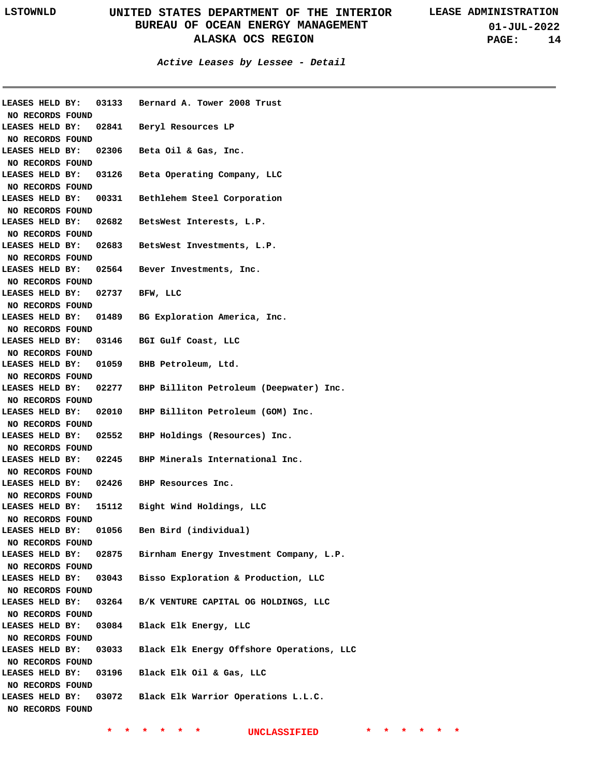**01-JUL-2022 PAGE: 14**

**Active Leases by Lessee - Detail**

| LEASES HELD BY:                     | 03133 | Bernard A. Tower 2008 Trust               |
|-------------------------------------|-------|-------------------------------------------|
| NO RECORDS FOUND                    |       |                                           |
| LEASES HELD BY:                     | 02841 | Beryl Resources LP                        |
| NO RECORDS FOUND                    |       |                                           |
| LEASES HELD BY:                     | 02306 | Beta Oil & Gas, Inc.                      |
| NO RECORDS FOUND                    |       |                                           |
| LEASES HELD BY:                     | 03126 | Beta Operating Company, LLC               |
| NO RECORDS FOUND                    |       |                                           |
| LEASES HELD BY:                     | 00331 | Bethlehem Steel Corporation               |
| NO RECORDS FOUND                    |       |                                           |
| LEASES HELD BY:                     | 02682 | BetsWest Interests, L.P.                  |
| NO RECORDS FOUND                    |       |                                           |
| LEASES HELD BY:                     | 02683 | BetsWest Investments, L.P.                |
| NO RECORDS FOUND                    |       |                                           |
| LEASES HELD BY:                     |       | 02564 Bever Investments, Inc.             |
| NO RECORDS FOUND                    |       |                                           |
| LEASES HELD BY:                     | 02737 | BFW, LLC                                  |
| NO RECORDS FOUND                    |       |                                           |
| LEASES HELD BY:                     | 01489 | BG Exploration America, Inc.              |
| NO RECORDS FOUND                    |       |                                           |
| LEASES HELD BY:                     | 03146 | BGI Gulf Coast, LLC                       |
| NO RECORDS FOUND                    |       |                                           |
| LEASES HELD BY:                     | 01059 | BHB Petroleum, Ltd.                       |
| NO RECORDS FOUND                    |       |                                           |
| LEASES HELD BY:                     | 02277 | BHP Billiton Petroleum (Deepwater) Inc.   |
| NO RECORDS FOUND                    |       |                                           |
| LEASES HELD BY:                     | 02010 | BHP Billiton Petroleum (GOM) Inc.         |
| NO RECORDS FOUND                    |       |                                           |
| LEASES HELD BY:                     | 02552 | BHP Holdings (Resources) Inc.             |
| NO RECORDS FOUND                    |       |                                           |
| LEASES HELD BY:                     | 02245 | BHP Minerals International Inc.           |
| NO RECORDS FOUND                    |       |                                           |
| LEASES HELD BY:                     | 02426 | BHP Resources Inc.                        |
|                                     |       |                                           |
| NO RECORDS FOUND<br>LEASES HELD BY: | 15112 | Bight Wind Holdings, LLC                  |
|                                     |       |                                           |
| NO RECORDS FOUND                    |       |                                           |
| LEASES HELD BY:                     | 01056 | Ben Bird (individual)                     |
| NO RECORDS FOUND                    |       |                                           |
| LEASES HELD BY:                     | 02875 | Birnham Energy Investment Company, L.P.   |
| NO RECORDS FOUND                    |       |                                           |
| LEASES HELD BY:                     | 03043 | Bisso Exploration & Production, LLC       |
| NO RECORDS FOUND                    |       |                                           |
| LEASES HELD BY:                     | 03264 | B/K VENTURE CAPITAL OG HOLDINGS, LLC      |
| NO RECORDS FOUND                    |       |                                           |
| LEASES HELD BY:                     | 03084 | Black Elk Energy, LLC                     |
| NO RECORDS FOUND                    |       |                                           |
| LEASES HELD BY:                     | 03033 | Black Elk Energy Offshore Operations, LLC |
| NO RECORDS FOUND                    |       |                                           |
| LEASES HELD BY:                     | 03196 | Black Elk Oil & Gas, LLC                  |
| NO RECORDS FOUND                    |       |                                           |
| LEASES HELD BY:                     | 03072 | Black Elk Warrior Operations L.L.C.       |
| NO RECORDS FOUND                    |       |                                           |
|                                     |       |                                           |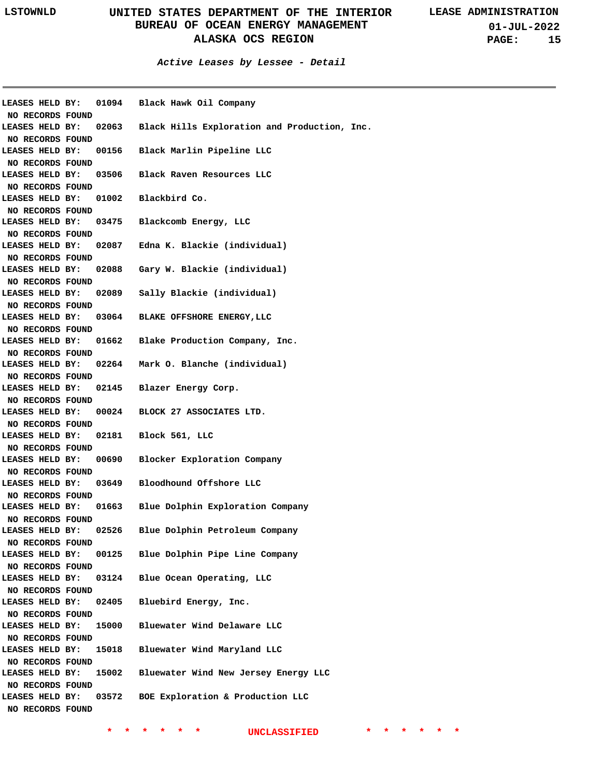**01-JUL-2022 PAGE: 15**

| LEASES HELD BY:<br>NO RECORDS FOUND |       | 01094                  | Black Hawk Oil Company                       |
|-------------------------------------|-------|------------------------|----------------------------------------------|
| LEASES HELD BY:                     |       | 02063                  | Black Hills Exploration and Production, Inc. |
| NO RECORDS FOUND<br>LEASES HELD BY: |       | 00156                  | Black Marlin Pipeline LLC                    |
| NO RECORDS FOUND<br>LEASES HELD BY: | 03506 |                        | Black Raven Resources LLC                    |
| NO RECORDS FOUND<br>LEASES HELD BY: |       | 01002<br>Blackbird Co. |                                              |
| NO RECORDS FOUND                    |       |                        |                                              |
| LEASES HELD BY:                     |       | 03475                  | Blackcomb Energy, LLC                        |
| NO RECORDS FOUND                    |       |                        |                                              |
| LEASES HELD BY:                     |       | 02087                  | Edna K. Blackie (individual)                 |
| NO RECORDS FOUND                    |       |                        |                                              |
| LEASES HELD BY:                     | 02088 |                        | Gary W. Blackie (individual)                 |
| NO RECORDS FOUND                    |       |                        |                                              |
| LEASES HELD BY:                     |       | 02089                  | Sally Blackie (individual)                   |
| NO RECORDS FOUND                    |       |                        |                                              |
| LEASES HELD BY:                     |       | 03064                  | BLAKE OFFSHORE ENERGY, LLC                   |
| NO RECORDS FOUND                    |       |                        |                                              |
| LEASES HELD BY:                     |       | 01662                  | Blake Production Company, Inc.               |
| NO RECORDS FOUND                    |       |                        |                                              |
| LEASES HELD BY:                     |       | 02264                  | Mark O. Blanche (individual)                 |
| NO RECORDS FOUND                    |       |                        |                                              |
| LEASES HELD BY:                     |       | 02145                  | Blazer Energy Corp.                          |
| NO RECORDS FOUND                    |       |                        |                                              |
| LEASES HELD BY:                     |       | 00024                  | BLOCK 27 ASSOCIATES LTD.                     |
| NO RECORDS FOUND                    |       |                        |                                              |
| LEASES HELD BY:                     | 02181 |                        | Block 561, LLC                               |
| NO RECORDS FOUND                    |       |                        |                                              |
| LEASES HELD BY:                     | 00690 |                        | Blocker Exploration Company                  |
| NO RECORDS FOUND                    |       |                        |                                              |
| LEASES HELD BY:                     |       | 03649                  | Bloodhound Offshore LLC                      |
| NO RECORDS FOUND                    |       |                        |                                              |
| LEASES HELD BY:                     | 01663 |                        | Blue Dolphin Exploration Company             |
| NO RECORDS FOUND                    |       |                        |                                              |
| LEASES HELD BY:                     | 02526 |                        | Blue Dolphin Petroleum Company               |
| NO RECORDS FOUND                    |       |                        |                                              |
| LEASES HELD BY:                     |       | 00125                  | Blue Dolphin Pipe Line Company               |
| NO RECORDS FOUND                    |       |                        |                                              |
| LEASES HELD BY:                     |       | 03124                  | Blue Ocean Operating, LLC                    |
| NO RECORDS FOUND                    |       |                        |                                              |
| LEASES HELD BY:                     | 02405 |                        | Bluebird Energy, Inc.                        |
| NO RECORDS FOUND                    |       |                        |                                              |
| LEASES HELD BY:                     | 15000 |                        | Bluewater Wind Delaware LLC                  |
| NO RECORDS FOUND                    |       |                        |                                              |
| LEASES HELD BY:                     |       | 15018                  | Bluewater Wind Maryland LLC                  |
| NO RECORDS FOUND                    |       |                        |                                              |
| LEASES HELD BY:                     | 15002 |                        | Bluewater Wind New Jersey Energy LLC         |
| NO RECORDS FOUND                    |       |                        |                                              |
| LEASES HELD BY:                     | 03572 |                        | BOE Exploration & Production LLC             |
| NO RECORDS FOUND                    |       |                        |                                              |
|                                     |       |                        |                                              |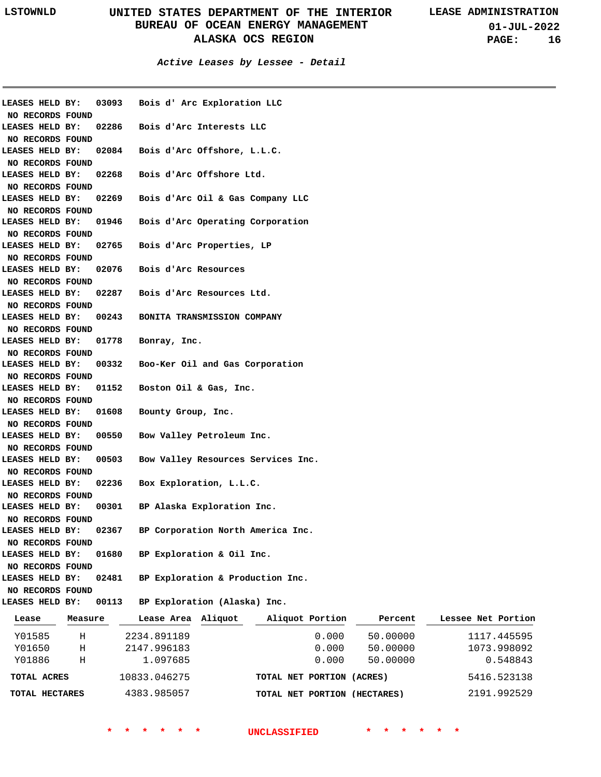**01-JUL-2022 PAGE: 16**

| Teace                               |       | Messure - Lesse Area Aliguot - Aliguot Portion - Percent - Lessee Net Portio |
|-------------------------------------|-------|------------------------------------------------------------------------------|
| LEASES HELD BY:                     | 00113 | BP Exploration (Alaska) Inc.                                                 |
| NO RECORDS FOUND                    |       |                                                                              |
| LEASES HELD BY:                     | 02481 | BP Exploration & Production Inc.                                             |
| NO RECORDS FOUND                    |       |                                                                              |
| LEASES HELD BY:                     | 01680 | BP Exploration & Oil Inc.                                                    |
| NO RECORDS FOUND                    |       |                                                                              |
| LEASES HELD BY:                     | 02367 | BP Corporation North America Inc.                                            |
| NO RECORDS FOUND                    |       |                                                                              |
| LEASES HELD BY:                     | 00301 | BP Alaska Exploration Inc.                                                   |
| NO RECORDS FOUND                    |       |                                                                              |
| LEASES HELD BY:                     | 02236 | Box Exploration, L.L.C.                                                      |
| NO RECORDS FOUND                    |       |                                                                              |
| NO RECORDS FOUND<br>LEASES HELD BY: | 00503 | Bow Valley Resources Services Inc.                                           |
| LEASES HELD BY:                     | 00550 | Bow Valley Petroleum Inc.                                                    |
| NO RECORDS FOUND                    |       |                                                                              |
| LEASES HELD BY:                     | 01608 | Bounty Group, Inc.                                                           |
| NO RECORDS FOUND                    |       |                                                                              |
| LEASES HELD BY:                     | 01152 | Boston Oil & Gas, Inc.                                                       |
| NO RECORDS FOUND                    |       |                                                                              |
| LEASES HELD BY:                     | 00332 | Boo-Ker Oil and Gas Corporation                                              |
| NO RECORDS FOUND                    |       |                                                                              |
| LEASES HELD BY:                     | 01778 | Bonray, Inc.                                                                 |
| NO RECORDS FOUND                    |       |                                                                              |
| LEASES HELD BY:                     | 00243 | BONITA TRANSMISSION COMPANY                                                  |
| NO RECORDS FOUND                    |       |                                                                              |
| LEASES HELD BY:                     | 02287 | Bois d'Arc Resources Ltd.                                                    |
| NO RECORDS FOUND                    |       |                                                                              |
| LEASES HELD BY:                     | 02076 | Bois d'Arc Resources                                                         |
| NO RECORDS FOUND                    |       |                                                                              |
| LEASES HELD BY:                     | 02765 | Bois d'Arc Properties, LP                                                    |
| NO RECORDS FOUND                    |       |                                                                              |
| LEASES HELD BY:                     | 01946 | Bois d'Arc Operating Corporation                                             |
| NO RECORDS FOUND                    |       |                                                                              |
| LEASES HELD BY:                     | 02269 | Bois d'Arc Oil & Gas Company LLC                                             |
| NO RECORDS FOUND                    |       |                                                                              |
| LEASES HELD BY:                     | 02268 | Bois d'Arc Offshore Ltd.                                                     |
| NO RECORDS FOUND                    |       |                                                                              |
| LEASES HELD BY:                     | 02084 | Bois d'Arc Offshore, L.L.C.                                                  |
| NO RECORDS FOUND                    |       |                                                                              |
| LEASES HELD BY:                     | 02286 | Bois d'Arc Interests LLC                                                     |
| NO RECORDS FOUND                    |       |                                                                              |
| LEASES HELD BY:                     | 03093 | Bois d' Arc Exploration LLC                                                  |

| Lease          | Measure | Lease Area   | Aliquot | Aliquot Portion           | Percent    | Lessee Net Portion |
|----------------|---------|--------------|---------|---------------------------|------------|--------------------|
| Y01585         | Н       | 2234.891189  |         | 0.000                     | 50.00000   | 1117.445595        |
| Y01650         | Н       | 2147.996183  |         | 0.000                     | 50.00000   | 1073.998092        |
| Y01886         | Н       | 1.097685     |         | 0.000                     | 50.00000   | 0.548843           |
| TOTAL ACRES    |         | 10833.046275 |         | TOTAL NET PORTION (ACRES) |            | 5416.523138        |
| TOTAL HECTARES |         | 4383.985057  |         | TOTAL NET PORTION         | (HECTARES) | 2191.992529        |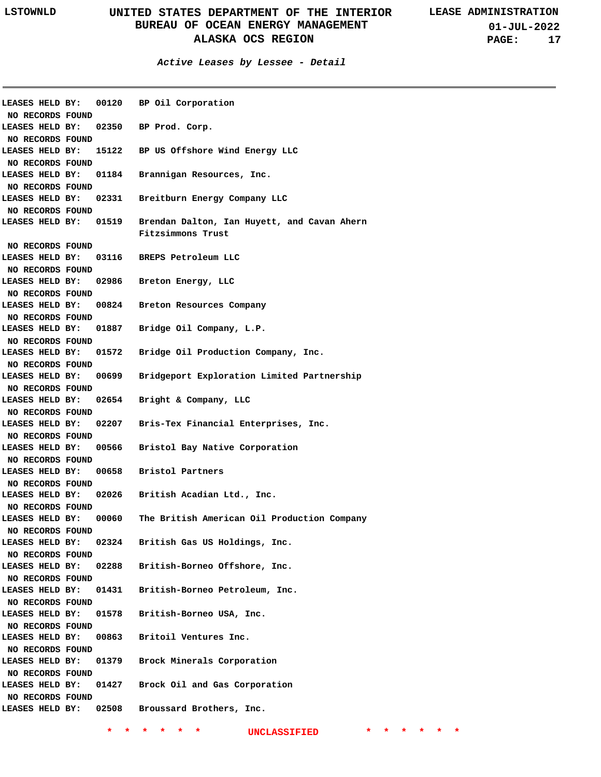**Active Leases by Lessee - Detail**

| LEASES HELD BY:         | 00120                 | BP Oil Corporation                          |
|-------------------------|-----------------------|---------------------------------------------|
| NO RECORDS FOUND        |                       |                                             |
| LEASES HELD BY:         | 02350                 | BP Prod. Corp.                              |
| NO RECORDS FOUND        |                       |                                             |
| LEASES HELD BY:         | 15122                 | BP US Offshore Wind Energy LLC              |
| NO RECORDS FOUND        |                       |                                             |
| LEASES HELD BY:         | 01184                 | Brannigan Resources, Inc.                   |
| NO RECORDS FOUND        |                       |                                             |
| LEASES HELD BY:         | 02331                 | Breitburn Energy Company LLC                |
| NO RECORDS FOUND        |                       |                                             |
|                         | LEASES HELD BY: 01519 | Brendan Dalton, Ian Huyett, and Cavan Ahern |
|                         |                       | Fitzsimmons Trust                           |
| NO RECORDS FOUND        |                       |                                             |
| LEASES HELD BY:         | 03116                 | BREPS Petroleum LLC                         |
| NO RECORDS FOUND        |                       |                                             |
| LEASES HELD BY:         | 02986                 | Breton Energy, LLC                          |
| NO RECORDS FOUND        |                       |                                             |
| LEASES HELD BY:         | 00824                 | Breton Resources Company                    |
| NO RECORDS FOUND        |                       |                                             |
| LEASES HELD BY:         | 01887                 | Bridge Oil Company, L.P.                    |
| NO RECORDS FOUND        |                       |                                             |
| LEASES HELD BY:         | 01572                 | Bridge Oil Production Company, Inc.         |
| NO RECORDS FOUND        |                       |                                             |
| LEASES HELD BY:         | 00699                 | Bridgeport Exploration Limited Partnership  |
| NO RECORDS FOUND        |                       |                                             |
| LEASES HELD BY:         | 02654                 | Bright & Company, LLC                       |
| NO RECORDS FOUND        |                       |                                             |
| LEASES HELD BY:         | 02207                 | Bris-Tex Financial Enterprises, Inc.        |
| NO RECORDS FOUND        |                       |                                             |
| LEASES HELD BY:         | 00566                 | Bristol Bay Native Corporation              |
| NO RECORDS FOUND        |                       |                                             |
| LEASES HELD BY:         | 00658                 | Bristol Partners                            |
| NO RECORDS FOUND        |                       |                                             |
| LEASES HELD BY:         | 02026                 | British Acadian Ltd., Inc.                  |
| NO RECORDS FOUND        |                       |                                             |
| LEASES HELD BY:         | 00060                 | The British American Oil Production Company |
| NO RECORDS FOUND        |                       |                                             |
| LEASES HELD BY:         | 02324                 | British Gas US Holdings, Inc.               |
| NO RECORDS FOUND        |                       |                                             |
| LEASES HELD BY:         | 02288                 | British-Borneo Offshore, Inc.               |
| <b>NO RECORDS FOUND</b> |                       |                                             |
| LEASES HELD BY:         | 01431                 | British-Borneo Petroleum, Inc.              |
| <b>NO RECORDS FOUND</b> |                       |                                             |
| LEASES HELD BY:         | 01578                 | British-Borneo USA, Inc.                    |
| NO RECORDS FOUND        |                       |                                             |
| LEASES HELD BY:         | 00863                 | Britoil Ventures Inc.                       |
| NO RECORDS FOUND        |                       |                                             |
| LEASES HELD BY:         | 01379                 | Brock Minerals Corporation                  |
| NO RECORDS FOUND        |                       |                                             |
| LEASES HELD BY:         | 01427                 | Brock Oil and Gas Corporation               |
| NO RECORDS FOUND        |                       |                                             |
| LEASES HELD BY:         | 02508                 | Broussard Brothers, Inc.                    |
|                         |                       |                                             |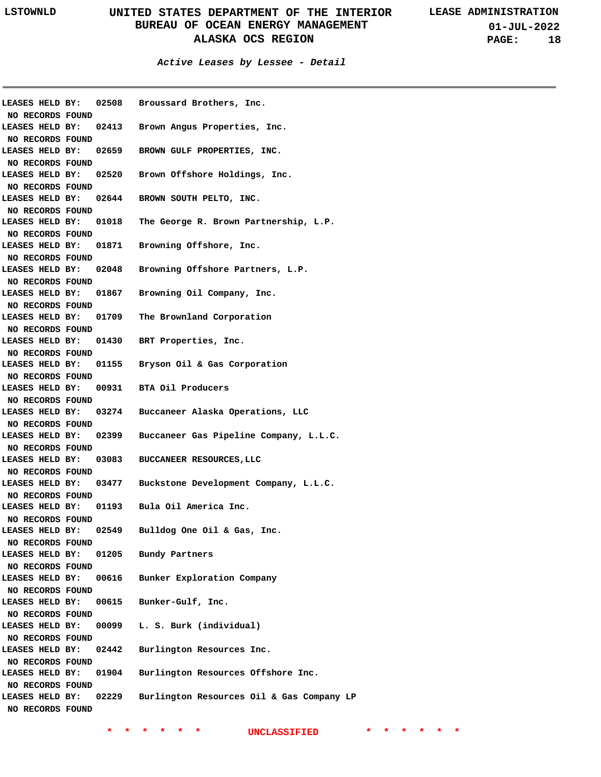**Active Leases by Lessee - Detail**

| LEASES HELD BY:<br>NO RECORDS FOUND | 02508 | Broussard Brothers, Inc.                  |
|-------------------------------------|-------|-------------------------------------------|
| LEASES HELD BY:                     | 02413 | Brown Angus Properties, Inc.              |
| NO RECORDS FOUND<br>LEASES HELD BY: | 02659 | BROWN GULF PROPERTIES, INC.               |
| NO RECORDS FOUND<br>LEASES HELD BY: | 02520 | Brown Offshore Holdings, Inc.             |
| NO RECORDS FOUND<br>LEASES HELD BY: | 02644 | BROWN SOUTH PELTO, INC.                   |
| NO RECORDS FOUND<br>LEASES HELD BY: | 01018 | The George R. Brown Partnership, L.P.     |
| NO RECORDS FOUND<br>LEASES HELD BY: | 01871 | Browning Offshore, Inc.                   |
| NO RECORDS FOUND<br>LEASES HELD BY: | 02048 | Browning Offshore Partners, L.P.          |
| NO RECORDS FOUND<br>LEASES HELD BY: | 01867 | Browning Oil Company, Inc.                |
| NO RECORDS FOUND<br>LEASES HELD BY: | 01709 | The Brownland Corporation                 |
| NO RECORDS FOUND<br>LEASES HELD BY: |       | 01430 BRT Properties, Inc.                |
| NO RECORDS FOUND<br>LEASES HELD BY: |       | 01155 Bryson Oil & Gas Corporation        |
| NO RECORDS FOUND                    |       |                                           |
| LEASES HELD BY:<br>NO RECORDS FOUND |       | 00931 BTA Oil Producers                   |
| LEASES HELD BY:<br>NO RECORDS FOUND | 03274 | Buccaneer Alaska Operations, LLC          |
| LEASES HELD BY:<br>NO RECORDS FOUND | 02399 | Buccaneer Gas Pipeline Company, L.L.C.    |
| LEASES HELD BY:<br>NO RECORDS FOUND | 03083 | BUCCANEER RESOURCES, LLC                  |
| LEASES HELD BY:<br>NO RECORDS FOUND | 03477 | Buckstone Development Company, L.L.C.     |
| LEASES HELD BY:<br>NO RECORDS FOUND | 01193 | Bula Oil America Inc.                     |
| LEASES HELD BY:<br>NO RECORDS FOUND | 02549 | Bulldog One Oil & Gas, Inc.               |
| LEASES HELD BY:<br>NO RECORDS FOUND |       | 01205 Bundy Partners                      |
| LEASES HELD BY:                     | 00616 | Bunker Exploration Company                |
| NO RECORDS FOUND<br>LEASES HELD BY: | 00615 | Bunker-Gulf, Inc.                         |
| NO RECORDS FOUND<br>LEASES HELD BY: | 00099 | L. S. Burk (individual)                   |
| NO RECORDS FOUND<br>LEASES HELD BY: | 02442 | Burlington Resources Inc.                 |
| NO RECORDS FOUND<br>LEASES HELD BY: | 01904 | Burlington Resources Offshore Inc.        |
| NO RECORDS FOUND<br>LEASES HELD BY: | 02229 | Burlington Resources Oil & Gas Company LP |
| NO RECORDS FOUND                    |       |                                           |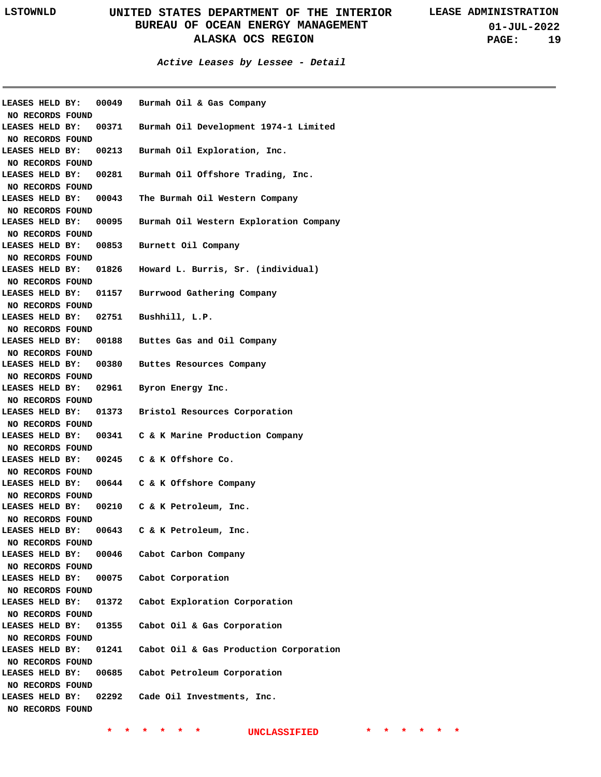**Active Leases by Lessee - Detail**

| LEASES HELD BY:<br>NO RECORDS FOUND |       | 00049 Burmah Oil & Gas Company                               |
|-------------------------------------|-------|--------------------------------------------------------------|
| <b>LEASES HELD BY:</b>              |       | 00371 Burmah Oil Development 1974-1 Limited                  |
| NO RECORDS FOUND                    |       |                                                              |
| LEASES HELD BY:                     |       | 00213 Burmah Oil Exploration, Inc.                           |
| NO RECORDS FOUND                    |       |                                                              |
| LEASES HELD BY:                     |       | 00281 Burmah Oil Offshore Trading, Inc.                      |
| NO RECORDS FOUND                    |       |                                                              |
| LEASES HELD BY:                     |       | 00043 The Burmah Oil Western Company                         |
| NO RECORDS FOUND                    |       |                                                              |
| LEASES HELD BY:                     |       | 00095 Burmah Oil Western Exploration Company                 |
| NO RECORDS FOUND                    |       |                                                              |
| LEASES HELD BY:                     |       | 00853 Burnett Oil Company                                    |
| NO RECORDS FOUND                    |       |                                                              |
| LEASES HELD BY:                     |       | 01826 Howard L. Burris, Sr. (individual)                     |
| NO RECORDS FOUND                    |       |                                                              |
| LEASES HELD BY:                     |       | 01157 Burrwood Gathering Company                             |
| NO RECORDS FOUND                    |       |                                                              |
| LEASES HELD BY:                     |       | 02751 Bushhill, L.P.                                         |
| NO RECORDS FOUND                    |       |                                                              |
| LEASES HELD BY:                     |       | 00188 Buttes Gas and Oil Company                             |
| NO RECORDS FOUND                    |       |                                                              |
| LEASES HELD BY:                     |       | 00380 Buttes Resources Company                               |
| NO RECORDS FOUND                    |       |                                                              |
| <b>LEASES HELD BY:</b>              |       | 02961 Byron Energy Inc.                                      |
| NO RECORDS FOUND                    |       |                                                              |
| <b>LEASES HELD BY:</b>              |       | 01373 Bristol Resources Corporation                          |
| NO RECORDS FOUND                    |       |                                                              |
| <b>LEASES HELD BY:</b>              |       | 00341 C & K Marine Production Company                        |
| NO RECORDS FOUND                    |       | 00245 C & K Offshore Co.                                     |
| LEASES HELD BY:<br>NO RECORDS FOUND |       |                                                              |
| <b>LEASES HELD BY:</b>              |       | 00644 C & K Offshore Company                                 |
| NO RECORDS FOUND                    |       |                                                              |
| <b>LEASES HELD BY:</b>              |       | 00210 C & K Petroleum, Inc.                                  |
| NO RECORDS FOUND                    |       |                                                              |
| LEASES HELD BY:                     | 00643 | C & K Petroleum, Inc.                                        |
| NO RECORDS FOUND                    |       |                                                              |
| LEASES HELD BY:                     |       | 00046 Cabot Carbon Company                                   |
| NO RECORDS FOUND                    |       |                                                              |
|                                     |       | LEASES HELD BY: 00075 Cabot Corporation                      |
| NO RECORDS FOUND                    |       |                                                              |
| LEASES HELD BY:                     |       | 01372 Cabot Exploration Corporation                          |
| NO RECORDS FOUND                    |       |                                                              |
| LEASES HELD BY:                     |       | 01355 Cabot Oil & Gas Corporation                            |
| NO RECORDS FOUND                    |       |                                                              |
|                                     |       | LEASES HELD BY: 01241 Cabot Oil & Gas Production Corporation |
| NO RECORDS FOUND                    |       |                                                              |
| LEASES HELD BY:                     |       | 00685 Cabot Petroleum Corporation                            |
| NO RECORDS FOUND                    |       |                                                              |
| LEASES HELD BY:                     |       | 02292 Cade Oil Investments, Inc.                             |
| NO RECORDS FOUND                    |       |                                                              |
|                                     |       |                                                              |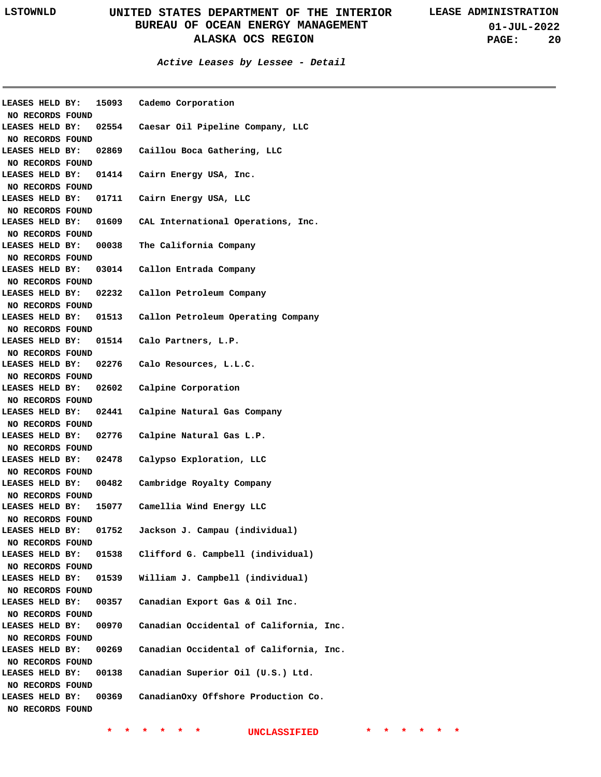| LEASES HELD BY:<br>NO RECORDS FOUND |       | 15093 Cademo Corporation                               |
|-------------------------------------|-------|--------------------------------------------------------|
|                                     |       | LEASES HELD BY: 02554 Caesar Oil Pipeline Company, LLC |
| NO RECORDS FOUND                    |       |                                                        |
| LEASES HELD BY:                     |       | 02869 Caillou Boca Gathering, LLC                      |
| NO RECORDS FOUND                    |       |                                                        |
| LEASES HELD BY:                     |       | 01414 Cairn Energy USA, Inc.                           |
| NO RECORDS FOUND                    |       |                                                        |
| LEASES HELD BY:                     |       | 01711 Cairn Energy USA, LLC                            |
| NO RECORDS FOUND                    |       |                                                        |
| LEASES HELD BY:                     |       | 01609 CAL International Operations, Inc.               |
| NO RECORDS FOUND                    |       |                                                        |
| LEASES HELD BY:                     |       | 00038 The California Company                           |
| NO RECORDS FOUND                    |       |                                                        |
| LEASES HELD BY:                     |       | 03014 Callon Entrada Company                           |
| NO RECORDS FOUND                    |       |                                                        |
| LEASES HELD BY:                     |       | 02232 Callon Petroleum Company                         |
| NO RECORDS FOUND                    |       |                                                        |
| LEASES HELD BY:                     |       | 01513 Callon Petroleum Operating Company               |
| NO RECORDS FOUND                    |       |                                                        |
| LEASES HELD BY:                     |       | 01514 Calo Partners, L.P.                              |
| NO RECORDS FOUND                    |       |                                                        |
| LEASES HELD BY:                     |       | 02276 Calo Resources, L.L.C.                           |
| NO RECORDS FOUND                    |       |                                                        |
| <b>LEASES HELD BY:</b>              |       | 02602 Calpine Corporation                              |
| NO RECORDS FOUND                    |       |                                                        |
| <b>LEASES HELD BY:</b>              |       | 02441 Calpine Natural Gas Company                      |
| NO RECORDS FOUND                    |       |                                                        |
| LEASES HELD BY:                     |       | 02776 Calpine Natural Gas L.P.                         |
| NO RECORDS FOUND                    |       |                                                        |
| LEASES HELD BY:                     |       | 02478 Calypso Exploration, LLC                         |
| NO RECORDS FOUND                    |       |                                                        |
| LEASES HELD BY:                     |       | 00482 Cambridge Royalty Company                        |
| NO RECORDS FOUND                    |       |                                                        |
| LEASES HELD BY:                     |       | 15077 Camellia Wind Energy LLC                         |
| NO RECORDS FOUND                    |       |                                                        |
| LEASES HELD BY:                     | 01752 | Jackson J. Campau (individual)                         |
| NO RECORDS FOUND                    |       |                                                        |
| LEASES HELD BY:                     | 01538 | Clifford G. Campbell (individual)                      |
| NO RECORDS FOUND                    |       |                                                        |
| LEASES HELD BY:                     | 01539 | William J. Campbell (individual)                       |
| NO RECORDS FOUND                    |       |                                                        |
| LEASES HELD BY:                     | 00357 | Canadian Export Gas & Oil Inc.                         |
| NO RECORDS FOUND                    |       |                                                        |
| LEASES HELD BY:                     | 00970 | Canadian Occidental of California, Inc.                |
| NO RECORDS FOUND                    |       |                                                        |
| LEASES HELD BY:                     | 00269 | Canadian Occidental of California, Inc.                |
| NO RECORDS FOUND                    |       |                                                        |
| LEASES HELD BY:                     | 00138 | Canadian Superior Oil (U.S.) Ltd.                      |
| NO RECORDS FOUND                    |       |                                                        |
| LEASES HELD BY:                     | 00369 | CanadianOxy Offshore Production Co.                    |
| NO RECORDS FOUND                    |       |                                                        |
|                                     |       |                                                        |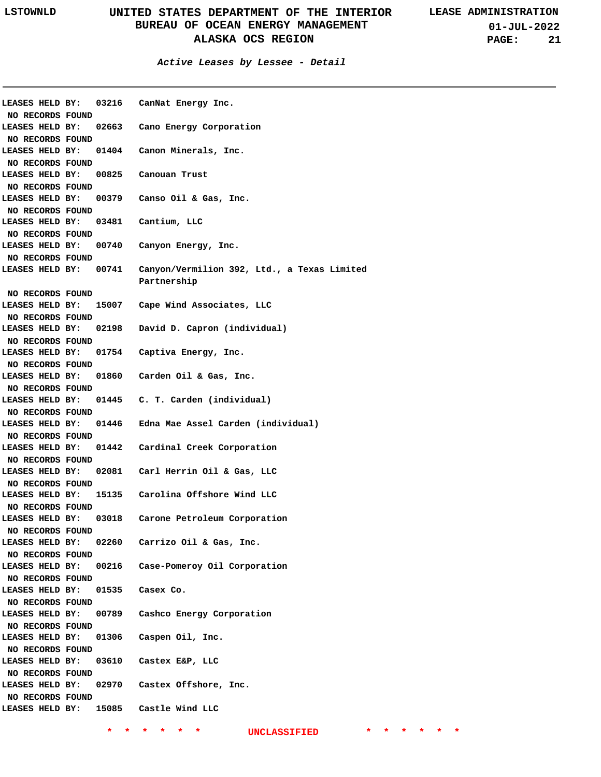**01-JUL-2022 PAGE: 21**

### **Active Leases by Lessee - Detail**

| LEASES HELD BY:                     |       | 03216 CanNat Energy Inc.                                   |
|-------------------------------------|-------|------------------------------------------------------------|
| NO RECORDS FOUND                    |       |                                                            |
| LEASES HELD BY:                     |       | 02663 Cano Energy Corporation                              |
| NO RECORDS FOUND                    |       |                                                            |
| LEASES HELD BY:                     |       | 01404 Canon Minerals, Inc.                                 |
| NO RECORDS FOUND                    |       |                                                            |
| LEASES HELD BY:                     |       | 00825 Canouan Trust                                        |
| NO RECORDS FOUND                    |       |                                                            |
| LEASES HELD BY:                     |       | 00379 Canso Oil & Gas, Inc.                                |
| NO RECORDS FOUND                    |       |                                                            |
| LEASES HELD BY:                     |       | 03481 Cantium, LLC                                         |
| NO RECORDS FOUND                    |       |                                                            |
| LEASES HELD BY:                     |       | 00740 Canyon Energy, Inc.                                  |
| NO RECORDS FOUND                    |       |                                                            |
| LEASES HELD BY:                     | 00741 | Canyon/Vermilion 392, Ltd., a Texas Limited<br>Partnership |
| NO RECORDS FOUND                    |       |                                                            |
| LEASES HELD BY:                     |       | 15007 Cape Wind Associates, LLC                            |
| NO RECORDS FOUND                    |       |                                                            |
| LEASES HELD BY:                     | 02198 | David D. Capron (individual)                               |
| NO RECORDS FOUND                    |       |                                                            |
| LEASES HELD BY:                     |       | 01754 Captiva Energy, Inc.                                 |
| NO RECORDS FOUND                    |       |                                                            |
| LEASES HELD BY:                     |       | 01860 Carden Oil & Gas, Inc.                               |
| NO RECORDS FOUND                    |       |                                                            |
| LEASES HELD BY:                     |       | 01445 C. T. Carden (individual)                            |
| NO RECORDS FOUND                    |       |                                                            |
| LEASES HELD BY:                     |       | 01446 Edna Mae Assel Carden (individual)                   |
| NO RECORDS FOUND                    |       |                                                            |
| LEASES HELD BY:                     |       | 01442 Cardinal Creek Corporation                           |
|                                     |       |                                                            |
| NO RECORDS FOUND<br>LEASES HELD BY: |       | 02081 Carl Herrin Oil & Gas, LLC                           |
|                                     |       |                                                            |
| NO RECORDS FOUND                    |       |                                                            |
| LEASES HELD BY:                     |       | 15135 Carolina Offshore Wind LLC                           |
| NO RECORDS FOUND                    |       |                                                            |
| LEASES HELD BY:                     | 03018 | Carone Petroleum Corporation                               |
| NO RECORDS FOUND                    |       |                                                            |
| LEASES HELD BY:                     |       | 02260 Carrizo Oil & Gas, Inc.                              |
| NO RECORDS FOUND                    |       |                                                            |
| LEASES HELD BY:                     |       | 00216 Case-Pomeroy Oil Corporation                         |
| NO RECORDS FOUND                    |       |                                                            |
| LEASES HELD BY:                     |       | 01535 Casex Co.                                            |
| NO RECORDS FOUND                    |       |                                                            |
| LEASES HELD BY:                     |       | 00789 Cashco Energy Corporation                            |
| NO RECORDS FOUND                    |       |                                                            |
| LEASES HELD BY:                     |       | 01306 Caspen Oil, Inc.                                     |
| NO RECORDS FOUND                    |       |                                                            |
| LEASES HELD BY:                     |       | 03610 Castex E&P, LLC                                      |
| NO RECORDS FOUND                    |       |                                                            |
| LEASES HELD BY:                     |       | 02970 Castex Offshore, Inc.                                |
| NO RECORDS FOUND                    |       |                                                            |
|                                     |       | LEASES HELD BY: 15085 Castle Wind LLC                      |
|                                     |       |                                                            |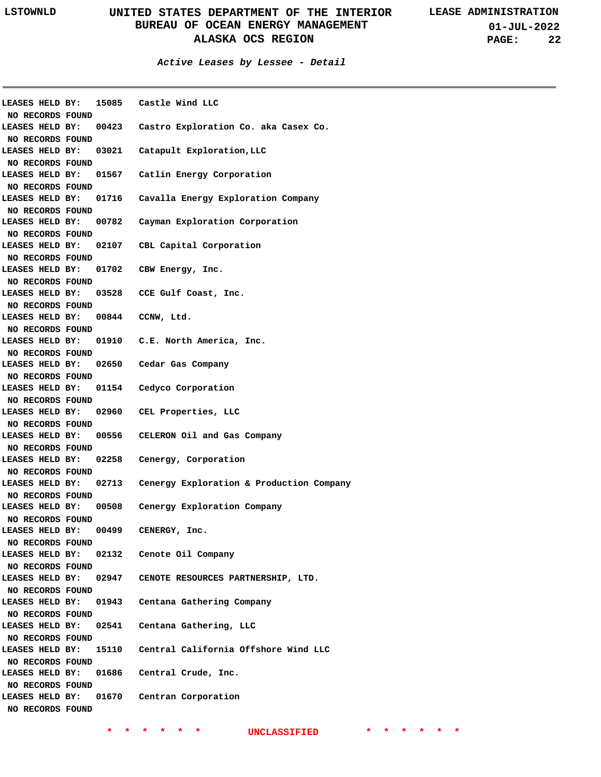| LEASES HELD BY:                     |       | 15085 Castle Wind LLC                    |
|-------------------------------------|-------|------------------------------------------|
| NO RECORDS FOUND                    |       |                                          |
| LEASES HELD BY:                     | 00423 | Castro Exploration Co. aka Casex Co.     |
| NO RECORDS FOUND                    |       |                                          |
| LEASES HELD BY:                     | 03021 | Catapult Exploration, LLC                |
| NO RECORDS FOUND                    |       |                                          |
| LEASES HELD BY:                     | 01567 | Catlin Energy Corporation                |
| NO RECORDS FOUND                    |       |                                          |
| LEASES HELD BY:                     | 01716 | Cavalla Energy Exploration Company       |
| NO RECORDS FOUND                    |       |                                          |
| LEASES HELD BY:                     | 00782 | Cayman Exploration Corporation           |
| NO RECORDS FOUND                    |       |                                          |
| LEASES HELD BY:                     | 02107 | CBL Capital Corporation                  |
| NO RECORDS FOUND                    |       |                                          |
| LEASES HELD BY:                     | 01702 | CBW Energy, Inc.                         |
| NO RECORDS FOUND                    |       |                                          |
| LEASES HELD BY:                     |       | 03528 CCE Gulf Coast, Inc.               |
| NO RECORDS FOUND                    |       |                                          |
| LEASES HELD BY:                     |       | $00844$ CCNW, Ltd.                       |
| NO RECORDS FOUND                    |       |                                          |
| LEASES HELD BY:                     |       | 01910 C.E. North America, Inc.           |
| NO RECORDS FOUND                    |       |                                          |
| LEASES HELD BY:                     |       | 02650 Cedar Gas Company                  |
| NO RECORDS FOUND                    |       |                                          |
| LEASES HELD BY:                     |       | 01154 Cedyco Corporation                 |
| NO RECORDS FOUND                    |       |                                          |
| LEASES HELD BY:                     |       | 02960 CEL Properties, LLC                |
| NO RECORDS FOUND                    |       |                                          |
| LEASES HELD BY:                     |       | 00556 CELERON Oil and Gas Company        |
|                                     |       |                                          |
| NO RECORDS FOUND<br>LEASES HELD BY: | 02258 | Cenergy, Corporation                     |
|                                     |       |                                          |
| NO RECORDS FOUND<br>LEASES HELD BY: | 02713 | Cenergy Exploration & Production Company |
|                                     |       |                                          |
| NO RECORDS FOUND                    |       |                                          |
| LEASES HELD BY:                     | 00508 | Cenergy Exploration Company              |
| NO RECORDS FOUND                    |       |                                          |
| LEASES HELD BY:                     | 00499 | CENERGY, Inc.                            |
| NO RECORDS FOUND                    |       |                                          |
| LEASES HELD BY:                     | 02132 | Cenote Oil Company                       |
| NO RECORDS FOUND                    |       |                                          |
| LEASES HELD BY:                     | 02947 | CENOTE RESOURCES PARTNERSHIP, LTD.       |
| NO RECORDS FOUND                    |       |                                          |
| LEASES HELD BY:                     | 01943 | Centana Gathering Company                |
| NO RECORDS FOUND                    |       |                                          |
| LEASES HELD BY:                     | 02541 | Centana Gathering, LLC                   |
| NO RECORDS FOUND                    |       |                                          |
| LEASES HELD BY:                     | 15110 | Central California Offshore Wind LLC     |
| NO RECORDS FOUND                    |       |                                          |
| LEASES HELD BY:                     | 01686 | Central Crude, Inc.                      |
| NO RECORDS FOUND                    |       |                                          |
| LEASES HELD BY:                     | 01670 | Centran Corporation                      |
| NO RECORDS FOUND                    |       |                                          |
|                                     |       |                                          |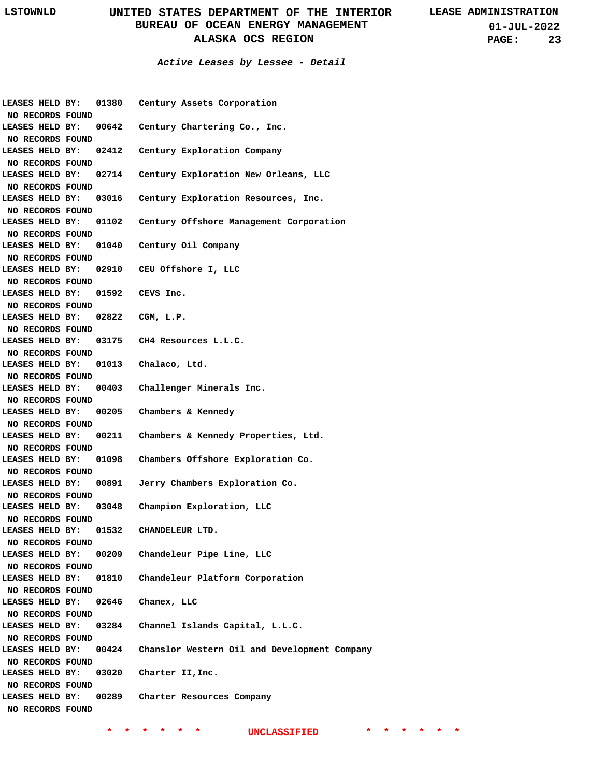| LEASES HELD BY:  |                                     | 01380 Century Assets Corporation                              |
|------------------|-------------------------------------|---------------------------------------------------------------|
| NO RECORDS FOUND |                                     |                                                               |
| LEASES HELD BY:  |                                     | 00642 Century Chartering Co., Inc.                            |
| NO RECORDS FOUND |                                     |                                                               |
| LEASES HELD BY:  |                                     | 02412 Century Exploration Company                             |
| NO RECORDS FOUND |                                     |                                                               |
| LEASES HELD BY:  |                                     | 02714 Century Exploration New Orleans, LLC                    |
| NO RECORDS FOUND |                                     |                                                               |
| LEASES HELD BY:  |                                     | 03016 Century Exploration Resources, Inc.                     |
| NO RECORDS FOUND |                                     |                                                               |
|                  |                                     | LEASES HELD BY: 01102 Century Offshore Management Corporation |
| NO RECORDS FOUND |                                     |                                                               |
|                  |                                     | LEASES HELD BY: 01040 Century Oil Company                     |
| NO RECORDS FOUND |                                     |                                                               |
|                  |                                     | LEASES HELD BY: 02910 CEU Offshore I, LLC                     |
| NO RECORDS FOUND |                                     |                                                               |
|                  | LEASES HELD BY: 01592 CEVS Inc.     |                                                               |
| NO RECORDS FOUND |                                     |                                                               |
|                  | LEASES HELD BY: 02822 CGM, L.P.     |                                                               |
| NO RECORDS FOUND |                                     |                                                               |
|                  |                                     | LEASES HELD BY: 03175 CH4 Resources L.L.C.                    |
| NO RECORDS FOUND |                                     |                                                               |
|                  | LEASES HELD BY: 01013 Chalaco, Ltd. |                                                               |
| NO RECORDS FOUND |                                     |                                                               |
|                  |                                     | LEASES HELD BY: 00403 Challenger Minerals Inc.                |
| NO RECORDS FOUND |                                     |                                                               |
|                  |                                     | LEASES HELD BY: 00205 Chambers & Kennedy                      |
| NO RECORDS FOUND |                                     |                                                               |
|                  |                                     | LEASES HELD BY: 00211 Chambers & Kennedy Properties, Ltd.     |
| NO RECORDS FOUND |                                     |                                                               |
|                  |                                     | LEASES HELD BY: 01098 Chambers Offshore Exploration Co.       |
| NO RECORDS FOUND |                                     |                                                               |
|                  |                                     | LEASES HELD BY: 00891 Jerry Chambers Exploration Co.          |
| NO RECORDS FOUND |                                     |                                                               |
|                  |                                     | LEASES HELD BY: 03048 Champion Exploration, LLC               |
| NO RECORDS FOUND |                                     |                                                               |
| LEASES HELD BY:  | 01532                               | CHANDELEUR LTD.                                               |
| NO RECORDS FOUND |                                     |                                                               |
| LEASES HELD BY:  | 00209                               | Chandeleur Pipe Line, LLC                                     |
| NO RECORDS FOUND |                                     |                                                               |
| LEASES HELD BY:  | 01810                               | Chandeleur Platform Corporation                               |
| NO RECORDS FOUND |                                     |                                                               |
| LEASES HELD BY:  | 02646                               | Chanex, LLC                                                   |
| NO RECORDS FOUND |                                     |                                                               |
| LEASES HELD BY:  | 03284                               | Channel Islands Capital, L.L.C.                               |
| NO RECORDS FOUND |                                     |                                                               |
| LEASES HELD BY:  | 00424                               | Chanslor Western Oil and Development Company                  |
| NO RECORDS FOUND |                                     |                                                               |
| LEASES HELD BY:  | 03020                               | Charter II,Inc.                                               |
| NO RECORDS FOUND |                                     |                                                               |
| LEASES HELD BY:  | 00289                               | Charter Resources Company                                     |
| NO RECORDS FOUND |                                     |                                                               |
|                  |                                     |                                                               |
|                  |                                     |                                                               |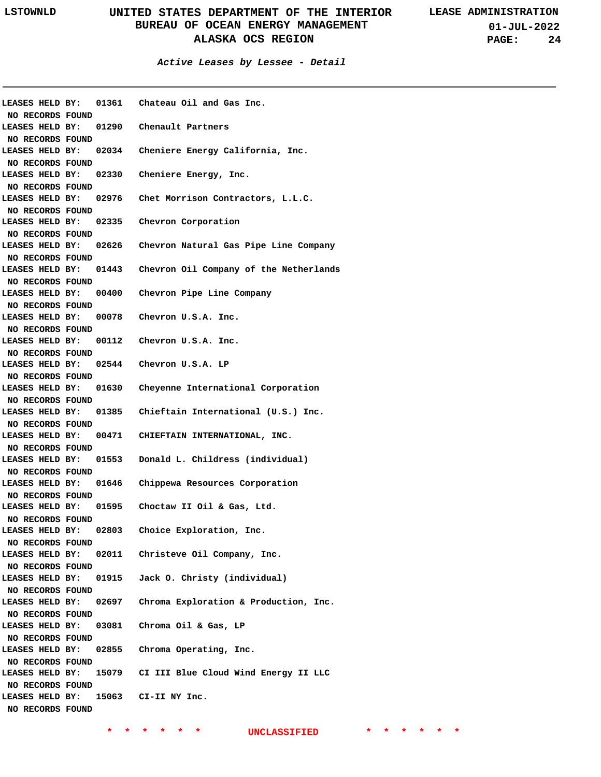| LEASES HELD BY:        |                       | 01361 Chateau Oil and Gas Inc.               |
|------------------------|-----------------------|----------------------------------------------|
| NO RECORDS FOUND       |                       |                                              |
| <b>LEASES HELD BY:</b> |                       | 01290 Chenault Partners                      |
| NO RECORDS FOUND       |                       |                                              |
| LEASES HELD BY:        |                       | 02034 Cheniere Energy California, Inc.       |
| NO RECORDS FOUND       |                       |                                              |
| LEASES HELD BY:        |                       | 02330 Cheniere Energy, Inc.                  |
| NO RECORDS FOUND       |                       |                                              |
| LEASES HELD BY:        |                       | 02976 Chet Morrison Contractors, L.L.C.      |
| NO RECORDS FOUND       |                       |                                              |
| LEASES HELD BY:        |                       | 02335 Chevron Corporation                    |
| NO RECORDS FOUND       |                       |                                              |
| LEASES HELD BY:        |                       | 02626 Chevron Natural Gas Pipe Line Company  |
| NO RECORDS FOUND       |                       |                                              |
| LEASES HELD BY:        |                       | 01443 Chevron Oil Company of the Netherlands |
| NO RECORDS FOUND       |                       |                                              |
| LEASES HELD BY:        |                       | 00400 Chevron Pipe Line Company              |
| NO RECORDS FOUND       |                       |                                              |
| LEASES HELD BY:        |                       | 00078 Chevron U.S.A. Inc.                    |
| NO RECORDS FOUND       |                       |                                              |
| LEASES HELD BY:        |                       | 00112 Chevron U.S.A. Inc.                    |
| NO RECORDS FOUND       |                       |                                              |
| LEASES HELD BY:        |                       | 02544 Chevron U.S.A. LP                      |
| NO RECORDS FOUND       |                       |                                              |
| <b>LEASES HELD BY:</b> |                       | 01630 Cheyenne International Corporation     |
| NO RECORDS FOUND       |                       |                                              |
| <b>LEASES HELD BY:</b> |                       | 01385 Chieftain International (U.S.) Inc.    |
| NO RECORDS FOUND       |                       |                                              |
| <b>LEASES HELD BY:</b> |                       | 00471 CHIEFTAIN INTERNATIONAL, INC.          |
| NO RECORDS FOUND       |                       |                                              |
| <b>LEASES HELD BY:</b> |                       | 01553 Donald L. Childress (individual)       |
| NO RECORDS FOUND       |                       |                                              |
| <b>LEASES HELD BY:</b> | 01646                 | Chippewa Resources Corporation               |
| NO RECORDS FOUND       |                       |                                              |
| <b>LEASES HELD BY:</b> | 01595                 | Choctaw II Oil & Gas, Ltd.                   |
| NO RECORDS FOUND       |                       |                                              |
| LEASES HELD BY:        | 02803                 | Choice Exploration, Inc.                     |
|                        |                       |                                              |
| NO RECORDS FOUND       |                       | 02011 Christeve Oil Company, Inc.            |
| <b>LEASES HELD BY:</b> |                       |                                              |
| NO RECORDS FOUND       | LEASES HELD BY: 01915 |                                              |
|                        |                       | Jack O. Christy (individual)                 |
| NO RECORDS FOUND       |                       |                                              |
| LEASES HELD BY:        | 02697                 | Chroma Exploration & Production, Inc.        |
| NO RECORDS FOUND       |                       |                                              |
| LEASES HELD BY:        | 03081                 | Chroma Oil & Gas, LP                         |
| NO RECORDS FOUND       |                       |                                              |
| LEASES HELD BY:        |                       | 02855 Chroma Operating, Inc.                 |
| NO RECORDS FOUND       |                       |                                              |
| LEASES HELD BY:        |                       | 15079 CI III Blue Cloud Wind Energy II LLC   |
| NO RECORDS FOUND       |                       |                                              |
|                        |                       | LEASES HELD BY: 15063 CI-II NY Inc.          |
| NO RECORDS FOUND       |                       |                                              |
|                        |                       |                                              |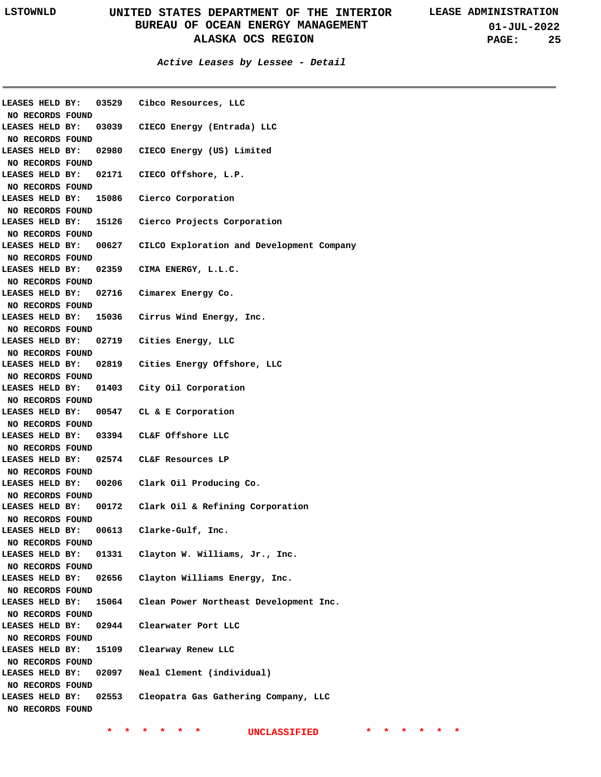**01-JUL-2022 PAGE: 25**

**Active Leases by Lessee - Detail**

| LEASES HELD BY:        |       | 03529 Cibco Resources, LLC                |
|------------------------|-------|-------------------------------------------|
| NO RECORDS FOUND       |       |                                           |
| LEASES HELD BY:        |       | 03039 CIECO Energy (Entrada) LLC          |
| NO RECORDS FOUND       |       |                                           |
| LEASES HELD BY:        |       | 02980 CIECO Energy (US) Limited           |
| NO RECORDS FOUND       |       |                                           |
| LEASES HELD BY:        |       | 02171 CIECO Offshore, L.P.                |
| NO RECORDS FOUND       |       |                                           |
| LEASES HELD BY:        |       | 15086 Cierco Corporation                  |
| NO RECORDS FOUND       |       |                                           |
| LEASES HELD BY:        | 15126 | Cierco Projects Corporation               |
| NO RECORDS FOUND       |       |                                           |
| LEASES HELD BY:        | 00627 | CILCO Exploration and Development Company |
| NO RECORDS FOUND       |       |                                           |
| LEASES HELD BY:        |       | 02359 CIMA ENERGY, L.L.C.                 |
| NO RECORDS FOUND       |       |                                           |
| LEASES HELD BY:        |       | 02716 Cimarex Energy Co.                  |
| NO RECORDS FOUND       |       |                                           |
| LEASES HELD BY:        |       | 15036 Cirrus Wind Energy, Inc.            |
| NO RECORDS FOUND       |       |                                           |
| LEASES HELD BY:        |       | 02719 Cities Energy, LLC                  |
|                        |       |                                           |
| NO RECORDS FOUND       |       |                                           |
| LEASES HELD BY:        |       | 02819 Cities Energy Offshore, LLC         |
| NO RECORDS FOUND       |       |                                           |
| LEASES HELD BY:        |       | 01403 City Oil Corporation                |
| NO RECORDS FOUND       |       |                                           |
| LEASES HELD BY:        |       | 00547 CL & E Corporation                  |
| NO RECORDS FOUND       |       |                                           |
| <b>LEASES HELD BY:</b> |       | 03394 CL&F Offshore LLC                   |
| NO RECORDS FOUND       |       |                                           |
| LEASES HELD BY:        |       | 02574 CL&F Resources LP                   |
| NO RECORDS FOUND       |       |                                           |
| LEASES HELD BY:        |       | 00206 Clark Oil Producing Co.             |
| NO RECORDS FOUND       |       |                                           |
| LEASES HELD BY:        | 00172 | Clark Oil & Refining Corporation          |
| NO RECORDS FOUND       |       |                                           |
| LEASES HELD BY:        | 00613 | Clarke-Gulf, Inc.                         |
| NO RECORDS FOUND       |       |                                           |
| LEASES HELD BY:        | 01331 | Clayton W. Williams, Jr., Inc.            |
| NO RECORDS FOUND       |       |                                           |
| LEASES HELD BY:        | 02656 | Clayton Williams Energy, Inc.             |
| NO RECORDS FOUND       |       |                                           |
| LEASES HELD BY:        | 15064 | Clean Power Northeast Development Inc.    |
| NO RECORDS FOUND       |       |                                           |
| LEASES HELD BY:        | 02944 | Clearwater Port LLC                       |
|                        |       |                                           |
| NO RECORDS FOUND       |       |                                           |
| LEASES HELD BY:        | 15109 | Clearway Renew LLC                        |
| NO RECORDS FOUND       |       |                                           |
| LEASES HELD BY:        | 02097 | Neal Clement (individual)                 |
| NO RECORDS FOUND       |       |                                           |
| LEASES HELD BY:        | 02553 | Cleopatra Gas Gathering Company, LLC      |
| NO RECORDS FOUND       |       |                                           |
|                        |       |                                           |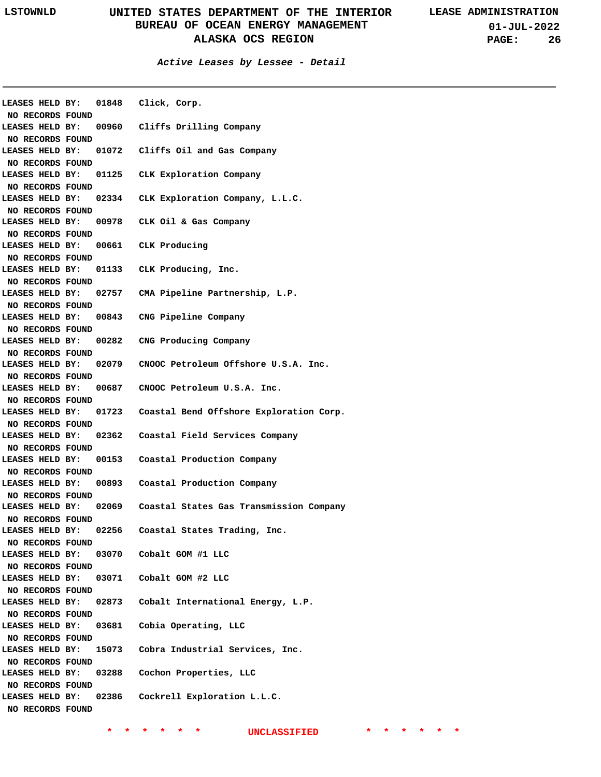### **Active Leases by Lessee - Detail**

|                                     |       | LEASES HELD BY: 01848 Click, Corp.                            |
|-------------------------------------|-------|---------------------------------------------------------------|
| NO RECORDS FOUND                    |       |                                                               |
| LEASES HELD BY:                     |       | 00960 Cliffs Drilling Company                                 |
| NO RECORDS FOUND                    |       |                                                               |
| LEASES HELD BY:                     |       | 01072 Cliffs Oil and Gas Company                              |
| NO RECORDS FOUND                    |       |                                                               |
| LEASES HELD BY:                     |       | 01125 CLK Exploration Company                                 |
| NO RECORDS FOUND                    |       |                                                               |
| LEASES HELD BY:                     |       | 02334 CLK Exploration Company, L.L.C.                         |
| NO RECORDS FOUND                    |       |                                                               |
| LEASES HELD BY:                     |       | 00978 CLK Oil & Gas Company                                   |
| NO RECORDS FOUND                    |       |                                                               |
| LEASES HELD BY:                     |       | 00661 CLK Producing                                           |
| NO RECORDS FOUND                    |       |                                                               |
| LEASES HELD BY:                     |       | 01133 CLK Producing, Inc.                                     |
| NO RECORDS FOUND                    |       |                                                               |
| LEASES HELD BY:                     |       | 02757 CMA Pipeline Partnership, L.P.                          |
| NO RECORDS FOUND                    |       |                                                               |
| LEASES HELD BY:                     |       | 00843 CNG Pipeline Company                                    |
| NO RECORDS FOUND                    |       |                                                               |
| LEASES HELD BY:                     |       | 00282 CNG Producing Company                                   |
| NO RECORDS FOUND                    |       |                                                               |
| LEASES HELD BY:                     |       | 02079 CNOOC Petroleum Offshore U.S.A. Inc.                    |
| NO RECORDS FOUND                    |       |                                                               |
| LEASES HELD BY:                     |       | 00687 CNOOC Petroleum U.S.A. Inc.                             |
| NO RECORDS FOUND                    |       |                                                               |
|                                     |       | LEASES HELD BY: 01723 Coastal Bend Offshore Exploration Corp. |
| NO RECORDS FOUND                    |       |                                                               |
|                                     |       | LEASES HELD BY: 02362 Coastal Field Services Company          |
| NO RECORDS FOUND                    |       |                                                               |
|                                     |       | LEASES HELD BY: 00153 Coastal Production Company              |
| NO RECORDS FOUND                    |       |                                                               |
| LEASES HELD BY:                     |       | 00893 Coastal Production Company                              |
| NO RECORDS FOUND                    |       |                                                               |
| LEASES HELD BY:                     |       | 02069 Coastal States Gas Transmission Company                 |
|                                     |       |                                                               |
| NO RECORDS FOUND<br>LEASES HELD BY: | 02256 | Coastal States Trading, Inc.                                  |
|                                     |       |                                                               |
| NO RECORDS FOUND                    |       |                                                               |
| LEASES HELD BY:                     |       | 03070 Cobalt GOM #1 LLC                                       |
| NO RECORDS FOUND                    |       |                                                               |
| LEASES HELD BY:                     |       | 03071 Cobalt GOM #2 LLC                                       |
| NO RECORDS FOUND                    |       |                                                               |
| LEASES HELD BY:                     |       | 02873 Cobalt International Energy, L.P.                       |
| NO RECORDS FOUND                    |       |                                                               |
| LEASES HELD BY:                     | 03681 | Cobia Operating, LLC                                          |
| NO RECORDS FOUND                    |       |                                                               |
| LEASES HELD BY:                     |       | 15073 Cobra Industrial Services, Inc.                         |
| NO RECORDS FOUND                    |       |                                                               |
| LEASES HELD BY:                     | 03288 | Cochon Properties, LLC                                        |
| NO RECORDS FOUND                    |       |                                                               |
| LEASES HELD BY:                     | 02386 | Cockrell Exploration L.L.C.                                   |
| NO RECORDS FOUND                    |       |                                                               |
|                                     |       |                                                               |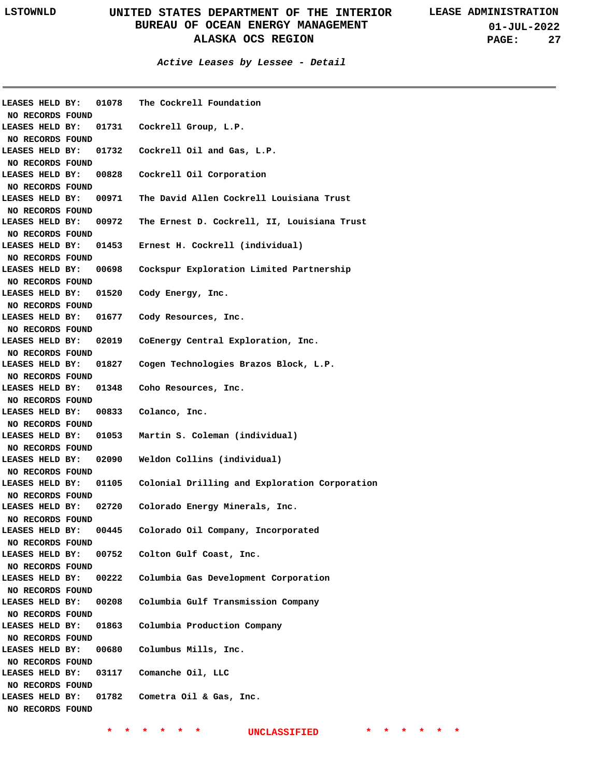| LEASES HELD BY:  | 01078 | The Cockrell Foundation                       |
|------------------|-------|-----------------------------------------------|
| NO RECORDS FOUND |       |                                               |
| LEASES HELD BY:  | 01731 | Cockrell Group, L.P.                          |
| NO RECORDS FOUND |       |                                               |
| LEASES HELD BY:  | 01732 | Cockrell Oil and Gas, L.P.                    |
| NO RECORDS FOUND |       |                                               |
| LEASES HELD BY:  | 00828 | Cockrell Oil Corporation                      |
| NO RECORDS FOUND |       |                                               |
| LEASES HELD BY:  | 00971 | The David Allen Cockrell Louisiana Trust      |
| NO RECORDS FOUND |       |                                               |
| LEASES HELD BY:  | 00972 | The Ernest D. Cockrell, II, Louisiana Trust   |
| NO RECORDS FOUND |       |                                               |
| LEASES HELD BY:  | 01453 | Ernest H. Cockrell (individual)               |
| NO RECORDS FOUND |       |                                               |
| LEASES HELD BY:  | 00698 | Cockspur Exploration Limited Partnership      |
| NO RECORDS FOUND |       |                                               |
| LEASES HELD BY:  | 01520 | Cody Energy, Inc.                             |
| NO RECORDS FOUND |       |                                               |
| LEASES HELD BY:  | 01677 | Cody Resources, Inc.                          |
| NO RECORDS FOUND |       |                                               |
| LEASES HELD BY:  | 02019 |                                               |
|                  |       | CoEnergy Central Exploration, Inc.            |
| NO RECORDS FOUND |       |                                               |
| LEASES HELD BY:  | 01827 | Cogen Technologies Brazos Block, L.P.         |
| NO RECORDS FOUND |       |                                               |
| LEASES HELD BY:  | 01348 | Coho Resources, Inc.                          |
| NO RECORDS FOUND |       |                                               |
| LEASES HELD BY:  | 00833 | Colanco, Inc.                                 |
| NO RECORDS FOUND |       |                                               |
| LEASES HELD BY:  | 01053 | Martin S. Coleman (individual)                |
| NO RECORDS FOUND |       |                                               |
| LEASES HELD BY:  | 02090 | Weldon Collins (individual)                   |
| NO RECORDS FOUND |       |                                               |
| LEASES HELD BY:  | 01105 | Colonial Drilling and Exploration Corporation |
| NO RECORDS FOUND |       |                                               |
| LEASES HELD BY:  | 02720 | Colorado Energy Minerals, Inc.                |
| NO RECORDS FOUND |       |                                               |
| LEASES HELD BY:  | 00445 | Colorado Oil Company, Incorporated            |
| NO RECORDS FOUND |       |                                               |
| LEASES HELD BY:  | 00752 | Colton Gulf Coast, Inc.                       |
| NO RECORDS FOUND |       |                                               |
| LEASES HELD BY:  | 00222 | Columbia Gas Development Corporation          |
| NO RECORDS FOUND |       |                                               |
| LEASES HELD BY:  | 00208 | Columbia Gulf Transmission Company            |
| NO RECORDS FOUND |       |                                               |
| LEASES HELD BY:  | 01863 | Columbia Production Company                   |
| NO RECORDS FOUND |       |                                               |
| LEASES HELD BY:  | 00680 | Columbus Mills, Inc.                          |
| NO RECORDS FOUND |       |                                               |
| LEASES HELD BY:  | 03117 | Comanche Oil, LLC                             |
| NO RECORDS FOUND |       |                                               |
| LEASES HELD BY:  | 01782 | Cometra Oil & Gas, Inc.                       |
|                  |       |                                               |
| NO RECORDS FOUND |       |                                               |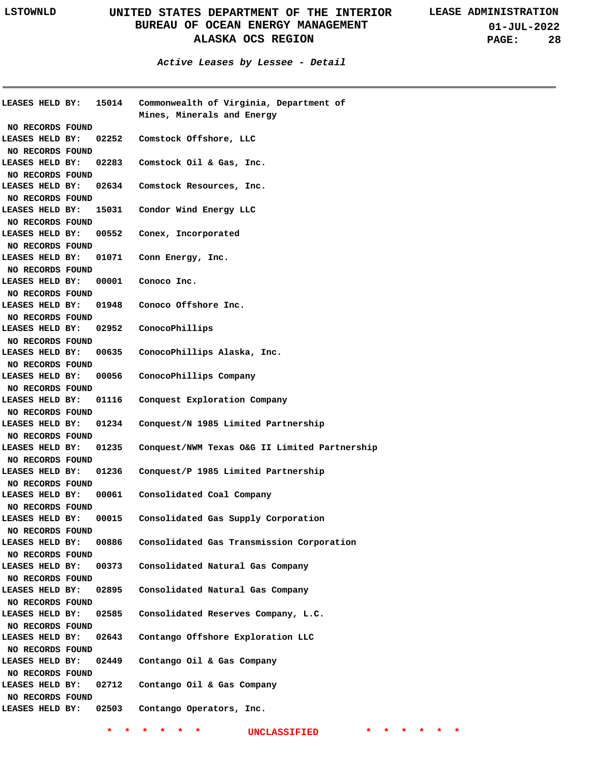**01-JUL-2022 PAGE: 28**

**Active Leases by Lessee - Detail**

| <b>LEASES HELD BY:</b> | 15014 | Commonwealth of Virginia, Department of       |
|------------------------|-------|-----------------------------------------------|
|                        |       | Mines, Minerals and Energy                    |
| NO RECORDS FOUND       |       |                                               |
| LEASES HELD BY:        | 02252 | Comstock Offshore, LLC                        |
| NO RECORDS FOUND       |       |                                               |
| LEASES HELD BY:        | 02283 | Comstock Oil & Gas, Inc.                      |
| NO RECORDS FOUND       |       |                                               |
| LEASES HELD BY:        | 02634 | Comstock Resources, Inc.                      |
| NO RECORDS FOUND       |       |                                               |
| LEASES HELD BY:        | 15031 | Condor Wind Energy LLC                        |
| NO RECORDS FOUND       |       |                                               |
| LEASES HELD BY:        | 00552 | Conex, Incorporated                           |
| NO RECORDS FOUND       |       |                                               |
| LEASES HELD BY:        | 01071 | Conn Energy, Inc.                             |
| NO RECORDS FOUND       |       |                                               |
| LEASES HELD BY:        | 00001 | Conoco Inc.                                   |
| NO RECORDS FOUND       |       |                                               |
| LEASES HELD BY:        | 01948 | Conoco Offshore Inc.                          |
| NO RECORDS FOUND       |       |                                               |
| LEASES HELD BY:        | 02952 | ConocoPhillips                                |
| NO RECORDS FOUND       |       |                                               |
| LEASES HELD BY:        | 00635 | ConocoPhillips Alaska, Inc.                   |
|                        |       |                                               |
| NO RECORDS FOUND       |       |                                               |
| LEASES HELD BY:        | 00056 | ConocoPhillips Company                        |
| NO RECORDS FOUND       |       |                                               |
| LEASES HELD BY:        | 01116 | Conquest Exploration Company                  |
| NO RECORDS FOUND       |       |                                               |
| LEASES HELD BY:        | 01234 | Conquest/N 1985 Limited Partnership           |
| NO RECORDS FOUND       |       |                                               |
| LEASES HELD BY:        | 01235 | Conquest/NWM Texas O&G II Limited Partnership |
| NO RECORDS FOUND       |       |                                               |
| LEASES HELD BY:        | 01236 | Conquest/P 1985 Limited Partnership           |
| NO RECORDS FOUND       |       |                                               |
| LEASES HELD BY:        | 00061 | Consolidated Coal Company                     |
| NO RECORDS FOUND       |       |                                               |
| LEASES HELD BY:        | 00015 | Consolidated Gas Supply Corporation           |
| NO RECORDS FOUND       |       |                                               |
| LEASES HELD BY:        | 00886 | Consolidated Gas Transmission Corporation     |
| NO RECORDS FOUND       |       |                                               |
| LEASES HELD BY:        | 00373 | Consolidated Natural Gas Company              |
| NO RECORDS FOUND       |       |                                               |
| LEASES HELD BY:        | 02895 | Consolidated Natural Gas Company              |
| NO RECORDS FOUND       |       |                                               |
| LEASES HELD BY:        | 02585 | Consolidated Reserves Company, L.C.           |
| NO RECORDS FOUND       |       |                                               |
| LEASES HELD BY:        | 02643 | Contango Offshore Exploration LLC             |
| NO RECORDS FOUND       |       |                                               |
| LEASES HELD BY:        | 02449 | Contango Oil & Gas Company                    |
| NO RECORDS FOUND       |       |                                               |
| LEASES HELD BY:        | 02712 | Contango Oil & Gas Company                    |
| NO RECORDS FOUND       |       |                                               |
| LEASES HELD BY:        | 02503 | Contango Operators, Inc.                      |
|                        |       |                                               |
|                        |       |                                               |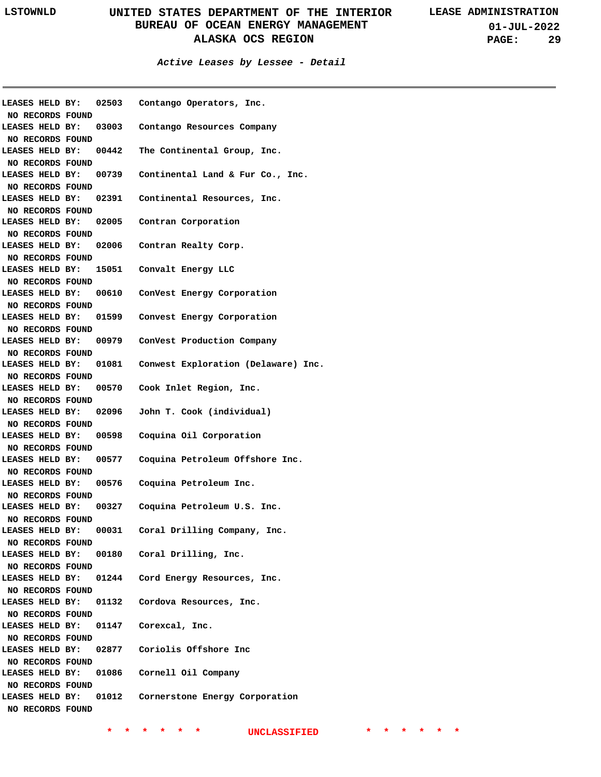**01-JUL-2022 PAGE: 29**

| NO RECORDS FOUND                                        |       | LEASES HELD BY: 02503 Contango Operators, Inc.            |
|---------------------------------------------------------|-------|-----------------------------------------------------------|
| NO RECORDS FOUND                                        |       | LEASES HELD BY: 03003 Contango Resources Company          |
| NO RECORDS FOUND                                        |       | LEASES HELD BY: 00442 The Continental Group, Inc.         |
| NO RECORDS FOUND                                        |       | LEASES HELD BY: 00739 Continental Land & Fur Co., Inc.    |
| NO RECORDS FOUND                                        |       | LEASES HELD BY: 02391 Continental Resources, Inc.         |
| NO RECORDS FOUND                                        |       | LEASES HELD BY: 02005 Contran Corporation                 |
| NO RECORDS FOUND                                        |       | LEASES HELD BY: 02006 Contran Realty Corp.                |
| NO RECORDS FOUND                                        |       | LEASES HELD BY: 15051 Convalt Energy LLC                  |
| NO RECORDS FOUND                                        |       | LEASES HELD BY: 00610 ConVest Energy Corporation          |
|                                                         |       | LEASES HELD BY: 01599 Convest Energy Corporation          |
| NO RECORDS FOUND<br>NO RECORDS FOUND                    |       | LEASES HELD BY: 00979 ConVest Production Company          |
| NO RECORDS FOUND                                        |       | LEASES HELD BY: 01081 Conwest Exploration (Delaware) Inc. |
| NO RECORDS FOUND                                        |       | LEASES HELD BY: 00570 Cook Inlet Region, Inc.             |
| NO RECORDS FOUND                                        |       | LEASES HELD BY: 02096  John T. Cook (individual)          |
| NO RECORDS FOUND                                        |       | LEASES HELD BY: 00598 Coquina Oil Corporation             |
| NO RECORDS FOUND                                        |       | LEASES HELD BY: 00577 Coquina Petroleum Offshore Inc.     |
| NO RECORDS FOUND                                        |       | LEASES HELD BY: 00576 Coquina Petroleum Inc.              |
| NO RECORDS FOUND                                        |       | LEASES HELD BY: 00327 Coquina Petroleum U.S. Inc.         |
| LEASES HELD BY:                                         | 00031 | Coral Drilling Company, Inc.                              |
| NO RECORDS FOUND<br>LEASES HELD BY:<br>NO RECORDS FOUND |       | 00180 Coral Drilling, Inc.                                |
| LEASES HELD BY:<br>NO RECORDS FOUND                     |       | 01244 Cord Energy Resources, Inc.                         |
| LEASES HELD BY:<br>NO RECORDS FOUND                     | 01132 | Cordova Resources, Inc.                                   |
| LEASES HELD BY:<br>NO RECORDS FOUND                     |       | 01147 Corexcal, Inc.                                      |
| LEASES HELD BY:                                         |       | 02877 Coriolis Offshore Inc                               |
| NO RECORDS FOUND<br>LEASES HELD BY:<br>NO RECORDS FOUND |       | 01086 Cornell Oil Company                                 |
| LEASES HELD BY:<br>NO RECORDS FOUND                     | 01012 | Cornerstone Energy Corporation                            |
|                                                         |       |                                                           |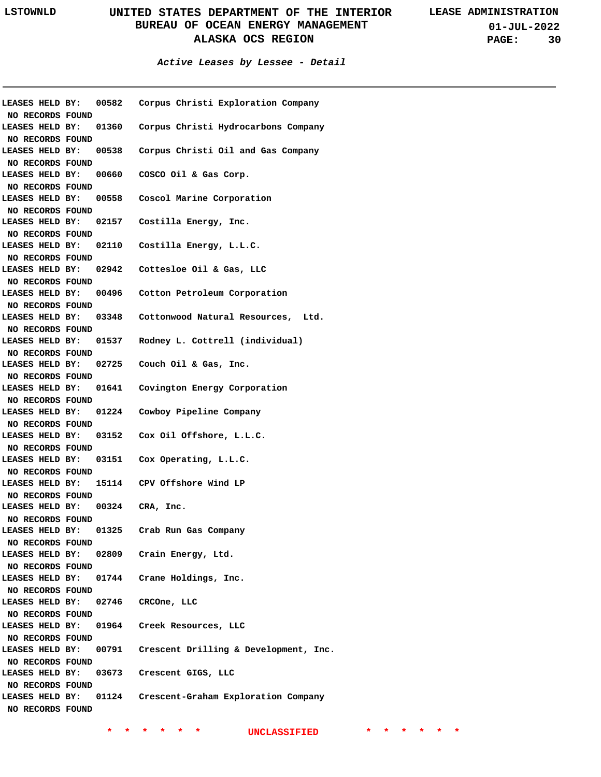**01-JUL-2022 PAGE: 30**

**Active Leases by Lessee - Detail**

|                                   |       | LEASES HELD BY: 00582 Corpus Christi Exploration Company  |
|-----------------------------------|-------|-----------------------------------------------------------|
| NO RECORDS FOUND                  |       |                                                           |
| LEASES HELD BY:                   |       | 01360 Corpus Christi Hydrocarbons Company                 |
| NO RECORDS FOUND                  |       |                                                           |
| LEASES HELD BY:                   |       | 00538 Corpus Christi Oil and Gas Company                  |
| NO RECORDS FOUND                  |       |                                                           |
|                                   |       | LEASES HELD BY: 00660 COSCO Oil & Gas Corp.               |
| NO RECORDS FOUND                  |       |                                                           |
|                                   |       | LEASES HELD BY: 00558 Coscol Marine Corporation           |
| NO RECORDS FOUND                  |       |                                                           |
|                                   |       | LEASES HELD BY: 02157 Costilla Energy, Inc.               |
| NO RECORDS FOUND                  |       |                                                           |
|                                   |       | LEASES HELD BY: 02110 Costilla Energy, L.L.C.             |
| NO RECORDS FOUND                  |       |                                                           |
|                                   |       | LEASES HELD BY: 02942 Cottesloe Oil & Gas, LLC            |
| NO RECORDS FOUND                  |       |                                                           |
|                                   |       | LEASES HELD BY: 00496 Cotton Petroleum Corporation        |
| NO RECORDS FOUND                  |       |                                                           |
|                                   |       | LEASES HELD BY: 03348 Cottonwood Natural Resources, Ltd.  |
| NO RECORDS FOUND                  |       |                                                           |
|                                   |       |                                                           |
|                                   |       | LEASES HELD BY: 01537 Rodney L. Cottrell (individual)     |
| NO RECORDS FOUND                  |       |                                                           |
|                                   |       | LEASES HELD BY: 02725 Couch Oil & Gas, Inc.               |
| NO RECORDS FOUND                  |       |                                                           |
|                                   |       | LEASES HELD BY: 01641 Covington Energy Corporation        |
| NO RECORDS FOUND                  |       |                                                           |
|                                   |       | LEASES HELD BY: 01224 Cowboy Pipeline Company             |
| NO RECORDS FOUND                  |       |                                                           |
|                                   |       | LEASES HELD BY: 03152 Cox Oil Offshore, L.L.C.            |
| NO RECORDS FOUND                  |       |                                                           |
|                                   |       | LEASES HELD BY: 03151 Cox Operating, L.L.C.               |
| NO RECORDS FOUND                  |       |                                                           |
|                                   |       | LEASES HELD BY: 15114 CPV Offshore Wind LP                |
| NO RECORDS FOUND                  |       |                                                           |
| LEASES HELD BY: 00324 CRA, Inc.   |       |                                                           |
| NO RECORDS FOUND                  |       |                                                           |
| LEASES HELD BY:                   | 01325 | Crab Run Gas Company                                      |
| NO RECORDS FOUND                  |       |                                                           |
| <b>LEASES HELD BY:</b>            |       | 02809 Crain Energy, Ltd.                                  |
|                                   |       |                                                           |
| NO RECORDS FOUND                  |       |                                                           |
|                                   |       | LEASES HELD BY: 01744 Crane Holdings, Inc.                |
| NO RECORDS FOUND                  |       |                                                           |
| LEASES HELD BY: 02746 CRCOne, LLC |       |                                                           |
| NO RECORDS FOUND                  |       |                                                           |
|                                   |       | LEASES HELD BY: 01964 Creek Resources, LLC                |
| NO RECORDS FOUND                  |       |                                                           |
| LEASES HELD BY:                   |       | 00791 Crescent Drilling & Development, Inc.               |
| NO RECORDS FOUND                  |       |                                                           |
| LEASES HELD BY:                   |       | 03673 Crescent GIGS, LLC                                  |
| NO RECORDS FOUND                  |       |                                                           |
|                                   |       | LEASES HELD BY: 01124 Crescent-Graham Exploration Company |
| NO RECORDS FOUND                  |       |                                                           |
|                                   |       |                                                           |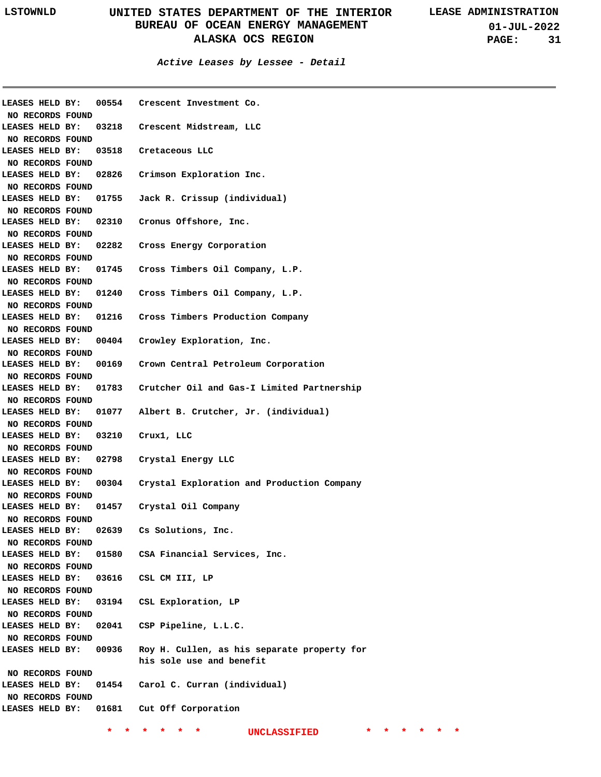**01-JUL-2022 PAGE: 31**

| <b>LEASES HELD BY:</b>              |  |       | 00554 Crescent Investment Co.                    |
|-------------------------------------|--|-------|--------------------------------------------------|
| NO RECORDS FOUND                    |  |       |                                                  |
| LEASES HELD BY:                     |  |       | 03218 Crescent Midstream, LLC                    |
| NO RECORDS FOUND                    |  |       |                                                  |
| LEASES HELD BY:                     |  |       | 03518 Cretaceous LLC                             |
| NO RECORDS FOUND                    |  |       |                                                  |
| LEASES HELD BY:                     |  |       | 02826 Crimson Exploration Inc.                   |
| NO RECORDS FOUND                    |  |       |                                                  |
| LEASES HELD BY:                     |  |       | 01755 Jack R. Crissup (individual)               |
| NO RECORDS FOUND                    |  |       |                                                  |
| LEASES HELD BY:                     |  |       | 02310 Cronus Offshore, Inc.                      |
| NO RECORDS FOUND                    |  |       |                                                  |
| LEASES HELD BY:                     |  |       | 02282 Cross Energy Corporation                   |
| NO RECORDS FOUND                    |  |       |                                                  |
| LEASES HELD BY:                     |  |       | 01745 Cross Timbers Oil Company, L.P.            |
| NO RECORDS FOUND                    |  |       |                                                  |
| LEASES HELD BY:                     |  |       | 01240 Cross Timbers Oil Company, L.P.            |
|                                     |  |       |                                                  |
| NO RECORDS FOUND<br>LEASES HELD BY: |  |       |                                                  |
|                                     |  |       | 01216 Cross Timbers Production Company           |
| NO RECORDS FOUND                    |  |       |                                                  |
| LEASES HELD BY:                     |  |       | 00404 Crowley Exploration, Inc.                  |
| NO RECORDS FOUND                    |  |       |                                                  |
| LEASES HELD BY:                     |  |       | 00169 Crown Central Petroleum Corporation        |
| NO RECORDS FOUND                    |  |       |                                                  |
| LEASES HELD BY:                     |  |       | 01783 Crutcher Oil and Gas-I Limited Partnership |
| NO RECORDS FOUND                    |  |       |                                                  |
| LEASES HELD BY:                     |  | 01077 | Albert B. Crutcher, Jr. (individual)             |
| NO RECORDS FOUND                    |  |       |                                                  |
| LEASES HELD BY:                     |  |       | 03210 Crux1, LLC                                 |
| NO RECORDS FOUND                    |  |       |                                                  |
| LEASES HELD BY:                     |  |       | 02798 Crystal Energy LLC                         |
| NO RECORDS FOUND                    |  |       |                                                  |
| LEASES HELD BY:                     |  |       | 00304 Crystal Exploration and Production Company |
| NO RECORDS FOUND                    |  |       |                                                  |
| LEASES HELD BY:                     |  |       | 01457 Crystal Oil Company                        |
| NO RECORDS FOUND                    |  |       |                                                  |
| <b>LEASES HELD BY:</b>              |  | 02639 | Cs Solutions, Inc.                               |
| NO RECORDS FOUND                    |  |       |                                                  |
| LEASES HELD BY:                     |  |       | 01580 CSA Financial Services, Inc.               |
| NO RECORDS FOUND                    |  |       |                                                  |
| LEASES HELD BY:                     |  | 03616 | CSL CM III, LP                                   |
| NO RECORDS FOUND                    |  |       |                                                  |
| LEASES HELD BY:                     |  |       | 03194 CSL Exploration, LP                        |
|                                     |  |       |                                                  |
| NO RECORDS FOUND                    |  |       | CSP Pipeline, L.L.C.                             |
| LEASES HELD BY:                     |  | 02041 |                                                  |
| NO RECORDS FOUND                    |  |       |                                                  |
| LEASES HELD BY: 00936               |  |       | Roy H. Cullen, as his separate property for      |
|                                     |  |       | his sole use and benefit                         |
| NO RECORDS FOUND                    |  |       |                                                  |
| LEASES HELD BY:                     |  |       | 01454 Carol C. Curran (individual)               |
| NO RECORDS FOUND                    |  |       |                                                  |
|                                     |  |       | LEASES HELD BY: 01681 Cut Off Corporation        |
|                                     |  |       |                                                  |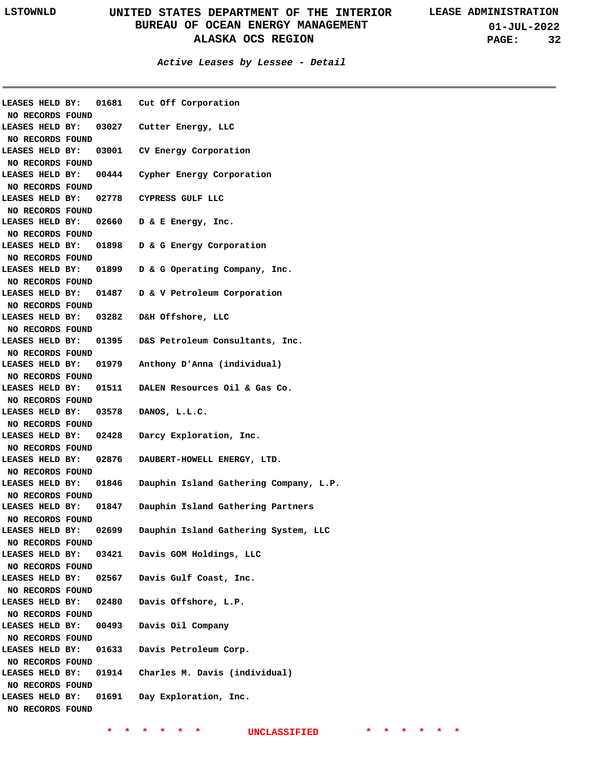**01-JUL-2022 PAGE: 32**

### **Active Leases by Lessee - Detail**

| NO RECORDS FOUND                    |       | LEASES HELD BY: 01681 Cut Off Corporation           |
|-------------------------------------|-------|-----------------------------------------------------|
|                                     |       | LEASES HELD BY: 03027 Cutter Energy, LLC            |
| NO RECORDS FOUND                    |       |                                                     |
| LEASES HELD BY:                     |       | 03001 CV Energy Corporation                         |
| NO RECORDS FOUND                    |       |                                                     |
| LEASES HELD BY:                     |       | 00444 Cypher Energy Corporation                     |
| NO RECORDS FOUND                    |       |                                                     |
| LEASES HELD BY:                     |       | 02778 CYPRESS GULF LLC                              |
| NO RECORDS FOUND                    |       |                                                     |
|                                     |       | LEASES HELD BY: 02660 D & E Energy, Inc.            |
| NO RECORDS FOUND                    |       |                                                     |
|                                     |       | LEASES HELD BY: 01898 D & G Energy Corporation      |
| NO RECORDS FOUND                    |       |                                                     |
|                                     |       | LEASES HELD BY: 01899 D & G Operating Company, Inc. |
| NO RECORDS FOUND                    |       |                                                     |
|                                     |       | LEASES HELD BY: 01487 D & V Petroleum Corporation   |
| NO RECORDS FOUND                    |       |                                                     |
| <b>LEASES HELD BY:</b>              |       | 03282 D&H Offshore, LLC                             |
| NO RECORDS FOUND                    |       |                                                     |
| <b>LEASES HELD BY:</b>              |       | 01395 D&S Petroleum Consultants, Inc.               |
| NO RECORDS FOUND                    |       |                                                     |
| <b>LEASES HELD BY:</b>              |       | 01979 Anthony D'Anna (individual)                   |
| NO RECORDS FOUND                    |       |                                                     |
|                                     |       | LEASES HELD BY: 01511 DALEN Resources Oil & Gas Co. |
| NO RECORDS FOUND                    |       |                                                     |
| LEASES HELD BY:                     |       | 03578 DANOS, L.L.C.                                 |
| NO RECORDS FOUND                    |       |                                                     |
| LEASES HELD BY: 02428               |       | Darcy Exploration, Inc.                             |
| NO RECORDS FOUND                    |       |                                                     |
| LEASES HELD BY: 02876               |       | DAUBERT-HOWELL ENERGY, LTD.                         |
| NO RECORDS FOUND                    |       |                                                     |
| LEASES HELD BY:                     | 01846 | Dauphin Island Gathering Company, L.P.              |
| NO RECORDS FOUND                    |       |                                                     |
| LEASES HELD BY: 01847               |       | Dauphin Island Gathering Partners                   |
| NO RECORDS FOUND                    |       |                                                     |
| <b>LEASES HELD BY:</b>              | 02699 | Dauphin Island Gathering System, LLC                |
| NO RECORDS FOUND                    |       |                                                     |
|                                     |       | LEASES HELD BY: 03421 Davis GOM Holdings, LLC       |
| NO RECORDS FOUND                    |       |                                                     |
|                                     |       | LEASES HELD BY: 02567 Davis Gulf Coast, Inc.        |
| NO RECORDS FOUND                    |       |                                                     |
| LEASES HELD BY: 02480               |       | Davis Offshore, L.P.                                |
| NO RECORDS FOUND                    |       |                                                     |
| LEASES HELD BY:                     | 00493 | Davis Oil Company                                   |
| NO RECORDS FOUND<br>LEASES HELD BY: |       | 01633 Davis Petroleum Corp.                         |
| NO RECORDS FOUND                    |       |                                                     |
| LEASES HELD BY:                     |       | 01914 Charles M. Davis (individual)                 |
|                                     |       |                                                     |
| NO RECORDS FOUND<br>LEASES HELD BY: |       | 01691 Day Exploration, Inc.                         |
|                                     |       |                                                     |
| NO RECORDS FOUND                    |       |                                                     |
|                                     |       |                                                     |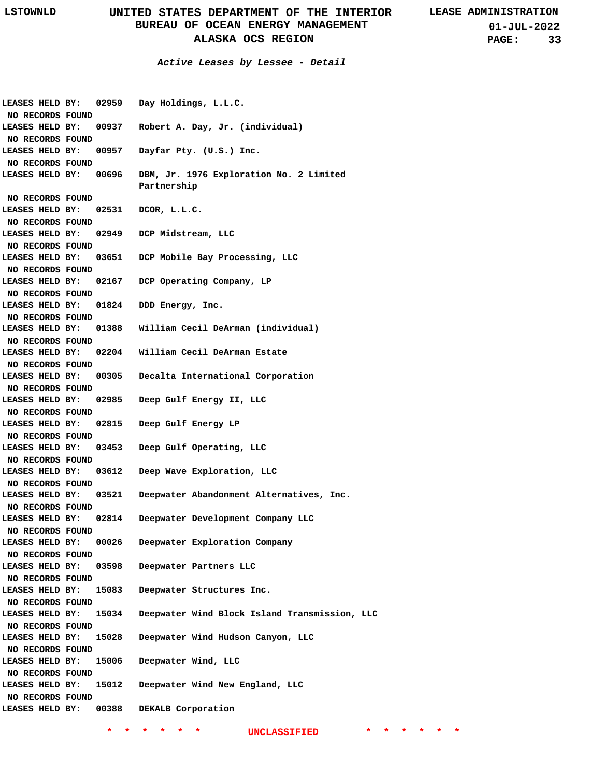**01-JUL-2022 PAGE: 33**

**Active Leases by Lessee - Detail**

**02959 00937 LEASES HELD BY: Robert A. Day, Jr. (individual) 00957 Dayfar Pty. (U.S.) Inc. 00696 DBM, Jr. 1976 Exploration No. 2 Limited 02531 LEASES HELD BY: DCOR, L.L.C. 02949 LEASES HELD BY: DCP Midstream, LLC 03651 DCP Mobile Bay Processing, LLC 02167 LEASES HELD BY: DCP Operating Company, LP 01824 LEASES HELD BY: DDD Energy, Inc. 01388 LEASES HELD BY: William Cecil DeArman (individual) 02204 William Cecil DeArman Estate 00305 LEASES HELD BY: Decalta International Corporation 02985 LEASES HELD BY: Deep Gulf Energy II, LLC 02815 Deep Gulf Energy LP 03453 LEASES HELD BY: Deep Gulf Operating, LLC 03612 LEASES HELD BY: Deep Wave Exploration, LLC 03521 LEASES HELD BY: Deepwater Abandonment Alternatives, Inc. 02814 Deepwater Development Company LLC 00026 Deepwater Exploration Company 03598 LEASES HELD BY: Deepwater Partners LLC 15083 Deepwater Structures Inc. 15034 LEASES HELD BY: Deepwater Wind Block Island Transmission, LLC 15028 LEASES HELD BY: Deepwater Wind Hudson Canyon, LLC 15006 Deepwater Wind, LLC 15012 Deepwater Wind New England, LLC 00388 LEASES HELD BY: DEKALB Corporation LEASES HELD BY: LEASES HELD BY: LEASES HELD BY: LEASES HELD BY: LEASES HELD BY: LEASES HELD BY: LEASES HELD BY: LEASES HELD BY: LEASES HELD BY: LEASES HELD BY: LEASES HELD BY: Day Holdings, L.L.C. Partnership NO RECORDS FOUND NO RECORDS FOUND NO RECORDS FOUND NO RECORDS FOUND NO RECORDS FOUND NO RECORDS FOUND NO RECORDS FOUND NO RECORDS FOUND NO RECORDS FOUND NO RECORDS FOUND NO RECORDS FOUND NO RECORDS FOUND NO RECORDS FOUND NO RECORDS FOUND NO RECORDS FOUND NO RECORDS FOUND NO RECORDS FOUND NO RECORDS FOUND NO RECORDS FOUND NO RECORDS FOUND NO RECORDS FOUND NO RECORDS FOUND NO RECORDS FOUND NO RECORDS FOUND NO RECORDS FOUND**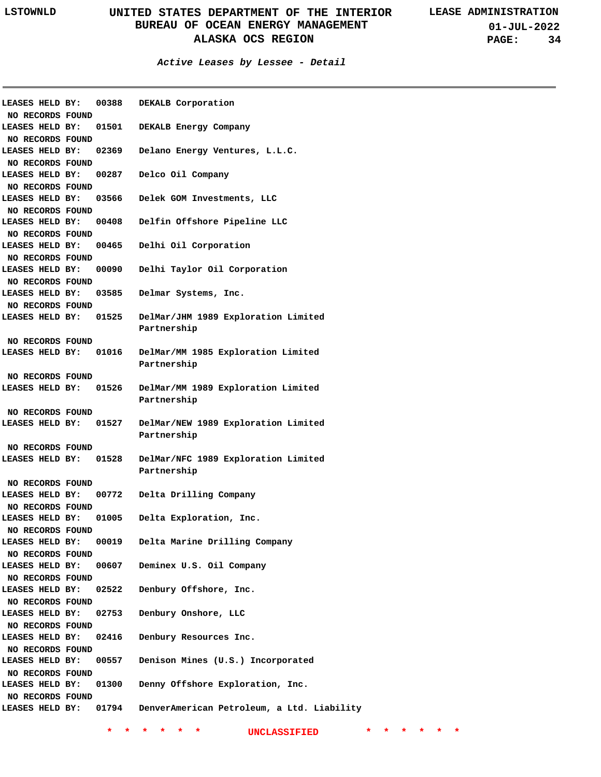### **Active Leases by Lessee - Detail**

| LEASES HELD BY:<br>NO RECORDS FOUND | 00388 | DEKALB Corporation                         |
|-------------------------------------|-------|--------------------------------------------|
| LEASES HELD BY:                     | 01501 | DEKALB Energy Company                      |
| NO RECORDS FOUND                    |       |                                            |
| LEASES HELD BY:                     | 02369 | Delano Energy Ventures, L.L.C.             |
| NO RECORDS FOUND                    |       |                                            |
|                                     |       |                                            |
| LEASES HELD BY:                     | 00287 | Delco Oil Company                          |
| NO RECORDS FOUND                    |       |                                            |
| LEASES HELD BY:                     | 03566 | Delek GOM Investments, LLC                 |
| NO RECORDS FOUND                    |       |                                            |
| LEASES HELD BY:                     | 00408 | Delfin Offshore Pipeline LLC               |
| NO RECORDS FOUND                    |       |                                            |
| LEASES HELD BY:                     | 00465 | Delhi Oil Corporation                      |
| NO RECORDS FOUND                    |       |                                            |
| LEASES HELD BY:                     | 00090 | Delhi Taylor Oil Corporation               |
| NO RECORDS FOUND                    |       |                                            |
| LEASES HELD BY:                     | 03585 | Delmar Systems, Inc.                       |
| NO RECORDS FOUND                    |       |                                            |
| <b>LEASES HELD BY:</b>              | 01525 | DelMar/JHM 1989 Exploration Limited        |
|                                     |       | Partnership                                |
| NO RECORDS FOUND                    |       |                                            |
| LEASES HELD BY:                     | 01016 | DelMar/MM 1985 Exploration Limited         |
|                                     |       | Partnership                                |
| NO RECORDS FOUND                    |       |                                            |
| LEASES HELD BY:                     | 01526 | DelMar/MM 1989 Exploration Limited         |
|                                     |       | Partnership                                |
| NO RECORDS FOUND                    |       |                                            |
| LEASES HELD BY:                     | 01527 | DelMar/NEW 1989 Exploration Limited        |
|                                     |       | Partnership                                |
| NO RECORDS FOUND                    |       |                                            |
| LEASES HELD BY:                     | 01528 | DelMar/NFC 1989 Exploration Limited        |
|                                     |       | Partnership                                |
|                                     |       |                                            |
| NO RECORDS FOUND                    |       |                                            |
| LEASES HELD BY:                     | 00772 | Delta Drilling Company                     |
| NO RECORDS FOUND                    |       |                                            |
| LEASES HELD BY:                     | 01005 | Delta Exploration, Inc.                    |
| NO RECORDS FOUND                    |       |                                            |
| LEASES HELD BY:                     | 00019 | Delta Marine Drilling Company              |
| NO RECORDS FOUND                    |       |                                            |
| LEASES HELD BY:                     | 00607 | Deminex U.S. Oil Company                   |
| NO RECORDS FOUND                    |       |                                            |
| LEASES HELD BY:                     | 02522 | Denbury Offshore, Inc.                     |
| NO RECORDS FOUND                    |       |                                            |
| LEASES HELD BY:                     | 02753 | Denbury Onshore, LLC                       |
| NO RECORDS FOUND                    |       |                                            |
| LEASES HELD BY:                     | 02416 | Denbury Resources Inc.                     |
| NO RECORDS FOUND                    |       |                                            |
| LEASES HELD BY:                     | 00557 | Denison Mines (U.S.) Incorporated          |
| NO RECORDS FOUND                    |       |                                            |
| LEASES HELD BY:                     | 01300 | Denny Offshore Exploration, Inc.           |
| NO RECORDS FOUND                    |       |                                            |
| LEASES HELD BY: 01794               |       | DenverAmerican Petroleum, a Ltd. Liability |
|                                     |       |                                            |
|                                     |       |                                            |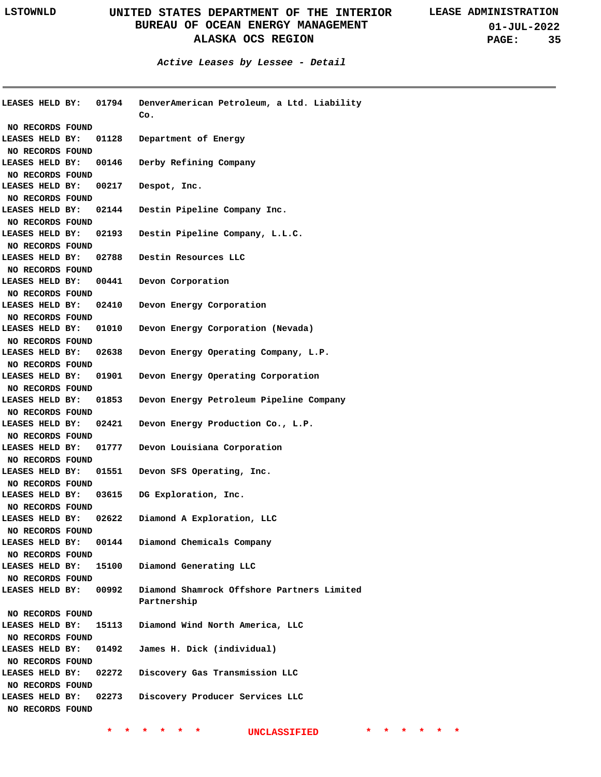**Active Leases by Lessee - Detail**

| <b>LEASES HELD BY:</b> | 01794 | DenverAmerican Petroleum, a Ltd. Liability |
|------------------------|-------|--------------------------------------------|
|                        |       | Co.                                        |
| NO RECORDS FOUND       |       |                                            |
| LEASES HELD BY:        | 01128 | Department of Energy                       |
| NO RECORDS FOUND       |       |                                            |
| LEASES HELD BY:        | 00146 | Derby Refining Company                     |
| NO RECORDS FOUND       |       |                                            |
| LEASES HELD BY:        | 00217 | Despot, Inc.                               |
| NO RECORDS FOUND       |       |                                            |
| LEASES HELD BY:        | 02144 | Destin Pipeline Company Inc.               |
| NO RECORDS FOUND       |       |                                            |
| LEASES HELD BY:        | 02193 | Destin Pipeline Company, L.L.C.            |
| NO RECORDS FOUND       |       |                                            |
| LEASES HELD BY:        | 02788 | Destin Resources LLC                       |
| NO RECORDS FOUND       |       |                                            |
| LEASES HELD BY:        | 00441 | Devon Corporation                          |
| NO RECORDS FOUND       |       |                                            |
| LEASES HELD BY:        | 02410 | Devon Energy Corporation                   |
| NO RECORDS FOUND       |       |                                            |
| LEASES HELD BY:        | 01010 | Devon Energy Corporation (Nevada)          |
| NO RECORDS FOUND       |       |                                            |
| LEASES HELD BY:        | 02638 | Devon Energy Operating Company, L.P.       |
|                        |       |                                            |
| NO RECORDS FOUND       |       |                                            |
| LEASES HELD BY:        | 01901 | Devon Energy Operating Corporation         |
| NO RECORDS FOUND       |       |                                            |
| LEASES HELD BY:        | 01853 | Devon Energy Petroleum Pipeline Company    |
| NO RECORDS FOUND       |       |                                            |
| LEASES HELD BY:        | 02421 | Devon Energy Production Co., L.P.          |
| NO RECORDS FOUND       |       |                                            |
| LEASES HELD BY:        | 01777 | Devon Louisiana Corporation                |
| NO RECORDS FOUND       |       |                                            |
| LEASES HELD BY:        | 01551 | Devon SFS Operating, Inc.                  |
| NO RECORDS FOUND       |       |                                            |
| LEASES HELD BY:        | 03615 | DG Exploration, Inc.                       |
| NO RECORDS FOUND       |       |                                            |
| LEASES HELD BY:        | 02622 | Diamond A Exploration, LLC                 |
| NO RECORDS FOUND       |       |                                            |
| LEASES HELD BY:        | 00144 | Diamond Chemicals Company                  |
| NO RECORDS FOUND       |       |                                            |
| LEASES HELD BY:        | 15100 | Diamond Generating LLC                     |
| NO RECORDS FOUND       |       |                                            |
| LEASES HELD BY:        | 00992 | Diamond Shamrock Offshore Partners Limited |
|                        |       | Partnership                                |
| NO RECORDS FOUND       |       |                                            |
| LEASES HELD BY:        | 15113 | Diamond Wind North America, LLC            |
| NO RECORDS FOUND       |       |                                            |
| LEASES HELD BY:        | 01492 | James H. Dick (individual)                 |
| NO RECORDS FOUND       |       |                                            |
| LEASES HELD BY:        | 02272 | Discovery Gas Transmission LLC             |
|                        |       |                                            |
| NO RECORDS FOUND       |       |                                            |
| LEASES HELD BY:        | 02273 | Discovery Producer Services LLC            |
| NO RECORDS FOUND       |       |                                            |
|                        |       |                                            |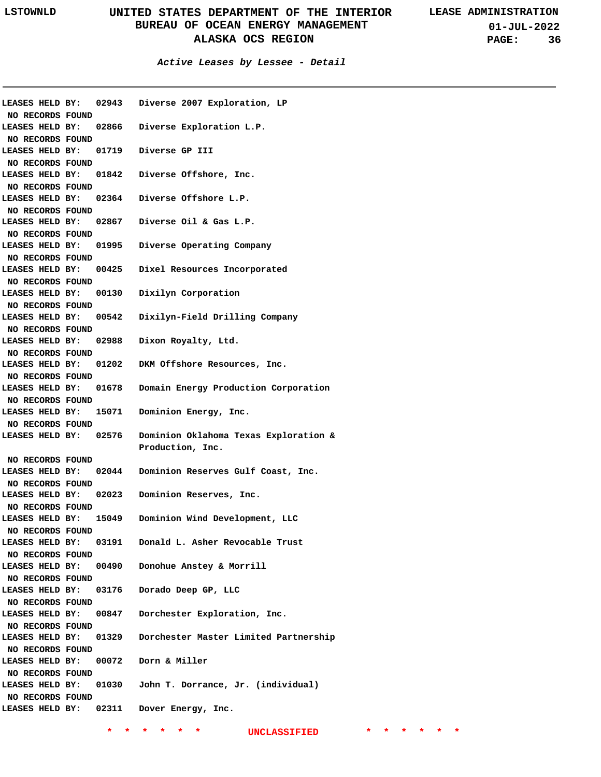**01-JUL-2022 PAGE: 36**

**Active Leases by Lessee - Detail**

| LEASES HELD BY:              | 02943 | Diverse 2007 Exploration, LP                 |
|------------------------------|-------|----------------------------------------------|
| NO RECORDS FOUND             |       |                                              |
| LEASES HELD BY: 02866        |       | Diverse Exploration L.P.                     |
| NO RECORDS FOUND             |       |                                              |
|                              |       | LEASES HELD BY: 01719 Diverse GP III         |
| NO RECORDS FOUND             |       |                                              |
| LEASES HELD BY: 01842        |       | Diverse Offshore, Inc.                       |
| NO RECORDS FOUND             |       |                                              |
|                              |       | LEASES HELD BY: 02364 Diverse Offshore L.P.  |
| NO RECORDS FOUND             |       |                                              |
|                              |       | LEASES HELD BY: 02867 Diverse Oil & Gas L.P. |
| NO RECORDS FOUND             |       |                                              |
| <b>LEASES HELD BY: 01995</b> |       | Diverse Operating Company                    |
| NO RECORDS FOUND             |       |                                              |
| LEASES HELD BY:              | 00425 | Dixel Resources Incorporated                 |
| NO RECORDS FOUND             |       |                                              |
| LEASES HELD BY:              | 00130 | Dixilyn Corporation                          |
| NO RECORDS FOUND             |       |                                              |
| LEASES HELD BY:              | 00542 | Dixilyn-Field Drilling Company               |
| NO RECORDS FOUND             |       |                                              |
| LEASES HELD BY:              | 02988 | Dixon Royalty, Ltd.                          |
| NO RECORDS FOUND             |       |                                              |
| LEASES HELD BY:              | 01202 | DKM Offshore Resources, Inc.                 |
| NO RECORDS FOUND             |       |                                              |
| <b>LEASES HELD BY: 01678</b> |       | Domain Energy Production Corporation         |
| NO RECORDS FOUND             |       |                                              |
| <b>LEASES HELD BY:</b>       | 15071 | Dominion Energy, Inc.                        |
| NO RECORDS FOUND             |       |                                              |
| <b>LEASES HELD BY: 02576</b> |       | Dominion Oklahoma Texas Exploration &        |
|                              |       | Production, Inc.                             |
| NO RECORDS FOUND             |       |                                              |
| LEASES HELD BY:              | 02044 | Dominion Reserves Gulf Coast, Inc.           |
| NO RECORDS FOUND             |       |                                              |
| LEASES HELD BY:              | 02023 | Dominion Reserves, Inc.                      |
| NO RECORDS FOUND             |       |                                              |
| <b>LEASES HELD BY:</b>       | 15049 | Dominion Wind Development, LLC               |
| NO RECORDS FOUND             |       |                                              |
| LEASES HELD BY:              | 03191 | Donald L. Asher Revocable Trust              |
| NO RECORDS FOUND             |       |                                              |
| LEASES HELD BY:              | 00490 | Donohue Anstey & Morrill                     |
| NO RECORDS FOUND             |       |                                              |
| LEASES HELD BY:              | 03176 | Dorado Deep GP, LLC                          |
| NO RECORDS FOUND             |       |                                              |
| LEASES HELD BY:              | 00847 | Dorchester Exploration, Inc.                 |
| NO RECORDS FOUND             |       |                                              |
| LEASES HELD BY:              | 01329 | Dorchester Master Limited Partnership        |
| NO RECORDS FOUND             |       |                                              |
| LEASES HELD BY:              |       | 00072 Dorn & Miller                          |
| NO RECORDS FOUND             |       |                                              |
| LEASES HELD BY:              |       | 01030 John T. Dorrance, Jr. (individual)     |
| NO RECORDS FOUND             |       |                                              |
| LEASES HELD BY: 02311        |       | Dover Energy, Inc.                           |
|                              |       |                                              |
|                              |       |                                              |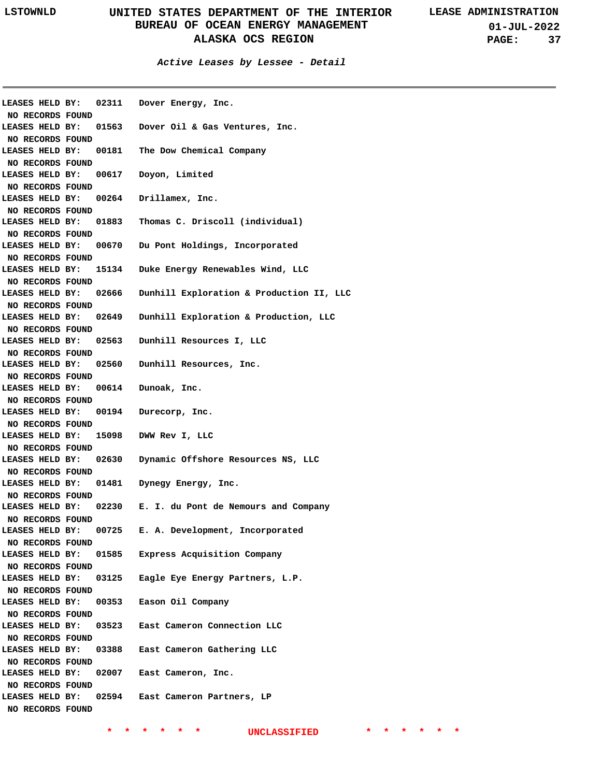**01-JUL-2022 PAGE: 37**

**Active Leases by Lessee - Detail**

| LEASES HELD BY:<br>NO RECORDS FOUND                     |       | 02311 Dover Energy, Inc.                   |
|---------------------------------------------------------|-------|--------------------------------------------|
| LEASES HELD BY:<br>NO RECORDS FOUND                     |       | 01563 Dover Oil & Gas Ventures, Inc.       |
| LEASES HELD BY:<br>NO RECORDS FOUND                     |       | 00181 The Dow Chemical Company             |
| LEASES HELD BY:                                         |       | 00617 Doyon, Limited                       |
| NO RECORDS FOUND<br>LEASES HELD BY:                     |       | 00264 Drillamex, Inc.                      |
| NO RECORDS FOUND<br>LEASES HELD BY:                     |       | 01883 Thomas C. Driscoll (individual)      |
| NO RECORDS FOUND<br>LEASES HELD BY:                     |       | 00670 Du Pont Holdings, Incorporated       |
| NO RECORDS FOUND<br>LEASES HELD BY:                     |       | 15134 Duke Energy Renewables Wind, LLC     |
| NO RECORDS FOUND<br>LEASES HELD BY:                     | 02666 | Dunhill Exploration & Production II, LLC   |
| NO RECORDS FOUND<br>LEASES HELD BY:                     | 02649 | Dunhill Exploration & Production, LLC      |
| NO RECORDS FOUND<br>LEASES HELD BY:                     |       | 02563 Dunhill Resources I, LLC             |
| NO RECORDS FOUND<br>LEASES HELD BY:                     |       | 02560 Dunhill Resources, Inc.              |
| NO RECORDS FOUND<br>LEASES HELD BY:<br>NO RECORDS FOUND |       | 00614 Dunoak, Inc.                         |
| LEASES HELD BY:<br>NO RECORDS FOUND                     | 00194 | Durecorp, Inc.                             |
| LEASES HELD BY:<br>NO RECORDS FOUND                     |       | 15098 DWW Rev I, LLC                       |
| LEASES HELD BY:<br>NO RECORDS FOUND                     |       | 02630 Dynamic Offshore Resources NS, LLC   |
| LEASES HELD BY:<br>NO RECORDS FOUND                     | 01481 | Dynegy Energy, Inc.                        |
| LEASES HELD BY:<br>NO RECORDS FOUND                     |       | 02230 E. I. du Pont de Nemours and Company |
| LEASES HELD BY:                                         | 00725 | E. A. Development, Incorporated            |
| NO RECORDS FOUND<br>LEASES HELD BY:<br>NO RECORDS FOUND | 01585 | Express Acquisition Company                |
| LEASES HELD BY:                                         | 03125 | Eagle Eye Energy Partners, L.P.            |
| NO RECORDS FOUND<br>LEASES HELD BY:<br>NO RECORDS FOUND | 00353 | Eason Oil Company                          |
| LEASES HELD BY:                                         |       | 03523 East Cameron Connection LLC          |
| NO RECORDS FOUND<br>LEASES HELD BY:                     |       | 03388 East Cameron Gathering LLC           |
| NO RECORDS FOUND<br>LEASES HELD BY:<br>NO RECORDS FOUND |       | 02007 East Cameron, Inc.                   |
| LEASES HELD BY:<br>NO RECORDS FOUND                     |       | 02594 East Cameron Partners, LP            |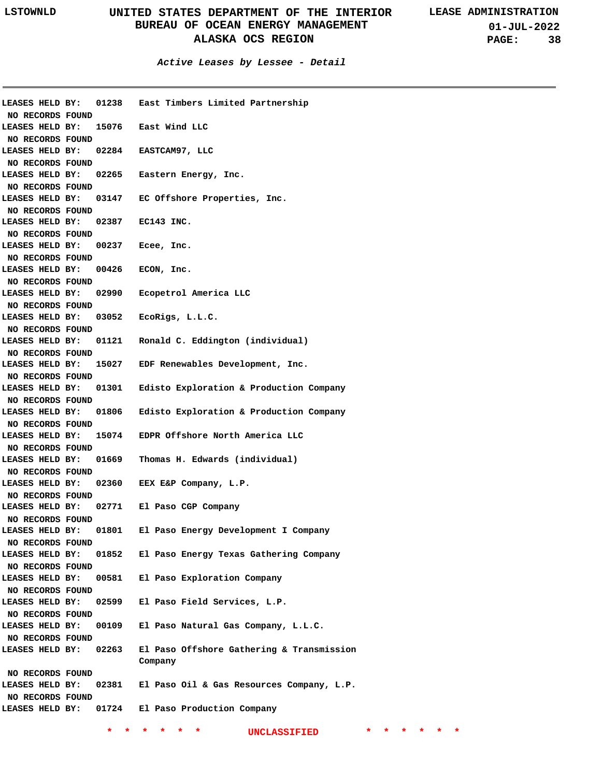**01-JUL-2022 PAGE: 38**

| LEASES HELD BY:  | 01238                |  | East Timbers Limited Partnership          |  |  |  |                     |  |  |  |  |  |  |
|------------------|----------------------|--|-------------------------------------------|--|--|--|---------------------|--|--|--|--|--|--|
| NO RECORDS FOUND |                      |  |                                           |  |  |  |                     |  |  |  |  |  |  |
| LEASES HELD BY:  | 15076 East Wind LLC  |  |                                           |  |  |  |                     |  |  |  |  |  |  |
| NO RECORDS FOUND |                      |  |                                           |  |  |  |                     |  |  |  |  |  |  |
| LEASES HELD BY:  | 02284 EASTCAM97, LLC |  |                                           |  |  |  |                     |  |  |  |  |  |  |
| NO RECORDS FOUND |                      |  |                                           |  |  |  |                     |  |  |  |  |  |  |
| LEASES HELD BY:  | 02265                |  | Eastern Energy, Inc.                      |  |  |  |                     |  |  |  |  |  |  |
| NO RECORDS FOUND |                      |  |                                           |  |  |  |                     |  |  |  |  |  |  |
| LEASES HELD BY:  | 03147                |  | EC Offshore Properties, Inc.              |  |  |  |                     |  |  |  |  |  |  |
| NO RECORDS FOUND |                      |  |                                           |  |  |  |                     |  |  |  |  |  |  |
| LEASES HELD BY:  | 02387                |  | EC143 INC.                                |  |  |  |                     |  |  |  |  |  |  |
| NO RECORDS FOUND |                      |  |                                           |  |  |  |                     |  |  |  |  |  |  |
| LEASES HELD BY:  | 00237                |  | Ecee, Inc.                                |  |  |  |                     |  |  |  |  |  |  |
| NO RECORDS FOUND |                      |  |                                           |  |  |  |                     |  |  |  |  |  |  |
| LEASES HELD BY:  | 00426                |  | ECON, Inc.                                |  |  |  |                     |  |  |  |  |  |  |
| NO RECORDS FOUND |                      |  |                                           |  |  |  |                     |  |  |  |  |  |  |
| LEASES HELD BY:  | 02990                |  | Ecopetrol America LLC                     |  |  |  |                     |  |  |  |  |  |  |
| NO RECORDS FOUND |                      |  |                                           |  |  |  |                     |  |  |  |  |  |  |
| LEASES HELD BY:  | 03052                |  | EcoRigs, L.L.C.                           |  |  |  |                     |  |  |  |  |  |  |
| NO RECORDS FOUND |                      |  |                                           |  |  |  |                     |  |  |  |  |  |  |
| LEASES HELD BY:  | 01121                |  | Ronald C. Eddington (individual)          |  |  |  |                     |  |  |  |  |  |  |
| NO RECORDS FOUND |                      |  |                                           |  |  |  |                     |  |  |  |  |  |  |
| LEASES HELD BY:  | 15027                |  | EDF Renewables Development, Inc.          |  |  |  |                     |  |  |  |  |  |  |
| NO RECORDS FOUND |                      |  |                                           |  |  |  |                     |  |  |  |  |  |  |
| LEASES HELD BY:  | 01301                |  | Edisto Exploration & Production Company   |  |  |  |                     |  |  |  |  |  |  |
| NO RECORDS FOUND |                      |  |                                           |  |  |  |                     |  |  |  |  |  |  |
| LEASES HELD BY:  | 01806                |  | Edisto Exploration & Production Company   |  |  |  |                     |  |  |  |  |  |  |
| NO RECORDS FOUND |                      |  |                                           |  |  |  |                     |  |  |  |  |  |  |
| LEASES HELD BY:  | 15074                |  | EDPR Offshore North America LLC           |  |  |  |                     |  |  |  |  |  |  |
| NO RECORDS FOUND |                      |  |                                           |  |  |  |                     |  |  |  |  |  |  |
| LEASES HELD BY:  | 01669                |  | Thomas H. Edwards (individual)            |  |  |  |                     |  |  |  |  |  |  |
| NO RECORDS FOUND |                      |  |                                           |  |  |  |                     |  |  |  |  |  |  |
| LEASES HELD BY:  | 02360                |  | EEX E&P Company, L.P.                     |  |  |  |                     |  |  |  |  |  |  |
| NO RECORDS FOUND |                      |  |                                           |  |  |  |                     |  |  |  |  |  |  |
| LEASES HELD BY:  | 02771                |  | El Paso CGP Company                       |  |  |  |                     |  |  |  |  |  |  |
| NO RECORDS FOUND |                      |  |                                           |  |  |  |                     |  |  |  |  |  |  |
| LEASES HELD BY:  | 01801                |  | El Paso Energy Development I Company      |  |  |  |                     |  |  |  |  |  |  |
| NO RECORDS FOUND |                      |  |                                           |  |  |  |                     |  |  |  |  |  |  |
| LEASES HELD BY:  | 01852                |  | El Paso Energy Texas Gathering Company    |  |  |  |                     |  |  |  |  |  |  |
| NO RECORDS FOUND |                      |  |                                           |  |  |  |                     |  |  |  |  |  |  |
| LEASES HELD BY:  | 00581                |  | El Paso Exploration Company               |  |  |  |                     |  |  |  |  |  |  |
| NO RECORDS FOUND |                      |  |                                           |  |  |  |                     |  |  |  |  |  |  |
| LEASES HELD BY:  | 02599                |  | El Paso Field Services, L.P.              |  |  |  |                     |  |  |  |  |  |  |
| NO RECORDS FOUND |                      |  |                                           |  |  |  |                     |  |  |  |  |  |  |
| LEASES HELD BY:  | 00109                |  | El Paso Natural Gas Company, L.L.C.       |  |  |  |                     |  |  |  |  |  |  |
| NO RECORDS FOUND |                      |  |                                           |  |  |  |                     |  |  |  |  |  |  |
| LEASES HELD BY:  | 02263                |  | El Paso Offshore Gathering & Transmission |  |  |  |                     |  |  |  |  |  |  |
|                  |                      |  | Company                                   |  |  |  |                     |  |  |  |  |  |  |
| NO RECORDS FOUND |                      |  |                                           |  |  |  |                     |  |  |  |  |  |  |
| LEASES HELD BY:  | 02381                |  | El Paso Oil & Gas Resources Company, L.P. |  |  |  |                     |  |  |  |  |  |  |
| NO RECORDS FOUND |                      |  |                                           |  |  |  |                     |  |  |  |  |  |  |
| LEASES HELD BY:  | 01724                |  | El Paso Production Company                |  |  |  |                     |  |  |  |  |  |  |
|                  |                      |  |                                           |  |  |  |                     |  |  |  |  |  |  |
|                  |                      |  |                                           |  |  |  | <b>UNCLASSIFIED</b> |  |  |  |  |  |  |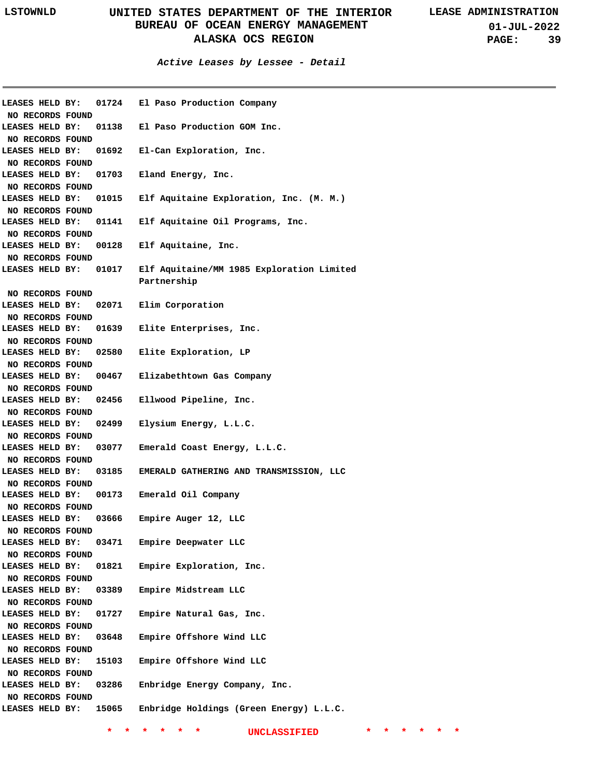**Active Leases by Lessee - Detail**

| LEASES HELD BY:                     | 01724 | El Paso Production Company                |
|-------------------------------------|-------|-------------------------------------------|
| NO RECORDS FOUND                    |       |                                           |
| LEASES HELD BY:                     | 01138 | El Paso Production GOM Inc.               |
| NO RECORDS FOUND                    |       |                                           |
| LEASES HELD BY:                     | 01692 | El-Can Exploration, Inc.                  |
| NO RECORDS FOUND                    |       |                                           |
| LEASES HELD BY:                     | 01703 | Eland Energy, Inc.                        |
| NO RECORDS FOUND                    |       |                                           |
| LEASES HELD BY:                     | 01015 | Elf Aquitaine Exploration, Inc. (M. M.)   |
| NO RECORDS FOUND                    |       |                                           |
| LEASES HELD BY:                     | 01141 | Elf Aquitaine Oil Programs, Inc.          |
| NO RECORDS FOUND                    |       |                                           |
| LEASES HELD BY:                     | 00128 | Elf Aquitaine, Inc.                       |
| NO RECORDS FOUND                    |       |                                           |
| LEASES HELD BY:                     | 01017 | Elf Aquitaine/MM 1985 Exploration Limited |
|                                     |       | Partnership                               |
| NO RECORDS FOUND                    |       |                                           |
| LEASES HELD BY:                     | 02071 | Elim Corporation                          |
| NO RECORDS FOUND                    |       |                                           |
| LEASES HELD BY:                     | 01639 | Elite Enterprises, Inc.                   |
| NO RECORDS FOUND                    |       |                                           |
| LEASES HELD BY:                     | 02580 | Elite Exploration, LP                     |
|                                     |       |                                           |
| NO RECORDS FOUND                    |       |                                           |
| LEASES HELD BY:                     | 00467 | Elizabethtown Gas Company                 |
| NO RECORDS FOUND                    |       |                                           |
| LEASES HELD BY:                     | 02456 | Ellwood Pipeline, Inc.                    |
| NO RECORDS FOUND                    |       |                                           |
| LEASES HELD BY:                     | 02499 | Elysium Energy, L.L.C.                    |
| NO RECORDS FOUND                    |       |                                           |
| LEASES HELD BY:                     | 03077 | Emerald Coast Energy, L.L.C.              |
| NO RECORDS FOUND                    |       |                                           |
| LEASES HELD BY:                     | 03185 | EMERALD GATHERING AND TRANSMISSION, LLC   |
| NO RECORDS FOUND                    |       |                                           |
| LEASES HELD BY:                     | 00173 | Emerald Oil Company                       |
| NO RECORDS FOUND                    |       |                                           |
| LEASES HELD BY:                     | 03666 | Empire Auger 12, LLC                      |
| NO RECORDS FOUND                    |       |                                           |
| LEASES HELD BY:                     | 03471 | Empire Deepwater LLC                      |
| NO RECORDS FOUND                    |       |                                           |
| LEASES HELD BY:                     | 01821 | Empire Exploration, Inc.                  |
| NO RECORDS FOUND                    |       |                                           |
| LEASES HELD BY:                     | 03389 | Empire Midstream LLC                      |
| NO RECORDS FOUND                    |       |                                           |
| LEASES HELD BY:                     | 01727 | Empire Natural Gas, Inc.                  |
| NO RECORDS FOUND                    |       |                                           |
| LEASES HELD BY:                     | 03648 | Empire Offshore Wind LLC                  |
| NO RECORDS FOUND                    |       |                                           |
| LEASES HELD BY:                     | 15103 | Empire Offshore Wind LLC                  |
| NO RECORDS FOUND                    |       |                                           |
| LEASES HELD BY:                     | 03286 | Enbridge Energy Company, Inc.             |
|                                     |       |                                           |
| NO RECORDS FOUND<br>LEASES HELD BY: | 15065 | Enbridge Holdings (Green Energy) L.L.C.   |
|                                     |       |                                           |
|                                     |       |                                           |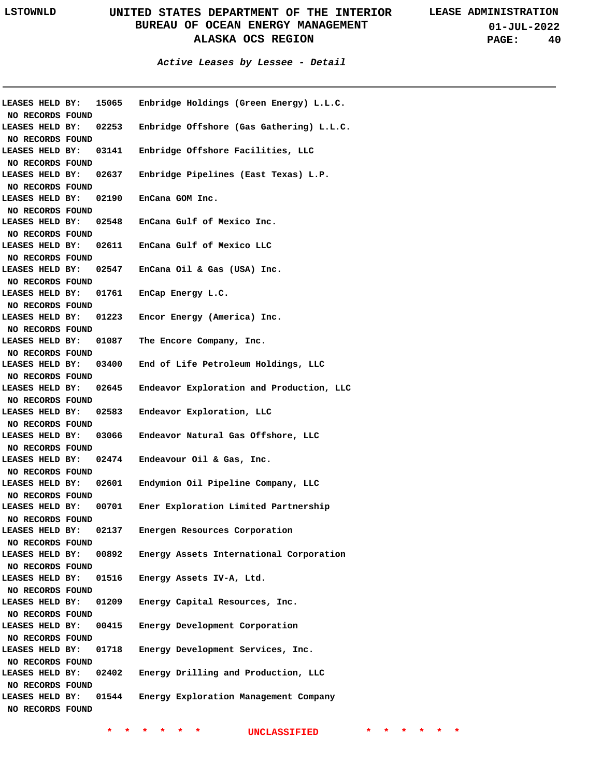**01-JUL-2022 PAGE: 40**

**Active Leases by Lessee - Detail**

| LEASES HELD BY:                     | 15065 | Enbridge Holdings (Green Energy) L.L.C.  |
|-------------------------------------|-------|------------------------------------------|
| NO RECORDS FOUND                    |       |                                          |
| LEASES HELD BY:                     | 02253 | Enbridge Offshore (Gas Gathering) L.L.C. |
| NO RECORDS FOUND                    |       |                                          |
| LEASES HELD BY:                     | 03141 | Enbridge Offshore Facilities, LLC        |
| NO RECORDS FOUND                    |       |                                          |
| LEASES HELD BY:                     | 02637 | Enbridge Pipelines (East Texas) L.P.     |
| NO RECORDS FOUND                    |       |                                          |
| LEASES HELD BY:                     | 02190 | EnCana GOM Inc.                          |
| NO RECORDS FOUND                    |       |                                          |
| LEASES HELD BY:                     | 02548 | EnCana Gulf of Mexico Inc.               |
| NO RECORDS FOUND                    |       |                                          |
| LEASES HELD BY:                     | 02611 | EnCana Gulf of Mexico LLC                |
| NO RECORDS FOUND                    |       |                                          |
| LEASES HELD BY:                     |       | 02547 EnCana Oil & Gas (USA) Inc.        |
| NO RECORDS FOUND                    |       |                                          |
| LEASES HELD BY:                     | 01761 | EnCap Energy L.C.                        |
| NO RECORDS FOUND                    |       |                                          |
| LEASES HELD BY:                     | 01223 | Encor Energy (America) Inc.              |
| NO RECORDS FOUND                    |       |                                          |
| LEASES HELD BY:                     | 01087 | The Encore Company, Inc.                 |
| NO RECORDS FOUND                    |       |                                          |
| LEASES HELD BY:                     | 03400 | End of Life Petroleum Holdings, LLC      |
| NO RECORDS FOUND                    |       |                                          |
| LEASES HELD BY:                     | 02645 | Endeavor Exploration and Production, LLC |
| NO RECORDS FOUND                    |       |                                          |
| LEASES HELD BY:                     | 02583 | Endeavor Exploration, LLC                |
| NO RECORDS FOUND                    |       |                                          |
| LEASES HELD BY:                     | 03066 | Endeavor Natural Gas Offshore, LLC       |
| NO RECORDS FOUND                    |       |                                          |
| LEASES HELD BY:                     | 02474 | Endeavour Oil & Gas, Inc.                |
| NO RECORDS FOUND                    |       |                                          |
| LEASES HELD BY:                     | 02601 | Endymion Oil Pipeline Company, LLC       |
| NO RECORDS FOUND                    |       |                                          |
| LEASES HELD BY:                     | 00701 | Ener Exploration Limited Partnership     |
| NO RECORDS FOUND                    |       |                                          |
| LEASES HELD BY:                     | 02137 | Energen Resources Corporation            |
| NO RECORDS FOUND                    |       |                                          |
| LEASES HELD BY:                     | 00892 | Energy Assets International Corporation  |
| NO RECORDS FOUND                    |       |                                          |
| LEASES HELD BY:                     | 01516 | Energy Assets IV-A, Ltd.                 |
| NO RECORDS FOUND                    |       |                                          |
| LEASES HELD BY:                     | 01209 | Energy Capital Resources, Inc.           |
| NO RECORDS FOUND                    |       |                                          |
| LEASES HELD BY:                     | 00415 | Energy Development Corporation           |
| NO RECORDS FOUND                    |       |                                          |
| LEASES HELD BY:                     | 01718 | Energy Development Services, Inc.        |
| NO RECORDS FOUND                    |       |                                          |
| LEASES HELD BY:                     | 02402 | Energy Drilling and Production, LLC      |
|                                     |       |                                          |
| NO RECORDS FOUND<br>LEASES HELD BY: | 01544 | Energy Exploration Management Company    |
|                                     |       |                                          |
| NO RECORDS FOUND                    |       |                                          |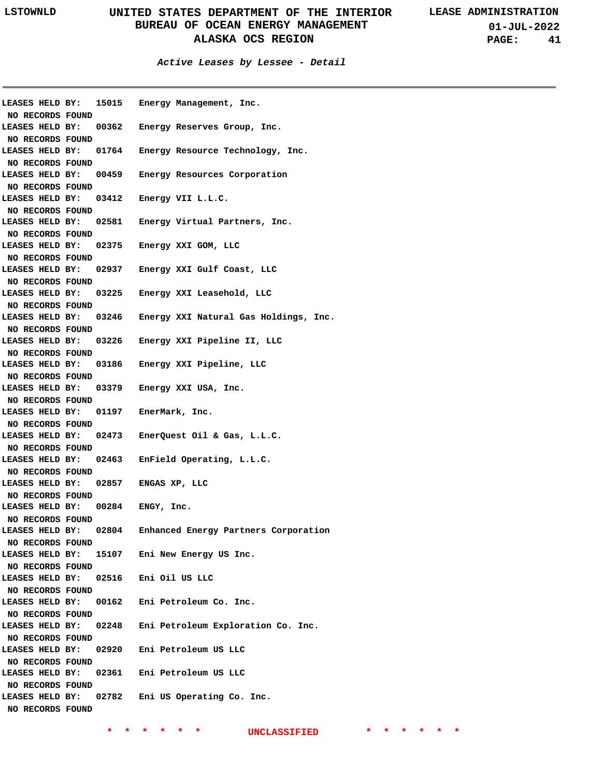**Active Leases by Lessee - Detail**

|                  |       | LEASES HELD BY: 15015 Energy Management, Inc.               |  |
|------------------|-------|-------------------------------------------------------------|--|
| NO RECORDS FOUND |       |                                                             |  |
| LEASES HELD BY:  |       | 00362 Energy Reserves Group, Inc.                           |  |
| NO RECORDS FOUND |       |                                                             |  |
|                  |       | LEASES HELD BY: 01764 Energy Resource Technology, Inc.      |  |
| NO RECORDS FOUND |       |                                                             |  |
|                  |       | LEASES HELD BY: 00459 Energy Resources Corporation          |  |
| NO RECORDS FOUND |       |                                                             |  |
|                  |       | LEASES HELD BY: 03412 Energy VII L.L.C.                     |  |
| NO RECORDS FOUND |       |                                                             |  |
|                  |       | LEASES HELD BY: 02581 Energy Virtual Partners, Inc.         |  |
| NO RECORDS FOUND |       |                                                             |  |
|                  |       | LEASES HELD BY: 02375 Energy XXI GOM, LLC                   |  |
| NO RECORDS FOUND |       |                                                             |  |
|                  |       | LEASES HELD BY: 02937 Energy XXI Gulf Coast, LLC            |  |
| NO RECORDS FOUND |       |                                                             |  |
|                  |       | LEASES HELD BY: 03225 Energy XXI Leasehold, LLC             |  |
| NO RECORDS FOUND |       |                                                             |  |
|                  |       | LEASES HELD BY: 03246 Energy XXI Natural Gas Holdings, Inc. |  |
| NO RECORDS FOUND |       |                                                             |  |
|                  |       | LEASES HELD BY: 03226 Energy XXI Pipeline II, LLC           |  |
| NO RECORDS FOUND |       |                                                             |  |
|                  |       | LEASES HELD BY: 03186 Energy XXI Pipeline, LLC              |  |
| NO RECORDS FOUND |       |                                                             |  |
|                  |       | LEASES HELD BY: 03379 Energy XXI USA, Inc.                  |  |
| NO RECORDS FOUND |       |                                                             |  |
|                  |       | LEASES HELD BY: 01197 EnerMark, Inc.                        |  |
| NO RECORDS FOUND |       |                                                             |  |
|                  |       | LEASES HELD BY: 02473 EnerQuest Oil & Gas, L.L.C.           |  |
|                  |       |                                                             |  |
|                  |       |                                                             |  |
| NO RECORDS FOUND |       |                                                             |  |
|                  |       | LEASES HELD BY: 02463 EnField Operating, L.L.C.             |  |
| NO RECORDS FOUND |       |                                                             |  |
|                  |       | LEASES HELD BY: 02857 ENGAS XP, LLC                         |  |
| NO RECORDS FOUND |       |                                                             |  |
|                  |       | LEASES HELD BY: 00284 ENGY, Inc.                            |  |
| NO RECORDS FOUND |       |                                                             |  |
| LEASES HELD BY:  | 02804 | Enhanced Energy Partners Corporation                        |  |
| NO RECORDS FOUND |       |                                                             |  |
| LEASES HELD BY:  |       | 15107 Eni New Energy US Inc.                                |  |
| NO RECORDS FOUND |       |                                                             |  |
| LEASES HELD BY:  |       | 02516 Eni Oil US LLC                                        |  |
| NO RECORDS FOUND |       |                                                             |  |
| LEASES HELD BY:  |       | 00162 Eni Petroleum Co. Inc.                                |  |
| NO RECORDS FOUND |       |                                                             |  |
| LEASES HELD BY:  | 02248 | Eni Petroleum Exploration Co. Inc.                          |  |
| NO RECORDS FOUND |       |                                                             |  |
| LEASES HELD BY:  |       | 02920 Eni Petroleum US LLC                                  |  |
| NO RECORDS FOUND |       |                                                             |  |
| LEASES HELD BY:  |       | 02361 Eni Petroleum US LLC                                  |  |
| NO RECORDS FOUND |       |                                                             |  |
| LEASES HELD BY:  | 02782 | Eni US Operating Co. Inc.                                   |  |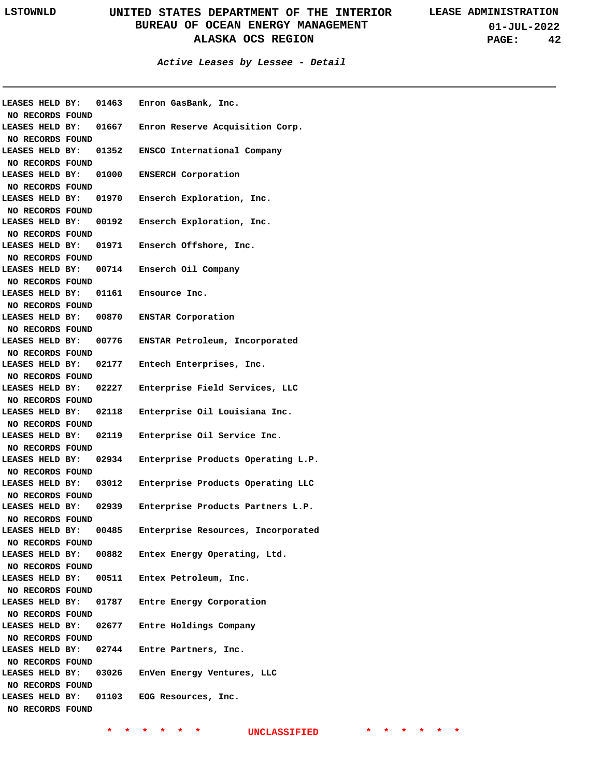**01-JUL-2022 PAGE: 42**

### **Active Leases by Lessee - Detail**

|                        |                              | LEASES HELD BY: 01463 Enron GasBank, Inc.             |
|------------------------|------------------------------|-------------------------------------------------------|
| NO RECORDS FOUND       |                              |                                                       |
|                        |                              | LEASES HELD BY: 01667 Enron Reserve Acquisition Corp. |
| NO RECORDS FOUND       |                              |                                                       |
|                        |                              | LEASES HELD BY: 01352 ENSCO International Company     |
| NO RECORDS FOUND       |                              |                                                       |
| LEASES HELD BY:        | 01000                        | <b>ENSERCH Corporation</b>                            |
| NO RECORDS FOUND       |                              |                                                       |
| LEASES HELD BY:        | 01970                        | Enserch Exploration, Inc.                             |
| NO RECORDS FOUND       |                              |                                                       |
| LEASES HELD BY:        | 00192                        | Enserch Exploration, Inc.                             |
| NO RECORDS FOUND       |                              |                                                       |
| LEASES HELD BY:        | 01971                        | Enserch Offshore, Inc.                                |
| NO RECORDS FOUND       |                              |                                                       |
|                        | LEASES HELD BY: 00714        | Enserch Oil Company                                   |
| NO RECORDS FOUND       |                              |                                                       |
|                        | <b>LEASES HELD BY: 01161</b> | Ensource Inc.                                         |
| NO RECORDS FOUND       |                              |                                                       |
| LEASES HELD BY:        |                              | 00870 ENSTAR Corporation                              |
| NO RECORDS FOUND       |                              |                                                       |
| LEASES HELD BY:        | 00776                        | ENSTAR Petroleum, Incorporated                        |
| NO RECORDS FOUND       |                              |                                                       |
| LEASES HELD BY:        | 02177                        | Entech Enterprises, Inc.                              |
| NO RECORDS FOUND       |                              |                                                       |
| LEASES HELD BY:        | 02227                        | Enterprise Field Services, LLC                        |
| NO RECORDS FOUND       |                              |                                                       |
| LEASES HELD BY:        | 02118                        | Enterprise Oil Louisiana Inc.                         |
| NO RECORDS FOUND       |                              |                                                       |
| <b>LEASES HELD BY:</b> | 02119                        | Enterprise Oil Service Inc.                           |
| NO RECORDS FOUND       |                              |                                                       |
| <b>LEASES HELD BY:</b> | 02934                        | Enterprise Products Operating L.P.                    |
| NO RECORDS FOUND       |                              |                                                       |
| <b>LEASES HELD BY:</b> | 03012                        | Enterprise Products Operating LLC                     |
| NO RECORDS FOUND       |                              |                                                       |
| LEASES HELD BY:        | 02939                        | Enterprise Products Partners L.P.                     |
| NO RECORDS FOUND       |                              |                                                       |
| LEASES HELD BY:        | 00485                        | Enterprise Resources, Incorporated                    |
| NO RECORDS FOUND       |                              |                                                       |
|                        |                              | LEASES HELD BY: 00882 Entex Energy Operating, Ltd.    |
| NO RECORDS FOUND       |                              |                                                       |
|                        |                              | LEASES HELD BY: 00511 Entex Petroleum, Inc.           |
|                        |                              |                                                       |
| NO RECORDS FOUND       |                              |                                                       |
|                        |                              | LEASES HELD BY: 01787 Entre Energy Corporation        |
| NO RECORDS FOUND       |                              |                                                       |
|                        |                              | LEASES HELD BY: 02677 Entre Holdings Company          |
| NO RECORDS FOUND       |                              |                                                       |
| LEASES HELD BY:        |                              | 02744 Entre Partners, Inc.                            |
| NO RECORDS FOUND       |                              |                                                       |
| LEASES HELD BY:        |                              | 03026 EnVen Energy Ventures, LLC                      |
| NO RECORDS FOUND       |                              |                                                       |
|                        |                              | LEASES HELD BY: 01103 EOG Resources, Inc.             |
| NO RECORDS FOUND       |                              |                                                       |
|                        |                              |                                                       |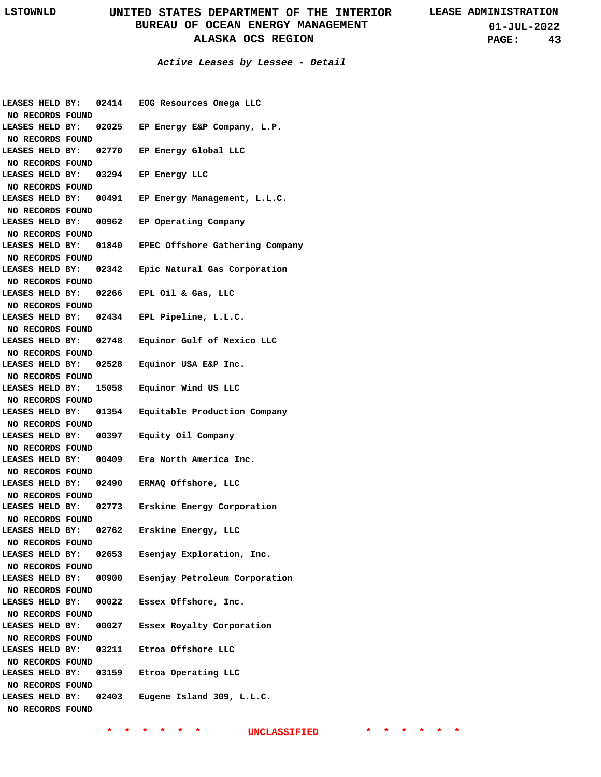**01-JUL-2022 PAGE: 43**

**Active Leases by Lessee - Detail**

|                                     |       | LEASES HELD BY: 02414 EOG Resources Omega LLC         |
|-------------------------------------|-------|-------------------------------------------------------|
| NO RECORDS FOUND                    |       |                                                       |
| <b>LEASES HELD BY:</b>              |       | 02025 EP Energy E&P Company, L.P.                     |
| NO RECORDS FOUND                    |       |                                                       |
|                                     |       | LEASES HELD BY: 02770 EP Energy Global LLC            |
| NO RECORDS FOUND                    |       |                                                       |
|                                     |       | LEASES HELD BY: 03294 EP Energy LLC                   |
| NO RECORDS FOUND                    |       |                                                       |
|                                     |       | LEASES HELD BY: 00491 EP Energy Management, L.L.C.    |
| NO RECORDS FOUND                    |       |                                                       |
|                                     |       | LEASES HELD BY: 00962 EP Operating Company            |
| NO RECORDS FOUND                    |       |                                                       |
|                                     |       | LEASES HELD BY: 01840 EPEC Offshore Gathering Company |
| NO RECORDS FOUND                    |       |                                                       |
|                                     |       | LEASES HELD BY: 02342 Epic Natural Gas Corporation    |
| NO RECORDS FOUND                    |       |                                                       |
|                                     |       | LEASES HELD BY: 02266 EPL Oil & Gas, LLC              |
| NO RECORDS FOUND                    |       |                                                       |
|                                     |       | LEASES HELD BY: 02434 EPL Pipeline, L.L.C.            |
| NO RECORDS FOUND                    |       |                                                       |
|                                     |       | LEASES HELD BY: 02748 Equinor Gulf of Mexico LLC      |
| NO RECORDS FOUND                    |       |                                                       |
|                                     |       | LEASES HELD BY: 02528 Equinor USA E&P Inc.            |
| NO RECORDS FOUND                    |       |                                                       |
|                                     |       | LEASES HELD BY: 15058 Equinor Wind US LLC             |
| NO RECORDS FOUND                    |       |                                                       |
|                                     |       | LEASES HELD BY: 01354 Equitable Production Company    |
| NO RECORDS FOUND                    |       |                                                       |
|                                     |       |                                                       |
|                                     |       | LEASES HELD BY: 00397 Equity Oil Company              |
| NO RECORDS FOUND                    |       |                                                       |
|                                     |       | LEASES HELD BY: 00409 Era North America Inc.          |
| NO RECORDS FOUND                    |       |                                                       |
|                                     |       | LEASES HELD BY: 02490 ERMAQ Offshore, LLC             |
| NO RECORDS FOUND                    |       |                                                       |
|                                     |       | LEASES HELD BY: 02773 Erskine Energy Corporation      |
| NO RECORDS FOUND                    |       |                                                       |
| LEASES HELD BY:                     | 02762 | Erskine Energy, LLC                                   |
| NO RECORDS FOUND                    |       |                                                       |
| LEASES HELD BY:                     |       | 02653 Esenjay Exploration, Inc.                       |
| NO RECORDS FOUND                    |       |                                                       |
| LEASES HELD BY:                     | 00900 | Esenjay Petroleum Corporation                         |
| NO RECORDS FOUND                    |       |                                                       |
| LEASES HELD BY:                     | 00022 | Essex Offshore, Inc.                                  |
| NO RECORDS FOUND                    |       |                                                       |
| LEASES HELD BY:                     | 00027 | Essex Royalty Corporation                             |
| NO RECORDS FOUND                    |       |                                                       |
| LEASES HELD BY:                     |       | 03211 Etroa Offshore LLC                              |
| NO RECORDS FOUND                    |       |                                                       |
| LEASES HELD BY:                     |       | 03159 Etroa Operating LLC                             |
| NO RECORDS FOUND                    |       |                                                       |
| LEASES HELD BY:<br>NO RECORDS FOUND | 02403 | Eugene Island 309, L.L.C.                             |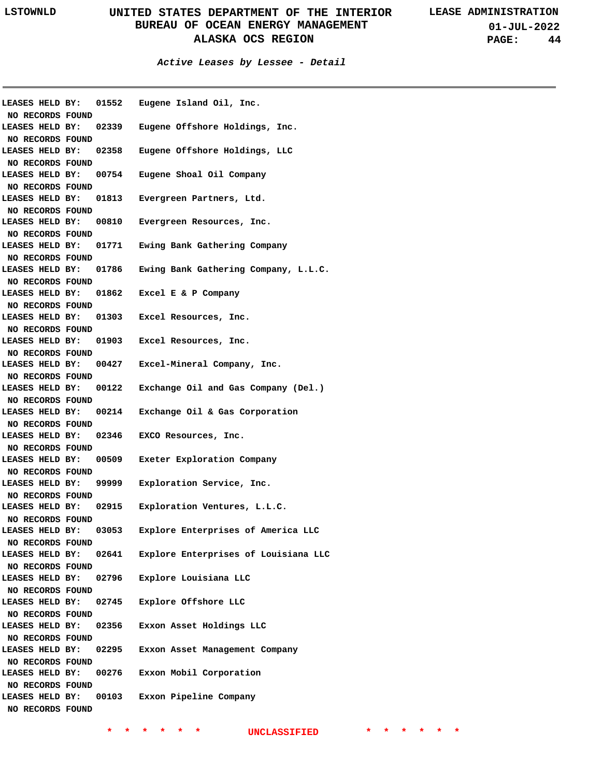**01-JUL-2022 PAGE: 44**

**Active Leases by Lessee - Detail**

| LEASES HELD BY:<br>NO RECORDS FOUND |                       | 01552 Eugene Island Oil, Inc.             |
|-------------------------------------|-----------------------|-------------------------------------------|
| LEASES HELD BY:                     |                       | 02339 Eugene Offshore Holdings, Inc.      |
| NO RECORDS FOUND                    |                       |                                           |
| LEASES HELD BY:                     | 02358                 | Eugene Offshore Holdings, LLC             |
| NO RECORDS FOUND                    |                       |                                           |
| LEASES HELD BY:                     |                       | 00754 Eugene Shoal Oil Company            |
| NO RECORDS FOUND                    |                       |                                           |
| LEASES HELD BY:                     |                       | 01813 Evergreen Partners, Ltd.            |
| NO RECORDS FOUND                    |                       |                                           |
| LEASES HELD BY:                     | 00810                 | Evergreen Resources, Inc.                 |
| NO RECORDS FOUND                    |                       |                                           |
| LEASES HELD BY:                     |                       | 01771 Ewing Bank Gathering Company        |
| NO RECORDS FOUND                    |                       |                                           |
| LEASES HELD BY:                     | 01786                 | Ewing Bank Gathering Company, L.L.C.      |
| NO RECORDS FOUND                    |                       |                                           |
| LEASES HELD BY:                     |                       | 01862 Excel E & P Company                 |
| NO RECORDS FOUND                    |                       |                                           |
| LEASES HELD BY:                     |                       | 01303 Excel Resources, Inc.               |
| NO RECORDS FOUND                    |                       |                                           |
| LEASES HELD BY:                     |                       | 01903 Excel Resources, Inc.               |
| NO RECORDS FOUND                    |                       |                                           |
| LEASES HELD BY:                     |                       | 00427 Excel-Mineral Company, Inc.         |
| NO RECORDS FOUND                    |                       |                                           |
| LEASES HELD BY:                     |                       | 00122 Exchange Oil and Gas Company (Del.) |
| NO RECORDS FOUND                    |                       |                                           |
| LEASES HELD BY:                     |                       | 00214 Exchange Oil & Gas Corporation      |
| NO RECORDS FOUND                    |                       |                                           |
| LEASES HELD BY:                     |                       | 02346 EXCO Resources, Inc.                |
| NO RECORDS FOUND                    |                       |                                           |
| LEASES HELD BY:                     |                       | 00509 Exeter Exploration Company          |
| NO RECORDS FOUND                    |                       |                                           |
| LEASES HELD BY:                     |                       | 99999 Exploration Service, Inc.           |
| NO RECORDS FOUND                    |                       |                                           |
|                                     | LEASES HELD BY: 02915 | Exploration Ventures, L.L.C.              |
| NO RECORDS FOUND                    |                       |                                           |
| LEASES HELD BY:                     | 03053                 | Explore Enterprises of America LLC        |
| NO RECORDS FOUND                    |                       |                                           |
| LEASES HELD BY:                     | 02641                 | Explore Enterprises of Louisiana LLC      |
| NO RECORDS FOUND                    |                       |                                           |
| LEASES HELD BY:                     | 02796                 | Explore Louisiana LLC                     |
| NO RECORDS FOUND                    |                       |                                           |
| LEASES HELD BY:                     | 02745                 | Explore Offshore LLC                      |
| NO RECORDS FOUND                    |                       |                                           |
| LEASES HELD BY:                     | 02356                 | Exxon Asset Holdings LLC                  |
| NO RECORDS FOUND                    |                       |                                           |
| LEASES HELD BY:                     | 02295                 | Exxon Asset Management Company            |
| NO RECORDS FOUND                    |                       |                                           |
| LEASES HELD BY:                     | 00276                 | Exxon Mobil Corporation                   |
| NO RECORDS FOUND                    |                       |                                           |
| LEASES HELD BY:                     | 00103                 | Exxon Pipeline Company                    |
| NO RECORDS FOUND                    |                       |                                           |
|                                     |                       |                                           |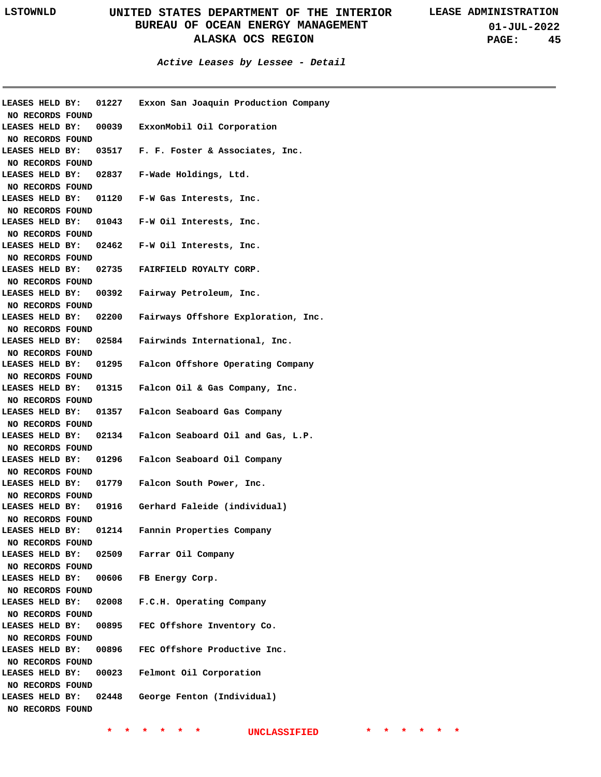**01-JUL-2022 PAGE: 45**

**Active Leases by Lessee - Detail**

| <b>LEASES HELD BY:</b><br>NO RECORDS FOUND | 01227                 | Exxon San Joaquin Production Company                    |
|--------------------------------------------|-----------------------|---------------------------------------------------------|
|                                            |                       | LEASES HELD BY: 00039 ExxonMobil Oil Corporation        |
| NO RECORDS FOUND                           |                       |                                                         |
|                                            |                       | LEASES HELD BY: 03517 F. F. Foster & Associates, Inc.   |
| NO RECORDS FOUND                           |                       |                                                         |
| LEASES HELD BY:                            |                       | 02837 F-Wade Holdings, Ltd.                             |
| NO RECORDS FOUND                           |                       |                                                         |
| LEASES HELD BY:                            |                       | 01120 F-W Gas Interests, Inc.                           |
| NO RECORDS FOUND                           |                       |                                                         |
| LEASES HELD BY:                            |                       | 01043 F-W Oil Interests, Inc.                           |
| NO RECORDS FOUND                           |                       |                                                         |
| LEASES HELD BY:                            |                       | 02462 F-W Oil Interests, Inc.                           |
| NO RECORDS FOUND                           |                       |                                                         |
| LEASES HELD BY:                            |                       | 02735 FAIRFIELD ROYALTY CORP.                           |
| NO RECORDS FOUND<br>LEASES HELD BY:        |                       | 00392 Fairway Petroleum, Inc.                           |
| NO RECORDS FOUND                           |                       |                                                         |
|                                            | LEASES HELD BY: 02200 | Fairways Offshore Exploration, Inc.                     |
| NO RECORDS FOUND                           |                       |                                                         |
|                                            | LEASES HELD BY: 02584 | Fairwinds International, Inc.                           |
| NO RECORDS FOUND                           |                       |                                                         |
|                                            |                       | LEASES HELD BY: 01295 Falcon Offshore Operating Company |
| NO RECORDS FOUND                           |                       |                                                         |
|                                            |                       | LEASES HELD BY: 01315 Falcon Oil & Gas Company, Inc.    |
| NO RECORDS FOUND                           |                       |                                                         |
| <b>LEASES HELD BY:</b>                     |                       | 01357 Falcon Seaboard Gas Company                       |
| NO RECORDS FOUND                           |                       |                                                         |
|                                            |                       | LEASES HELD BY: 02134 Falcon Seaboard Oil and Gas, L.P. |
| NO RECORDS FOUND                           |                       |                                                         |
|                                            |                       | LEASES HELD BY: 01296 Falcon Seaboard Oil Company       |
| NO RECORDS FOUND                           |                       |                                                         |
|                                            | LEASES HELD BY: 01779 | Falcon South Power, Inc.                                |
| NO RECORDS FOUND                           |                       |                                                         |
|                                            |                       | LEASES HELD BY: 01916 Gerhard Faleide (individual)      |
| NO RECORDS FOUND                           |                       |                                                         |
|                                            | LEASES HELD BY: 01214 | Fannin Properties Company                               |
| NO RECORDS FOUND                           |                       |                                                         |
| NO RECORDS FOUND                           |                       | LEASES HELD BY: 02509 Farrar Oil Company                |
|                                            |                       | LEASES HELD BY: 00606 FB Energy Corp.                   |
| NO RECORDS FOUND                           |                       |                                                         |
| LEASES HELD BY:                            |                       | 02008 F.C.H. Operating Company                          |
| NO RECORDS FOUND                           |                       |                                                         |
| LEASES HELD BY:                            |                       | 00895 FEC Offshore Inventory Co.                        |
| NO RECORDS FOUND                           |                       |                                                         |
| LEASES HELD BY:                            |                       | 00896 FEC Offshore Productive Inc.                      |
| NO RECORDS FOUND                           |                       |                                                         |
| LEASES HELD BY:                            |                       | 00023 Felmont Oil Corporation                           |
| NO RECORDS FOUND                           |                       |                                                         |
| LEASES HELD BY:                            |                       | 02448 George Fenton (Individual)                        |
| NO RECORDS FOUND                           |                       |                                                         |
|                                            |                       |                                                         |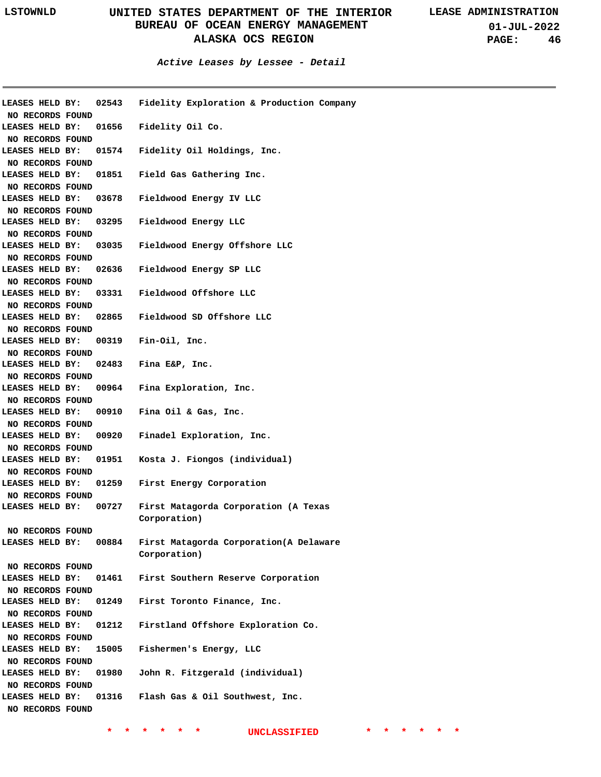**01-JUL-2022 PAGE: 46**

**Active Leases by Lessee - Detail**

| LEASES HELD BY:                     | 02543 | Fidelity Exploration & Production Company |
|-------------------------------------|-------|-------------------------------------------|
| NO RECORDS FOUND                    |       |                                           |
| LEASES HELD BY:                     | 01656 | Fidelity Oil Co.                          |
| NO RECORDS FOUND                    |       |                                           |
| LEASES HELD BY:                     | 01574 | Fidelity Oil Holdings, Inc.               |
| NO RECORDS FOUND                    |       |                                           |
| LEASES HELD BY:                     | 01851 | Field Gas Gathering Inc.                  |
| NO RECORDS FOUND                    |       |                                           |
| LEASES HELD BY:                     | 03678 | Fieldwood Energy IV LLC                   |
| NO RECORDS FOUND                    |       |                                           |
| LEASES HELD BY:                     | 03295 | Fieldwood Energy LLC                      |
| NO RECORDS FOUND                    |       |                                           |
| LEASES HELD BY:                     | 03035 | Fieldwood Energy Offshore LLC             |
| NO RECORDS FOUND                    |       |                                           |
| LEASES HELD BY:                     | 02636 | Fieldwood Energy SP LLC                   |
| NO RECORDS FOUND                    |       |                                           |
| LEASES HELD BY:                     | 03331 | Fieldwood Offshore LLC                    |
| NO RECORDS FOUND                    |       |                                           |
| LEASES HELD BY:                     | 02865 | Fieldwood SD Offshore LLC                 |
| NO RECORDS FOUND                    |       |                                           |
| LEASES HELD BY:                     | 00319 | Fin-Oil, Inc.                             |
| NO RECORDS FOUND                    |       |                                           |
| LEASES HELD BY:                     | 02483 | Fina E&P, Inc.                            |
| NO RECORDS FOUND                    |       |                                           |
| LEASES HELD BY:                     | 00964 | Fina Exploration, Inc.                    |
| NO RECORDS FOUND                    |       |                                           |
| LEASES HELD BY:                     | 00910 | Fina Oil & Gas, Inc.                      |
| NO RECORDS FOUND                    |       |                                           |
| LEASES HELD BY:                     | 00920 | Finadel Exploration, Inc.                 |
| NO RECORDS FOUND                    |       |                                           |
| LEASES HELD BY:                     | 01951 | Kosta J. Fiongos (individual)             |
| NO RECORDS FOUND                    |       |                                           |
| LEASES HELD BY:                     | 01259 | First Energy Corporation                  |
| NO RECORDS FOUND                    |       |                                           |
| LEASES HELD BY:                     | 00727 | First Matagorda Corporation (A Texas      |
|                                     |       | Corporation)                              |
| NO RECORDS FOUND                    |       |                                           |
| LEASES HELD BY:                     | 00884 | First Matagorda Corporation (A Delaware   |
|                                     |       | Corporation)                              |
| NO RECORDS FOUND                    |       |                                           |
| LEASES HELD BY:                     | 01461 | First Southern Reserve Corporation        |
| NO RECORDS FOUND                    |       |                                           |
| LEASES HELD BY:                     | 01249 | First Toronto Finance, Inc.               |
| NO RECORDS FOUND                    |       |                                           |
| LEASES HELD BY:                     | 01212 | Firstland Offshore Exploration Co.        |
| NO RECORDS FOUND                    |       |                                           |
| LEASES HELD BY:                     | 15005 | Fishermen's Energy, LLC                   |
| NO RECORDS FOUND                    |       |                                           |
| LEASES HELD BY:                     | 01980 | John R. Fitzgerald (individual)           |
|                                     |       |                                           |
| NO RECORDS FOUND                    |       |                                           |
| LEASES HELD BY:<br>NO RECORDS FOUND | 01316 | Flash Gas & Oil Southwest, Inc.           |
|                                     |       |                                           |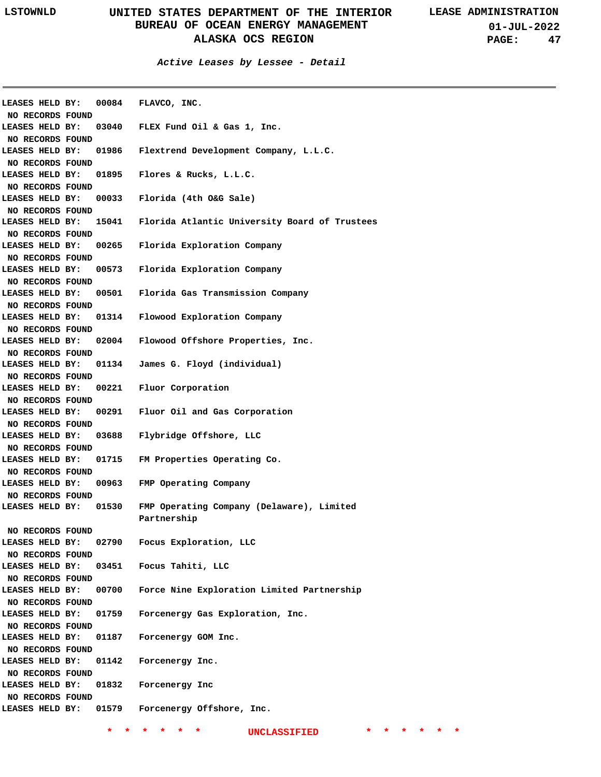**Active Leases by Lessee - Detail**

| LEASES HELD BY:<br>NO RECORDS FOUND | 00084 | FLAVCO, INC.                                  |
|-------------------------------------|-------|-----------------------------------------------|
| LEASES HELD BY:<br>NO RECORDS FOUND | 03040 | FLEX Fund Oil & Gas 1, Inc.                   |
| LEASES HELD BY:<br>NO RECORDS FOUND | 01986 | Flextrend Development Company, L.L.C.         |
| LEASES HELD BY:<br>NO RECORDS FOUND | 01895 | Flores & Rucks, L.L.C.                        |
| LEASES HELD BY:<br>NO RECORDS FOUND | 00033 | Florida (4th O&G Sale)                        |
| LEASES HELD BY:                     | 15041 | Florida Atlantic University Board of Trustees |
| NO RECORDS FOUND<br>LEASES HELD BY: | 00265 | Florida Exploration Company                   |
| NO RECORDS FOUND<br>LEASES HELD BY: | 00573 | Florida Exploration Company                   |
| NO RECORDS FOUND<br>LEASES HELD BY: |       | 00501 Florida Gas Transmission Company        |
| NO RECORDS FOUND<br>LEASES HELD BY: | 01314 | Flowood Exploration Company                   |
| NO RECORDS FOUND<br>LEASES HELD BY: | 02004 | Flowood Offshore Properties, Inc.             |
| NO RECORDS FOUND<br>LEASES HELD BY: | 01134 | James G. Floyd (individual)                   |
| NO RECORDS FOUND<br>LEASES HELD BY: |       | 00221 Fluor Corporation                       |
| NO RECORDS FOUND<br>LEASES HELD BY: |       | 00291 Fluor Oil and Gas Corporation           |
| NO RECORDS FOUND<br>LEASES HELD BY: | 03688 | Flybridge Offshore, LLC                       |
| NO RECORDS FOUND<br>LEASES HELD BY: | 01715 | FM Properties Operating Co.                   |
| NO RECORDS FOUND<br>LEASES HELD BY: | 00963 | FMP Operating Company                         |
| NO RECORDS FOUND<br>LEASES HELD BY: | 01530 | FMP Operating Company (Delaware), Limited     |
| NO RECORDS FOUND                    |       | Partnership                                   |
| LEASES HELD BY:<br>NO RECORDS FOUND | 02790 | Focus Exploration, LLC                        |
| LEASES HELD BY:<br>NO RECORDS FOUND |       | 03451 Focus Tahiti, LLC                       |
| LEASES HELD BY:<br>NO RECORDS FOUND | 00700 | Force Nine Exploration Limited Partnership    |
| LEASES HELD BY:<br>NO RECORDS FOUND | 01759 | Forcenergy Gas Exploration, Inc.              |
| LEASES HELD BY:<br>NO RECORDS FOUND | 01187 | Forcenergy GOM Inc.                           |
| LEASES HELD BY:<br>NO RECORDS FOUND | 01142 | Forcenergy Inc.                               |
| LEASES HELD BY:<br>NO RECORDS FOUND | 01832 | Forcenergy Inc                                |
| LEASES HELD BY:                     | 01579 | Forcenergy Offshore, Inc.                     |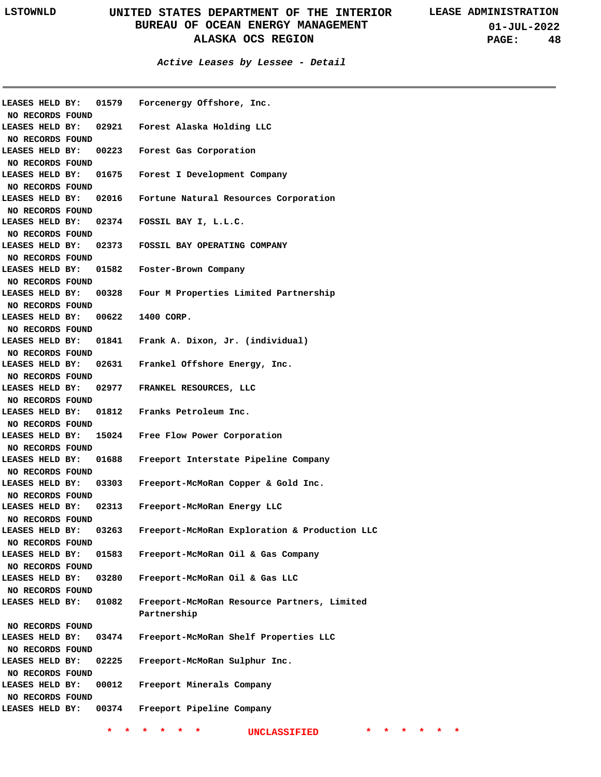| LEASES HELD BY:  |       | 01579 Forcenergy Offshore, Inc.               |
|------------------|-------|-----------------------------------------------|
| NO RECORDS FOUND |       |                                               |
| LEASES HELD BY:  |       | 02921 Forest Alaska Holding LLC               |
| NO RECORDS FOUND |       |                                               |
| LEASES HELD BY:  |       | 00223 Forest Gas Corporation                  |
| NO RECORDS FOUND |       |                                               |
| LEASES HELD BY:  |       | 01675 Forest I Development Company            |
| NO RECORDS FOUND |       |                                               |
| LEASES HELD BY:  |       | 02016 Fortune Natural Resources Corporation   |
| NO RECORDS FOUND |       |                                               |
| LEASES HELD BY:  |       | 02374 FOSSIL BAY I, L.L.C.                    |
| NO RECORDS FOUND |       |                                               |
| LEASES HELD BY:  |       | 02373 FOSSIL BAY OPERATING COMPANY            |
| NO RECORDS FOUND |       |                                               |
| LEASES HELD BY:  |       | 01582 Foster-Brown Company                    |
| NO RECORDS FOUND |       |                                               |
| LEASES HELD BY:  |       | 00328 Four M Properties Limited Partnership   |
|                  |       |                                               |
| NO RECORDS FOUND |       |                                               |
| LEASES HELD BY:  | 00622 | 1400 CORP.                                    |
| NO RECORDS FOUND |       |                                               |
| LEASES HELD BY:  |       | 01841 Frank A. Dixon, Jr. (individual)        |
| NO RECORDS FOUND |       |                                               |
| LEASES HELD BY:  |       | 02631 Frankel Offshore Energy, Inc.           |
| NO RECORDS FOUND |       |                                               |
| LEASES HELD BY:  |       | 02977 FRANKEL RESOURCES, LLC                  |
| NO RECORDS FOUND |       |                                               |
| LEASES HELD BY:  |       | 01812 Franks Petroleum Inc.                   |
| NO RECORDS FOUND |       |                                               |
| LEASES HELD BY:  |       | 15024 Free Flow Power Corporation             |
| NO RECORDS FOUND |       |                                               |
| LEASES HELD BY:  | 01688 | Freeport Interstate Pipeline Company          |
| NO RECORDS FOUND |       |                                               |
| LEASES HELD BY:  | 03303 | Freeport-McMoRan Copper & Gold Inc.           |
| NO RECORDS FOUND |       |                                               |
| LEASES HELD BY:  | 02313 | Freeport-McMoRan Energy LLC                   |
| NO RECORDS FOUND |       |                                               |
| LEASES HELD BY:  | 03263 | Freeport-McMoRan Exploration & Production LLC |
| NO RECORDS FOUND |       |                                               |
| LEASES HELD BY:  | 01583 | Freeport-McMoRan Oil & Gas Company            |
|                  |       |                                               |
| NO RECORDS FOUND |       |                                               |
| LEASES HELD BY:  | 03280 | Freeport-McMoRan Oil & Gas LLC                |
| NO RECORDS FOUND |       |                                               |
| LEASES HELD BY:  | 01082 | Freeport-McMoRan Resource Partners, Limited   |
|                  |       | Partnership                                   |
| NO RECORDS FOUND |       |                                               |
| LEASES HELD BY:  | 03474 | Freeport-McMoRan Shelf Properties LLC         |
| NO RECORDS FOUND |       |                                               |
| LEASES HELD BY:  | 02225 | Freeport-McMoRan Sulphur Inc.                 |
| NO RECORDS FOUND |       |                                               |
| LEASES HELD BY:  | 00012 | Freeport Minerals Company                     |
| NO RECORDS FOUND |       |                                               |
| LEASES HELD BY:  | 00374 | Freeport Pipeline Company                     |
|                  |       |                                               |
|                  |       | <b>UNCLASSIFIED</b>                           |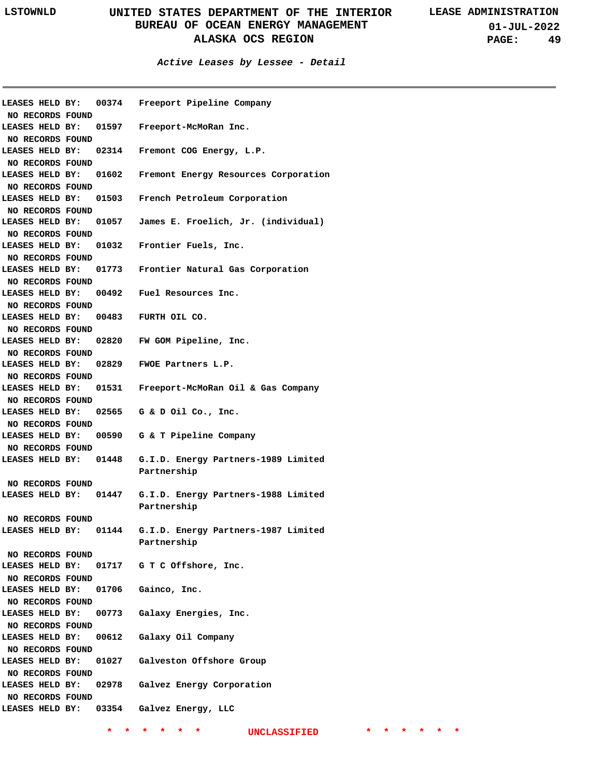**Active Leases by Lessee - Detail**

| LEASES HELD BY:  |       | 00374 Freeport Pipeline Company                           |
|------------------|-------|-----------------------------------------------------------|
| NO RECORDS FOUND |       |                                                           |
| LEASES HELD BY:  |       | 01597 Freeport-McMoRan Inc.                               |
| NO RECORDS FOUND |       |                                                           |
| LEASES HELD BY:  |       | 02314 Fremont COG Energy, L.P.                            |
| NO RECORDS FOUND |       |                                                           |
| LEASES HELD BY:  |       | 01602 Fremont Energy Resources Corporation                |
| NO RECORDS FOUND |       |                                                           |
| LEASES HELD BY:  |       | 01503 French Petroleum Corporation                        |
| NO RECORDS FOUND |       |                                                           |
| LEASES HELD BY:  |       | 01057 James E. Froelich, Jr. (individual)                 |
| NO RECORDS FOUND |       |                                                           |
| LEASES HELD BY:  |       | 01032 Frontier Fuels, Inc.                                |
| NO RECORDS FOUND |       |                                                           |
| LEASES HELD BY:  |       | 01773 Frontier Natural Gas Corporation                    |
| NO RECORDS FOUND |       |                                                           |
| LEASES HELD BY:  |       | 00492 Fuel Resources Inc.                                 |
| NO RECORDS FOUND |       |                                                           |
| LEASES HELD BY:  |       | 00483 FURTH OIL CO.                                       |
| NO RECORDS FOUND |       |                                                           |
| LEASES HELD BY:  |       | 02820 FW GOM Pipeline, Inc.                               |
| NO RECORDS FOUND |       |                                                           |
| LEASES HELD BY:  |       | 02829 FWOE Partners L.P.                                  |
| NO RECORDS FOUND |       |                                                           |
| LEASES HELD BY:  |       | 01531 Freeport-McMoRan Oil & Gas Company                  |
| NO RECORDS FOUND |       |                                                           |
| LEASES HELD BY:  |       | 02565 G & D Oil Co., Inc.                                 |
| NO RECORDS FOUND |       |                                                           |
| LEASES HELD BY:  |       | 00590 G & T Pipeline Company                              |
| NO RECORDS FOUND |       |                                                           |
|                  |       | LEASES HELD BY: 01448 G.I.D. Energy Partners-1989 Limited |
|                  |       | Partnership                                               |
| NO RECORDS FOUND |       |                                                           |
|                  |       | LEASES HELD BY: 01447 G.I.D. Energy Partners-1988 Limited |
|                  |       | Partnership                                               |
| NO RECORDS FOUND |       |                                                           |
| LEASES HELD BY:  | 01144 | G.I.D. Energy Partners-1987 Limited                       |
|                  |       | Partnership                                               |
| NO RECORDS FOUND |       |                                                           |
|                  |       | LEASES HELD BY: 01717 G T C Offshore, Inc.                |
| NO RECORDS FOUND |       |                                                           |
| LEASES HELD BY:  |       | 01706 Gainco, Inc.                                        |
| NO RECORDS FOUND |       |                                                           |
| LEASES HELD BY:  |       | 00773 Galaxy Energies, Inc.                               |
| NO RECORDS FOUND |       |                                                           |
| LEASES HELD BY:  |       | 00612 Galaxy Oil Company                                  |
| NO RECORDS FOUND |       |                                                           |
| LEASES HELD BY:  |       | 01027 Galveston Offshore Group                            |
| NO RECORDS FOUND |       |                                                           |
| LEASES HELD BY:  |       | 02978 Galvez Energy Corporation                           |
| NO RECORDS FOUND |       |                                                           |
|                  |       | LEASES HELD BY: 03354 Galvez Energy, LLC                  |
|                  |       |                                                           |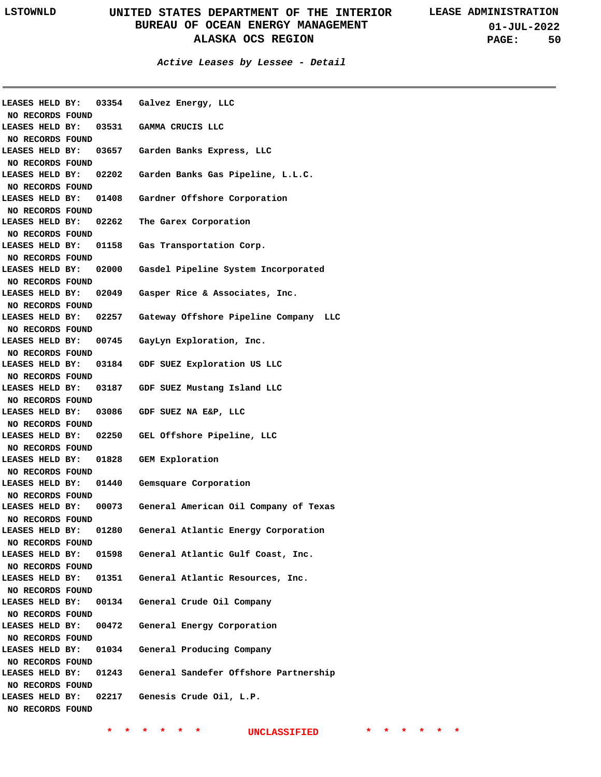| NO RECORDS FOUND                    |       | LEASES HELD BY: 03354 Galvez Energy, LLC                    |
|-------------------------------------|-------|-------------------------------------------------------------|
| LEASES HELD BY:<br>NO RECORDS FOUND |       | 03531 GAMMA CRUCIS LLC                                      |
| LEASES HELD BY:<br>NO RECORDS FOUND |       | 03657 Garden Banks Express, LLC                             |
| LEASES HELD BY:<br>NO RECORDS FOUND |       | 02202 Garden Banks Gas Pipeline, L.L.C.                     |
| LEASES HELD BY:<br>NO RECORDS FOUND |       | 01408 Gardner Offshore Corporation                          |
| LEASES HELD BY:<br>NO RECORDS FOUND |       | 02262 The Garex Corporation                                 |
| LEASES HELD BY:<br>NO RECORDS FOUND |       | 01158 Gas Transportation Corp.                              |
| LEASES HELD BY:<br>NO RECORDS FOUND |       | 02000 Gasdel Pipeline System Incorporated                   |
| LEASES HELD BY:<br>NO RECORDS FOUND |       | 02049 Gasper Rice & Associates, Inc.                        |
| NO RECORDS FOUND                    |       | LEASES HELD BY: 02257 Gateway Offshore Pipeline Company LLC |
| NO RECORDS FOUND                    |       | LEASES HELD BY: 00745 GayLyn Exploration, Inc.              |
| NO RECORDS FOUND                    |       | LEASES HELD BY: 03184 GDF SUEZ Exploration US LLC           |
| NO RECORDS FOUND                    |       | LEASES HELD BY: 03187 GDF SUEZ Mustang Island LLC           |
| NO RECORDS FOUND                    |       | LEASES HELD BY: 03086 GDF SUEZ NA E&P, LLC                  |
| NO RECORDS FOUND                    |       | LEASES HELD BY: 02250 GEL Offshore Pipeline, LLC            |
| NO RECORDS FOUND                    |       | LEASES HELD BY: 01828 GEM Exploration                       |
| NO RECORDS FOUND                    |       | LEASES HELD BY: 01440 Gemsquare Corporation                 |
| NO RECORDS FOUND                    |       | LEASES HELD BY: 00073 General American Oil Company of Texas |
| LEASES HELD BY:<br>NO RECORDS FOUND | 01280 | General Atlantic Energy Corporation                         |
| LEASES HELD BY:<br>NO RECORDS FOUND |       | 01598 General Atlantic Gulf Coast, Inc.                     |
| LEASES HELD BY:<br>NO RECORDS FOUND |       | 01351 General Atlantic Resources, Inc.                      |
| LEASES HELD BY:<br>NO RECORDS FOUND | 00134 | General Crude Oil Company                                   |
| LEASES HELD BY:<br>NO RECORDS FOUND | 00472 | General Energy Corporation                                  |
| LEASES HELD BY:<br>NO RECORDS FOUND |       | 01034 General Producing Company                             |
| LEASES HELD BY:<br>NO RECORDS FOUND |       | 01243 General Sandefer Offshore Partnership                 |
| LEASES HELD BY:<br>NO RECORDS FOUND |       | 02217 Genesis Crude Oil, L.P.                               |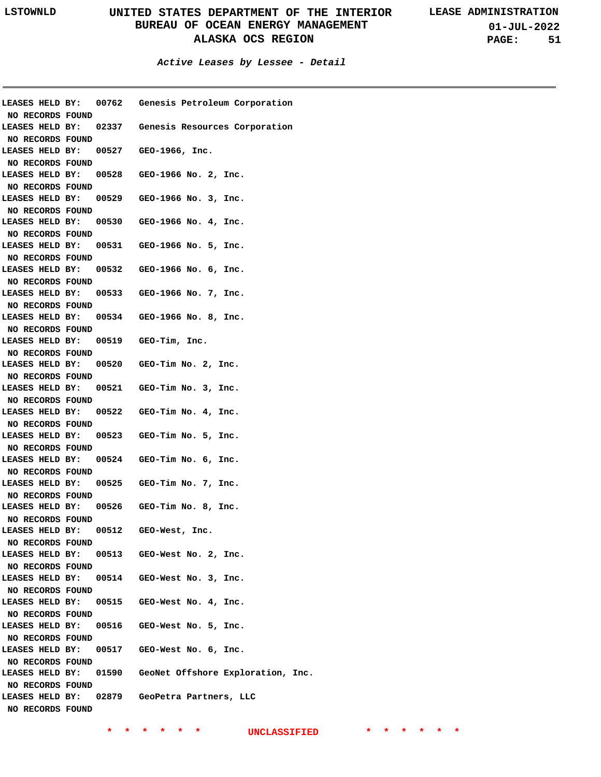**01-JUL-2022 PAGE: 51**

|                  |  | LEASES HELD BY: 00762 Genesis Petroleum Corporation     |
|------------------|--|---------------------------------------------------------|
| NO RECORDS FOUND |  |                                                         |
|                  |  | LEASES HELD BY: 02337 Genesis Resources Corporation     |
| NO RECORDS FOUND |  |                                                         |
|                  |  | LEASES HELD BY: 00527 GEO-1966, Inc.                    |
| NO RECORDS FOUND |  |                                                         |
|                  |  | LEASES HELD BY: 00528 GEO-1966 No. 2, Inc.              |
| NO RECORDS FOUND |  |                                                         |
|                  |  | LEASES HELD BY: 00529 GEO-1966 No. 3, Inc.              |
| NO RECORDS FOUND |  |                                                         |
|                  |  | LEASES HELD BY: 00530 GEO-1966 No. 4, Inc.              |
| NO RECORDS FOUND |  |                                                         |
|                  |  | LEASES HELD BY: 00531 GEO-1966 No. 5, Inc.              |
| NO RECORDS FOUND |  |                                                         |
|                  |  | LEASES HELD BY: 00532 GEO-1966 No. 6, Inc.              |
| NO RECORDS FOUND |  |                                                         |
|                  |  | LEASES HELD BY: 00533 GEO-1966 No. 7, Inc.              |
| NO RECORDS FOUND |  |                                                         |
|                  |  | LEASES HELD BY: 00534 GEO-1966 No. 8, Inc.              |
| NO RECORDS FOUND |  |                                                         |
|                  |  | LEASES HELD BY: 00519 GEO-Tim, Inc.                     |
| NO RECORDS FOUND |  |                                                         |
|                  |  | LEASES HELD BY: 00520 GEO-Tim No. 2, Inc.               |
| NO RECORDS FOUND |  |                                                         |
|                  |  | LEASES HELD BY: 00521 GEO-Tim No. 3, Inc.               |
|                  |  |                                                         |
| NO RECORDS FOUND |  |                                                         |
|                  |  | LEASES HELD BY: 00522 GEO-Tim No. 4, Inc.               |
| NO RECORDS FOUND |  |                                                         |
|                  |  | LEASES HELD BY: 00523 GEO-Tim No. 5, Inc.               |
| NO RECORDS FOUND |  |                                                         |
|                  |  | LEASES HELD BY: 00524 GEO-Tim No. 6, Inc.               |
| NO RECORDS FOUND |  |                                                         |
|                  |  | LEASES HELD BY: 00525 GEO-Tim No. 7, Inc.               |
| NO RECORDS FOUND |  |                                                         |
|                  |  | LEASES HELD BY: 00526 GEO-Tim No. 8, Inc.               |
| NO RECORDS FOUND |  |                                                         |
|                  |  | LEASES HELD BY: 00512 GEO-West, Inc.                    |
| NO RECORDS FOUND |  |                                                         |
|                  |  | LEASES HELD BY: 00513 GEO-West No. 2, Inc.              |
| NO RECORDS FOUND |  |                                                         |
|                  |  | LEASES HELD BY: 00514 GEO-West No. 3, Inc.              |
| NO RECORDS FOUND |  |                                                         |
|                  |  | LEASES HELD BY: 00515 GEO-West No. 4, Inc.              |
|                  |  |                                                         |
| NO RECORDS FOUND |  | LEASES HELD BY: 00516 GEO-West No. 5, Inc.              |
|                  |  |                                                         |
| NO RECORDS FOUND |  |                                                         |
|                  |  | LEASES HELD BY: 00517 GEO-West No. 6, Inc.              |
| NO RECORDS FOUND |  |                                                         |
|                  |  | LEASES HELD BY: 01590 GeoNet Offshore Exploration, Inc. |
| NO RECORDS FOUND |  |                                                         |
|                  |  | LEASES HELD BY: 02879 GeoPetra Partners, LLC            |
| NO RECORDS FOUND |  |                                                         |
|                  |  |                                                         |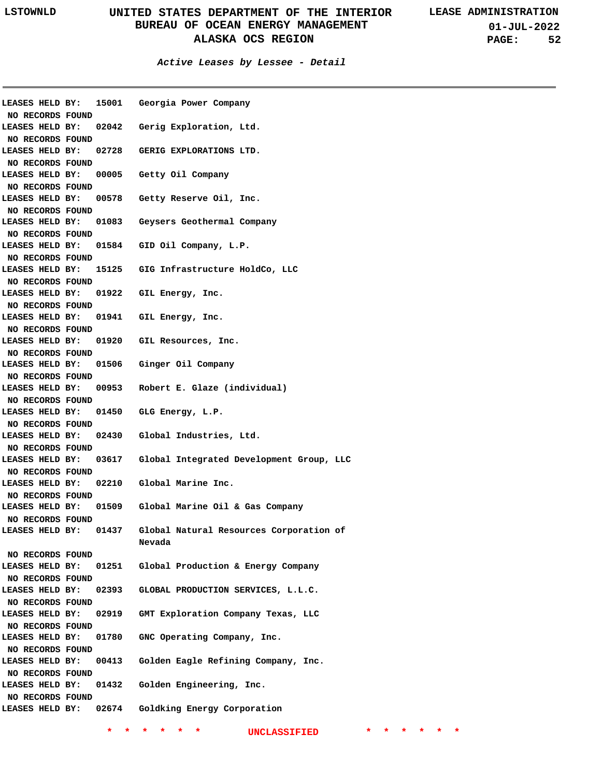**Active Leases by Lessee - Detail**

| LEASES HELD BY:  | 15001 | Georgia Power Company                    |
|------------------|-------|------------------------------------------|
| NO RECORDS FOUND |       |                                          |
| LEASES HELD BY:  | 02042 | Gerig Exploration, Ltd.                  |
| NO RECORDS FOUND |       |                                          |
| LEASES HELD BY:  | 02728 | GERIG EXPLORATIONS LTD.                  |
| NO RECORDS FOUND |       |                                          |
| LEASES HELD BY:  | 00005 | Getty Oil Company                        |
| NO RECORDS FOUND |       |                                          |
| LEASES HELD BY:  | 00578 | Getty Reserve Oil, Inc.                  |
| NO RECORDS FOUND |       |                                          |
| LEASES HELD BY:  | 01083 | Geysers Geothermal Company               |
| NO RECORDS FOUND |       |                                          |
| LEASES HELD BY:  |       | 01584 GID Oil Company, L.P.              |
| NO RECORDS FOUND |       |                                          |
| LEASES HELD BY:  |       | 15125 GIG Infrastructure HoldCo, LLC     |
| NO RECORDS FOUND |       |                                          |
| LEASES HELD BY:  | 01922 | GIL Energy, Inc.                         |
| NO RECORDS FOUND |       |                                          |
| LEASES HELD BY:  | 01941 | GIL Energy, Inc.                         |
| NO RECORDS FOUND |       |                                          |
| LEASES HELD BY:  | 01920 | GIL Resources, Inc.                      |
| NO RECORDS FOUND |       |                                          |
| LEASES HELD BY:  | 01506 | Ginger Oil Company                       |
| NO RECORDS FOUND |       |                                          |
| LEASES HELD BY:  | 00953 | Robert E. Glaze (individual)             |
| NO RECORDS FOUND |       |                                          |
| LEASES HELD BY:  | 01450 | GLG Energy, L.P.                         |
|                  |       |                                          |
| NO RECORDS FOUND |       |                                          |
| LEASES HELD BY:  | 02430 | Global Industries, Ltd.                  |
| NO RECORDS FOUND |       |                                          |
| LEASES HELD BY:  | 03617 | Global Integrated Development Group, LLC |
| NO RECORDS FOUND |       |                                          |
| LEASES HELD BY:  | 02210 | Global Marine Inc.                       |
| NO RECORDS FOUND |       |                                          |
| LEASES HELD BY:  | 01509 | Global Marine Oil & Gas Company          |
| NO RECORDS FOUND |       |                                          |
| LEASES HELD BY:  | 01437 | Global Natural Resources Corporation of  |
|                  |       | Nevada                                   |
| NO RECORDS FOUND |       |                                          |
| LEASES HELD BY:  | 01251 | Global Production & Energy Company       |
| NO RECORDS FOUND |       |                                          |
| LEASES HELD BY:  | 02393 | GLOBAL PRODUCTION SERVICES, L.L.C.       |
| NO RECORDS FOUND |       |                                          |
| LEASES HELD BY:  | 02919 | GMT Exploration Company Texas, LLC       |
| NO RECORDS FOUND |       |                                          |
| LEASES HELD BY:  | 01780 | GNC Operating Company, Inc.              |
| NO RECORDS FOUND |       |                                          |
| LEASES HELD BY:  | 00413 | Golden Eagle Refining Company, Inc.      |
| NO RECORDS FOUND |       |                                          |
| LEASES HELD BY:  | 01432 | Golden Engineering, Inc.                 |
| NO RECORDS FOUND |       |                                          |
| LEASES HELD BY:  | 02674 | Goldking Energy Corporation              |
|                  |       |                                          |
|                  |       |                                          |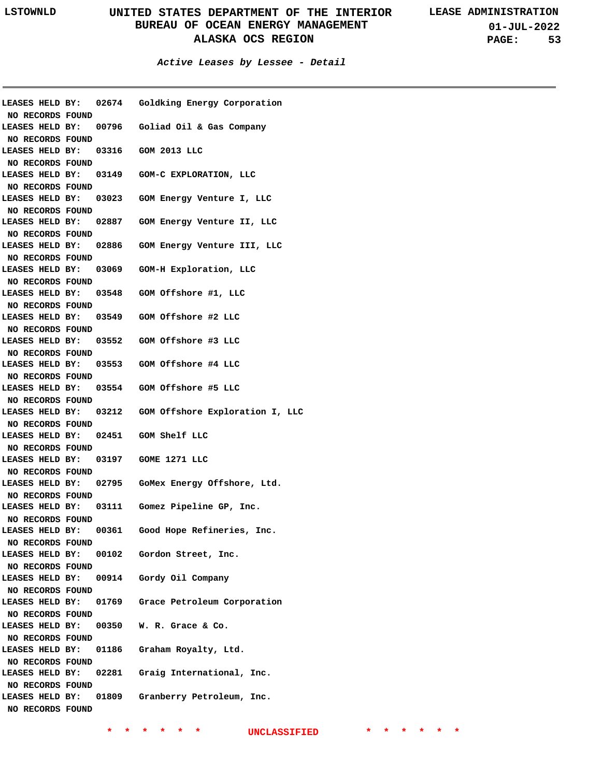**01-JUL-2022 PAGE: 53**

**Active Leases by Lessee - Detail**

| NO RECORDS FOUND                    |                                     | LEASES HELD BY: 02674 Goldking Energy Corporation     |
|-------------------------------------|-------------------------------------|-------------------------------------------------------|
| NO RECORDS FOUND                    |                                     | LEASES HELD BY: 00796 Goliad Oil & Gas Company        |
| NO RECORDS FOUND                    | LEASES HELD BY: 03316 GOM 2013 LLC  |                                                       |
| NO RECORDS FOUND                    |                                     | LEASES HELD BY: 03149 GOM-C EXPLORATION, LLC          |
| NO RECORDS FOUND                    |                                     | LEASES HELD BY: 03023 GOM Energy Venture I, LLC       |
| NO RECORDS FOUND                    |                                     | LEASES HELD BY: 02887 GOM Energy Venture II, LLC      |
| NO RECORDS FOUND                    |                                     | LEASES HELD BY: 02886 GOM Energy Venture III, LLC     |
| NO RECORDS FOUND                    |                                     | LEASES HELD BY: 03069 GOM-H Exploration, LLC          |
| NO RECORDS FOUND                    |                                     | LEASES HELD BY: 03548 GOM Offshore #1, LLC            |
| NO RECORDS FOUND                    |                                     | LEASES HELD BY: 03549 GOM Offshore #2 LLC             |
| NO RECORDS FOUND                    |                                     | LEASES HELD BY: 03552 GOM Offshore #3 LLC             |
| NO RECORDS FOUND                    |                                     | LEASES HELD BY: 03553 GOM Offshore #4 LLC             |
| NO RECORDS FOUND                    |                                     | LEASES HELD BY: 03554 GOM Offshore #5 LLC             |
| NO RECORDS FOUND                    |                                     | LEASES HELD BY: 03212 GOM Offshore Exploration I, LLC |
| NO RECORDS FOUND                    | LEASES HELD BY: 02451 GOM Shelf LLC |                                                       |
| NO RECORDS FOUND                    | LEASES HELD BY: 03197 GOME 1271 LLC |                                                       |
| NO RECORDS FOUND                    |                                     | LEASES HELD BY: 02795 GoMex Energy Offshore, Ltd.     |
| NO RECORDS FOUND                    |                                     | LEASES HELD BY: 03111 Gomez Pipeline GP, Inc.         |
| LEASES HELD BY:<br>NO RECORDS FOUND | 00361                               | Good Hope Refineries, Inc.                            |
| NO RECORDS FOUND                    |                                     | LEASES HELD BY: 00102 Gordon Street, Inc.             |
| NO RECORDS FOUND                    |                                     | LEASES HELD BY: 00914 Gordy Oil Company               |
| NO RECORDS FOUND                    |                                     | LEASES HELD BY: 01769 Grace Petroleum Corporation     |
| NO RECORDS FOUND                    |                                     | LEASES HELD BY: 00350 W. R. Grace & Co.               |
| NO RECORDS FOUND                    |                                     | LEASES HELD BY: 01186 Graham Royalty, Ltd.            |
| <b>NO RECORDS FOUND</b>             |                                     | LEASES HELD BY: 02281 Graig International, Inc.       |
| NO RECORDS FOUND                    |                                     | LEASES HELD BY: 01809 Granberry Petroleum, Inc.       |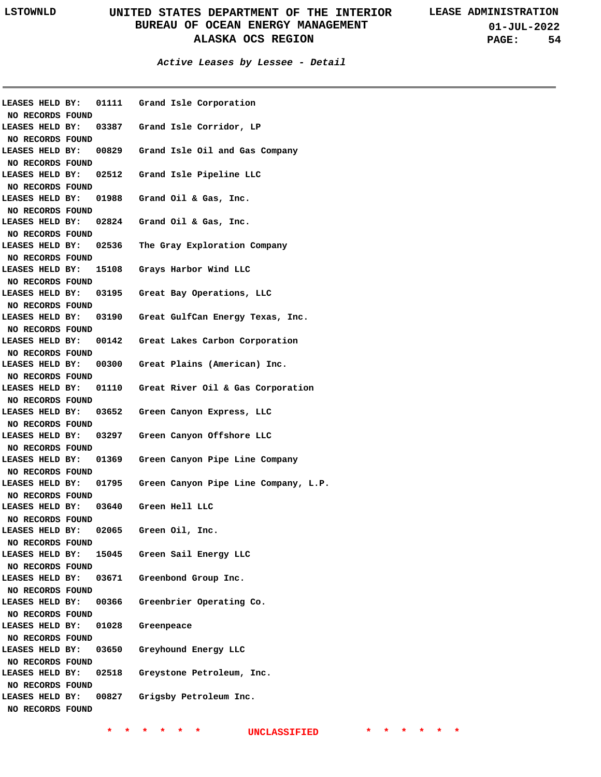**01-JUL-2022 PAGE: 54**

### **Active Leases by Lessee - Detail**

|                                     |       | LEASES HELD BY: 01111 Grand Isle Corporation               |
|-------------------------------------|-------|------------------------------------------------------------|
| NO RECORDS FOUND                    |       |                                                            |
|                                     |       | LEASES HELD BY: 03387 Grand Isle Corridor, LP              |
| NO RECORDS FOUND                    |       |                                                            |
|                                     |       | LEASES HELD BY: 00829 Grand Isle Oil and Gas Company       |
| NO RECORDS FOUND                    |       |                                                            |
|                                     |       | LEASES HELD BY: 02512 Grand Isle Pipeline LLC              |
| NO RECORDS FOUND                    |       |                                                            |
|                                     |       | LEASES HELD BY: 01988 Grand Oil & Gas, Inc.                |
| NO RECORDS FOUND                    |       |                                                            |
|                                     |       | LEASES HELD BY: 02824 Grand Oil & Gas, Inc.                |
| NO RECORDS FOUND                    |       |                                                            |
|                                     |       | LEASES HELD BY: 02536 The Gray Exploration Company         |
| NO RECORDS FOUND                    |       |                                                            |
|                                     |       | LEASES HELD BY: 15108 Grays Harbor Wind LLC                |
| NO RECORDS FOUND                    |       |                                                            |
|                                     |       | LEASES HELD BY: 03195 Great Bay Operations, LLC            |
| NO RECORDS FOUND                    |       |                                                            |
|                                     |       | LEASES HELD BY: 03190 Great GulfCan Energy Texas, Inc.     |
| NO RECORDS FOUND                    |       |                                                            |
|                                     |       | LEASES HELD BY: 00142 Great Lakes Carbon Corporation       |
|                                     |       |                                                            |
| NO RECORDS FOUND                    |       |                                                            |
|                                     |       | LEASES HELD BY: 00300 Great Plains (American) Inc.         |
| NO RECORDS FOUND                    |       |                                                            |
|                                     |       | LEASES HELD BY: 01110 Great River Oil & Gas Corporation    |
| NO RECORDS FOUND                    |       |                                                            |
|                                     |       | LEASES HELD BY: 03652 Green Canyon Express, LLC            |
| NO RECORDS FOUND                    |       |                                                            |
|                                     |       | LEASES HELD BY: 03297 Green Canyon Offshore LLC            |
| NO RECORDS FOUND                    |       |                                                            |
|                                     |       | LEASES HELD BY: 01369 Green Canyon Pipe Line Company       |
| NO RECORDS FOUND                    |       |                                                            |
|                                     |       | LEASES HELD BY: 01795 Green Canyon Pipe Line Company, L.P. |
| NO RECORDS FOUND                    |       |                                                            |
|                                     |       | LEASES HELD BY: 03640 Green Hell LLC                       |
| NO RECORDS FOUND                    |       |                                                            |
| LEASES HELD BY:                     | 02065 | Green Oil, Inc.                                            |
| NO RECORDS FOUND                    |       |                                                            |
| LEASES HELD BY:                     |       | 15045 Green Sail Energy LLC                                |
| NO RECORDS FOUND                    |       |                                                            |
| LEASES HELD BY:                     |       | 03671 Greenbond Group Inc.                                 |
| NO RECORDS FOUND                    |       |                                                            |
| LEASES HELD BY:                     | 00366 | Greenbrier Operating Co.                                   |
| NO RECORDS FOUND                    |       |                                                            |
| LEASES HELD BY:                     | 01028 | Greenpeace                                                 |
| NO RECORDS FOUND                    |       |                                                            |
| LEASES HELD BY:                     | 03650 | Greyhound Energy LLC                                       |
|                                     |       |                                                            |
| NO RECORDS FOUND<br>LEASES HELD BY: |       |                                                            |
|                                     |       |                                                            |
|                                     | 02518 | Greystone Petroleum, Inc.                                  |
| NO RECORDS FOUND                    |       |                                                            |
| LEASES HELD BY:<br>NO RECORDS FOUND | 00827 | Grigsby Petroleum Inc.                                     |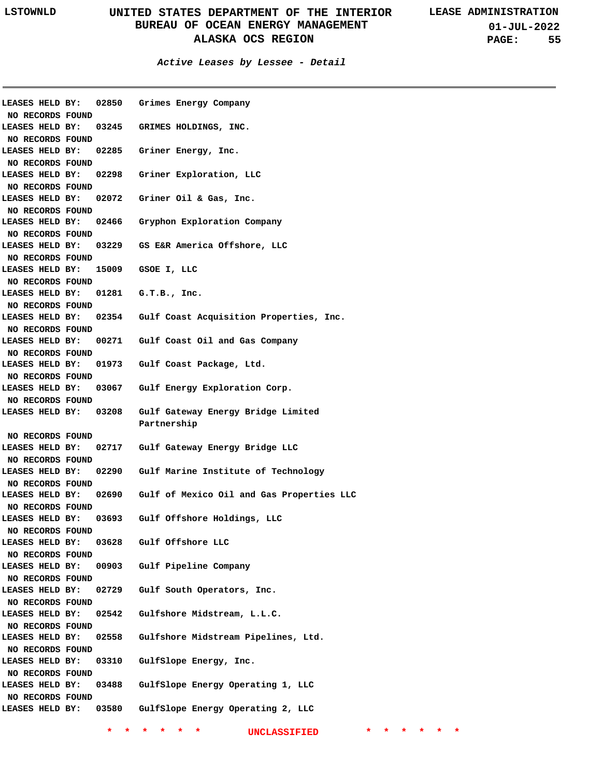| <b>LEASES HELD BY:</b> | 02850            | Grimes Energy Company                           |
|------------------------|------------------|-------------------------------------------------|
| NO RECORDS FOUND       |                  |                                                 |
| LEASES HELD BY:        |                  | 03245 GRIMES HOLDINGS, INC.                     |
| NO RECORDS FOUND       |                  |                                                 |
| LEASES HELD BY:        |                  | 02285 Griner Energy, Inc.                       |
| NO RECORDS FOUND       |                  |                                                 |
| LEASES HELD BY:        | 02298            | Griner Exploration, LLC                         |
| NO RECORDS FOUND       |                  |                                                 |
| LEASES HELD BY:        | 02072            | Griner Oil & Gas, Inc.                          |
| NO RECORDS FOUND       |                  |                                                 |
| LEASES HELD BY:        | 02466            | Gryphon Exploration Company                     |
| NO RECORDS FOUND       |                  |                                                 |
| LEASES HELD BY:        |                  | 03229 GS E&R America Offshore, LLC              |
| NO RECORDS FOUND       |                  |                                                 |
| LEASES HELD BY:        | 15009            | GSOE I, LLC                                     |
| NO RECORDS FOUND       |                  |                                                 |
| LEASES HELD BY:        | 01281            | G.T.B., Inc.                                    |
| NO RECORDS FOUND       |                  |                                                 |
| LEASES HELD BY:        |                  | 02354 Gulf Coast Acquisition Properties, Inc.   |
| NO RECORDS FOUND       |                  |                                                 |
| LEASES HELD BY:        |                  | 00271 Gulf Coast Oil and Gas Company            |
| NO RECORDS FOUND       |                  |                                                 |
| LEASES HELD BY:        | 01973            | Gulf Coast Package, Ltd.                        |
| NO RECORDS FOUND       |                  |                                                 |
| LEASES HELD BY:        | 03067            | Gulf Energy Exploration Corp.                   |
| NO RECORDS FOUND       |                  |                                                 |
| LEASES HELD BY:        | 03208            | Gulf Gateway Energy Bridge Limited              |
|                        |                  | Partnership                                     |
| NO RECORDS FOUND       |                  |                                                 |
| LEASES HELD BY:        |                  | 02717 Gulf Gateway Energy Bridge LLC            |
| NO RECORDS FOUND       |                  |                                                 |
| LEASES HELD BY:        |                  | 02290 Gulf Marine Institute of Technology       |
| NO RECORDS FOUND       |                  |                                                 |
| LEASES HELD BY:        |                  | 02690 Gulf of Mexico Oil and Gas Properties LLC |
| NO RECORDS FOUND       |                  |                                                 |
| LEASES HELD BY:        |                  | 03693 Gulf Offshore Holdings, LLC               |
| NO RECORDS FOUND       |                  |                                                 |
| LEASES HELD BY:        | 03628            | Gulf Offshore LLC                               |
|                        |                  |                                                 |
| NO RECORDS FOUND       |                  |                                                 |
| LEASES HELD BY:        | 00903            | Gulf Pipeline Company                           |
| NO RECORDS FOUND       |                  |                                                 |
| LEASES HELD BY:        | 02729            | Gulf South Operators, Inc.                      |
| NO RECORDS FOUND       |                  |                                                 |
| LEASES HELD BY:        | 02542            | Gulfshore Midstream, L.L.C.                     |
| NO RECORDS FOUND       |                  |                                                 |
| LEASES HELD BY:        | 02558            | Gulfshore Midstream Pipelines, Ltd.             |
| NO RECORDS FOUND       |                  |                                                 |
| LEASES HELD BY:        | 03310            | GulfSlope Energy, Inc.                          |
| NO RECORDS FOUND       |                  |                                                 |
| LEASES HELD BY:        | 03488            | GulfSlope Energy Operating 1, LLC               |
|                        |                  |                                                 |
|                        | NO RECORDS FOUND |                                                 |
| LEASES HELD BY:        | 03580            | GulfSlope Energy Operating 2, LLC               |
|                        |                  | UNCLASSIFIED                                    |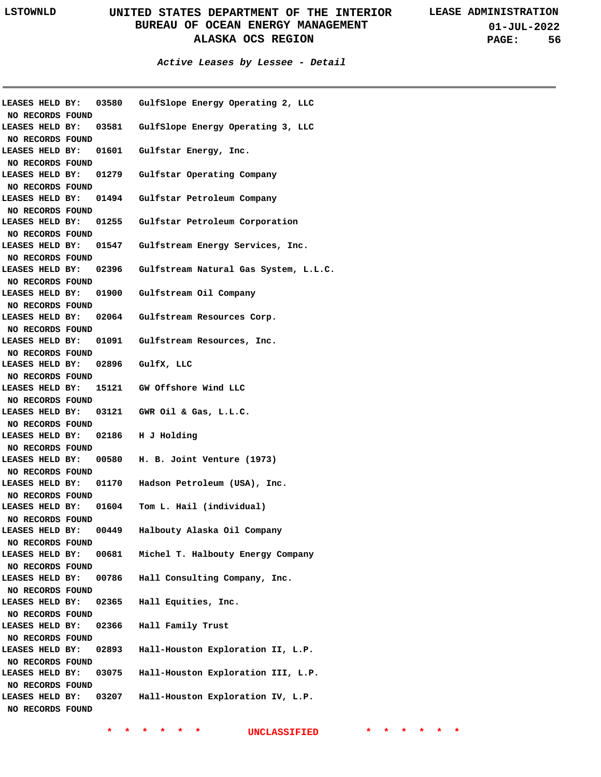**01-JUL-2022 PAGE: 56**

|                  |                                   | LEASES HELD BY: 03580 GulfSlope Energy Operating 2, LLC     |
|------------------|-----------------------------------|-------------------------------------------------------------|
| NO RECORDS FOUND |                                   |                                                             |
|                  |                                   | LEASES HELD BY: 03581 GulfSlope Energy Operating 3, LLC     |
| NO RECORDS FOUND |                                   |                                                             |
|                  |                                   | LEASES HELD BY: 01601 Gulfstar Energy, Inc.                 |
| NO RECORDS FOUND |                                   |                                                             |
|                  |                                   | LEASES HELD BY: 01279 Gulfstar Operating Company            |
| NO RECORDS FOUND |                                   |                                                             |
|                  |                                   | LEASES HELD BY: 01494 Gulfstar Petroleum Company            |
| NO RECORDS FOUND |                                   |                                                             |
|                  |                                   | LEASES HELD BY: 01255 Gulfstar Petroleum Corporation        |
| NO RECORDS FOUND |                                   |                                                             |
|                  |                                   | LEASES HELD BY: 01547 Gulfstream Energy Services, Inc.      |
| NO RECORDS FOUND |                                   |                                                             |
|                  |                                   | LEASES HELD BY: 02396 Gulfstream Natural Gas System, L.L.C. |
| NO RECORDS FOUND |                                   |                                                             |
|                  |                                   | LEASES HELD BY: 01900 Gulfstream Oil Company                |
| NO RECORDS FOUND |                                   |                                                             |
|                  |                                   | LEASES HELD BY: 02064 Gulfstream Resources Corp.            |
| NO RECORDS FOUND |                                   |                                                             |
|                  |                                   | LEASES HELD BY: 01091 Gulfstream Resources, Inc.            |
| NO RECORDS FOUND |                                   |                                                             |
|                  | LEASES HELD BY: 02896 GulfX, LLC  |                                                             |
| NO RECORDS FOUND |                                   |                                                             |
|                  |                                   | LEASES HELD BY: 15121 GW Offshore Wind LLC                  |
| NO RECORDS FOUND |                                   |                                                             |
|                  |                                   | LEASES HELD BY: 03121 GWR Oil & Gas, L.L.C.                 |
| NO RECORDS FOUND |                                   |                                                             |
|                  | LEASES HELD BY: 02186 H J Holding |                                                             |
| NO RECORDS FOUND |                                   |                                                             |
|                  |                                   | LEASES HELD BY: 00580 H. B. Joint Venture (1973)            |
| NO RECORDS FOUND |                                   |                                                             |
|                  |                                   | LEASES HELD BY: 01170 Hadson Petroleum (USA), Inc.          |
| NO RECORDS FOUND |                                   |                                                             |
|                  |                                   | LEASES HELD BY: 01604 Tom L. Hail (individual)              |
| NO RECORDS FOUND |                                   |                                                             |
| LEASES HELD BY:  | 00449                             | Halbouty Alaska Oil Company                                 |
| NO RECORDS FOUND |                                   |                                                             |
| LEASES HELD BY:  | 00681                             | Michel T. Halbouty Energy Company                           |
| NO RECORDS FOUND |                                   |                                                             |
| LEASES HELD BY:  | 00786                             | Hall Consulting Company, Inc.                               |
| NO RECORDS FOUND |                                   |                                                             |
| LEASES HELD BY:  | 02365                             | Hall Equities, Inc.                                         |
| NO RECORDS FOUND |                                   |                                                             |
| LEASES HELD BY:  | 02366                             | Hall Family Trust                                           |
| NO RECORDS FOUND |                                   |                                                             |
| LEASES HELD BY:  | 02893                             | Hall-Houston Exploration II, L.P.                           |
| NO RECORDS FOUND |                                   |                                                             |
| LEASES HELD BY:  | 03075                             | Hall-Houston Exploration III, L.P.                          |
| NO RECORDS FOUND |                                   |                                                             |
| LEASES HELD BY:  | 03207                             | Hall-Houston Exploration IV, L.P.                           |
| NO RECORDS FOUND |                                   |                                                             |
|                  |                                   |                                                             |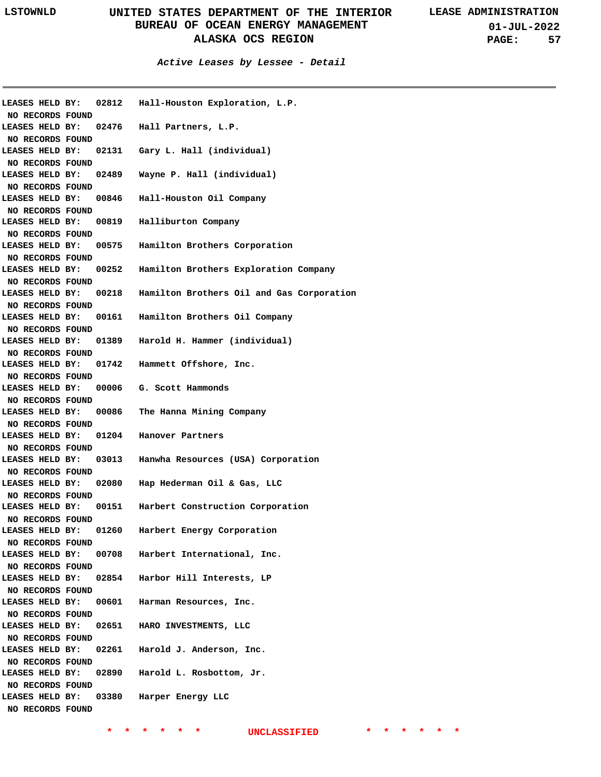**01-JUL-2022 PAGE: 57**

**Active Leases by Lessee - Detail**

|                                     | LEASES HELD BY: | 02812 Hall-Houston Exploration, L.P.      |
|-------------------------------------|-----------------|-------------------------------------------|
| NO RECORDS FOUND                    |                 |                                           |
| LEASES HELD BY:                     |                 | 02476 Hall Partners, L.P.                 |
| NO RECORDS FOUND                    |                 |                                           |
| LEASES HELD BY:                     |                 | 02131 Gary L. Hall (individual)           |
| NO RECORDS FOUND                    |                 |                                           |
| LEASES HELD BY:                     |                 | 02489 Wayne P. Hall (individual)          |
| NO RECORDS FOUND                    |                 |                                           |
| LEASES HELD BY:                     |                 | 00846 Hall-Houston Oil Company            |
| NO RECORDS FOUND                    |                 |                                           |
| LEASES HELD BY:                     |                 | 00819 Halliburton Company                 |
| NO RECORDS FOUND                    |                 |                                           |
| LEASES HELD BY:                     |                 | 00575 Hamilton Brothers Corporation       |
| NO RECORDS FOUND                    |                 |                                           |
| LEASES HELD BY:                     | 00252           | Hamilton Brothers Exploration Company     |
| NO RECORDS FOUND                    |                 |                                           |
| LEASES HELD BY:                     | 00218           | Hamilton Brothers Oil and Gas Corporation |
| NO RECORDS FOUND                    |                 |                                           |
| LEASES HELD BY:                     |                 | 00161 Hamilton Brothers Oil Company       |
| NO RECORDS FOUND                    |                 |                                           |
| LEASES HELD BY:                     | 01389           | Harold H. Hammer (individual)             |
| NO RECORDS FOUND                    |                 |                                           |
| LEASES HELD BY:                     | 01742           | Hammett Offshore, Inc.                    |
| NO RECORDS FOUND                    |                 |                                           |
|                                     |                 |                                           |
| LEASES HELD BY:                     |                 | 00006 G. Scott Hammonds                   |
| NO RECORDS FOUND<br>LEASES HELD BY: | 00086           | The Hanna Mining Company                  |
|                                     |                 |                                           |
| NO RECORDS FOUND                    |                 |                                           |
| LEASES HELD BY:                     |                 | 01204 Hanover Partners                    |
| NO RECORDS FOUND                    |                 |                                           |
| LEASES HELD BY:                     |                 | 03013 Hanwha Resources (USA) Corporation  |
| NO RECORDS FOUND                    |                 |                                           |
| LEASES HELD BY:                     | 02080           |                                           |
|                                     |                 | Hap Hederman Oil & Gas, LLC               |
| NO RECORDS FOUND                    |                 |                                           |
| LEASES HELD BY:                     | 00151           | Harbert Construction Corporation          |
| NO RECORDS FOUND                    |                 |                                           |
| LEASES HELD BY:                     | 01260           | Harbert Energy Corporation                |
| NO RECORDS FOUND                    |                 |                                           |
| LEASES HELD BY:                     | 00708           | Harbert International, Inc.               |
| NO RECORDS FOUND                    |                 |                                           |
| LEASES HELD BY:                     | 02854           | Harbor Hill Interests, LP                 |
| NO RECORDS FOUND                    |                 |                                           |
| LEASES HELD BY:                     | 00601           | Harman Resources, Inc.                    |
| NO RECORDS FOUND                    |                 |                                           |
| LEASES HELD BY:                     | 02651           | HARO INVESTMENTS, LLC                     |
| NO RECORDS FOUND                    |                 |                                           |
| LEASES HELD BY:                     | 02261           | Harold J. Anderson, Inc.                  |
| NO RECORDS FOUND                    |                 |                                           |
| LEASES HELD BY:                     | 02890           | Harold L. Rosbottom, Jr.                  |
| NO RECORDS FOUND                    |                 |                                           |
| LEASES HELD BY:                     | 03380           | Harper Energy LLC                         |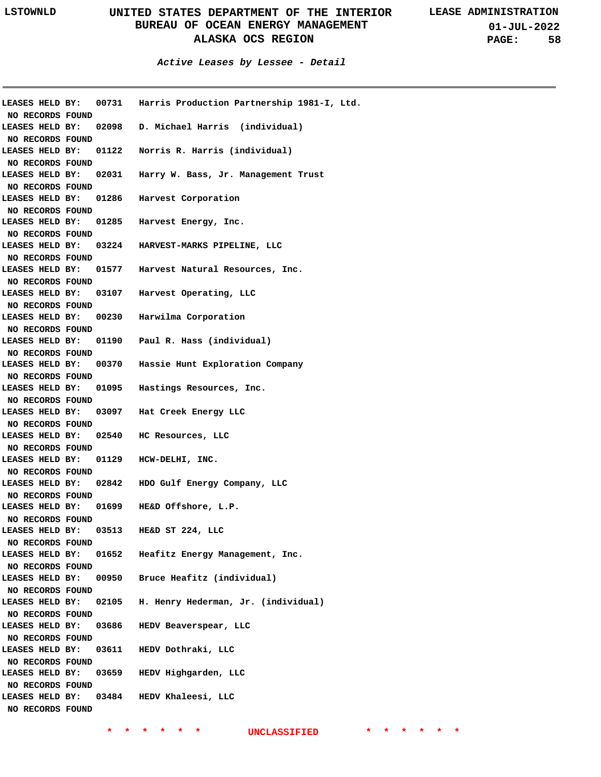**01-JUL-2022 PAGE: 58**

|                        |       | LEASES HELD BY: 00731 Harris Production Partnership 1981-I, Ltd. |
|------------------------|-------|------------------------------------------------------------------|
| NO RECORDS FOUND       |       |                                                                  |
| LEASES HELD BY:        |       | 02098 D. Michael Harris (individual)                             |
| NO RECORDS FOUND       |       |                                                                  |
| LEASES HELD BY:        |       | 01122 Norris R. Harris (individual)                              |
| NO RECORDS FOUND       |       |                                                                  |
| LEASES HELD BY:        |       | 02031 Harry W. Bass, Jr. Management Trust                        |
| NO RECORDS FOUND       |       |                                                                  |
| <b>LEASES HELD BY:</b> |       | 01286 Harvest Corporation                                        |
| NO RECORDS FOUND       |       |                                                                  |
| <b>LEASES HELD BY:</b> |       | 01285 Harvest Energy, Inc.                                       |
| NO RECORDS FOUND       |       |                                                                  |
| LEASES HELD BY:        |       | 03224 HARVEST-MARKS PIPELINE, LLC                                |
| NO RECORDS FOUND       |       |                                                                  |
| LEASES HELD BY:        |       | 01577 Harvest Natural Resources, Inc.                            |
| NO RECORDS FOUND       |       |                                                                  |
| LEASES HELD BY:        |       | 03107 Harvest Operating, LLC                                     |
| NO RECORDS FOUND       |       | LEASES HELD BY: 00230 Harwilma Corporation                       |
|                        |       |                                                                  |
| NO RECORDS FOUND       |       |                                                                  |
|                        |       | LEASES HELD BY: 01190 Paul R. Hass (individual)                  |
| NO RECORDS FOUND       |       |                                                                  |
|                        |       | LEASES HELD BY: 00370 Hassie Hunt Exploration Company            |
| NO RECORDS FOUND       |       |                                                                  |
|                        |       | LEASES HELD BY: 01095 Hastings Resources, Inc.                   |
| NO RECORDS FOUND       |       |                                                                  |
|                        |       | LEASES HELD BY: 03097 Hat Creek Energy LLC                       |
| NO RECORDS FOUND       |       |                                                                  |
|                        |       | LEASES HELD BY: 02540 HC Resources, LLC                          |
| NO RECORDS FOUND       |       | LEASES HELD BY: 01129 HCW-DELHI, INC.                            |
| NO RECORDS FOUND       |       |                                                                  |
|                        |       | LEASES HELD BY: 02842 HDO Gulf Energy Company, LLC               |
| NO RECORDS FOUND       |       |                                                                  |
|                        |       | LEASES HELD BY: 01699 HE&D Offshore, L.P.                        |
| NO RECORDS FOUND       |       |                                                                  |
| LEASES HELD BY:        | 03513 | HE&D ST 224, LLC                                                 |
| NO RECORDS FOUND       |       |                                                                  |
| LEASES HELD BY:        | 01652 | Heafitz Energy Management, Inc.                                  |
| NO RECORDS FOUND       |       |                                                                  |
| LEASES HELD BY:        | 00950 | Bruce Heafitz (individual)                                       |
| NO RECORDS FOUND       |       |                                                                  |
| LEASES HELD BY:        | 02105 | H. Henry Hederman, Jr. (individual)                              |
| NO RECORDS FOUND       |       |                                                                  |
| LEASES HELD BY:        | 03686 | HEDV Beaverspear, LLC                                            |
| NO RECORDS FOUND       |       |                                                                  |
| LEASES HELD BY:        | 03611 | HEDV Dothraki, LLC                                               |
| NO RECORDS FOUND       |       |                                                                  |
| LEASES HELD BY:        | 03659 | HEDV Highgarden, LLC                                             |
| NO RECORDS FOUND       |       |                                                                  |
| LEASES HELD BY:        | 03484 | HEDV Khaleesi, LLC                                               |
| NO RECORDS FOUND       |       |                                                                  |
|                        |       |                                                                  |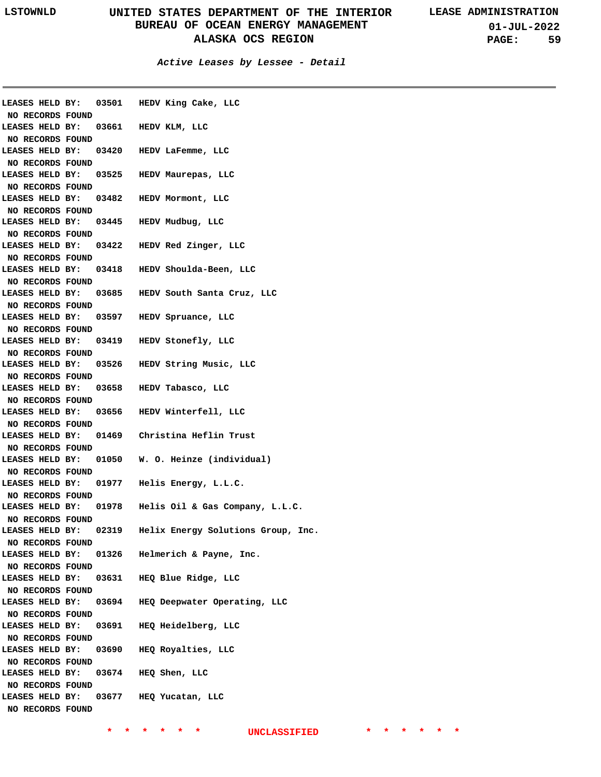**01-JUL-2022 PAGE: 59**

**Active Leases by Lessee - Detail**

|                  |  |       | LEASES HELD BY: 03501 HEDV King Cake, LLC             |
|------------------|--|-------|-------------------------------------------------------|
| NO RECORDS FOUND |  |       |                                                       |
|                  |  |       | LEASES HELD BY: 03661 HEDV KLM, LLC                   |
| NO RECORDS FOUND |  |       |                                                       |
|                  |  |       | LEASES HELD BY: 03420 HEDV LaFemme, LLC               |
| NO RECORDS FOUND |  |       |                                                       |
|                  |  |       | LEASES HELD BY: 03525 HEDV Maurepas, LLC              |
| NO RECORDS FOUND |  |       |                                                       |
|                  |  |       | LEASES HELD BY: 03482 HEDV Mormont, LLC               |
| NO RECORDS FOUND |  |       |                                                       |
|                  |  |       | LEASES HELD BY: 03445 HEDV Mudbug, LLC                |
| NO RECORDS FOUND |  |       |                                                       |
|                  |  |       | LEASES HELD BY: 03422 HEDV Red Zinger, LLC            |
| NO RECORDS FOUND |  |       |                                                       |
|                  |  |       | LEASES HELD BY: 03418 HEDV Shoulda-Been, LLC          |
| NO RECORDS FOUND |  |       |                                                       |
|                  |  |       | LEASES HELD BY: 03685 HEDV South Santa Cruz, LLC      |
| NO RECORDS FOUND |  |       |                                                       |
|                  |  |       | LEASES HELD BY: 03597 HEDV Spruance, LLC              |
| NO RECORDS FOUND |  |       |                                                       |
|                  |  |       | LEASES HELD BY: 03419 HEDV Stonefly, LLC              |
| NO RECORDS FOUND |  |       |                                                       |
|                  |  |       | LEASES HELD BY: 03526 HEDV String Music, LLC          |
| NO RECORDS FOUND |  |       |                                                       |
|                  |  |       | LEASES HELD BY: 03658 HEDV Tabasco, LLC               |
| NO RECORDS FOUND |  |       |                                                       |
|                  |  |       | LEASES HELD BY: 03656 HEDV Winterfell, LLC            |
| NO RECORDS FOUND |  |       |                                                       |
|                  |  |       | LEASES HELD BY: 01469 Christina Heflin Trust          |
| NO RECORDS FOUND |  |       |                                                       |
|                  |  |       | LEASES HELD BY: 01050 W. O. Heinze (individual)       |
| NO RECORDS FOUND |  |       |                                                       |
|                  |  |       | LEASES HELD BY: 01977 Helis Energy, L.L.C.            |
| NO RECORDS FOUND |  |       |                                                       |
|                  |  |       | LEASES HELD BY: 01978 Helis Oil & Gas Company, L.L.C. |
| NO RECORDS FOUND |  |       |                                                       |
| LEASES HELD BY:  |  | 02319 | Helix Energy Solutions Group, Inc.                    |
| NO RECORDS FOUND |  |       |                                                       |
| LEASES HELD BY:  |  | 01326 | Helmerich & Payne, Inc.                               |
| NO RECORDS FOUND |  |       |                                                       |
| LEASES HELD BY:  |  | 03631 | HEQ Blue Ridge, LLC                                   |
| NO RECORDS FOUND |  |       |                                                       |
| LEASES HELD BY:  |  | 03694 | HEQ Deepwater Operating, LLC                          |
| NO RECORDS FOUND |  |       |                                                       |
| LEASES HELD BY:  |  | 03691 | HEQ Heidelberg, LLC                                   |
| NO RECORDS FOUND |  |       |                                                       |
| LEASES HELD BY:  |  | 03690 | HEQ Royalties, LLC                                    |
| NO RECORDS FOUND |  |       |                                                       |
| LEASES HELD BY:  |  | 03674 | HEQ Shen, LLC                                         |
| NO RECORDS FOUND |  |       |                                                       |
| LEASES HELD BY:  |  | 03677 | HEQ Yucatan, LLC                                      |
| NO RECORDS FOUND |  |       |                                                       |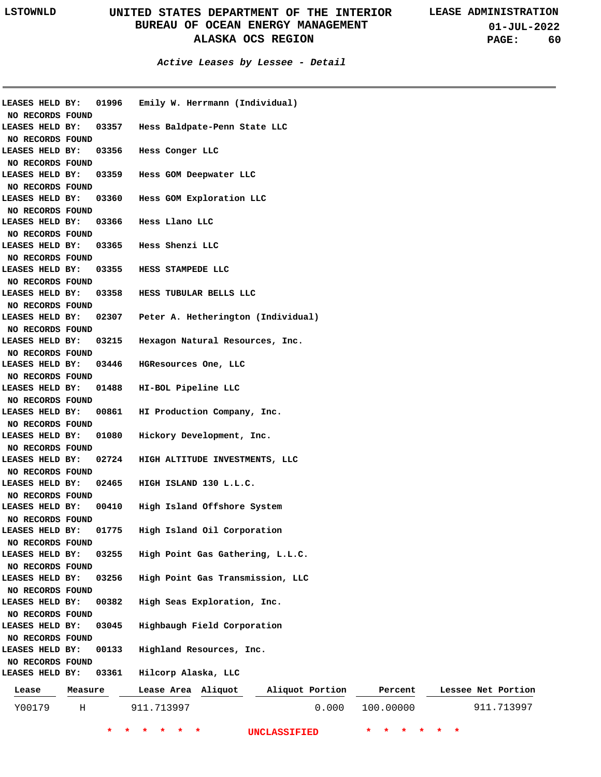**01-JUL-2022 PAGE: 60**

### **Active Leases by Lessee - Detail**

| LEASES HELD BY:  |         | 01996 | Emily W. Herrmann (Individual)     |                 |       |           |                    |
|------------------|---------|-------|------------------------------------|-----------------|-------|-----------|--------------------|
| NO RECORDS FOUND |         |       |                                    |                 |       |           |                    |
| LEASES HELD BY:  |         | 03357 | Hess Baldpate-Penn State LLC       |                 |       |           |                    |
| NO RECORDS FOUND |         |       |                                    |                 |       |           |                    |
| LEASES HELD BY:  |         | 03356 | Hess Conger LLC                    |                 |       |           |                    |
| NO RECORDS FOUND |         |       |                                    |                 |       |           |                    |
| LEASES HELD BY:  |         | 03359 | Hess GOM Deepwater LLC             |                 |       |           |                    |
| NO RECORDS FOUND |         |       |                                    |                 |       |           |                    |
| LEASES HELD BY:  |         | 03360 | Hess GOM Exploration LLC           |                 |       |           |                    |
| NO RECORDS FOUND |         |       |                                    |                 |       |           |                    |
| LEASES HELD BY:  |         | 03366 | Hess Llano LLC                     |                 |       |           |                    |
| NO RECORDS FOUND |         |       |                                    |                 |       |           |                    |
| LEASES HELD BY:  |         | 03365 | Hess Shenzi LLC                    |                 |       |           |                    |
| NO RECORDS FOUND |         |       |                                    |                 |       |           |                    |
| LEASES HELD BY:  |         | 03355 | HESS STAMPEDE LLC                  |                 |       |           |                    |
| NO RECORDS FOUND |         |       |                                    |                 |       |           |                    |
| LEASES HELD BY:  |         | 03358 | HESS TUBULAR BELLS LLC             |                 |       |           |                    |
| NO RECORDS FOUND |         |       |                                    |                 |       |           |                    |
| LEASES HELD BY:  |         | 02307 | Peter A. Hetherington (Individual) |                 |       |           |                    |
| NO RECORDS FOUND |         |       |                                    |                 |       |           |                    |
| LEASES HELD BY:  |         | 03215 | Hexagon Natural Resources, Inc.    |                 |       |           |                    |
| NO RECORDS FOUND |         |       |                                    |                 |       |           |                    |
| LEASES HELD BY:  |         | 03446 | HGResources One, LLC               |                 |       |           |                    |
| NO RECORDS FOUND |         |       |                                    |                 |       |           |                    |
| LEASES HELD BY:  |         | 01488 | HI-BOL Pipeline LLC                |                 |       |           |                    |
| NO RECORDS FOUND |         |       |                                    |                 |       |           |                    |
| LEASES HELD BY:  |         | 00861 | HI Production Company, Inc.        |                 |       |           |                    |
| NO RECORDS FOUND |         |       |                                    |                 |       |           |                    |
| LEASES HELD BY:  |         | 01080 | Hickory Development, Inc.          |                 |       |           |                    |
| NO RECORDS FOUND |         |       |                                    |                 |       |           |                    |
| LEASES HELD BY:  |         | 02724 | HIGH ALTITUDE INVESTMENTS, LLC     |                 |       |           |                    |
| NO RECORDS FOUND |         |       |                                    |                 |       |           |                    |
| LEASES HELD BY:  |         | 02465 | HIGH ISLAND 130 L.L.C.             |                 |       |           |                    |
| NO RECORDS FOUND |         |       |                                    |                 |       |           |                    |
| LEASES HELD BY:  |         | 00410 | High Island Offshore System        |                 |       |           |                    |
| NO RECORDS FOUND |         |       |                                    |                 |       |           |                    |
| LEASES HELD BY:  |         | 01775 | High Island Oil Corporation        |                 |       |           |                    |
| NO RECORDS FOUND |         |       |                                    |                 |       |           |                    |
| LEASES HELD BY:  |         | 03255 | High Point Gas Gathering, L.L.C.   |                 |       |           |                    |
| NO RECORDS FOUND |         |       |                                    |                 |       |           |                    |
| LEASES HELD BY:  |         | 03256 | High Point Gas Transmission, LLC   |                 |       |           |                    |
| NO RECORDS FOUND |         |       |                                    |                 |       |           |                    |
| LEASES HELD BY:  |         | 00382 | High Seas Exploration, Inc.        |                 |       |           |                    |
| NO RECORDS FOUND |         |       |                                    |                 |       |           |                    |
| LEASES HELD BY:  |         | 03045 | Highbaugh Field Corporation        |                 |       |           |                    |
| NO RECORDS FOUND |         |       |                                    |                 |       |           |                    |
| LEASES HELD BY:  |         | 00133 | Highland Resources, Inc.           |                 |       |           |                    |
| NO RECORDS FOUND |         |       |                                    |                 |       |           |                    |
| LEASES HELD BY:  |         | 03361 | Hilcorp Alaska, LLC                |                 |       |           |                    |
| Lease            | Measure |       | Lease Area Aliquot                 | Aliquot Portion |       | Percent   | Lessee Net Portion |
|                  |         |       |                                    |                 |       |           |                    |
| Y00179           | Н       |       | 911.713997                         |                 | 0.000 | 100.00000 | 911.713997         |
|                  |         |       |                                    |                 |       |           |                    |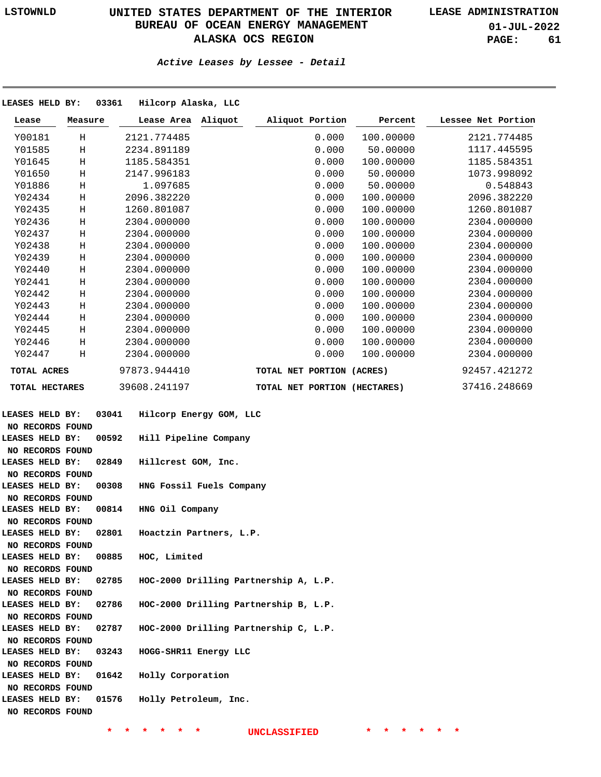**01-JUL-2022 PAGE: 61**

### **Active Leases by Lessee - Detail**

| LEASES HELD BY:        |         | 03361 | Hilcorp Alaska, LLC                   |                           |                 |                              |                    |
|------------------------|---------|-------|---------------------------------------|---------------------------|-----------------|------------------------------|--------------------|
| Lease                  | Measure |       | Lease Area Aliquot                    |                           | Aliquot Portion | Percent                      | Lessee Net Portion |
| Y00181                 | Η       |       | 2121.774485                           |                           | 0.000           | 100.00000                    | 2121.774485        |
| Y01585                 | $\rm H$ |       | 2234.891189                           |                           | 0.000           | 50.00000                     | 1117.445595        |
| Y01645                 | Η       |       | 1185.584351                           |                           | 0.000           | 100.00000                    | 1185.584351        |
| Y01650                 | Η       |       | 2147.996183                           |                           | 0.000           | 50.00000                     | 1073.998092        |
| Y01886                 | Η       |       | 1.097685                              |                           | 0.000           | 50.00000                     | 0.548843           |
| Y02434                 | $\rm H$ |       | 2096.382220                           |                           | 0.000           | 100.00000                    | 2096.382220        |
| Y02435                 | $\rm H$ |       | 1260.801087                           |                           | 0.000           | 100.00000                    | 1260.801087        |
| Y02436                 | $\rm H$ |       | 2304.000000                           |                           | 0.000           | 100.00000                    | 2304.000000        |
| Y02437                 | $\rm H$ |       | 2304.000000                           |                           | 0.000           | 100.00000                    | 2304.000000        |
| Y02438                 | $\rm H$ |       | 2304.000000                           |                           | 0.000           | 100.00000                    | 2304.000000        |
| Y02439                 | $\rm H$ |       | 2304.000000                           |                           | 0.000           | 100.00000                    | 2304.000000        |
| Y02440                 | $\rm H$ |       | 2304.000000                           |                           | 0.000           | 100.00000                    | 2304.000000        |
| Y02441                 | Η       |       | 2304.000000                           |                           | 0.000           | 100.00000                    | 2304.000000        |
| Y02442                 | $\rm H$ |       | 2304.000000                           |                           | 0.000           | 100.00000                    | 2304.000000        |
| Y02443                 | Η       |       | 2304.000000                           |                           | 0.000           | 100.00000                    | 2304.000000        |
| Y02444                 | Η       |       | 2304.000000                           |                           | 0.000           | 100.00000                    | 2304.000000        |
| Y02445                 | Η       |       | 2304.000000                           |                           | 0.000           | 100.00000                    | 2304.000000        |
| Y02446                 | $\rm H$ |       | 2304.000000                           |                           | 0.000           | 100.00000                    | 2304.000000        |
| Y02447                 | Н       |       | 2304.000000                           |                           | 0.000           | 100.00000                    | 2304.000000        |
| TOTAL ACRES            |         |       | 97873.944410                          | TOTAL NET PORTION (ACRES) |                 |                              | 92457.421272       |
| TOTAL HECTARES         |         |       | 39608.241197                          |                           |                 | TOTAL NET PORTION (HECTARES) | 37416.248669       |
|                        |         |       |                                       |                           |                 |                              |                    |
| LEASES HELD BY:        |         | 03041 | Hilcorp Energy GOM, LLC               |                           |                 |                              |                    |
| NO RECORDS FOUND       |         |       |                                       |                           |                 |                              |                    |
| <b>LEASES HELD BY:</b> |         | 00592 | Hill Pipeline Company                 |                           |                 |                              |                    |
| NO RECORDS FOUND       |         |       |                                       |                           |                 |                              |                    |
| <b>LEASES HELD BY:</b> |         | 02849 | Hillcrest GOM, Inc.                   |                           |                 |                              |                    |
| NO RECORDS FOUND       |         |       |                                       |                           |                 |                              |                    |
| LEASES HELD BY:        |         | 00308 | HNG Fossil Fuels Company              |                           |                 |                              |                    |
| NO RECORDS FOUND       |         |       |                                       |                           |                 |                              |                    |
| LEASES HELD BY:        |         | 00814 | HNG Oil Company                       |                           |                 |                              |                    |
| NO RECORDS FOUND       |         |       |                                       |                           |                 |                              |                    |
| LEASES HELD BY:        |         | 02801 | Hoactzin Partners, L.P.               |                           |                 |                              |                    |
| NO RECORDS FOUND       |         |       |                                       |                           |                 |                              |                    |
| <b>LEASES HELD BY:</b> |         | 00885 | HOC, Limited                          |                           |                 |                              |                    |
| NO RECORDS FOUND       |         |       |                                       |                           |                 |                              |                    |
| LEASES HELD BY:        |         | 02785 | HOC-2000 Drilling Partnership A, L.P. |                           |                 |                              |                    |
| NO RECORDS FOUND       |         |       |                                       |                           |                 |                              |                    |
| LEASES HELD BY:        |         | 02786 | HOC-2000 Drilling Partnership B, L.P. |                           |                 |                              |                    |
| NO RECORDS FOUND       |         |       |                                       |                           |                 |                              |                    |
| LEASES HELD BY:        |         | 02787 | HOC-2000 Drilling Partnership C, L.P. |                           |                 |                              |                    |
| NO RECORDS FOUND       |         |       |                                       |                           |                 |                              |                    |
| LEASES HELD BY:        |         | 03243 | HOGG-SHR11 Energy LLC                 |                           |                 |                              |                    |
| NO RECORDS FOUND       |         |       |                                       |                           |                 |                              |                    |
| LEASES HELD BY:        |         | 01642 | Holly Corporation                     |                           |                 |                              |                    |
| NO RECORDS FOUND       |         |       |                                       |                           |                 |                              |                    |
| LEASES HELD BY:        |         | 01576 | Holly Petroleum, Inc.                 |                           |                 |                              |                    |

**NO RECORDS FOUND**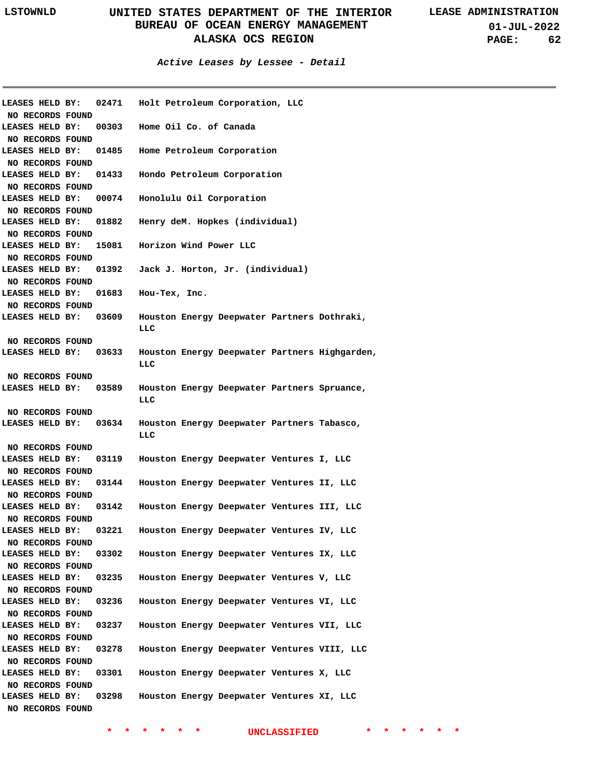**01-JUL-2022 PAGE: 62**

| <b>LEASES HELD BY:</b> | 02471 | Holt Petroleum Corporation, LLC               |
|------------------------|-------|-----------------------------------------------|
| NO RECORDS FOUND       |       |                                               |
| <b>LEASES HELD BY:</b> |       | 00303 Home Oil Co. of Canada                  |
| NO RECORDS FOUND       |       |                                               |
| <b>LEASES HELD BY:</b> | 01485 | Home Petroleum Corporation                    |
| NO RECORDS FOUND       |       |                                               |
| LEASES HELD BY: 01433  |       | Hondo Petroleum Corporation                   |
| NO RECORDS FOUND       |       |                                               |
| LEASES HELD BY: 00074  |       | Honolulu Oil Corporation                      |
| NO RECORDS FOUND       |       |                                               |
| LEASES HELD BY:        | 01882 | Henry deM. Hopkes (individual)                |
| NO RECORDS FOUND       |       |                                               |
| LEASES HELD BY:        |       | 15081 Horizon Wind Power LLC                  |
| NO RECORDS FOUND       |       |                                               |
| LEASES HELD BY:        |       | 01392 Jack J. Horton, Jr. (individual)        |
| NO RECORDS FOUND       |       |                                               |
| <b>LEASES HELD BY:</b> |       | 01683 Hou-Tex, Inc.                           |
| NO RECORDS FOUND       |       |                                               |
| <b>LEASES HELD BY:</b> | 03609 | Houston Energy Deepwater Partners Dothraki,   |
|                        |       | LLC                                           |
| NO RECORDS FOUND       |       |                                               |
| <b>LEASES HELD BY:</b> | 03633 | Houston Energy Deepwater Partners Highgarden, |
|                        |       | LLC                                           |
| NO RECORDS FOUND       |       |                                               |
| LEASES HELD BY:        | 03589 | Houston Energy Deepwater Partners Spruance,   |
|                        |       | LLC                                           |
| NO RECORDS FOUND       |       |                                               |
| <b>LEASES HELD BY:</b> | 03634 | Houston Energy Deepwater Partners Tabasco,    |
|                        |       | LLC                                           |
| NO RECORDS FOUND       |       |                                               |
| LEASES HELD BY:        | 03119 | Houston Energy Deepwater Ventures I, LLC      |
| NO RECORDS FOUND       |       |                                               |
| <b>LEASES HELD BY:</b> | 03144 | Houston Energy Deepwater Ventures II, LLC     |
| NO RECORDS FOUND       |       |                                               |
|                        |       |                                               |
| LEASES HELD BY:        | 03142 | Houston Energy Deepwater Ventures III, LLC    |
| NO RECORDS FOUND       |       |                                               |
| LEASES HELD BY:        | 03221 | Houston Energy Deepwater Ventures IV, LLC     |
| NO RECORDS FOUND       |       |                                               |
| LEASES HELD BY:        | 03302 | Houston Energy Deepwater Ventures IX, LLC     |
| NO RECORDS FOUND       |       |                                               |
| LEASES HELD BY:        | 03235 | Houston Energy Deepwater Ventures V, LLC      |
| NO RECORDS FOUND       |       |                                               |
| LEASES HELD BY:        | 03236 | Houston Energy Deepwater Ventures VI, LLC     |
| NO RECORDS FOUND       |       |                                               |
| LEASES HELD BY:        | 03237 | Houston Energy Deepwater Ventures VII, LLC    |
| NO RECORDS FOUND       |       |                                               |
| LEASES HELD BY:        | 03278 | Houston Energy Deepwater Ventures VIII, LLC   |
| NO RECORDS FOUND       |       |                                               |
| LEASES HELD BY:        | 03301 | Houston Energy Deepwater Ventures X, LLC      |
| NO RECORDS FOUND       |       |                                               |
| LEASES HELD BY:        | 03298 | Houston Energy Deepwater Ventures XI, LLC     |
| NO RECORDS FOUND       |       |                                               |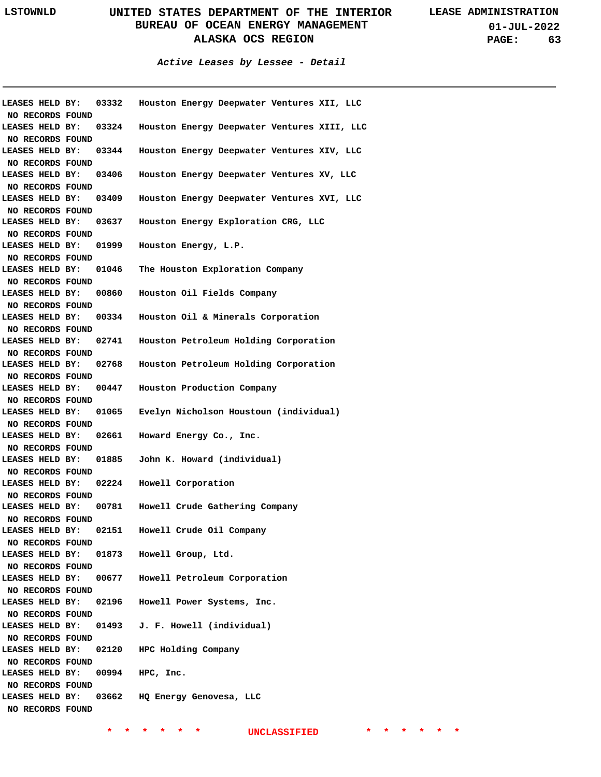**01-JUL-2022 PAGE: 63**

**Active Leases by Lessee - Detail**

|                  |                       | LEASES HELD BY: 03332 Houston Energy Deepwater Ventures XII, LLC |
|------------------|-----------------------|------------------------------------------------------------------|
| NO RECORDS FOUND |                       |                                                                  |
| LEASES HELD BY:  | 03324                 | Houston Energy Deepwater Ventures XIII, LLC                      |
| NO RECORDS FOUND |                       |                                                                  |
| LEASES HELD BY:  | 03344                 | Houston Energy Deepwater Ventures XIV, LLC                       |
| NO RECORDS FOUND |                       |                                                                  |
| LEASES HELD BY:  | 03406                 | Houston Energy Deepwater Ventures XV, LLC                        |
| NO RECORDS FOUND |                       |                                                                  |
|                  | LEASES HELD BY: 03409 | Houston Energy Deepwater Ventures XVI, LLC                       |
| NO RECORDS FOUND |                       |                                                                  |
|                  | LEASES HELD BY: 03637 | Houston Energy Exploration CRG, LLC                              |
| NO RECORDS FOUND |                       |                                                                  |
|                  | LEASES HELD BY: 01999 | Houston Energy, L.P.                                             |
| NO RECORDS FOUND |                       |                                                                  |
|                  | LEASES HELD BY: 01046 | The Houston Exploration Company                                  |
| NO RECORDS FOUND |                       |                                                                  |
|                  | LEASES HELD BY: 00860 | Houston Oil Fields Company                                       |
| NO RECORDS FOUND |                       |                                                                  |
|                  | LEASES HELD BY: 00334 | Houston Oil & Minerals Corporation                               |
| NO RECORDS FOUND |                       |                                                                  |
|                  | LEASES HELD BY: 02741 | Houston Petroleum Holding Corporation                            |
| NO RECORDS FOUND |                       |                                                                  |
|                  | LEASES HELD BY: 02768 | Houston Petroleum Holding Corporation                            |
| NO RECORDS FOUND |                       |                                                                  |
|                  | LEASES HELD BY: 00447 | Houston Production Company                                       |
| NO RECORDS FOUND |                       |                                                                  |
| LEASES HELD BY:  | 01065                 | Evelyn Nicholson Houstoun (individual)                           |
| NO RECORDS FOUND |                       |                                                                  |
| LEASES HELD BY:  | 02661                 | Howard Energy Co., Inc.                                          |
| NO RECORDS FOUND |                       |                                                                  |
| LEASES HELD BY:  | 01885                 | John K. Howard (individual)                                      |
| NO RECORDS FOUND |                       |                                                                  |
| LEASES HELD BY:  | 02224                 | Howell Corporation                                               |
| NO RECORDS FOUND |                       |                                                                  |
| LEASES HELD BY:  | 00781                 | Howell Crude Gathering Company                                   |
| NO RECORDS FOUND |                       |                                                                  |
|                  |                       | LEASES HELD BY: 02151 Howell Crude Oil Company                   |
| NO RECORDS FOUND |                       |                                                                  |
| LEASES HELD BY:  |                       | 01873 Howell Group, Ltd.                                         |
| NO RECORDS FOUND |                       |                                                                  |
| LEASES HELD BY:  |                       | 00677 Howell Petroleum Corporation                               |
| NO RECORDS FOUND |                       |                                                                  |
| LEASES HELD BY:  |                       | 02196 Howell Power Systems, Inc.                                 |
| NO RECORDS FOUND |                       |                                                                  |
| LEASES HELD BY:  |                       | 01493 J. F. Howell (individual)                                  |
| NO RECORDS FOUND |                       |                                                                  |
| LEASES HELD BY:  |                       | 02120 HPC Holding Company                                        |
| NO RECORDS FOUND |                       |                                                                  |
| LEASES HELD BY:  |                       | 00994 HPC, Inc.                                                  |
| NO RECORDS FOUND |                       |                                                                  |
| LEASES HELD BY:  |                       | 03662 HQ Energy Genovesa, LLC                                    |
| NO RECORDS FOUND |                       |                                                                  |
|                  |                       |                                                                  |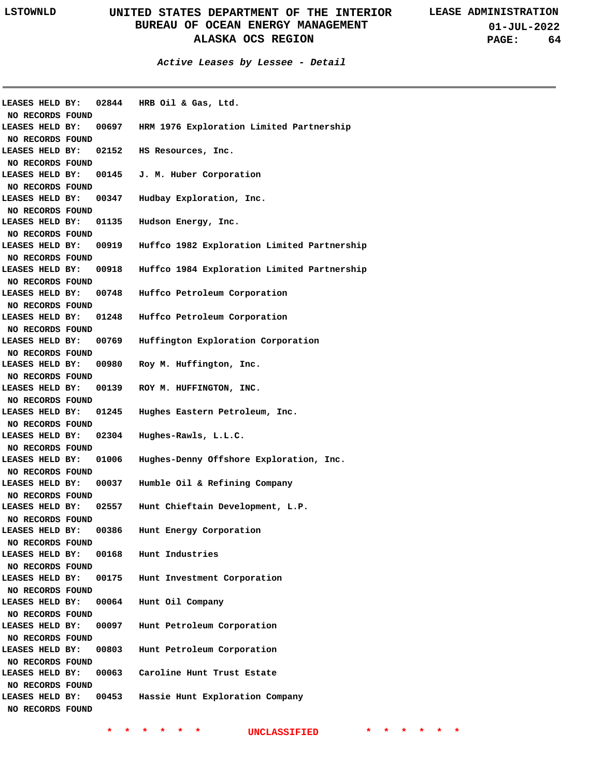**01-JUL-2022 PAGE: 64**

### **Active Leases by Lessee - Detail**

| <b>LEASES HELD BY:</b> |  |       | 02844 HRB Oil & Gas, Ltd.                          |
|------------------------|--|-------|----------------------------------------------------|
| NO RECORDS FOUND       |  |       |                                                    |
| <b>LEASES HELD BY:</b> |  |       | 00697 HRM 1976 Exploration Limited Partnership     |
| NO RECORDS FOUND       |  |       |                                                    |
|                        |  |       | LEASES HELD BY: 02152 HS Resources, Inc.           |
| NO RECORDS FOUND       |  |       |                                                    |
| LEASES HELD BY:        |  |       | 00145 J.M. Huber Corporation                       |
| NO RECORDS FOUND       |  |       |                                                    |
| LEASES HELD BY:        |  |       | 00347 Hudbay Exploration, Inc.                     |
| NO RECORDS FOUND       |  |       |                                                    |
| LEASES HELD BY: 01135  |  |       | Hudson Energy, Inc.                                |
| NO RECORDS FOUND       |  |       |                                                    |
| LEASES HELD BY:        |  |       | 00919 Huffco 1982 Exploration Limited Partnership  |
| NO RECORDS FOUND       |  |       |                                                    |
| LEASES HELD BY:        |  |       | 00918 Huffco 1984 Exploration Limited Partnership  |
| NO RECORDS FOUND       |  |       |                                                    |
| <b>LEASES HELD BY:</b> |  |       | 00748 Huffco Petroleum Corporation                 |
| NO RECORDS FOUND       |  |       |                                                    |
|                        |  |       | LEASES HELD BY: 01248 Huffco Petroleum Corporation |
| NO RECORDS FOUND       |  |       |                                                    |
| LEASES HELD BY:        |  | 00769 | Huffington Exploration Corporation                 |
| NO RECORDS FOUND       |  |       |                                                    |
| LEASES HELD BY:        |  |       | 00980 Roy M. Huffington, Inc.                      |
| NO RECORDS FOUND       |  |       |                                                    |
| LEASES HELD BY:        |  |       | 00139 ROY M. HUFFINGTON, INC.                      |
| NO RECORDS FOUND       |  |       |                                                    |
| LEASES HELD BY:        |  |       | 01245 Hughes Eastern Petroleum, Inc.               |
| NO RECORDS FOUND       |  |       |                                                    |
| LEASES HELD BY:        |  |       | 02304 Hughes-Rawls, L.L.C.                         |
| NO RECORDS FOUND       |  |       |                                                    |
| LEASES HELD BY:        |  | 01006 | Hughes-Denny Offshore Exploration, Inc.            |
| NO RECORDS FOUND       |  |       |                                                    |
| <b>LEASES HELD BY:</b> |  |       | 00037 Humble Oil & Refining Company                |
| NO RECORDS FOUND       |  |       |                                                    |
| LEASES HELD BY:        |  |       | 02557 Hunt Chieftain Development, L.P.             |
| NO RECORDS FOUND       |  |       |                                                    |
| LEASES HELD BY:        |  | 00386 | Hunt Energy Corporation                            |
| NO RECORDS FOUND       |  |       |                                                    |
| <b>LEASES HELD BY:</b> |  |       | 00168 Hunt Industries                              |
| NO RECORDS FOUND       |  |       |                                                    |
| LEASES HELD BY:        |  |       | 00175 Hunt Investment Corporation                  |
| NO RECORDS FOUND       |  |       |                                                    |
| LEASES HELD BY:        |  |       | 00064 Hunt Oil Company                             |
| NO RECORDS FOUND       |  |       |                                                    |
| LEASES HELD BY:        |  |       | 00097 Hunt Petroleum Corporation                   |
| NO RECORDS FOUND       |  |       |                                                    |
| LEASES HELD BY:        |  |       | 00803 Hunt Petroleum Corporation                   |
| NO RECORDS FOUND       |  |       |                                                    |
| LEASES HELD BY:        |  |       | 00063 Caroline Hunt Trust Estate                   |
| NO RECORDS FOUND       |  |       |                                                    |
| LEASES HELD BY:        |  |       | 00453 Hassie Hunt Exploration Company              |
|                        |  |       |                                                    |
| NO RECORDS FOUND       |  |       |                                                    |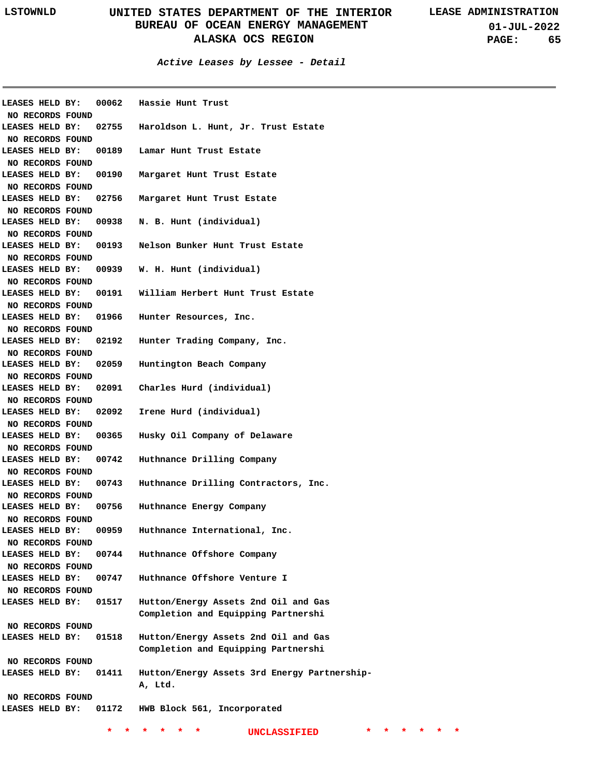**01-JUL-2022 PAGE: 65**

| LEASES HELD BY:  | 00062 | Hassie Hunt Trust                            |
|------------------|-------|----------------------------------------------|
| NO RECORDS FOUND |       |                                              |
| LEASES HELD BY:  | 02755 | Haroldson L. Hunt, Jr. Trust Estate          |
| NO RECORDS FOUND |       |                                              |
| LEASES HELD BY:  |       | 00189 Lamar Hunt Trust Estate                |
| NO RECORDS FOUND |       |                                              |
| LEASES HELD BY:  | 00190 | Margaret Hunt Trust Estate                   |
| NO RECORDS FOUND |       |                                              |
| LEASES HELD BY:  | 02756 | Margaret Hunt Trust Estate                   |
| NO RECORDS FOUND |       |                                              |
| LEASES HELD BY:  | 00938 | N. B. Hunt (individual)                      |
| NO RECORDS FOUND |       |                                              |
| LEASES HELD BY:  | 00193 | Nelson Bunker Hunt Trust Estate              |
| NO RECORDS FOUND |       |                                              |
| LEASES HELD BY:  | 00939 | W. H. Hunt (individual)                      |
| NO RECORDS FOUND |       |                                              |
| LEASES HELD BY:  | 00191 | William Herbert Hunt Trust Estate            |
| NO RECORDS FOUND |       |                                              |
| LEASES HELD BY:  | 01966 | Hunter Resources, Inc.                       |
| NO RECORDS FOUND |       |                                              |
| LEASES HELD BY:  | 02192 | Hunter Trading Company, Inc.                 |
| NO RECORDS FOUND |       |                                              |
| LEASES HELD BY:  | 02059 | Huntington Beach Company                     |
| NO RECORDS FOUND |       |                                              |
| LEASES HELD BY:  |       | 02091 Charles Hurd (individual)              |
| NO RECORDS FOUND |       |                                              |
| LEASES HELD BY:  | 02092 | Irene Hurd (individual)                      |
| NO RECORDS FOUND |       |                                              |
| LEASES HELD BY:  | 00365 | Husky Oil Company of Delaware                |
| NO RECORDS FOUND |       |                                              |
| LEASES HELD BY:  | 00742 | Huthnance Drilling Company                   |
| NO RECORDS FOUND |       |                                              |
| LEASES HELD BY:  | 00743 | Huthnance Drilling Contractors, Inc.         |
| NO RECORDS FOUND |       |                                              |
| LEASES HELD BY:  | 00756 | Huthnance Energy Company                     |
| NO RECORDS FOUND |       |                                              |
| LEASES HELD BY:  | 00959 | Huthnance International, Inc.                |
| NO RECORDS FOUND |       |                                              |
| LEASES HELD BY:  | 00744 | Huthnance Offshore Company                   |
| NO RECORDS FOUND |       |                                              |
| LEASES HELD BY:  | 00747 | Huthnance Offshore Venture I                 |
| NO RECORDS FOUND |       |                                              |
| LEASES HELD BY:  | 01517 | Hutton/Energy Assets 2nd Oil and Gas         |
|                  |       | Completion and Equipping Partnershi          |
| NO RECORDS FOUND |       |                                              |
| LEASES HELD BY:  | 01518 | Hutton/Energy Assets 2nd Oil and Gas         |
|                  |       | Completion and Equipping Partnershi          |
| NO RECORDS FOUND |       |                                              |
| LEASES HELD BY:  | 01411 | Hutton/Energy Assets 3rd Energy Partnership- |
|                  |       | A, Ltd.                                      |
| NO RECORDS FOUND |       |                                              |
| LEASES HELD BY:  | 01172 | HWB Block 561, Incorporated                  |
|                  |       |                                              |
|                  |       | <b>UNCLASSIFIED</b>                          |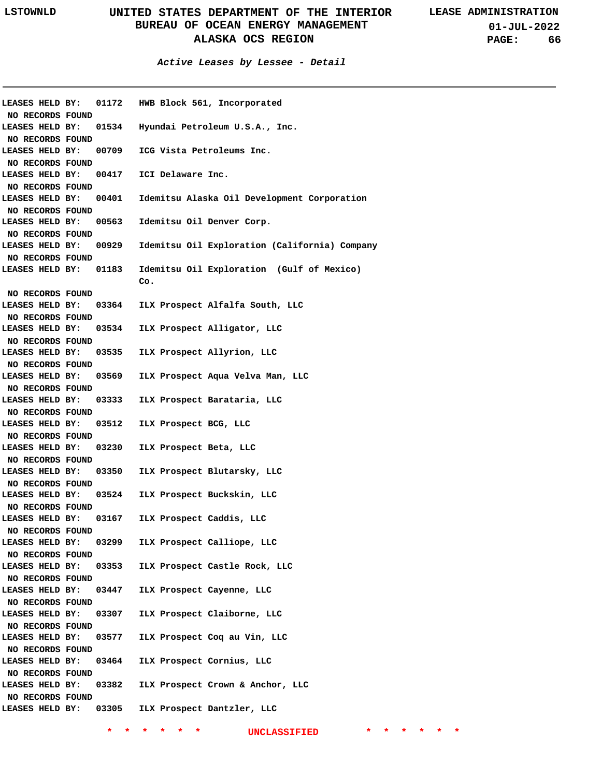**Active Leases by Lessee - Detail**

| LEASES HELD BY:  | 01172 | HWB Block 561, Incorporated                   |
|------------------|-------|-----------------------------------------------|
| NO RECORDS FOUND |       |                                               |
| LEASES HELD BY:  | 01534 | Hyundai Petroleum U.S.A., Inc.                |
| NO RECORDS FOUND |       |                                               |
| LEASES HELD BY:  | 00709 | ICG Vista Petroleums Inc.                     |
| NO RECORDS FOUND |       |                                               |
| LEASES HELD BY:  | 00417 | ICI Delaware Inc.                             |
| NO RECORDS FOUND |       |                                               |
| LEASES HELD BY:  | 00401 | Idemitsu Alaska Oil Development Corporation   |
| NO RECORDS FOUND |       |                                               |
| LEASES HELD BY:  | 00563 | Idemitsu Oil Denver Corp.                     |
| NO RECORDS FOUND |       |                                               |
| LEASES HELD BY:  | 00929 | Idemitsu Oil Exploration (California) Company |
| NO RECORDS FOUND |       |                                               |
| LEASES HELD BY:  | 01183 | Idemitsu Oil Exploration (Gulf of Mexico)     |
|                  |       | Co.                                           |
| NO RECORDS FOUND |       |                                               |
| LEASES HELD BY:  | 03364 | ILX Prospect Alfalfa South, LLC               |
| NO RECORDS FOUND |       |                                               |
| LEASES HELD BY:  | 03534 | ILX Prospect Alligator, LLC                   |
| NO RECORDS FOUND |       |                                               |
| LEASES HELD BY:  | 03535 | ILX Prospect Allyrion, LLC                    |
| NO RECORDS FOUND |       |                                               |
| LEASES HELD BY:  | 03569 | ILX Prospect Aqua Velva Man, LLC              |
| NO RECORDS FOUND |       |                                               |
|                  |       |                                               |
| LEASES HELD BY:  | 03333 | ILX Prospect Barataria, LLC                   |
| NO RECORDS FOUND |       |                                               |
| LEASES HELD BY:  | 03512 | ILX Prospect BCG, LLC                         |
| NO RECORDS FOUND |       |                                               |
| LEASES HELD BY:  | 03230 | ILX Prospect Beta, LLC                        |
| NO RECORDS FOUND |       |                                               |
| LEASES HELD BY:  | 03350 | ILX Prospect Blutarsky, LLC                   |
| NO RECORDS FOUND |       |                                               |
| LEASES HELD BY:  | 03524 | ILX Prospect Buckskin, LLC                    |
| NO RECORDS FOUND |       |                                               |
| LEASES HELD BY:  | 03167 | ILX Prospect Caddis, LLC                      |
| NO RECORDS FOUND |       |                                               |
| LEASES HELD BY:  | 03299 | ILX Prospect Calliope, LLC                    |
| NO RECORDS FOUND |       |                                               |
| LEASES HELD BY:  | 03353 | ILX Prospect Castle Rock, LLC                 |
| NO RECORDS FOUND |       |                                               |
| LEASES HELD BY:  | 03447 | ILX Prospect Cayenne, LLC                     |
|                  |       |                                               |
| NO RECORDS FOUND |       |                                               |
| LEASES HELD BY:  | 03307 | ILX Prospect Claiborne, LLC                   |
| NO RECORDS FOUND |       |                                               |
| LEASES HELD BY:  | 03577 | ILX Prospect Coq au Vin, LLC                  |
| NO RECORDS FOUND |       |                                               |
| LEASES HELD BY:  | 03464 | ILX Prospect Cornius, LLC                     |
| NO RECORDS FOUND |       |                                               |
| LEASES HELD BY:  | 03382 | ILX Prospect Crown & Anchor, LLC              |
| NO RECORDS FOUND |       |                                               |
| LEASES HELD BY:  | 03305 | ILX Prospect Dantzler, LLC                    |
|                  |       |                                               |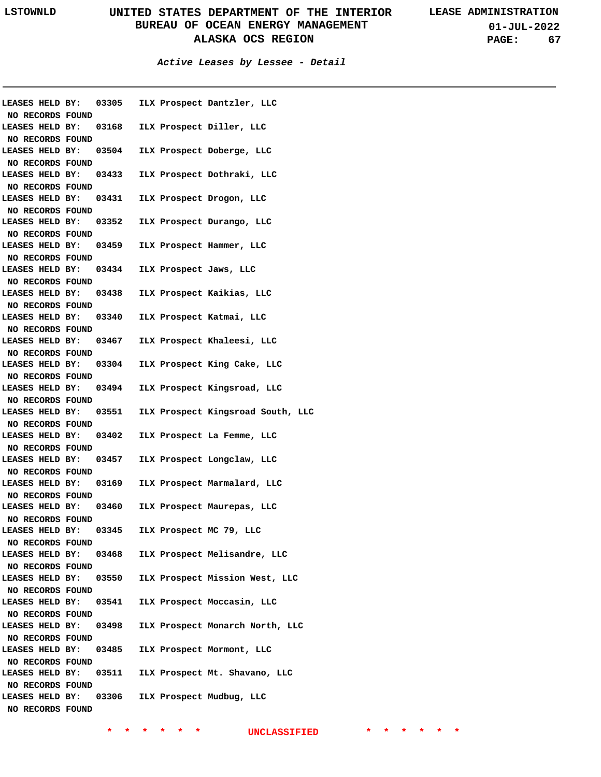**01-JUL-2022 PAGE: 67**

**Active Leases by Lessee - Detail**

|                        | LEASES HELD BY: 03305 ILX Prospect Dantzler, LLC |  |                                                         |
|------------------------|--------------------------------------------------|--|---------------------------------------------------------|
| NO RECORDS FOUND       |                                                  |  |                                                         |
|                        | LEASES HELD BY: 03168 ILX Prospect Diller, LLC   |  |                                                         |
| NO RECORDS FOUND       |                                                  |  |                                                         |
|                        | LEASES HELD BY: 03504 ILX Prospect Doberge, LLC  |  |                                                         |
| NO RECORDS FOUND       | LEASES HELD BY: 03433 ILX Prospect Dothraki, LLC |  |                                                         |
| NO RECORDS FOUND       |                                                  |  |                                                         |
|                        | LEASES HELD BY: 03431 ILX Prospect Drogon, LLC   |  |                                                         |
| NO RECORDS FOUND       |                                                  |  |                                                         |
|                        | LEASES HELD BY: 03352 ILX Prospect Durango, LLC  |  |                                                         |
| NO RECORDS FOUND       |                                                  |  |                                                         |
|                        | LEASES HELD BY: 03459 ILX Prospect Hammer, LLC   |  |                                                         |
| NO RECORDS FOUND       |                                                  |  |                                                         |
|                        | LEASES HELD BY: 03434 ILX Prospect Jaws, LLC     |  |                                                         |
| NO RECORDS FOUND       |                                                  |  |                                                         |
|                        | LEASES HELD BY: 03438 ILX Prospect Kaikias, LLC  |  |                                                         |
| NO RECORDS FOUND       |                                                  |  |                                                         |
|                        | LEASES HELD BY: 03340 ILX Prospect Katmai, LLC   |  |                                                         |
| NO RECORDS FOUND       |                                                  |  |                                                         |
|                        | LEASES HELD BY: 03467 ILX Prospect Khaleesi, LLC |  |                                                         |
| NO RECORDS FOUND       |                                                  |  |                                                         |
|                        |                                                  |  | LEASES HELD BY: 03304 ILX Prospect King Cake, LLC       |
| NO RECORDS FOUND       |                                                  |  |                                                         |
|                        |                                                  |  | LEASES HELD BY: 03494 ILX Prospect Kingsroad, LLC       |
| NO RECORDS FOUND       |                                                  |  |                                                         |
|                        |                                                  |  | LEASES HELD BY: 03551 ILX Prospect Kingsroad South, LLC |
| NO RECORDS FOUND       |                                                  |  |                                                         |
|                        | LEASES HELD BY: 03402                            |  | ILX Prospect La Femme, LLC                              |
| NO RECORDS FOUND       |                                                  |  |                                                         |
|                        | LEASES HELD BY: 03457                            |  | ILX Prospect Longclaw, LLC                              |
| NO RECORDS FOUND       |                                                  |  |                                                         |
| LEASES HELD BY:        |                                                  |  | 03169 ILX Prospect Marmalard, LLC                       |
| NO RECORDS FOUND       |                                                  |  |                                                         |
| LEASES HELD BY:        | 03460                                            |  | ILX Prospect Maurepas, LLC                              |
| NO RECORDS FOUND       |                                                  |  |                                                         |
|                        | LEASES HELD BY: 03345                            |  | ILX Prospect MC 79, LLC                                 |
| NO RECORDS FOUND       |                                                  |  |                                                         |
| <b>LEASES HELD BY:</b> |                                                  |  | 03468 ILX Prospect Melisandre, LLC                      |
| NO RECORDS FOUND       |                                                  |  |                                                         |
|                        |                                                  |  | LEASES HELD BY: 03550 ILX Prospect Mission West, LLC    |
| NO RECORDS FOUND       |                                                  |  |                                                         |
|                        | LEASES HELD BY: 03541 ILX Prospect Moccasin, LLC |  |                                                         |
| NO RECORDS FOUND       | <b>LEASES HELD BY: 03498</b>                     |  | ILX Prospect Monarch North, LLC                         |
| NO RECORDS FOUND       |                                                  |  |                                                         |
|                        | LEASES HELD BY: 03485 ILX Prospect Mormont, LLC  |  |                                                         |
| NO RECORDS FOUND       |                                                  |  |                                                         |
|                        |                                                  |  | LEASES HELD BY: 03511 ILX Prospect Mt. Shavano, LLC     |
| NO RECORDS FOUND       |                                                  |  |                                                         |
|                        | LEASES HELD BY: 03306 ILX Prospect Mudbug, LLC   |  |                                                         |
| NO RECORDS FOUND       |                                                  |  |                                                         |
|                        |                                                  |  |                                                         |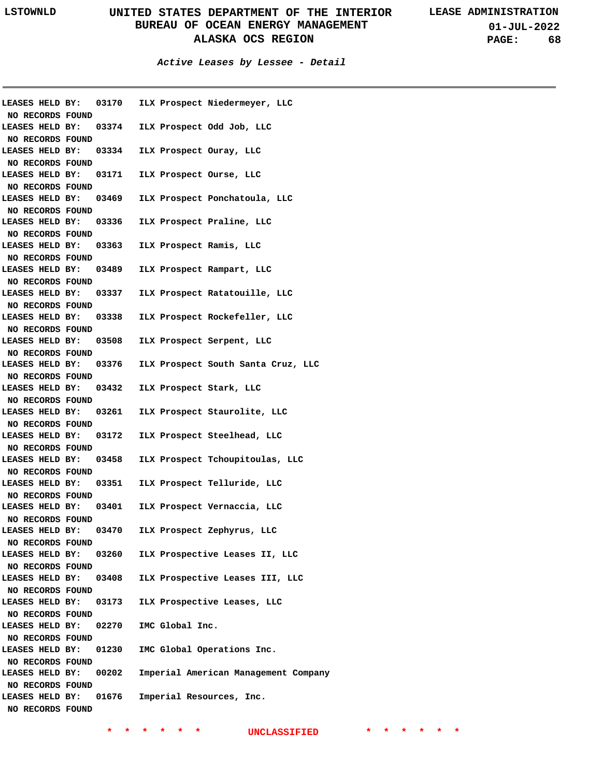**01-JUL-2022 PAGE: 68**

**Active Leases by Lessee - Detail**

|                  | LEASES HELD BY: 03170 | ILX Prospect Niedermeyer, LLC                            |
|------------------|-----------------------|----------------------------------------------------------|
| NO RECORDS FOUND |                       |                                                          |
|                  |                       | LEASES HELD BY: 03374 ILX Prospect Odd Job, LLC          |
| NO RECORDS FOUND |                       |                                                          |
|                  |                       | LEASES HELD BY: 03334 ILX Prospect Ouray, LLC            |
| NO RECORDS FOUND |                       |                                                          |
|                  |                       | LEASES HELD BY: 03171 ILX Prospect Ourse, LLC            |
| NO RECORDS FOUND |                       |                                                          |
|                  |                       | LEASES HELD BY: 03469 ILX Prospect Ponchatoula, LLC      |
| NO RECORDS FOUND |                       |                                                          |
|                  |                       | LEASES HELD BY: 03336 ILX Prospect Praline, LLC          |
| NO RECORDS FOUND |                       |                                                          |
|                  |                       | LEASES HELD BY: 03363 ILX Prospect Ramis, LLC            |
| NO RECORDS FOUND |                       |                                                          |
|                  |                       | LEASES HELD BY: 03489 ILX Prospect Rampart, LLC          |
| NO RECORDS FOUND |                       |                                                          |
|                  |                       | LEASES HELD BY: 03337 ILX Prospect Ratatouille, LLC      |
| NO RECORDS FOUND |                       |                                                          |
|                  |                       | LEASES HELD BY: 03338 ILX Prospect Rockefeller, LLC      |
| NO RECORDS FOUND |                       |                                                          |
|                  |                       | LEASES HELD BY: 03508 ILX Prospect Serpent, LLC          |
| NO RECORDS FOUND |                       |                                                          |
|                  |                       | LEASES HELD BY: 03376 ILX Prospect South Santa Cruz, LLC |
| NO RECORDS FOUND |                       |                                                          |
|                  |                       | LEASES HELD BY: 03432 ILX Prospect Stark, LLC            |
| NO RECORDS FOUND |                       |                                                          |
|                  |                       | LEASES HELD BY: 03261 ILX Prospect Staurolite, LLC       |
| NO RECORDS FOUND |                       |                                                          |
|                  |                       | LEASES HELD BY: 03172 ILX Prospect Steelhead, LLC        |
| NO RECORDS FOUND |                       |                                                          |
|                  |                       | LEASES HELD BY: 03458 ILX Prospect Tchoupitoulas, LLC    |
| NO RECORDS FOUND |                       |                                                          |
|                  |                       | LEASES HELD BY: 03351 ILX Prospect Telluride, LLC        |
| NO RECORDS FOUND |                       |                                                          |
|                  |                       | LEASES HELD BY: 03401 ILX Prospect Vernaccia, LLC        |
| NO RECORDS FOUND |                       |                                                          |
| LEASES HELD BY:  | 03470                 | ILX Prospect Zephyrus, LLC                               |
| NO RECORDS FOUND |                       |                                                          |
| LEASES HELD BY:  | 03260                 | ILX Prospective Leases II, LLC                           |
| NO RECORDS FOUND |                       |                                                          |
| LEASES HELD BY:  | 03408                 | ILX Prospective Leases III, LLC                          |
| NO RECORDS FOUND |                       |                                                          |
| LEASES HELD BY:  | 03173                 | ILX Prospective Leases, LLC                              |
| NO RECORDS FOUND |                       |                                                          |
| LEASES HELD BY:  | 02270                 | IMC Global Inc.                                          |
| NO RECORDS FOUND |                       |                                                          |
| LEASES HELD BY:  | 01230                 | IMC Global Operations Inc.                               |
| NO RECORDS FOUND |                       |                                                          |
| LEASES HELD BY:  | 00202                 | Imperial American Management Company                     |
| NO RECORDS FOUND |                       |                                                          |
| LEASES HELD BY:  | 01676                 | Imperial Resources, Inc.                                 |
| NO RECORDS FOUND |                       |                                                          |
|                  |                       |                                                          |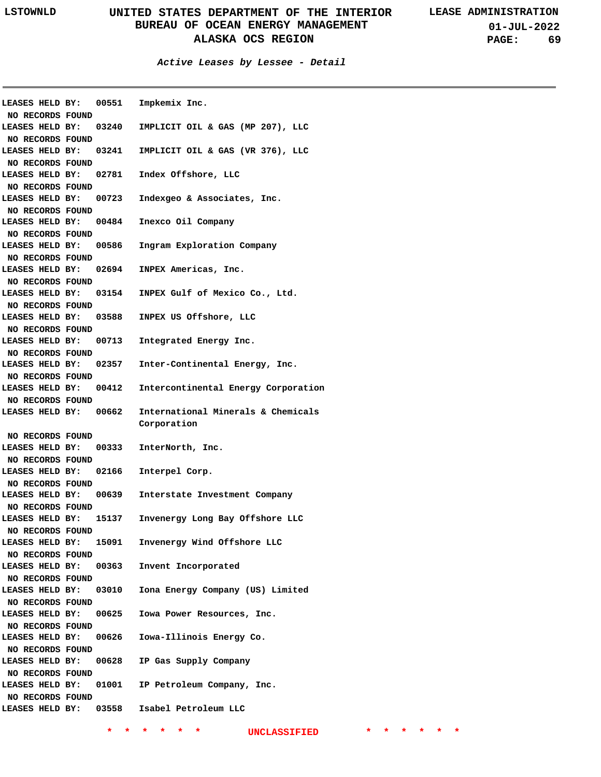**01-JUL-2022 PAGE: 69**

**Active Leases by Lessee - Detail**

| LEASES HELD BY:<br>NO RECORDS FOUND |       | 00551 Impkemix Inc.                    |                                           |
|-------------------------------------|-------|----------------------------------------|-------------------------------------------|
| LEASES HELD BY:                     |       |                                        | 03240 IMPLICIT OIL & GAS (MP 207), LLC    |
|                                     |       |                                        |                                           |
| NO RECORDS FOUND<br>LEASES HELD BY: |       |                                        |                                           |
|                                     |       |                                        | 03241 IMPLICIT OIL & GAS (VR 376), LLC    |
| NO RECORDS FOUND                    |       |                                        |                                           |
| LEASES HELD BY:                     |       | 02781 Index Offshore, LLC              |                                           |
| NO RECORDS FOUND                    |       |                                        |                                           |
| LEASES HELD BY:                     |       |                                        | 00723 Indexgeo & Associates, Inc.         |
| NO RECORDS FOUND                    |       |                                        |                                           |
| LEASES HELD BY:                     |       | 00484 Inexco Oil Company               |                                           |
| NO RECORDS FOUND                    |       |                                        |                                           |
| LEASES HELD BY:                     |       |                                        | 00586 Ingram Exploration Company          |
| NO RECORDS FOUND                    |       |                                        |                                           |
| LEASES HELD BY:                     |       | 02694 INPEX Americas, Inc.             |                                           |
| NO RECORDS FOUND                    |       |                                        |                                           |
| LEASES HELD BY:                     |       |                                        | 03154 INPEX Gulf of Mexico Co., Ltd.      |
| NO RECORDS FOUND                    |       |                                        |                                           |
| LEASES HELD BY:                     |       | 03588 INPEX US Offshore, LLC           |                                           |
|                                     |       |                                        |                                           |
| NO RECORDS FOUND                    |       |                                        |                                           |
| LEASES HELD BY:                     |       | 00713 Integrated Energy Inc.           |                                           |
| NO RECORDS FOUND                    |       |                                        |                                           |
| LEASES HELD BY:                     |       |                                        | 02357 Inter-Continental Energy, Inc.      |
| NO RECORDS FOUND                    |       |                                        |                                           |
| LEASES HELD BY:                     |       |                                        | 00412 Intercontinental Energy Corporation |
| NO RECORDS FOUND                    |       |                                        |                                           |
|                                     |       |                                        |                                           |
| LEASES HELD BY: 00662               |       |                                        | International Minerals & Chemicals        |
|                                     |       | Corporation                            |                                           |
| NO RECORDS FOUND                    |       |                                        |                                           |
|                                     |       | LEASES HELD BY: 00333 InterNorth, Inc. |                                           |
| NO RECORDS FOUND                    |       |                                        |                                           |
|                                     |       | LEASES HELD BY: 02166 Interpel Corp.   |                                           |
| NO RECORDS FOUND                    |       |                                        |                                           |
| <b>LEASES HELD BY:</b>              |       |                                        | 00639 Interstate Investment Company       |
| NO RECORDS FOUND                    |       |                                        |                                           |
| <b>LEASES HELD BY:</b>              | 15137 |                                        | Invenergy Long Bay Offshore LLC           |
| NO RECORDS FOUND                    |       |                                        |                                           |
| LEASES HELD BY:                     | 15091 |                                        | Invenergy Wind Offshore LLC               |
| NO RECORDS FOUND                    |       |                                        |                                           |
| LEASES HELD BY:                     | 00363 |                                        |                                           |
|                                     |       |                                        | Invent Incorporated                       |
| NO RECORDS FOUND                    |       |                                        |                                           |
| LEASES HELD BY:                     | 03010 |                                        | Iona Energy Company (US) Limited          |
| NO RECORDS FOUND                    |       |                                        |                                           |
| LEASES HELD BY:                     | 00625 |                                        | Iowa Power Resources, Inc.                |
| NO RECORDS FOUND                    |       |                                        |                                           |
| LEASES HELD BY:                     | 00626 |                                        | Iowa-Illinois Energy Co.                  |
| NO RECORDS FOUND                    |       |                                        |                                           |
| LEASES HELD BY:                     | 00628 |                                        | IP Gas Supply Company                     |
| NO RECORDS FOUND                    |       |                                        |                                           |
| LEASES HELD BY:                     |       |                                        | 01001 IP Petroleum Company, Inc.          |
| NO RECORDS FOUND                    |       |                                        |                                           |
| LEASES HELD BY:                     |       | 03558 Isabel Petroleum LLC             |                                           |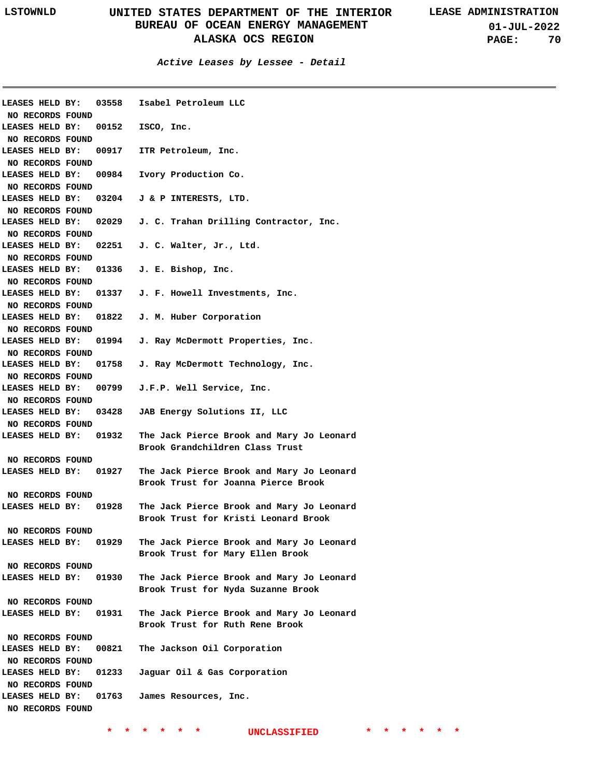| LEASES HELD BY:<br>NO RECORDS FOUND |       | 03558 Isabel Petroleum LLC                   |
|-------------------------------------|-------|----------------------------------------------|
|                                     |       |                                              |
| LEASES HELD BY:                     |       | 00152 ISCO, Inc.                             |
| NO RECORDS FOUND                    |       |                                              |
| LEASES HELD BY:                     |       | 00917 ITR Petroleum, Inc.                    |
| NO RECORDS FOUND                    |       |                                              |
| LEASES HELD BY:                     |       | 00984 Ivory Production Co.                   |
| NO RECORDS FOUND                    |       |                                              |
| LEASES HELD BY:                     |       | 03204 J & P INTERESTS, LTD.                  |
| NO RECORDS FOUND                    |       |                                              |
| LEASES HELD BY:                     |       | 02029 J. C. Trahan Drilling Contractor, Inc. |
| NO RECORDS FOUND                    |       |                                              |
| LEASES HELD BY:                     |       | 02251 J. C. Walter, Jr., Ltd.                |
|                                     |       |                                              |
| NO RECORDS FOUND                    |       |                                              |
| LEASES HELD BY:                     |       | 01336 J. E. Bishop, Inc.                     |
| NO RECORDS FOUND                    |       |                                              |
| LEASES HELD BY:                     |       | 01337 J. F. Howell Investments, Inc.         |
| NO RECORDS FOUND                    |       |                                              |
| LEASES HELD BY:                     | 01822 | J. M. Huber Corporation                      |
| NO RECORDS FOUND                    |       |                                              |
| LEASES HELD BY:                     | 01994 | J. Ray McDermott Properties, Inc.            |
| NO RECORDS FOUND                    |       |                                              |
| LEASES HELD BY:                     | 01758 | J. Ray McDermott Technology, Inc.            |
| NO RECORDS FOUND                    |       |                                              |
| LEASES HELD BY:                     |       | 00799 J.F.P. Well Service, Inc.              |
| NO RECORDS FOUND                    |       |                                              |
| LEASES HELD BY:                     | 03428 | JAB Energy Solutions II, LLC                 |
|                                     |       |                                              |
| NO RECORDS FOUND                    |       |                                              |
| LEASES HELD BY:                     | 01932 | The Jack Pierce Brook and Mary Jo Leonard    |
|                                     |       | Brook Grandchildren Class Trust              |
| NO RECORDS FOUND                    |       |                                              |
| LEASES HELD BY:                     | 01927 | The Jack Pierce Brook and Mary Jo Leonard    |
|                                     |       | Brook Trust for Joanna Pierce Brook          |
| NO RECORDS FOUND                    |       |                                              |
| LEASES HELD BY:                     | 01928 | The Jack Pierce Brook and Mary Jo Leonard    |
|                                     |       | Brook Trust for Kristi Leonard Brook         |
| NO RECORDS FOUND                    |       |                                              |
| LEASES HELD BY: 01929               |       | The Jack Pierce Brook and Mary Jo Leonard    |
|                                     |       | Brook Trust for Mary Ellen Brook             |
| NO RECORDS FOUND                    |       |                                              |
| LEASES HELD BY:                     | 01930 | The Jack Pierce Brook and Mary Jo Leonard    |
|                                     |       |                                              |
|                                     |       | Brook Trust for Nyda Suzanne Brook           |
| NO RECORDS FOUND                    |       |                                              |
| LEASES HELD BY:                     | 01931 | The Jack Pierce Brook and Mary Jo Leonard    |
|                                     |       | Brook Trust for Ruth Rene Brook              |
| NO RECORDS FOUND                    |       |                                              |
| LEASES HELD BY:                     | 00821 | The Jackson Oil Corporation                  |
| NO RECORDS FOUND                    |       |                                              |
| LEASES HELD BY:                     | 01233 | Jaguar Oil & Gas Corporation                 |
| NO RECORDS FOUND                    |       |                                              |
| LEASES HELD BY:                     |       | 01763 James Resources, Inc.                  |
| NO RECORDS FOUND                    |       |                                              |
|                                     |       |                                              |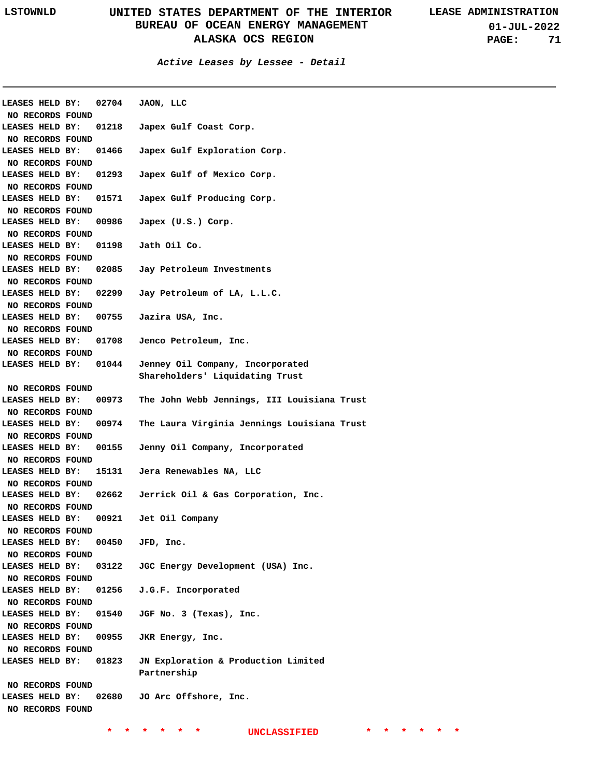**01-JUL-2022 PAGE: 71**

| LEASES HELD BY:  | 02704 | JAON, LLC                                   |
|------------------|-------|---------------------------------------------|
| NO RECORDS FOUND |       |                                             |
| LEASES HELD BY:  | 01218 | Japex Gulf Coast Corp.                      |
| NO RECORDS FOUND |       |                                             |
| LEASES HELD BY:  | 01466 | Japex Gulf Exploration Corp.                |
| NO RECORDS FOUND |       |                                             |
| LEASES HELD BY:  | 01293 | Japex Gulf of Mexico Corp.                  |
| NO RECORDS FOUND |       |                                             |
| LEASES HELD BY:  | 01571 | Japex Gulf Producing Corp.                  |
| NO RECORDS FOUND |       |                                             |
| LEASES HELD BY:  | 00986 | Japex (U.S.) Corp.                          |
| NO RECORDS FOUND |       |                                             |
| LEASES HELD BY:  | 01198 | Jath Oil Co.                                |
| NO RECORDS FOUND |       |                                             |
| LEASES HELD BY:  | 02085 | Jay Petroleum Investments                   |
| NO RECORDS FOUND |       |                                             |
| LEASES HELD BY:  | 02299 | Jay Petroleum of LA, L.L.C.                 |
| NO RECORDS FOUND |       |                                             |
| LEASES HELD BY:  | 00755 | Jazira USA, Inc.                            |
| NO RECORDS FOUND |       |                                             |
| LEASES HELD BY:  | 01708 | Jenco Petroleum, Inc.                       |
| NO RECORDS FOUND |       |                                             |
| LEASES HELD BY:  | 01044 | Jenney Oil Company, Incorporated            |
|                  |       | Shareholders' Liquidating Trust             |
| NO RECORDS FOUND |       |                                             |
| LEASES HELD BY:  | 00973 | The John Webb Jennings, III Louisiana Trust |
| NO RECORDS FOUND |       |                                             |
| LEASES HELD BY:  | 00974 | The Laura Virginia Jennings Louisiana Trust |
| NO RECORDS FOUND |       |                                             |
| LEASES HELD BY:  | 00155 | Jenny Oil Company, Incorporated             |
| NO RECORDS FOUND |       |                                             |
| LEASES HELD BY:  | 15131 | Jera Renewables NA, LLC                     |
| NO RECORDS FOUND |       |                                             |
| LEASES HELD BY:  | 02662 | Jerrick Oil & Gas Corporation, Inc.         |
| NO RECORDS FOUND |       |                                             |
| LEASES HELD BY:  | 00921 | Jet Oil Company                             |
| NO RECORDS FOUND |       |                                             |
| LEASES HELD BY:  | 00450 | JFD, Inc.                                   |
| NO RECORDS FOUND |       |                                             |
| LEASES HELD BY:  | 03122 | JGC Energy Development (USA) Inc.           |
| NO RECORDS FOUND |       |                                             |
| LEASES HELD BY:  | 01256 | J.G.F. Incorporated                         |
| NO RECORDS FOUND |       |                                             |
| LEASES HELD BY:  | 01540 | JGF No. 3 (Texas), Inc.                     |
| NO RECORDS FOUND |       |                                             |
|                  |       |                                             |
| LEASES HELD BY:  | 00955 | JKR Energy, Inc.                            |
| NO RECORDS FOUND |       |                                             |
| LEASES HELD BY:  | 01823 | JN Exploration & Production Limited         |
|                  |       | Partnership                                 |
| NO RECORDS FOUND |       |                                             |
| LEASES HELD BY:  | 02680 | JO Arc Offshore, Inc.                       |
| NO RECORDS FOUND |       |                                             |
|                  |       |                                             |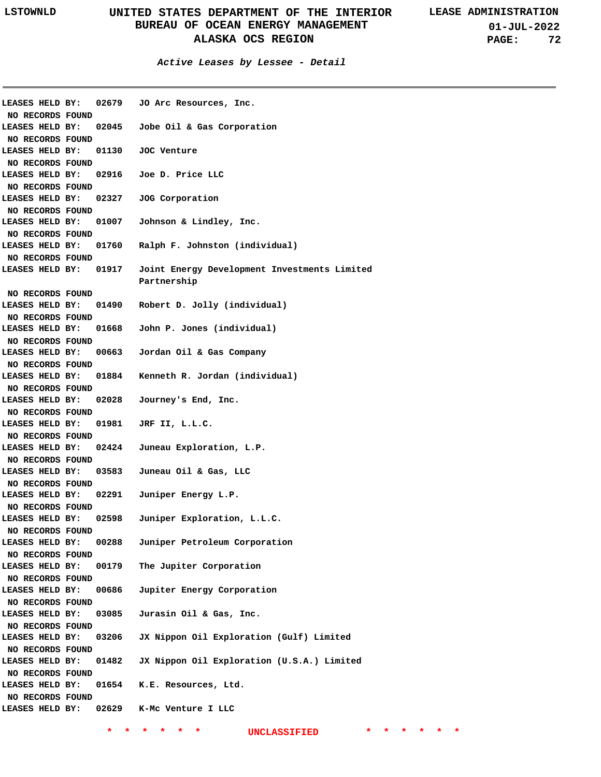| LEASES HELD BY:                     | 02679 | JO Arc Resources, Inc.                       |
|-------------------------------------|-------|----------------------------------------------|
| NO RECORDS FOUND                    |       |                                              |
| LEASES HELD BY:                     |       | 02045 Jobe Oil & Gas Corporation             |
| NO RECORDS FOUND                    |       |                                              |
| LEASES HELD BY:                     | 01130 | JOC Venture                                  |
| NO RECORDS FOUND                    |       |                                              |
| LEASES HELD BY:                     |       | 02916 Joe D. Price LLC                       |
| NO RECORDS FOUND                    |       |                                              |
| LEASES HELD BY:                     | 02327 | JOG Corporation                              |
| NO RECORDS FOUND                    |       |                                              |
| LEASES HELD BY:                     | 01007 | Johnson & Lindley, Inc.                      |
| NO RECORDS FOUND                    |       |                                              |
| LEASES HELD BY:                     | 01760 | Ralph F. Johnston (individual)               |
| NO RECORDS FOUND                    |       |                                              |
| LEASES HELD BY:                     | 01917 | Joint Energy Development Investments Limited |
|                                     |       | Partnership                                  |
| NO RECORDS FOUND                    |       |                                              |
| LEASES HELD BY:                     | 01490 | Robert D. Jolly (individual)                 |
| NO RECORDS FOUND                    |       |                                              |
| LEASES HELD BY:                     | 01668 | John P. Jones (individual)                   |
| NO RECORDS FOUND                    |       |                                              |
| LEASES HELD BY:                     | 00663 | Jordan Oil & Gas Company                     |
|                                     |       |                                              |
| NO RECORDS FOUND<br>LEASES HELD BY: | 01884 | Kenneth R. Jordan (individual)               |
|                                     |       |                                              |
| NO RECORDS FOUND                    |       |                                              |
| LEASES HELD BY:                     | 02028 | Journey's End, Inc.                          |
| NO RECORDS FOUND                    |       |                                              |
| LEASES HELD BY:                     | 01981 | JRF II, L.L.C.                               |
| NO RECORDS FOUND                    |       |                                              |
| LEASES HELD BY:                     | 02424 | Juneau Exploration, L.P.                     |
| NO RECORDS FOUND                    |       |                                              |
| LEASES HELD BY:                     | 03583 | Juneau Oil & Gas, LLC                        |
| NO RECORDS FOUND                    |       |                                              |
| LEASES HELD BY:                     | 02291 | Juniper Energy L.P.                          |
| NO RECORDS FOUND                    |       |                                              |
| LEASES HELD BY:                     | 02598 | Juniper Exploration, L.L.C.                  |
| NO RECORDS FOUND                    |       |                                              |
| LEASES HELD BY:                     | 00288 | Juniper Petroleum Corporation                |
| NO RECORDS FOUND                    |       |                                              |
| LEASES HELD BY:                     | 00179 | The Jupiter Corporation                      |
| NO RECORDS FOUND                    |       |                                              |
| LEASES HELD BY:                     | 00686 | Jupiter Energy Corporation                   |
| NO RECORDS FOUND                    |       |                                              |
| LEASES HELD BY:                     | 03085 | Jurasin Oil & Gas, Inc.                      |
| NO RECORDS FOUND                    |       |                                              |
| LEASES HELD BY:                     | 03206 | JX Nippon Oil Exploration (Gulf) Limited     |
| NO RECORDS FOUND                    |       |                                              |
| LEASES HELD BY:                     | 01482 | JX Nippon Oil Exploration (U.S.A.) Limited   |
| NO RECORDS FOUND                    |       |                                              |
| LEASES HELD BY:                     | 01654 | K.E. Resources, Ltd.                         |
| NO RECORDS FOUND                    |       |                                              |
| LEASES HELD BY:                     |       | 02629 K-Mc Venture I LLC                     |
|                                     |       |                                              |
|                                     |       | *<br>*<br><b>UNCLASSIFIED</b><br>*           |
|                                     |       |                                              |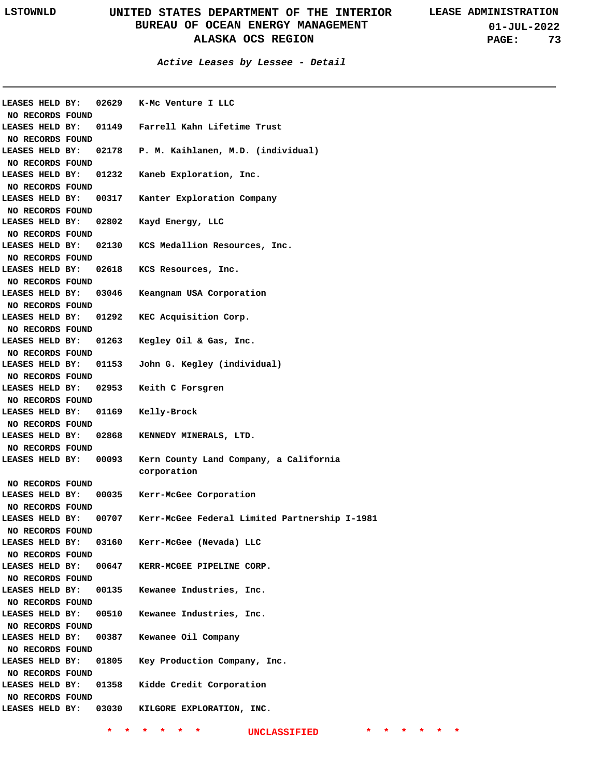**01-JUL-2022 PAGE: 73**

**Active Leases by Lessee - Detail**

| LEASES HELD BY:<br>NO RECORDS FOUND |       | 02629 K-Mc Venture I LLC                              |
|-------------------------------------|-------|-------------------------------------------------------|
| LEASES HELD BY:<br>NO RECORDS FOUND |       | 01149 Farrell Kahn Lifetime Trust                     |
| LEASES HELD BY:                     | 02178 | P. M. Kaihlanen, M.D. (individual)                    |
| NO RECORDS FOUND<br>LEASES HELD BY: | 01232 | Kaneb Exploration, Inc.                               |
| NO RECORDS FOUND<br>LEASES HELD BY: | 00317 | Kanter Exploration Company                            |
| NO RECORDS FOUND<br>LEASES HELD BY: | 02802 | Kayd Energy, LLC                                      |
| NO RECORDS FOUND                    |       |                                                       |
| LEASES HELD BY:                     | 02130 | KCS Medallion Resources, Inc.                         |
| NO RECORDS FOUND                    |       |                                                       |
| LEASES HELD BY:                     | 02618 | KCS Resources, Inc.                                   |
| NO RECORDS FOUND                    |       |                                                       |
| LEASES HELD BY:                     | 03046 | Keangnam USA Corporation                              |
| NO RECORDS FOUND                    |       |                                                       |
| LEASES HELD BY:                     | 01292 | KEC Acquisition Corp.                                 |
| NO RECORDS FOUND<br>LEASES HELD BY: | 01263 | Kegley Oil & Gas, Inc.                                |
| NO RECORDS FOUND                    |       |                                                       |
| LEASES HELD BY:                     | 01153 | John G. Kegley (individual)                           |
| NO RECORDS FOUND                    |       |                                                       |
| LEASES HELD BY:                     | 02953 | Keith C Forsgren                                      |
| NO RECORDS FOUND                    |       |                                                       |
| LEASES HELD BY:                     | 01169 | Kelly-Brock                                           |
| NO RECORDS FOUND                    |       |                                                       |
| LEASES HELD BY:                     | 02868 | KENNEDY MINERALS, LTD.                                |
| NO RECORDS FOUND                    |       |                                                       |
| LEASES HELD BY:                     | 00093 | Kern County Land Company, a California<br>corporation |
| NO RECORDS FOUND                    |       |                                                       |
| LEASES HELD BY:                     | 00035 | Kerr-McGee Corporation                                |
| NO RECORDS FOUND                    |       |                                                       |
| LEASES HELD BY:                     | 00707 | Kerr-McGee Federal Limited Partnership I-1981         |
| NO RECORDS FOUND                    |       |                                                       |
| LEASES HELD BY:                     | 03160 | Kerr-McGee (Nevada) LLC                               |
| NO RECORDS FOUND                    |       |                                                       |
| LEASES HELD BY:                     | 00647 | KERR-MCGEE PIPELINE CORP.                             |
| NO RECORDS FOUND                    |       |                                                       |
| LEASES HELD BY:                     | 00135 | Kewanee Industries, Inc.                              |
| NO RECORDS FOUND                    |       |                                                       |
| LEASES HELD BY:                     | 00510 | Kewanee Industries, Inc.                              |
| NO RECORDS FOUND                    |       |                                                       |
| LEASES HELD BY:                     | 00387 | Kewanee Oil Company                                   |
| NO RECORDS FOUND                    |       |                                                       |
| LEASES HELD BY:                     | 01805 | Key Production Company, Inc.                          |
| NO RECORDS FOUND                    |       |                                                       |
| LEASES HELD BY:                     | 01358 | Kidde Credit Corporation                              |
| NO RECORDS FOUND                    |       |                                                       |
| LEASES HELD BY:                     | 03030 | KILGORE EXPLORATION, INC.                             |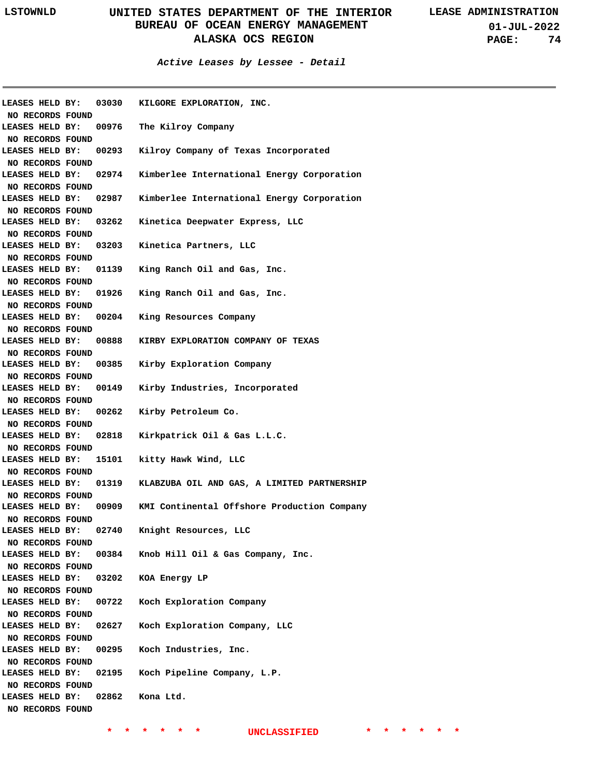**01-JUL-2022 PAGE: 74**

**Active Leases by Lessee - Detail**

| LEASES HELD BY:         | 03030 | KILGORE EXPLORATION, INC.                   |
|-------------------------|-------|---------------------------------------------|
| NO RECORDS FOUND        |       |                                             |
| LEASES HELD BY:         | 00976 | The Kilroy Company                          |
| NO RECORDS FOUND        |       |                                             |
| LEASES HELD BY:         | 00293 | Kilroy Company of Texas Incorporated        |
| NO RECORDS FOUND        |       |                                             |
| LEASES HELD BY:         | 02974 | Kimberlee International Energy Corporation  |
| NO RECORDS FOUND        |       |                                             |
| LEASES HELD BY:         | 02987 | Kimberlee International Energy Corporation  |
| NO RECORDS FOUND        |       |                                             |
| LEASES HELD BY:         | 03262 | Kinetica Deepwater Express, LLC             |
| NO RECORDS FOUND        |       |                                             |
| LEASES HELD BY:         | 03203 | Kinetica Partners, LLC                      |
| NO RECORDS FOUND        |       |                                             |
| LEASES HELD BY:         | 01139 | King Ranch Oil and Gas, Inc.                |
| NO RECORDS FOUND        |       |                                             |
| LEASES HELD BY:         | 01926 | King Ranch Oil and Gas, Inc.                |
| NO RECORDS FOUND        |       |                                             |
| LEASES HELD BY:         | 00204 | King Resources Company                      |
| NO RECORDS FOUND        |       |                                             |
| LEASES HELD BY:         | 00888 | KIRBY EXPLORATION COMPANY OF TEXAS          |
| NO RECORDS FOUND        |       |                                             |
| LEASES HELD BY:         | 00385 | Kirby Exploration Company                   |
| NO RECORDS FOUND        |       |                                             |
| LEASES HELD BY:         | 00149 | Kirby Industries, Incorporated              |
| NO RECORDS FOUND        |       |                                             |
| LEASES HELD BY:         | 00262 | Kirby Petroleum Co.                         |
| NO RECORDS FOUND        |       |                                             |
| LEASES HELD BY:         | 02818 | Kirkpatrick Oil & Gas L.L.C.                |
| NO RECORDS FOUND        |       |                                             |
| LEASES HELD BY:         | 15101 | kitty Hawk Wind, LLC                        |
| NO RECORDS FOUND        |       |                                             |
| LEASES HELD BY:         | 01319 | KLABZUBA OIL AND GAS, A LIMITED PARTNERSHIP |
| NO RECORDS FOUND        |       |                                             |
| LEASES HELD BY:         | 00909 | KMI Continental Offshore Production Company |
| NO RECORDS FOUND        |       |                                             |
| LEASES HELD BY:         | 02740 | Knight Resources, LLC                       |
| <b>NO RECORDS FOUND</b> |       |                                             |
| LEASES HELD BY:         | 00384 | Knob Hill Oil & Gas Company, Inc.           |
| NO RECORDS FOUND        |       |                                             |
| LEASES HELD BY:         | 03202 | KOA Energy LP                               |
| NO RECORDS FOUND        |       |                                             |
| LEASES HELD BY:         | 00722 | Koch Exploration Company                    |
| NO RECORDS FOUND        |       |                                             |
| LEASES HELD BY:         | 02627 | Koch Exploration Company, LLC               |
| NO RECORDS FOUND        |       |                                             |
| LEASES HELD BY:         | 00295 | Koch Industries, Inc.                       |
| NO RECORDS FOUND        |       |                                             |
| LEASES HELD BY:         | 02195 | Koch Pipeline Company, L.P.                 |
| NO RECORDS FOUND        |       |                                             |
| LEASES HELD BY:         | 02862 | Kona Ltd.                                   |
| NO RECORDS FOUND        |       |                                             |
|                         |       |                                             |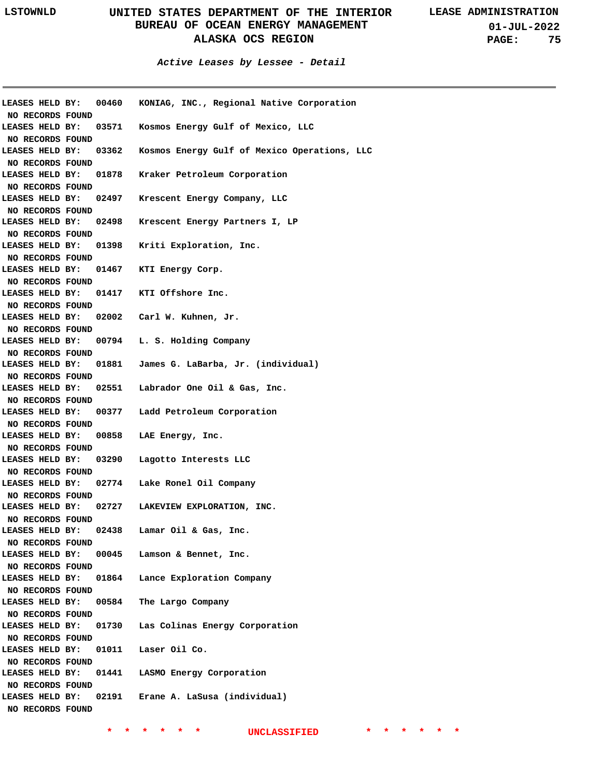**01-JUL-2022 PAGE: 75**

**Active Leases by Lessee - Detail**

| NO RECORDS FOUND |       | LEASES HELD BY: 00460 KONIAG, INC., Regional Native Corporation |
|------------------|-------|-----------------------------------------------------------------|
| LEASES HELD BY:  |       | 03571 Kosmos Energy Gulf of Mexico, LLC                         |
| NO RECORDS FOUND |       |                                                                 |
| LEASES HELD BY:  |       | 03362 Kosmos Energy Gulf of Mexico Operations, LLC              |
| NO RECORDS FOUND |       |                                                                 |
| LEASES HELD BY:  |       | 01878 Kraker Petroleum Corporation                              |
| NO RECORDS FOUND |       |                                                                 |
| LEASES HELD BY:  |       | 02497 Krescent Energy Company, LLC                              |
| NO RECORDS FOUND |       |                                                                 |
|                  |       | LEASES HELD BY: 02498 Krescent Energy Partners I, LP            |
| NO RECORDS FOUND |       |                                                                 |
|                  |       | LEASES HELD BY: 01398 Kriti Exploration, Inc.                   |
| NO RECORDS FOUND |       |                                                                 |
|                  |       | LEASES HELD BY: 01467 KTI Energy Corp.                          |
| NO RECORDS FOUND |       |                                                                 |
|                  |       | LEASES HELD BY: 01417 KTI Offshore Inc.                         |
| NO RECORDS FOUND |       |                                                                 |
|                  |       | LEASES HELD BY: 02002 Carl W. Kuhnen, Jr.                       |
| NO RECORDS FOUND |       |                                                                 |
|                  |       | LEASES HELD BY: 00794 L.S. Holding Company                      |
| NO RECORDS FOUND |       |                                                                 |
|                  |       | LEASES HELD BY: 01881 James G. LaBarba, Jr. (individual)        |
| NO RECORDS FOUND |       | LEASES HELD BY: 02551 Labrador One Oil & Gas, Inc.              |
| NO RECORDS FOUND |       |                                                                 |
|                  |       | LEASES HELD BY: 00377 Ladd Petroleum Corporation                |
| NO RECORDS FOUND |       |                                                                 |
|                  |       | LEASES HELD BY: 00858 LAE Energy, Inc.                          |
| NO RECORDS FOUND |       |                                                                 |
|                  |       | LEASES HELD BY: 03290 Lagotto Interests LLC                     |
| NO RECORDS FOUND |       |                                                                 |
|                  |       | LEASES HELD BY: 02774 Lake Ronel Oil Company                    |
| NO RECORDS FOUND |       |                                                                 |
|                  |       | LEASES HELD BY: 02727 LAKEVIEW EXPLORATION, INC.                |
| NO RECORDS FOUND |       |                                                                 |
| LEASES HELD BY:  | 02438 | Lamar Oil & Gas, Inc.                                           |
| NO RECORDS FOUND |       |                                                                 |
| LEASES HELD BY:  |       | 00045 Lamson & Bennet, Inc.                                     |
| NO RECORDS FOUND |       |                                                                 |
| LEASES HELD BY:  |       | 01864 Lance Exploration Company                                 |
| NO RECORDS FOUND |       |                                                                 |
| LEASES HELD BY:  | 00584 | The Largo Company                                               |
| NO RECORDS FOUND |       |                                                                 |
| LEASES HELD BY:  |       | 01730 Las Colinas Energy Corporation                            |
| NO RECORDS FOUND |       |                                                                 |
| LEASES HELD BY:  |       | 01011 Laser Oil Co.                                             |
| NO RECORDS FOUND |       |                                                                 |
| LEASES HELD BY:  |       | 01441 LASMO Energy Corporation                                  |
| NO RECORDS FOUND |       |                                                                 |
| LEASES HELD BY:  |       | 02191 Erane A. LaSusa (individual)                              |
| NO RECORDS FOUND |       |                                                                 |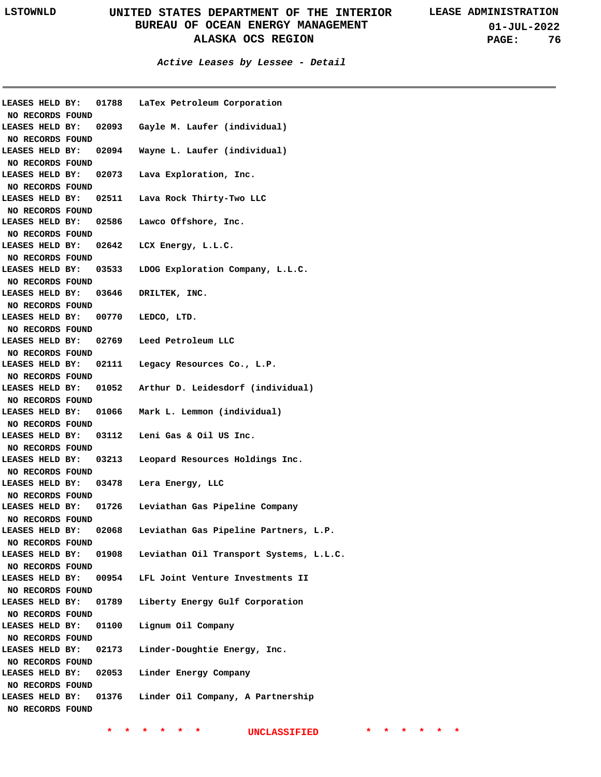**01-JUL-2022 PAGE: 76**

#### **Active Leases by Lessee - Detail**

| LEASES HELD BY:                     | 01788 | LaTex Petroleum Corporation             |
|-------------------------------------|-------|-----------------------------------------|
| NO RECORDS FOUND<br>LEASES HELD BY: |       | 02093 Gayle M. Laufer (individual)      |
|                                     |       |                                         |
| NO RECORDS FOUND<br>LEASES HELD BY: | 02094 | Wayne L. Laufer (individual)            |
|                                     |       |                                         |
| NO RECORDS FOUND                    |       |                                         |
| LEASES HELD BY:                     | 02073 | Lava Exploration, Inc.                  |
| NO RECORDS FOUND                    |       |                                         |
| LEASES HELD BY:                     | 02511 | Lava Rock Thirty-Two LLC                |
| NO RECORDS FOUND                    |       |                                         |
| LEASES HELD BY:                     | 02586 | Lawco Offshore, Inc.                    |
| NO RECORDS FOUND                    |       |                                         |
| LEASES HELD BY:                     | 02642 | LCX Energy, L.L.C.                      |
| NO RECORDS FOUND                    |       |                                         |
| LEASES HELD BY:                     | 03533 | LDOG Exploration Company, L.L.C.        |
| NO RECORDS FOUND                    |       |                                         |
| LEASES HELD BY:                     | 03646 | DRILTEK, INC.                           |
| NO RECORDS FOUND                    |       |                                         |
| LEASES HELD BY:                     | 00770 | LEDCO, LTD.                             |
| NO RECORDS FOUND                    |       |                                         |
| LEASES HELD BY:                     |       | 02769 Leed Petroleum LLC                |
| NO RECORDS FOUND                    |       |                                         |
| LEASES HELD BY:                     | 02111 | Legacy Resources Co., L.P.              |
| NO RECORDS FOUND                    |       |                                         |
| LEASES HELD BY:                     |       | 01052 Arthur D. Leidesdorf (individual) |
| NO RECORDS FOUND                    |       |                                         |
| LEASES HELD BY:                     | 01066 | Mark L. Lemmon (individual)             |
| NO RECORDS FOUND                    |       |                                         |
| LEASES HELD BY:                     |       | 03112 Leni Gas & Oil US Inc.            |
| NO RECORDS FOUND                    |       |                                         |
| LEASES HELD BY:                     | 03213 | Leopard Resources Holdings Inc.         |
| NO RECORDS FOUND                    |       |                                         |
| LEASES HELD BY:                     | 03478 | Lera Energy, LLC                        |
| NO RECORDS FOUND                    |       |                                         |
| LEASES HELD BY:                     | 01726 | Leviathan Gas Pipeline Company          |
| NO RECORDS FOUND                    |       |                                         |
| LEASES HELD BY:                     | 02068 | Leviathan Gas Pipeline Partners, L.P.   |
| NO RECORDS FOUND                    |       |                                         |
| LEASES HELD BY:                     | 01908 | Leviathan Oil Transport Systems, L.L.C. |
| NO RECORDS FOUND                    |       |                                         |
| LEASES HELD BY:                     | 00954 | LFL Joint Venture Investments II        |
| NO RECORDS FOUND                    |       |                                         |
| LEASES HELD BY:                     | 01789 | Liberty Energy Gulf Corporation         |
| NO RECORDS FOUND                    |       |                                         |
| LEASES HELD BY:                     | 01100 | Lignum Oil Company                      |
| NO RECORDS FOUND                    |       |                                         |
| LEASES HELD BY:                     | 02173 | Linder-Doughtie Energy, Inc.            |
| NO RECORDS FOUND                    |       |                                         |
| LEASES HELD BY:                     | 02053 | Linder Energy Company                   |
| NO RECORDS FOUND                    |       |                                         |
| LEASES HELD BY:                     | 01376 | Linder Oil Company, A Partnership       |
|                                     |       |                                         |
| NO RECORDS FOUND                    |       |                                         |
|                                     |       |                                         |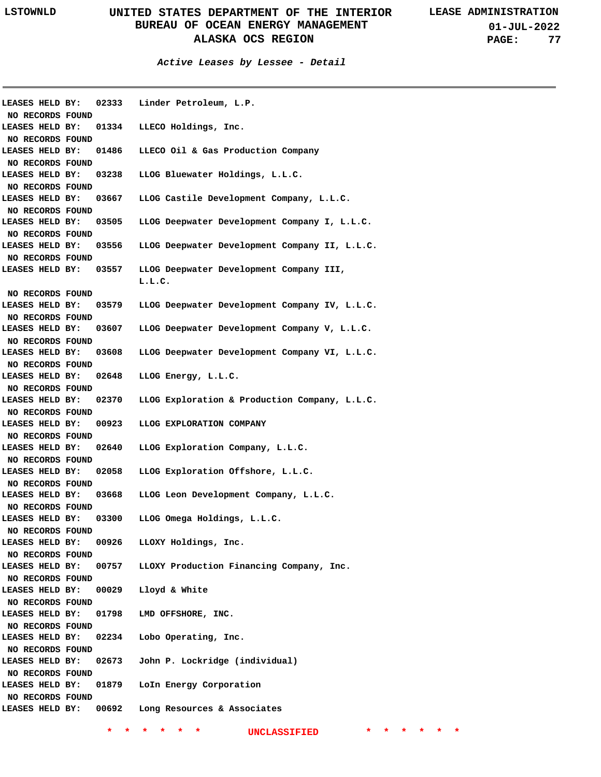| LEASES HELD BY:                     | 02333 | Linder Petroleum, L.P.                        |
|-------------------------------------|-------|-----------------------------------------------|
| NO RECORDS FOUND                    |       |                                               |
| LEASES HELD BY:                     | 01334 | LLECO Holdings, Inc.                          |
| NO RECORDS FOUND                    |       |                                               |
| LEASES HELD BY:                     | 01486 | LLECO Oil & Gas Production Company            |
| NO RECORDS FOUND                    |       |                                               |
| LEASES HELD BY:                     | 03238 | LLOG Bluewater Holdings, L.L.C.               |
| NO RECORDS FOUND                    |       |                                               |
| LEASES HELD BY:                     | 03667 | LLOG Castile Development Company, L.L.C.      |
| NO RECORDS FOUND                    |       |                                               |
| LEASES HELD BY:                     | 03505 | LLOG Deepwater Development Company I, L.L.C.  |
| NO RECORDS FOUND                    |       |                                               |
| LEASES HELD BY:                     | 03556 | LLOG Deepwater Development Company II, L.L.C. |
| NO RECORDS FOUND                    |       |                                               |
| LEASES HELD BY:                     | 03557 | LLOG Deepwater Development Company III,       |
|                                     |       | L.L.C.                                        |
| NO RECORDS FOUND                    |       |                                               |
| LEASES HELD BY:                     | 03579 | LLOG Deepwater Development Company IV, L.L.C. |
| NO RECORDS FOUND                    |       |                                               |
| LEASES HELD BY:                     | 03607 | LLOG Deepwater Development Company V, L.L.C.  |
| NO RECORDS FOUND                    |       |                                               |
| LEASES HELD BY:                     | 03608 | LLOG Deepwater Development Company VI, L.L.C. |
| NO RECORDS FOUND                    |       |                                               |
| LEASES HELD BY:                     | 02648 | LLOG Energy, L.L.C.                           |
| NO RECORDS FOUND                    |       |                                               |
| LEASES HELD BY:                     | 02370 | LLOG Exploration & Production Company, L.L.C. |
| NO RECORDS FOUND                    |       |                                               |
| LEASES HELD BY:                     | 00923 | LLOG EXPLORATION COMPANY                      |
| NO RECORDS FOUND                    |       |                                               |
| LEASES HELD BY:                     | 02640 | LLOG Exploration Company, L.L.C.              |
| NO RECORDS FOUND                    |       |                                               |
| LEASES HELD BY:                     | 02058 | LLOG Exploration Offshore, L.L.C.             |
| NO RECORDS FOUND                    |       |                                               |
| LEASES HELD BY:                     | 03668 | LLOG Leon Development Company, L.L.C.         |
| NO RECORDS FOUND                    |       |                                               |
| LEASES HELD BY:                     | 03300 | LLOG Omega Holdings, L.L.C.                   |
| NO RECORDS FOUND                    |       |                                               |
| LEASES HELD BY:                     | 00926 | LLOXY Holdings, Inc.                          |
| NO RECORDS FOUND                    |       |                                               |
| LEASES HELD BY:                     | 00757 | LLOXY Production Financing Company, Inc.      |
| NO RECORDS FOUND<br>LEASES HELD BY: | 00029 | Lloyd & White                                 |
| NO RECORDS FOUND                    |       |                                               |
| LEASES HELD BY:                     | 01798 | LMD OFFSHORE, INC.                            |
| NO RECORDS FOUND                    |       |                                               |
| LEASES HELD BY:                     | 02234 | Lobo Operating, Inc.                          |
| NO RECORDS FOUND                    |       |                                               |
| LEASES HELD BY:                     | 02673 | John P. Lockridge (individual)                |
| NO RECORDS FOUND                    |       |                                               |
| LEASES HELD BY:                     | 01879 | LoIn Energy Corporation                       |
| NO RECORDS FOUND                    |       |                                               |
| LEASES HELD BY:                     | 00692 | Long Resources & Associates                   |
|                                     |       |                                               |
|                                     |       | <b>UNCLASSIFIED</b>                           |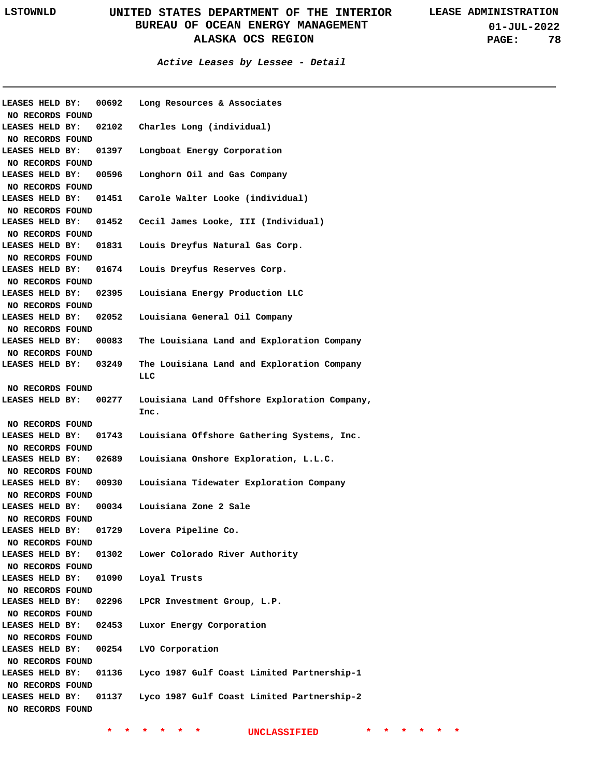**01-JUL-2022 PAGE: 78**

#### **Active Leases by Lessee - Detail**

| LEASES HELD BY:  | 00692 | Long Resources & Associates                          |
|------------------|-------|------------------------------------------------------|
| NO RECORDS FOUND |       |                                                      |
| LEASES HELD BY:  | 02102 | Charles Long (individual)                            |
| NO RECORDS FOUND |       |                                                      |
| LEASES HELD BY:  | 01397 | Longboat Energy Corporation                          |
| NO RECORDS FOUND |       |                                                      |
| LEASES HELD BY:  | 00596 | Longhorn Oil and Gas Company                         |
| NO RECORDS FOUND |       |                                                      |
| LEASES HELD BY:  | 01451 | Carole Walter Looke (individual)                     |
| NO RECORDS FOUND |       |                                                      |
| LEASES HELD BY:  | 01452 | Cecil James Looke, III (Individual)                  |
| NO RECORDS FOUND |       |                                                      |
| LEASES HELD BY:  | 01831 | Louis Dreyfus Natural Gas Corp.                      |
| NO RECORDS FOUND |       |                                                      |
| LEASES HELD BY:  | 01674 | Louis Dreyfus Reserves Corp.                         |
| NO RECORDS FOUND |       |                                                      |
| LEASES HELD BY:  | 02395 | Louisiana Energy Production LLC                      |
| NO RECORDS FOUND |       |                                                      |
| LEASES HELD BY:  | 02052 | Louisiana General Oil Company                        |
| NO RECORDS FOUND |       |                                                      |
| LEASES HELD BY:  | 00083 | The Louisiana Land and Exploration Company           |
| NO RECORDS FOUND |       |                                                      |
| LEASES HELD BY:  | 03249 | The Louisiana Land and Exploration Company<br>LLC    |
| NO RECORDS FOUND |       |                                                      |
| LEASES HELD BY:  | 00277 | Louisiana Land Offshore Exploration Company,<br>Inc. |
| NO RECORDS FOUND |       |                                                      |
| LEASES HELD BY:  | 01743 | Louisiana Offshore Gathering Systems, Inc.           |
| NO RECORDS FOUND |       |                                                      |
| LEASES HELD BY:  | 02689 | Louisiana Onshore Exploration, L.L.C.                |
| NO RECORDS FOUND |       |                                                      |
| LEASES HELD BY:  | 00930 | Louisiana Tidewater Exploration Company              |
| NO RECORDS FOUND |       |                                                      |
| LEASES HELD BY:  | 00034 | Louisiana Zone 2 Sale                                |
| NO RECORDS FOUND |       |                                                      |
| LEASES HELD BY:  | 01729 | Lovera Pipeline Co.                                  |
| NO RECORDS FOUND |       |                                                      |
| LEASES HELD BY:  | 01302 | Lower Colorado River Authority                       |
| NO RECORDS FOUND |       |                                                      |
| LEASES HELD BY:  | 01090 | Loyal Trusts                                         |
| NO RECORDS FOUND |       |                                                      |
| LEASES HELD BY:  | 02296 | LPCR Investment Group, L.P.                          |
| NO RECORDS FOUND |       |                                                      |
| LEASES HELD BY:  | 02453 | Luxor Energy Corporation                             |
| NO RECORDS FOUND |       |                                                      |
| LEASES HELD BY:  | 00254 | LVO Corporation                                      |
| NO RECORDS FOUND |       |                                                      |
| LEASES HELD BY:  | 01136 | Lyco 1987 Gulf Coast Limited Partnership-1           |
| NO RECORDS FOUND |       |                                                      |
| LEASES HELD BY:  | 01137 | Lyco 1987 Gulf Coast Limited Partnership-2           |
| NO RECORDS FOUND |       |                                                      |
|                  |       |                                                      |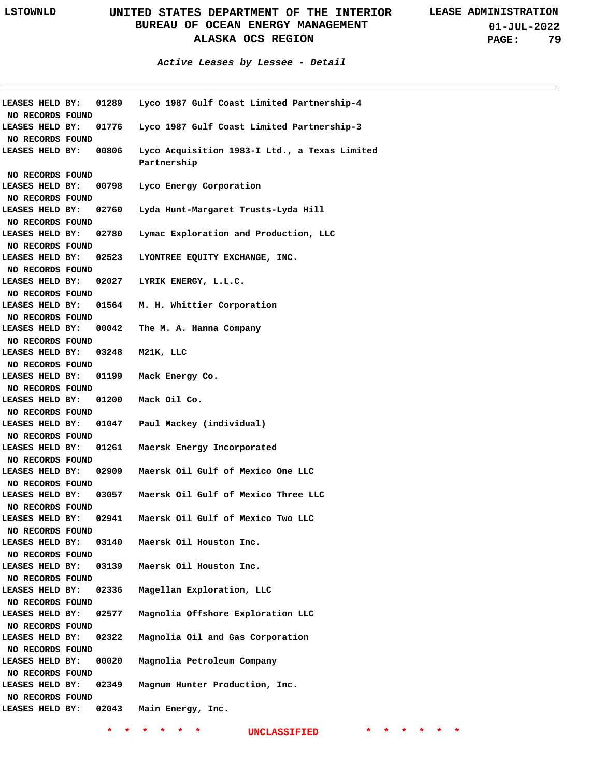**01-JUL-2022 PAGE: 79**

**Active Leases by Lessee - Detail**

|                                            |       | LEASES HELD BY: 01289 Lyco 1987 Gulf Coast Limited Partnership-4 |
|--------------------------------------------|-------|------------------------------------------------------------------|
| NO RECORDS FOUND                           |       |                                                                  |
| LEASES HELD BY:                            |       | 01776 Lyco 1987 Gulf Coast Limited Partnership-3                 |
| NO RECORDS FOUND                           |       |                                                                  |
| <b>LEASES HELD BY:</b>                     | 00806 | Lyco Acquisition 1983-I Ltd., a Texas Limited<br>Partnership     |
| NO RECORDS FOUND                           |       |                                                                  |
| LEASES HELD BY:                            | 00798 | Lyco Energy Corporation                                          |
| NO RECORDS FOUND                           |       |                                                                  |
| LEASES HELD BY:                            | 02760 | Lyda Hunt-Margaret Trusts-Lyda Hill                              |
| NO RECORDS FOUND                           |       |                                                                  |
| LEASES HELD BY:                            | 02780 | Lymac Exploration and Production, LLC                            |
| NO RECORDS FOUND                           |       |                                                                  |
| LEASES HELD BY:                            | 02523 | LYONTREE EQUITY EXCHANGE, INC.                                   |
| NO RECORDS FOUND                           |       |                                                                  |
|                                            |       | LEASES HELD BY: 02027 LYRIK ENERGY, L.L.C.                       |
| NO RECORDS FOUND                           |       |                                                                  |
|                                            |       | LEASES HELD BY: 01564 M. H. Whittier Corporation                 |
| NO RECORDS FOUND                           |       |                                                                  |
| <b>LEASES HELD BY:</b>                     |       | 00042 The M. A. Hanna Company                                    |
| NO RECORDS FOUND                           |       |                                                                  |
| LEASES HELD BY: 03248 M21K, LLC            |       |                                                                  |
| NO RECORDS FOUND                           |       |                                                                  |
|                                            |       | LEASES HELD BY: 01199 Mack Energy Co.                            |
| NO RECORDS FOUND                           |       |                                                                  |
|                                            |       | LEASES HELD BY: 01200 Mack Oil Co.                               |
| NO RECORDS FOUND                           |       |                                                                  |
|                                            |       | LEASES HELD BY: 01047 Paul Mackey (individual)                   |
| NO RECORDS FOUND                           |       |                                                                  |
| <b>LEASES HELD BY:</b>                     |       | 01261 Maersk Energy Incorporated                                 |
| NO RECORDS FOUND<br><b>LEASES HELD BY:</b> |       | 02909 Maersk Oil Gulf of Mexico One LLC                          |
| NO RECORDS FOUND                           |       |                                                                  |
| <b>LEASES HELD BY:</b>                     |       | 03057 Maersk Oil Gulf of Mexico Three LLC                        |
| NO RECORDS FOUND                           |       |                                                                  |
| LEASES HELD BY:                            |       | 02941 Maersk Oil Gulf of Mexico Two LLC                          |
| NO RECORDS FOUND                           |       |                                                                  |
| LEASES HELD BY:                            | 03140 | Maersk Oil Houston Inc.                                          |
| NO RECORDS FOUND                           |       |                                                                  |
| LEASES HELD BY:                            | 03139 | Maersk Oil Houston Inc.                                          |
| NO RECORDS FOUND                           |       |                                                                  |
| LEASES HELD BY:                            | 02336 | Magellan Exploration, LLC                                        |
| NO RECORDS FOUND                           |       |                                                                  |
| LEASES HELD BY:                            | 02577 | Magnolia Offshore Exploration LLC                                |
| NO RECORDS FOUND                           |       |                                                                  |
| LEASES HELD BY:                            | 02322 | Magnolia Oil and Gas Corporation                                 |
| NO RECORDS FOUND                           |       |                                                                  |
| LEASES HELD BY:                            | 00020 | Magnolia Petroleum Company                                       |
| NO RECORDS FOUND                           |       |                                                                  |
| LEASES HELD BY:                            | 02349 | Magnum Hunter Production, Inc.                                   |
| NO RECORDS FOUND                           |       |                                                                  |
| LEASES HELD BY:                            | 02043 | Main Energy, Inc.                                                |
|                                            |       |                                                                  |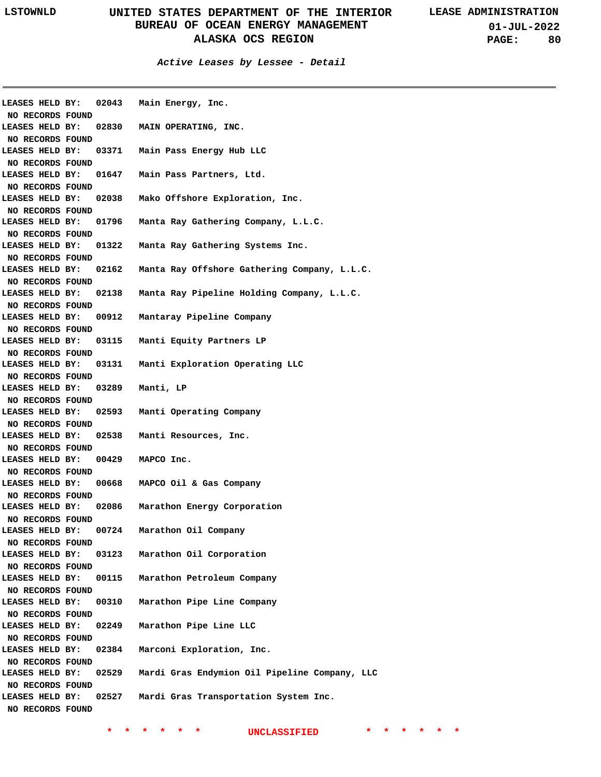**Active Leases by Lessee - Detail**

| LEASES HELD BY:                     | 02043 | Main Energy, Inc.                             |
|-------------------------------------|-------|-----------------------------------------------|
| NO RECORDS FOUND                    |       |                                               |
| LEASES HELD BY:                     | 02830 | MAIN OPERATING, INC.                          |
| NO RECORDS FOUND                    |       |                                               |
| LEASES HELD BY:                     | 03371 | Main Pass Energy Hub LLC                      |
| NO RECORDS FOUND                    |       |                                               |
| LEASES HELD BY:                     | 01647 | Main Pass Partners, Ltd.                      |
| NO RECORDS FOUND                    |       |                                               |
| LEASES HELD BY:                     | 02038 | Mako Offshore Exploration, Inc.               |
| NO RECORDS FOUND                    |       |                                               |
| LEASES HELD BY:                     | 01796 | Manta Ray Gathering Company, L.L.C.           |
| NO RECORDS FOUND                    |       |                                               |
| LEASES HELD BY:                     | 01322 | Manta Ray Gathering Systems Inc.              |
| NO RECORDS FOUND                    |       |                                               |
| LEASES HELD BY:                     | 02162 | Manta Ray Offshore Gathering Company, L.L.C.  |
| NO RECORDS FOUND                    |       |                                               |
| LEASES HELD BY:                     | 02138 | Manta Ray Pipeline Holding Company, L.L.C.    |
| NO RECORDS FOUND                    |       |                                               |
| LEASES HELD BY:                     | 00912 | Mantaray Pipeline Company                     |
| NO RECORDS FOUND                    |       |                                               |
| LEASES HELD BY:                     | 03115 | Manti Equity Partners LP                      |
| NO RECORDS FOUND                    |       |                                               |
| LEASES HELD BY:                     | 03131 | Manti Exploration Operating LLC               |
| NO RECORDS FOUND                    |       |                                               |
| LEASES HELD BY:                     | 03289 | Manti, LP                                     |
| NO RECORDS FOUND                    |       |                                               |
| LEASES HELD BY:                     | 02593 | Manti Operating Company                       |
| NO RECORDS FOUND                    |       |                                               |
| LEASES HELD BY:                     | 02538 | Manti Resources, Inc.                         |
| NO RECORDS FOUND                    |       |                                               |
| LEASES HELD BY:                     | 00429 | MAPCO Inc.                                    |
| NO RECORDS FOUND                    |       |                                               |
| LEASES HELD BY:                     | 00668 | MAPCO Oil & Gas Company                       |
| NO RECORDS FOUND                    |       |                                               |
| LEASES HELD BY:                     | 02086 | Marathon Energy Corporation                   |
| NO RECORDS FOUND                    |       |                                               |
| LEASES HELD BY:                     | 00724 | Marathon Oil Company                          |
| NO RECORDS FOUND                    |       |                                               |
| LEASES HELD BY:                     | 03123 | Marathon Oil Corporation                      |
| NO RECORDS FOUND                    |       |                                               |
| LEASES HELD BY:                     | 00115 | Marathon Petroleum Company                    |
| NO RECORDS FOUND                    |       |                                               |
| LEASES HELD BY:                     | 00310 | Marathon Pipe Line Company                    |
| NO RECORDS FOUND                    |       |                                               |
| LEASES HELD BY:                     | 02249 | Marathon Pipe Line LLC                        |
|                                     |       |                                               |
| NO RECORDS FOUND<br>LEASES HELD BY: | 02384 | Marconi Exploration, Inc.                     |
|                                     |       |                                               |
| NO RECORDS FOUND<br>LEASES HELD BY: | 02529 | Mardi Gras Endymion Oil Pipeline Company, LLC |
|                                     |       |                                               |
| NO RECORDS FOUND                    | 02527 |                                               |
| LEASES HELD BY:                     |       | Mardi Gras Transportation System Inc.         |
| NO RECORDS FOUND                    |       |                                               |
|                                     |       |                                               |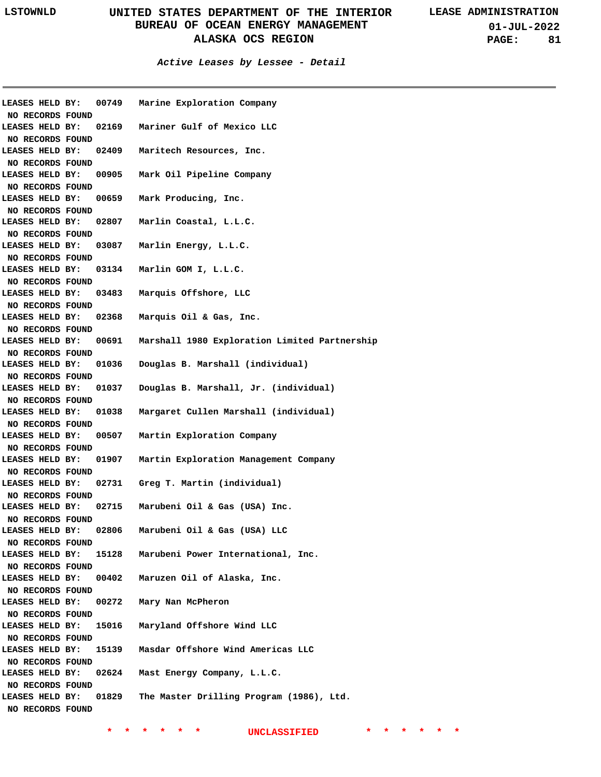**01-JUL-2022 PAGE: 81**

#### **Active Leases by Lessee - Detail**

| LEASES HELD BY:  |  | 00749 | Marine Exploration Company                    |
|------------------|--|-------|-----------------------------------------------|
| NO RECORDS FOUND |  |       |                                               |
| LEASES HELD BY:  |  | 02169 | Mariner Gulf of Mexico LLC                    |
| NO RECORDS FOUND |  |       |                                               |
| LEASES HELD BY:  |  | 02409 | Maritech Resources, Inc.                      |
| NO RECORDS FOUND |  |       |                                               |
| LEASES HELD BY:  |  | 00905 | Mark Oil Pipeline Company                     |
| NO RECORDS FOUND |  |       |                                               |
| LEASES HELD BY:  |  | 00659 | Mark Producing, Inc.                          |
| NO RECORDS FOUND |  |       |                                               |
| LEASES HELD BY:  |  | 02807 | Marlin Coastal, L.L.C.                        |
| NO RECORDS FOUND |  |       |                                               |
| LEASES HELD BY:  |  | 03087 | Marlin Energy, L.L.C.                         |
| NO RECORDS FOUND |  |       |                                               |
| LEASES HELD BY:  |  | 03134 | Marlin GOM I, L.L.C.                          |
| NO RECORDS FOUND |  |       |                                               |
| LEASES HELD BY:  |  | 03483 | Marquis Offshore, LLC                         |
| NO RECORDS FOUND |  |       |                                               |
| LEASES HELD BY:  |  | 02368 | Marquis Oil & Gas, Inc.                       |
| NO RECORDS FOUND |  |       |                                               |
| LEASES HELD BY:  |  | 00691 | Marshall 1980 Exploration Limited Partnership |
| NO RECORDS FOUND |  |       |                                               |
| LEASES HELD BY:  |  | 01036 | Douglas B. Marshall (individual)              |
| NO RECORDS FOUND |  |       |                                               |
| LEASES HELD BY:  |  | 01037 | Douglas B. Marshall, Jr. (individual)         |
| NO RECORDS FOUND |  |       |                                               |
| LEASES HELD BY:  |  | 01038 | Margaret Cullen Marshall (individual)         |
| NO RECORDS FOUND |  |       |                                               |
| LEASES HELD BY:  |  | 00507 | Martin Exploration Company                    |
| NO RECORDS FOUND |  |       |                                               |
| LEASES HELD BY:  |  | 01907 | Martin Exploration Management Company         |
| NO RECORDS FOUND |  |       |                                               |
| LEASES HELD BY:  |  | 02731 | Greg T. Martin (individual)                   |
| NO RECORDS FOUND |  |       |                                               |
| LEASES HELD BY:  |  | 02715 | Marubeni Oil & Gas (USA) Inc.                 |
| NO RECORDS FOUND |  |       |                                               |
| LEASES HELD BY:  |  | 02806 | Marubeni Oil & Gas (USA) LLC                  |
| NO RECORDS FOUND |  |       |                                               |
| LEASES HELD BY:  |  | 15128 | Marubeni Power International, Inc.            |
| NO RECORDS FOUND |  |       |                                               |
| LEASES HELD BY:  |  | 00402 | Maruzen Oil of Alaska, Inc.                   |
| NO RECORDS FOUND |  |       |                                               |
| LEASES HELD BY:  |  | 00272 | Mary Nan McPheron                             |
| NO RECORDS FOUND |  |       |                                               |
| LEASES HELD BY:  |  | 15016 | Maryland Offshore Wind LLC                    |
| NO RECORDS FOUND |  |       |                                               |
| LEASES HELD BY:  |  | 15139 | Masdar Offshore Wind Americas LLC             |
| NO RECORDS FOUND |  |       |                                               |
| LEASES HELD BY:  |  | 02624 | Mast Energy Company, L.L.C.                   |
| NO RECORDS FOUND |  |       |                                               |
| LEASES HELD BY:  |  | 01829 | The Master Drilling Program (1986), Ltd.      |
| NO RECORDS FOUND |  |       |                                               |
|                  |  |       |                                               |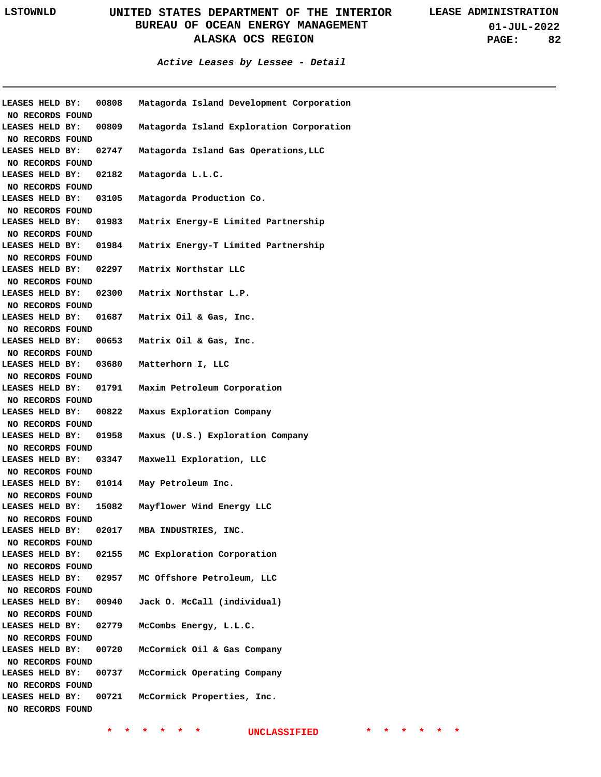**01-JUL-2022 PAGE: 82**

**Active Leases by Lessee - Detail**

| 00808<br>Matagorda Island Development Corporation<br><b>LEASES HELD BY:</b><br>NO RECORDS FOUND<br><b>LEASES HELD BY:</b><br>00809<br>Matagorda Island Exploration Corporation<br>NO RECORDS FOUND<br>LEASES HELD BY: 02747 Matagorda Island Gas Operations, LLC<br>NO RECORDS FOUND<br>LEASES HELD BY: 02182 Matagorda L.L.C.<br>NO RECORDS FOUND<br>LEASES HELD BY: 03105 Matagorda Production Co.<br>NO RECORDS FOUND<br>LEASES HELD BY: 01983 Matrix Energy-E Limited Partnership<br>NO RECORDS FOUND<br>LEASES HELD BY: 01984 Matrix Energy-T Limited Partnership<br>NO RECORDS FOUND<br>LEASES HELD BY: 02297 Matrix Northstar LLC<br>NO RECORDS FOUND<br>LEASES HELD BY: 02300 Matrix Northstar L.P.<br>NO RECORDS FOUND<br>LEASES HELD BY: 01687 Matrix Oil & Gas, Inc.<br>NO RECORDS FOUND<br>LEASES HELD BY: 00653 Matrix Oil & Gas, Inc.<br>NO RECORDS FOUND<br>LEASES HELD BY: 03680 Matterhorn I, LLC<br>NO RECORDS FOUND<br>LEASES HELD BY: 01791 Maxim Petroleum Corporation<br>NO RECORDS FOUND<br>LEASES HELD BY: 00822<br>Maxus Exploration Company<br>NO RECORDS FOUND<br>LEASES HELD BY: 01958<br>Maxus (U.S.) Exploration Company<br>NO RECORDS FOUND<br>LEASES HELD BY: 03347<br>Maxwell Exploration, LLC<br>NO RECORDS FOUND<br>LEASES HELD BY: 01014 May Petroleum Inc.<br>NO RECORDS FOUND<br>LEASES HELD BY: 15082 Mayflower Wind Energy LLC<br>NO RECORDS FOUND<br>LEASES HELD BY:<br>02017<br>MBA INDUSTRIES, INC.<br>NO RECORDS FOUND<br>MC Exploration Corporation<br>LEASES HELD BY:<br>02155<br>NO RECORDS FOUND |
|--------------------------------------------------------------------------------------------------------------------------------------------------------------------------------------------------------------------------------------------------------------------------------------------------------------------------------------------------------------------------------------------------------------------------------------------------------------------------------------------------------------------------------------------------------------------------------------------------------------------------------------------------------------------------------------------------------------------------------------------------------------------------------------------------------------------------------------------------------------------------------------------------------------------------------------------------------------------------------------------------------------------------------------------------------------------------------------------------------------------------------------------------------------------------------------------------------------------------------------------------------------------------------------------------------------------------------------------------------------------------------------------------------------------------------------------------------------------------------------------------------------------------------------------------|
|                                                                                                                                                                                                                                                                                                                                                                                                                                                                                                                                                                                                                                                                                                                                                                                                                                                                                                                                                                                                                                                                                                                                                                                                                                                                                                                                                                                                                                                                                                                                                  |
|                                                                                                                                                                                                                                                                                                                                                                                                                                                                                                                                                                                                                                                                                                                                                                                                                                                                                                                                                                                                                                                                                                                                                                                                                                                                                                                                                                                                                                                                                                                                                  |
|                                                                                                                                                                                                                                                                                                                                                                                                                                                                                                                                                                                                                                                                                                                                                                                                                                                                                                                                                                                                                                                                                                                                                                                                                                                                                                                                                                                                                                                                                                                                                  |
|                                                                                                                                                                                                                                                                                                                                                                                                                                                                                                                                                                                                                                                                                                                                                                                                                                                                                                                                                                                                                                                                                                                                                                                                                                                                                                                                                                                                                                                                                                                                                  |
|                                                                                                                                                                                                                                                                                                                                                                                                                                                                                                                                                                                                                                                                                                                                                                                                                                                                                                                                                                                                                                                                                                                                                                                                                                                                                                                                                                                                                                                                                                                                                  |
|                                                                                                                                                                                                                                                                                                                                                                                                                                                                                                                                                                                                                                                                                                                                                                                                                                                                                                                                                                                                                                                                                                                                                                                                                                                                                                                                                                                                                                                                                                                                                  |
|                                                                                                                                                                                                                                                                                                                                                                                                                                                                                                                                                                                                                                                                                                                                                                                                                                                                                                                                                                                                                                                                                                                                                                                                                                                                                                                                                                                                                                                                                                                                                  |
|                                                                                                                                                                                                                                                                                                                                                                                                                                                                                                                                                                                                                                                                                                                                                                                                                                                                                                                                                                                                                                                                                                                                                                                                                                                                                                                                                                                                                                                                                                                                                  |
|                                                                                                                                                                                                                                                                                                                                                                                                                                                                                                                                                                                                                                                                                                                                                                                                                                                                                                                                                                                                                                                                                                                                                                                                                                                                                                                                                                                                                                                                                                                                                  |
|                                                                                                                                                                                                                                                                                                                                                                                                                                                                                                                                                                                                                                                                                                                                                                                                                                                                                                                                                                                                                                                                                                                                                                                                                                                                                                                                                                                                                                                                                                                                                  |
|                                                                                                                                                                                                                                                                                                                                                                                                                                                                                                                                                                                                                                                                                                                                                                                                                                                                                                                                                                                                                                                                                                                                                                                                                                                                                                                                                                                                                                                                                                                                                  |
|                                                                                                                                                                                                                                                                                                                                                                                                                                                                                                                                                                                                                                                                                                                                                                                                                                                                                                                                                                                                                                                                                                                                                                                                                                                                                                                                                                                                                                                                                                                                                  |
|                                                                                                                                                                                                                                                                                                                                                                                                                                                                                                                                                                                                                                                                                                                                                                                                                                                                                                                                                                                                                                                                                                                                                                                                                                                                                                                                                                                                                                                                                                                                                  |
|                                                                                                                                                                                                                                                                                                                                                                                                                                                                                                                                                                                                                                                                                                                                                                                                                                                                                                                                                                                                                                                                                                                                                                                                                                                                                                                                                                                                                                                                                                                                                  |
|                                                                                                                                                                                                                                                                                                                                                                                                                                                                                                                                                                                                                                                                                                                                                                                                                                                                                                                                                                                                                                                                                                                                                                                                                                                                                                                                                                                                                                                                                                                                                  |
|                                                                                                                                                                                                                                                                                                                                                                                                                                                                                                                                                                                                                                                                                                                                                                                                                                                                                                                                                                                                                                                                                                                                                                                                                                                                                                                                                                                                                                                                                                                                                  |
|                                                                                                                                                                                                                                                                                                                                                                                                                                                                                                                                                                                                                                                                                                                                                                                                                                                                                                                                                                                                                                                                                                                                                                                                                                                                                                                                                                                                                                                                                                                                                  |
|                                                                                                                                                                                                                                                                                                                                                                                                                                                                                                                                                                                                                                                                                                                                                                                                                                                                                                                                                                                                                                                                                                                                                                                                                                                                                                                                                                                                                                                                                                                                                  |
|                                                                                                                                                                                                                                                                                                                                                                                                                                                                                                                                                                                                                                                                                                                                                                                                                                                                                                                                                                                                                                                                                                                                                                                                                                                                                                                                                                                                                                                                                                                                                  |
|                                                                                                                                                                                                                                                                                                                                                                                                                                                                                                                                                                                                                                                                                                                                                                                                                                                                                                                                                                                                                                                                                                                                                                                                                                                                                                                                                                                                                                                                                                                                                  |
|                                                                                                                                                                                                                                                                                                                                                                                                                                                                                                                                                                                                                                                                                                                                                                                                                                                                                                                                                                                                                                                                                                                                                                                                                                                                                                                                                                                                                                                                                                                                                  |
|                                                                                                                                                                                                                                                                                                                                                                                                                                                                                                                                                                                                                                                                                                                                                                                                                                                                                                                                                                                                                                                                                                                                                                                                                                                                                                                                                                                                                                                                                                                                                  |
|                                                                                                                                                                                                                                                                                                                                                                                                                                                                                                                                                                                                                                                                                                                                                                                                                                                                                                                                                                                                                                                                                                                                                                                                                                                                                                                                                                                                                                                                                                                                                  |
|                                                                                                                                                                                                                                                                                                                                                                                                                                                                                                                                                                                                                                                                                                                                                                                                                                                                                                                                                                                                                                                                                                                                                                                                                                                                                                                                                                                                                                                                                                                                                  |
|                                                                                                                                                                                                                                                                                                                                                                                                                                                                                                                                                                                                                                                                                                                                                                                                                                                                                                                                                                                                                                                                                                                                                                                                                                                                                                                                                                                                                                                                                                                                                  |
|                                                                                                                                                                                                                                                                                                                                                                                                                                                                                                                                                                                                                                                                                                                                                                                                                                                                                                                                                                                                                                                                                                                                                                                                                                                                                                                                                                                                                                                                                                                                                  |
|                                                                                                                                                                                                                                                                                                                                                                                                                                                                                                                                                                                                                                                                                                                                                                                                                                                                                                                                                                                                                                                                                                                                                                                                                                                                                                                                                                                                                                                                                                                                                  |
|                                                                                                                                                                                                                                                                                                                                                                                                                                                                                                                                                                                                                                                                                                                                                                                                                                                                                                                                                                                                                                                                                                                                                                                                                                                                                                                                                                                                                                                                                                                                                  |
|                                                                                                                                                                                                                                                                                                                                                                                                                                                                                                                                                                                                                                                                                                                                                                                                                                                                                                                                                                                                                                                                                                                                                                                                                                                                                                                                                                                                                                                                                                                                                  |
|                                                                                                                                                                                                                                                                                                                                                                                                                                                                                                                                                                                                                                                                                                                                                                                                                                                                                                                                                                                                                                                                                                                                                                                                                                                                                                                                                                                                                                                                                                                                                  |
|                                                                                                                                                                                                                                                                                                                                                                                                                                                                                                                                                                                                                                                                                                                                                                                                                                                                                                                                                                                                                                                                                                                                                                                                                                                                                                                                                                                                                                                                                                                                                  |
|                                                                                                                                                                                                                                                                                                                                                                                                                                                                                                                                                                                                                                                                                                                                                                                                                                                                                                                                                                                                                                                                                                                                                                                                                                                                                                                                                                                                                                                                                                                                                  |
|                                                                                                                                                                                                                                                                                                                                                                                                                                                                                                                                                                                                                                                                                                                                                                                                                                                                                                                                                                                                                                                                                                                                                                                                                                                                                                                                                                                                                                                                                                                                                  |
|                                                                                                                                                                                                                                                                                                                                                                                                                                                                                                                                                                                                                                                                                                                                                                                                                                                                                                                                                                                                                                                                                                                                                                                                                                                                                                                                                                                                                                                                                                                                                  |
|                                                                                                                                                                                                                                                                                                                                                                                                                                                                                                                                                                                                                                                                                                                                                                                                                                                                                                                                                                                                                                                                                                                                                                                                                                                                                                                                                                                                                                                                                                                                                  |
|                                                                                                                                                                                                                                                                                                                                                                                                                                                                                                                                                                                                                                                                                                                                                                                                                                                                                                                                                                                                                                                                                                                                                                                                                                                                                                                                                                                                                                                                                                                                                  |
|                                                                                                                                                                                                                                                                                                                                                                                                                                                                                                                                                                                                                                                                                                                                                                                                                                                                                                                                                                                                                                                                                                                                                                                                                                                                                                                                                                                                                                                                                                                                                  |
|                                                                                                                                                                                                                                                                                                                                                                                                                                                                                                                                                                                                                                                                                                                                                                                                                                                                                                                                                                                                                                                                                                                                                                                                                                                                                                                                                                                                                                                                                                                                                  |
|                                                                                                                                                                                                                                                                                                                                                                                                                                                                                                                                                                                                                                                                                                                                                                                                                                                                                                                                                                                                                                                                                                                                                                                                                                                                                                                                                                                                                                                                                                                                                  |
|                                                                                                                                                                                                                                                                                                                                                                                                                                                                                                                                                                                                                                                                                                                                                                                                                                                                                                                                                                                                                                                                                                                                                                                                                                                                                                                                                                                                                                                                                                                                                  |
| MC Offshore Petroleum, LLC                                                                                                                                                                                                                                                                                                                                                                                                                                                                                                                                                                                                                                                                                                                                                                                                                                                                                                                                                                                                                                                                                                                                                                                                                                                                                                                                                                                                                                                                                                                       |
| LEASES HELD BY:<br>02957                                                                                                                                                                                                                                                                                                                                                                                                                                                                                                                                                                                                                                                                                                                                                                                                                                                                                                                                                                                                                                                                                                                                                                                                                                                                                                                                                                                                                                                                                                                         |
| NO RECORDS FOUND                                                                                                                                                                                                                                                                                                                                                                                                                                                                                                                                                                                                                                                                                                                                                                                                                                                                                                                                                                                                                                                                                                                                                                                                                                                                                                                                                                                                                                                                                                                                 |
| Jack O. McCall (individual)<br>LEASES HELD BY:<br>00940                                                                                                                                                                                                                                                                                                                                                                                                                                                                                                                                                                                                                                                                                                                                                                                                                                                                                                                                                                                                                                                                                                                                                                                                                                                                                                                                                                                                                                                                                          |
| NO RECORDS FOUND                                                                                                                                                                                                                                                                                                                                                                                                                                                                                                                                                                                                                                                                                                                                                                                                                                                                                                                                                                                                                                                                                                                                                                                                                                                                                                                                                                                                                                                                                                                                 |
| LEASES HELD BY:<br>02779<br>McCombs Energy, L.L.C.                                                                                                                                                                                                                                                                                                                                                                                                                                                                                                                                                                                                                                                                                                                                                                                                                                                                                                                                                                                                                                                                                                                                                                                                                                                                                                                                                                                                                                                                                               |
| NO RECORDS FOUND                                                                                                                                                                                                                                                                                                                                                                                                                                                                                                                                                                                                                                                                                                                                                                                                                                                                                                                                                                                                                                                                                                                                                                                                                                                                                                                                                                                                                                                                                                                                 |
|                                                                                                                                                                                                                                                                                                                                                                                                                                                                                                                                                                                                                                                                                                                                                                                                                                                                                                                                                                                                                                                                                                                                                                                                                                                                                                                                                                                                                                                                                                                                                  |
| LEASES HELD BY:<br>00720<br>McCormick Oil & Gas Company                                                                                                                                                                                                                                                                                                                                                                                                                                                                                                                                                                                                                                                                                                                                                                                                                                                                                                                                                                                                                                                                                                                                                                                                                                                                                                                                                                                                                                                                                          |
| NO RECORDS FOUND                                                                                                                                                                                                                                                                                                                                                                                                                                                                                                                                                                                                                                                                                                                                                                                                                                                                                                                                                                                                                                                                                                                                                                                                                                                                                                                                                                                                                                                                                                                                 |
| LEASES HELD BY:<br>00737<br>McCormick Operating Company                                                                                                                                                                                                                                                                                                                                                                                                                                                                                                                                                                                                                                                                                                                                                                                                                                                                                                                                                                                                                                                                                                                                                                                                                                                                                                                                                                                                                                                                                          |
| <b>NO RECORDS FOUND</b>                                                                                                                                                                                                                                                                                                                                                                                                                                                                                                                                                                                                                                                                                                                                                                                                                                                                                                                                                                                                                                                                                                                                                                                                                                                                                                                                                                                                                                                                                                                          |
| LEASES HELD BY:<br>00721<br>McCormick Properties, Inc.                                                                                                                                                                                                                                                                                                                                                                                                                                                                                                                                                                                                                                                                                                                                                                                                                                                                                                                                                                                                                                                                                                                                                                                                                                                                                                                                                                                                                                                                                           |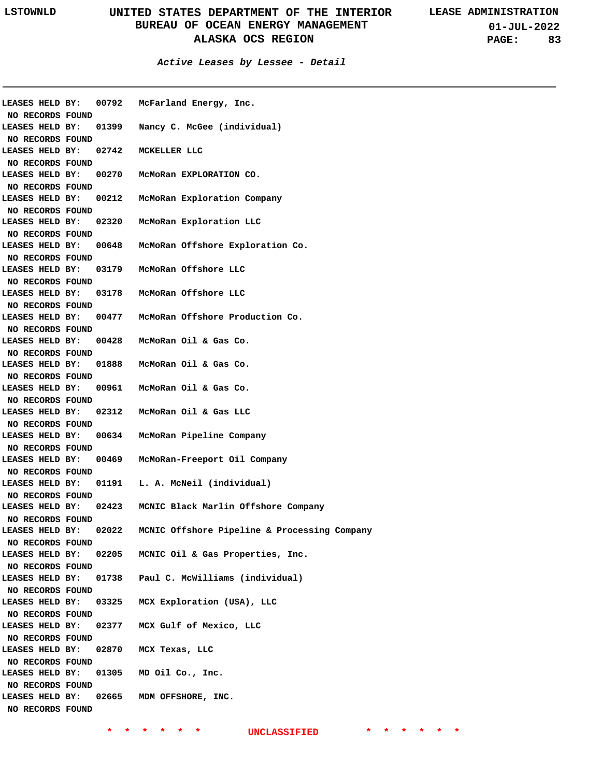**01-JUL-2022 PAGE: 83**

| LEASES HELD BY:                     |  | 00792 | McFarland Energy, Inc.                       |
|-------------------------------------|--|-------|----------------------------------------------|
| NO RECORDS FOUND                    |  |       |                                              |
| LEASES HELD BY:                     |  | 01399 | Nancy C. McGee (individual)                  |
| NO RECORDS FOUND                    |  |       |                                              |
| LEASES HELD BY:                     |  | 02742 | MCKELLER LLC                                 |
| NO RECORDS FOUND                    |  |       |                                              |
| LEASES HELD BY:                     |  | 00270 | McMoRan EXPLORATION CO.                      |
| NO RECORDS FOUND                    |  |       |                                              |
| LEASES HELD BY:                     |  | 00212 | McMoRan Exploration Company                  |
| NO RECORDS FOUND                    |  |       |                                              |
| LEASES HELD BY:                     |  | 02320 | McMoRan Exploration LLC                      |
| NO RECORDS FOUND                    |  |       |                                              |
| LEASES HELD BY:                     |  | 00648 | McMoRan Offshore Exploration Co.             |
| NO RECORDS FOUND                    |  |       |                                              |
| LEASES HELD BY:                     |  | 03179 | McMoRan Offshore LLC                         |
| NO RECORDS FOUND                    |  |       |                                              |
| LEASES HELD BY:                     |  | 03178 | McMoRan Offshore LLC                         |
| NO RECORDS FOUND                    |  |       |                                              |
| LEASES HELD BY:                     |  | 00477 | McMoRan Offshore Production Co.              |
| NO RECORDS FOUND                    |  |       |                                              |
| LEASES HELD BY:                     |  | 00428 | McMoRan Oil & Gas Co.                        |
| NO RECORDS FOUND                    |  |       |                                              |
| LEASES HELD BY:                     |  | 01888 | McMoRan Oil & Gas Co.                        |
| NO RECORDS FOUND                    |  |       |                                              |
| LEASES HELD BY:                     |  | 00961 | McMoRan Oil & Gas Co.                        |
| NO RECORDS FOUND                    |  |       |                                              |
| LEASES HELD BY:                     |  | 02312 | McMoRan Oil & Gas LLC                        |
| NO RECORDS FOUND                    |  |       |                                              |
| LEASES HELD BY:                     |  | 00634 | McMoRan Pipeline Company                     |
| NO RECORDS FOUND                    |  |       |                                              |
| LEASES HELD BY:                     |  | 00469 | McMoRan-Freeport Oil Company                 |
| NO RECORDS FOUND                    |  |       |                                              |
| LEASES HELD BY:                     |  | 01191 | L. A. McNeil (individual)                    |
| NO RECORDS FOUND                    |  |       |                                              |
| LEASES HELD BY:                     |  |       | 02423 MCNIC Black Marlin Offshore Company    |
| NO RECORDS FOUND                    |  |       |                                              |
| LEASES HELD BY:                     |  | 02022 | MCNIC Offshore Pipeline & Processing Company |
| NO RECORDS FOUND                    |  |       |                                              |
| LEASES HELD BY:                     |  | 02205 | MCNIC Oil & Gas Properties, Inc.             |
|                                     |  |       |                                              |
| NO RECORDS FOUND<br>LEASES HELD BY: |  | 01738 | Paul C. McWilliams (individual)              |
|                                     |  |       |                                              |
| NO RECORDS FOUND                    |  |       |                                              |
| LEASES HELD BY:                     |  | 03325 | MCX Exploration (USA), LLC                   |
| NO RECORDS FOUND                    |  |       |                                              |
| LEASES HELD BY:                     |  | 02377 | MCX Gulf of Mexico, LLC                      |
| NO RECORDS FOUND                    |  |       |                                              |
| LEASES HELD BY:                     |  | 02870 | MCX Texas, LLC                               |
| NO RECORDS FOUND                    |  |       |                                              |
| LEASES HELD BY:                     |  | 01305 | MD Oil Co., Inc.                             |
| NO RECORDS FOUND                    |  |       |                                              |
| LEASES HELD BY:                     |  | 02665 | MDM OFFSHORE, INC.                           |
| NO RECORDS FOUND                    |  |       |                                              |
|                                     |  |       |                                              |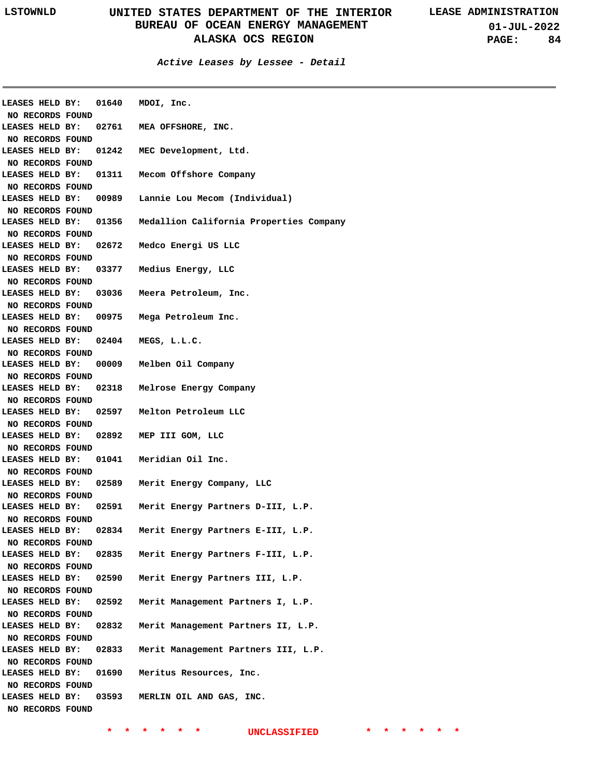| <b>LEASES HELD BY:</b> |                       | 01640 MDOI, Inc.                        |
|------------------------|-----------------------|-----------------------------------------|
| NO RECORDS FOUND       |                       |                                         |
| LEASES HELD BY:        | 02761                 | MEA OFFSHORE, INC.                      |
| NO RECORDS FOUND       |                       |                                         |
| LEASES HELD BY:        | 01242                 | MEC Development, Ltd.                   |
| NO RECORDS FOUND       |                       |                                         |
| LEASES HELD BY:        |                       | 01311 Mecom Offshore Company            |
| NO RECORDS FOUND       |                       |                                         |
| LEASES HELD BY:        | 00989                 | Lannie Lou Mecom (Individual)           |
| NO RECORDS FOUND       |                       |                                         |
| LEASES HELD BY:        | 01356                 | Medallion California Properties Company |
| NO RECORDS FOUND       |                       |                                         |
| LEASES HELD BY:        | 02672                 | Medco Energi US LLC                     |
| NO RECORDS FOUND       |                       |                                         |
|                        | LEASES HELD BY: 03377 | Medius Energy, LLC                      |
| NO RECORDS FOUND       |                       |                                         |
| LEASES HELD BY:        | 03036                 | Meera Petroleum, Inc.                   |
| NO RECORDS FOUND       |                       |                                         |
| LEASES HELD BY:        | 00975                 | Mega Petroleum Inc.                     |
| NO RECORDS FOUND       |                       |                                         |
| LEASES HELD BY:        | 02404                 | MEGS, L.L.C.                            |
| NO RECORDS FOUND       |                       |                                         |
|                        | LEASES HELD BY: 00009 | Melben Oil Company                      |
| NO RECORDS FOUND       |                       |                                         |
| LEASES HELD BY:        | 02318                 | Melrose Energy Company                  |
| NO RECORDS FOUND       |                       |                                         |
| LEASES HELD BY:        | 02597                 | Melton Petroleum LLC                    |
| NO RECORDS FOUND       |                       |                                         |
| LEASES HELD BY:        | 02892                 | MEP III GOM, LLC                        |
| NO RECORDS FOUND       |                       |                                         |
| LEASES HELD BY:        | 01041                 | Meridian Oil Inc.                       |
| NO RECORDS FOUND       |                       |                                         |
| LEASES HELD BY:        | 02589                 | Merit Energy Company, LLC               |
| NO RECORDS FOUND       |                       |                                         |
| LEASES HELD BY:        | 02591                 | Merit Energy Partners D-III, L.P.       |
| NO RECORDS FOUND       |                       |                                         |
| LEASES HELD BY:        | 02834                 | Merit Energy Partners E-III, L.P.       |
| NO RECORDS FOUND       |                       |                                         |
| LEASES HELD BY:        | 02835                 | Merit Energy Partners F-III, L.P.       |
| NO RECORDS FOUND       |                       |                                         |
| LEASES HELD BY:        | 02590                 | Merit Energy Partners III, L.P.         |
| NO RECORDS FOUND       |                       |                                         |
| LEASES HELD BY:        | 02592                 | Merit Management Partners I, L.P.       |
| NO RECORDS FOUND       |                       |                                         |
| LEASES HELD BY:        | 02832                 | Merit Management Partners II, L.P.      |
| NO RECORDS FOUND       |                       |                                         |
| LEASES HELD BY:        | 02833                 | Merit Management Partners III, L.P.     |
| NO RECORDS FOUND       |                       |                                         |
| LEASES HELD BY:        | 01690                 | Meritus Resources, Inc.                 |
| NO RECORDS FOUND       |                       |                                         |
| LEASES HELD BY:        | 03593                 | MERLIN OIL AND GAS, INC.                |
| NO RECORDS FOUND       |                       |                                         |
|                        |                       |                                         |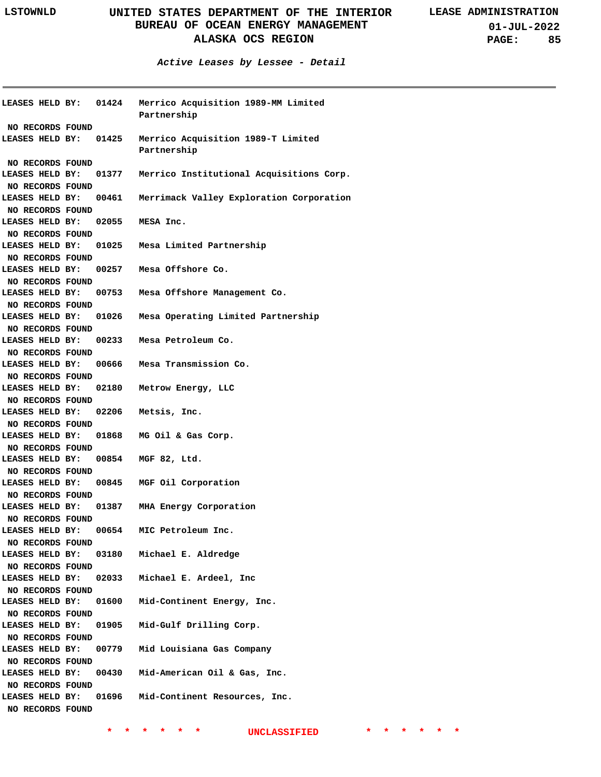|                        |                  | LEASES HELD BY: 01424 Merrico Acquisition 1989-MM Limited<br>Partnership |
|------------------------|------------------|--------------------------------------------------------------------------|
|                        | NO RECORDS FOUND |                                                                          |
|                        |                  | LEASES HELD BY: 01425 Merrico Acquisition 1989-T Limited<br>Partnership  |
|                        | NO RECORDS FOUND |                                                                          |
|                        |                  | LEASES HELD BY: 01377 Merrico Institutional Acquisitions Corp.           |
|                        | NO RECORDS FOUND |                                                                          |
| LEASES HELD BY:        |                  | 00461 Merrimack Valley Exploration Corporation                           |
|                        | NO RECORDS FOUND |                                                                          |
| LEASES HELD BY:        |                  | $02055$ MESA Inc.                                                        |
|                        | NO RECORDS FOUND |                                                                          |
| LEASES HELD BY:        |                  | 01025 Mesa Limited Partnership                                           |
|                        | NO RECORDS FOUND |                                                                          |
| LEASES HELD BY:        |                  | 00257 Mesa Offshore Co.                                                  |
|                        | NO RECORDS FOUND |                                                                          |
| LEASES HELD BY:        |                  | 00753 Mesa Offshore Management Co.                                       |
|                        | NO RECORDS FOUND |                                                                          |
| LEASES HELD BY:        |                  | 01026 Mesa Operating Limited Partnership                                 |
|                        | NO RECORDS FOUND |                                                                          |
| LEASES HELD BY:        |                  | 00233 Mesa Petroleum Co.                                                 |
|                        | NO RECORDS FOUND |                                                                          |
| LEASES HELD BY:        |                  | 00666 Mesa Transmission Co.                                              |
|                        | NO RECORDS FOUND |                                                                          |
| LEASES HELD BY:        |                  | 02180 Metrow Energy, LLC                                                 |
|                        | NO RECORDS FOUND |                                                                          |
| LEASES HELD BY:        |                  | 02206 Metsis, Inc.                                                       |
| NO RECORDS FOUND       |                  |                                                                          |
| LEASES HELD BY:        |                  | 01868 MG Oil & Gas Corp.                                                 |
| NO RECORDS FOUND       |                  |                                                                          |
| <b>LEASES HELD BY:</b> |                  | 00854 MGF 82, Ltd.                                                       |
| NO RECORDS FOUND       |                  |                                                                          |
| <b>LEASES HELD BY:</b> |                  | 00845 MGF Oil Corporation                                                |
| NO RECORDS FOUND       |                  |                                                                          |
| LEASES HELD BY:        |                  | 01387 MHA Energy Corporation                                             |
| NO RECORDS FOUND       |                  |                                                                          |
| LEASES HELD BY:        |                  | 00654 MIC Petroleum Inc.                                                 |
| NO RECORDS FOUND       |                  |                                                                          |
|                        |                  | LEASES HELD BY: 03180 Michael E. Aldredge                                |
| NO RECORDS FOUND       |                  |                                                                          |
|                        |                  | LEASES HELD BY: 02033 Michael E. Ardeel, Inc                             |
| NO RECORDS FOUND       |                  |                                                                          |
| LEASES HELD BY: 01600  |                  | Mid-Continent Energy, Inc.                                               |
| NO RECORDS FOUND       |                  |                                                                          |
| LEASES HELD BY:        |                  | 01905 Mid-Gulf Drilling Corp.                                            |
| NO RECORDS FOUND       |                  |                                                                          |
| LEASES HELD BY:        |                  | 00779 Mid Louisiana Gas Company                                          |
| NO RECORDS FOUND       |                  |                                                                          |
| LEASES HELD BY:        |                  | 00430 Mid-American Oil & Gas, Inc.                                       |
| NO RECORDS FOUND       |                  |                                                                          |
| LEASES HELD BY:        |                  | 01696 Mid-Continent Resources, Inc.                                      |
|                        |                  |                                                                          |
|                        | NO RECORDS FOUND |                                                                          |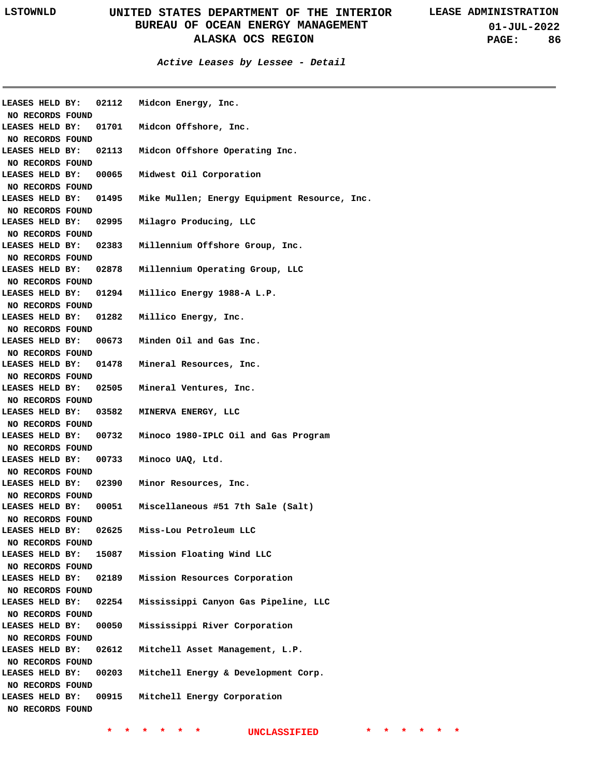| LEASES HELD BY:                     |                  | 02112 | Midcon Energy, Inc.                          |
|-------------------------------------|------------------|-------|----------------------------------------------|
| NO RECORDS FOUND<br>LEASES HELD BY: |                  | 01701 | Midcon Offshore, Inc.                        |
|                                     |                  |       |                                              |
| NO RECORDS FOUND<br>LEASES HELD BY: |                  | 02113 | Midcon Offshore Operating Inc.               |
| NO RECORDS FOUND                    |                  |       |                                              |
| LEASES HELD BY:                     |                  | 00065 |                                              |
|                                     |                  |       | Midwest Oil Corporation                      |
| NO RECORDS FOUND<br>LEASES HELD BY: |                  | 01495 | Mike Mullen; Energy Equipment Resource, Inc. |
| NO RECORDS FOUND                    |                  |       |                                              |
| LEASES HELD BY:                     |                  | 02995 | Milagro Producing, LLC                       |
| NO RECORDS FOUND                    |                  |       |                                              |
| LEASES HELD BY:                     |                  | 02383 | Millennium Offshore Group, Inc.              |
| NO RECORDS FOUND                    |                  |       |                                              |
| LEASES HELD BY:                     |                  | 02878 | Millennium Operating Group, LLC              |
|                                     |                  |       |                                              |
| NO RECORDS FOUND<br>LEASES HELD BY: |                  | 01294 | Millico Energy 1988-A L.P.                   |
| NO RECORDS FOUND                    |                  |       |                                              |
| LEASES HELD BY:                     |                  | 01282 | Millico Energy, Inc.                         |
|                                     |                  |       |                                              |
| NO RECORDS FOUND<br>LEASES HELD BY: |                  |       | 00673 Minden Oil and Gas Inc.                |
|                                     |                  |       |                                              |
| NO RECORDS FOUND<br>LEASES HELD BY: |                  | 01478 | Mineral Resources, Inc.                      |
|                                     |                  |       |                                              |
| NO RECORDS FOUND                    |                  |       |                                              |
| LEASES HELD BY:                     |                  | 02505 | Mineral Ventures, Inc.                       |
| NO RECORDS FOUND<br>LEASES HELD BY: |                  |       |                                              |
|                                     |                  | 03582 | MINERVA ENERGY, LLC                          |
| NO RECORDS FOUND                    |                  | 00732 |                                              |
| LEASES HELD BY:                     |                  |       | Minoco 1980-IPLC Oil and Gas Program         |
| NO RECORDS FOUND<br>LEASES HELD BY: |                  | 00733 | Minoco UAQ, Ltd.                             |
|                                     |                  |       |                                              |
| NO RECORDS FOUND<br>LEASES HELD BY: |                  |       |                                              |
|                                     |                  |       |                                              |
|                                     |                  | 02390 | Minor Resources, Inc.                        |
|                                     | NO RECORDS FOUND |       |                                              |
| LEASES HELD BY:                     |                  | 00051 | Miscellaneous #51 7th Sale (Salt)            |
| NO RECORDS FOUND                    |                  |       |                                              |
| LEASES HELD BY:                     |                  | 02625 | Miss-Lou Petroleum LLC                       |
| NO RECORDS FOUND                    |                  |       |                                              |
| LEASES HELD BY:                     |                  | 15087 | Mission Floating Wind LLC                    |
| NO RECORDS FOUND                    |                  |       |                                              |
| LEASES HELD BY:                     |                  | 02189 | Mission Resources Corporation                |
| NO RECORDS FOUND                    |                  |       |                                              |
| LEASES HELD BY:                     |                  | 02254 | Mississippi Canyon Gas Pipeline, LLC         |
| NO RECORDS FOUND                    |                  |       |                                              |
| LEASES HELD BY:                     |                  | 00050 | Mississippi River Corporation                |
| NO RECORDS FOUND                    |                  |       |                                              |
| LEASES HELD BY:                     |                  | 02612 | Mitchell Asset Management, L.P.              |
| NO RECORDS FOUND                    |                  |       |                                              |
| LEASES HELD BY:                     |                  | 00203 | Mitchell Energy & Development Corp.          |
| NO RECORDS FOUND                    |                  |       |                                              |
| LEASES HELD BY:<br>NO RECORDS FOUND |                  | 00915 | Mitchell Energy Corporation                  |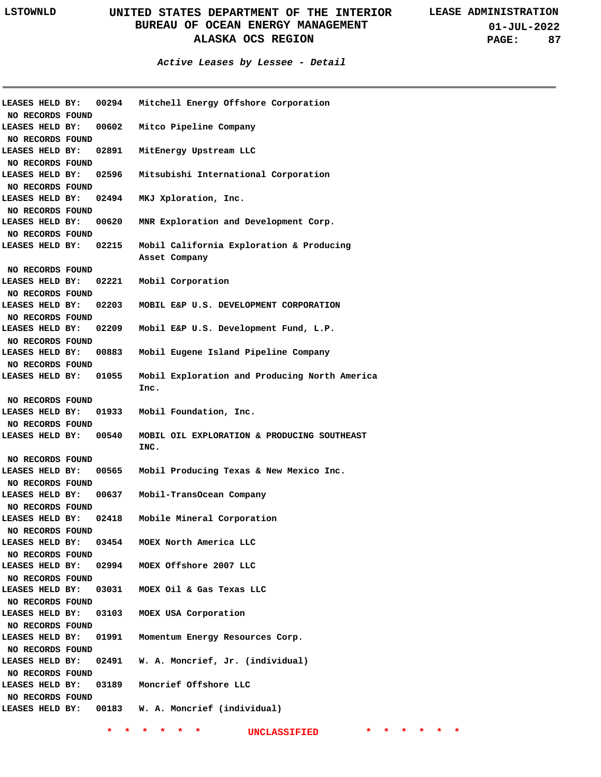#### **Active Leases by Lessee - Detail**

| LEASES HELD BY:                     |       | 00294 Mitchell Energy Offshore Corporation                     |
|-------------------------------------|-------|----------------------------------------------------------------|
| NO RECORDS FOUND                    |       |                                                                |
| LEASES HELD BY:                     |       | 00602 Mitco Pipeline Company                                   |
| NO RECORDS FOUND                    |       |                                                                |
| LEASES HELD BY:                     |       | 02891 MitEnergy Upstream LLC                                   |
| NO RECORDS FOUND                    |       |                                                                |
| LEASES HELD BY:                     |       | 02596 Mitsubishi International Corporation                     |
| NO RECORDS FOUND                    |       |                                                                |
| LEASES HELD BY:                     |       | 02494 MKJ Xploration, Inc.                                     |
| NO RECORDS FOUND                    |       |                                                                |
| LEASES HELD BY:                     |       | 00620 MNR Exploration and Development Corp.                    |
| NO RECORDS FOUND                    |       |                                                                |
|                                     |       | LEASES HELD BY: 02215 Mobil California Exploration & Producing |
|                                     |       | Asset Company                                                  |
| NO RECORDS FOUND                    |       |                                                                |
| LEASES HELD BY:                     |       | 02221 Mobil Corporation                                        |
| NO RECORDS FOUND                    |       |                                                                |
| <b>LEASES HELD BY:</b>              |       | 02203 MOBIL E&P U.S. DEVELOPMENT CORPORATION                   |
| NO RECORDS FOUND                    |       |                                                                |
| LEASES HELD BY:                     |       | 02209 Mobil E&P U.S. Development Fund, L.P.                    |
| NO RECORDS FOUND                    |       |                                                                |
| LEASES HELD BY:                     | 00883 | Mobil Eugene Island Pipeline Company                           |
| NO RECORDS FOUND                    |       |                                                                |
| LEASES HELD BY:                     | 01055 | Mobil Exploration and Producing North America<br>Inc.          |
| NO RECORDS FOUND                    |       |                                                                |
| LEASES HELD BY:                     |       | 01933 Mobil Foundation, Inc.                                   |
| NO RECORDS FOUND                    |       |                                                                |
| <b>LEASES HELD BY:</b>              | 00540 | MOBIL OIL EXPLORATION & PRODUCING SOUTHEAST<br>INC.            |
| NO RECORDS FOUND                    |       |                                                                |
| <b>LEASES HELD BY:</b>              |       | 00565 Mobil Producing Texas & New Mexico Inc.                  |
| NO RECORDS FOUND                    |       |                                                                |
|                                     |       | LEASES HELD BY: 00637 Mobil-TransOcean Company                 |
|                                     |       |                                                                |
| NO RECORDS FOUND                    |       | LEASES HELD BY: 02418 Mobile Mineral Corporation               |
| NO RECORDS FOUND                    |       |                                                                |
| LEASES HELD BY:                     |       | 03454 MOEX North America LLC                                   |
|                                     |       |                                                                |
| NO RECORDS FOUND<br>LEASES HELD BY: |       | 02994 MOEX Offshore 2007 LLC                                   |
|                                     |       |                                                                |
| NO RECORDS FOUND                    |       |                                                                |
| LEASES HELD BY:                     |       | 03031 MOEX Oil & Gas Texas LLC                                 |
| NO RECORDS FOUND                    |       |                                                                |
| LEASES HELD BY:                     | 03103 | MOEX USA Corporation                                           |
| NO RECORDS FOUND                    |       |                                                                |
| LEASES HELD BY:                     |       | 01991 Momentum Energy Resources Corp.                          |
| NO RECORDS FOUND                    |       |                                                                |
| LEASES HELD BY:                     |       | 02491 W. A. Moncrief, Jr. (individual)                         |
| NO RECORDS FOUND                    |       |                                                                |
| LEASES HELD BY:                     |       | 03189 Moncrief Offshore LLC                                    |
| NO RECORDS FOUND                    |       |                                                                |
|                                     |       | LEASES HELD BY: 00183 W. A. Moncrief (individual)              |
|                                     |       |                                                                |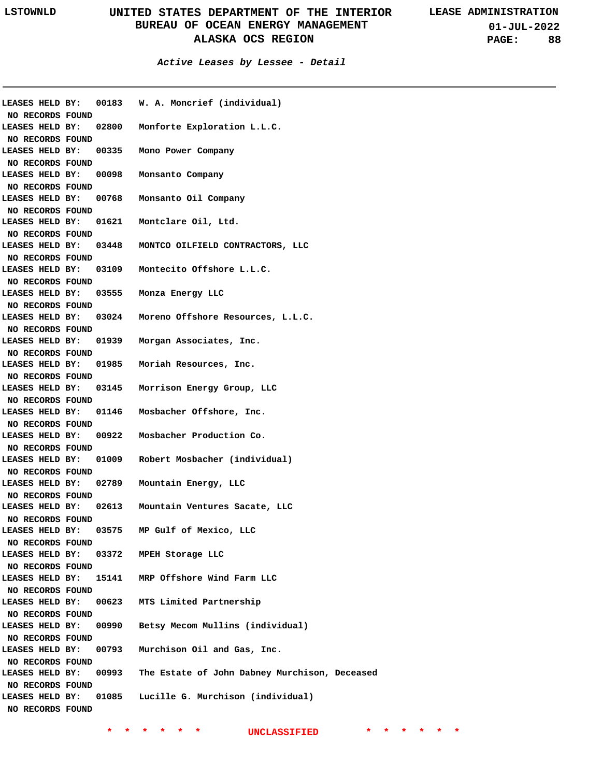**01-JUL-2022 PAGE: 88**

#### **Active Leases by Lessee - Detail**

|                                     |       | LEASES HELD BY: 00183 W. A. Moncrief (individual)   |
|-------------------------------------|-------|-----------------------------------------------------|
| NO RECORDS FOUND                    |       |                                                     |
| LEASES HELD BY:                     |       | 02800 Monforte Exploration L.L.C.                   |
| NO RECORDS FOUND                    |       |                                                     |
| LEASES HELD BY:                     |       | 00335 Mono Power Company                            |
| NO RECORDS FOUND                    |       |                                                     |
| LEASES HELD BY:                     |       | 00098 Monsanto Company                              |
| NO RECORDS FOUND                    |       |                                                     |
| LEASES HELD BY:                     |       | 00768 Monsanto Oil Company                          |
| NO RECORDS FOUND                    |       |                                                     |
| LEASES HELD BY:                     |       | 01621 Montclare Oil, Ltd.                           |
| NO RECORDS FOUND                    |       |                                                     |
| LEASES HELD BY:                     |       | 03448 MONTCO OILFIELD CONTRACTORS, LLC              |
| NO RECORDS FOUND                    |       |                                                     |
| LEASES HELD BY:                     |       | 03109 Montecito Offshore L.L.C.                     |
| NO RECORDS FOUND                    |       |                                                     |
| LEASES HELD BY:                     |       | 03555 Monza Energy LLC                              |
| NO RECORDS FOUND                    |       |                                                     |
| LEASES HELD BY:                     |       | 03024 Moreno Offshore Resources, L.L.C.             |
| NO RECORDS FOUND                    |       |                                                     |
| LEASES HELD BY:                     |       | 01939 Morgan Associates, Inc.                       |
| NO RECORDS FOUND                    |       |                                                     |
| LEASES HELD BY:                     |       | 01985 Moriah Resources, Inc.                        |
| NO RECORDS FOUND                    |       |                                                     |
|                                     |       | LEASES HELD BY: 03145 Morrison Energy Group, LLC    |
| NO RECORDS FOUND                    |       |                                                     |
|                                     |       | LEASES HELD BY: 01146 Mosbacher Offshore, Inc.      |
| NO RECORDS FOUND                    |       |                                                     |
|                                     |       | LEASES HELD BY: 00922 Mosbacher Production Co.      |
| NO RECORDS FOUND                    |       |                                                     |
| <b>LEASES HELD BY:</b>              |       | 01009 Robert Mosbacher (individual)                 |
| NO RECORDS FOUND                    |       |                                                     |
| LEASES HELD BY: 02789               |       | Mountain Energy, LLC                                |
| NO RECORDS FOUND                    |       |                                                     |
|                                     |       | LEASES HELD BY: 02613 Mountain Ventures Sacate, LLC |
| NO RECORDS FOUND                    |       |                                                     |
| LEASES HELD BY: 03575               |       | MP Gulf of Mexico, LLC                              |
| NO RECORDS FOUND                    |       |                                                     |
| LEASES HELD BY:                     | 03372 | MPEH Storage LLC                                    |
| NO RECORDS FOUND                    |       |                                                     |
|                                     |       | LEASES HELD BY: 15141 MRP Offshore Wind Farm LLC    |
| NO RECORDS FOUND                    |       |                                                     |
| LEASES HELD BY:                     | 00623 | MTS Limited Partnership                             |
| NO RECORDS FOUND                    |       |                                                     |
| LEASES HELD BY:                     | 00990 | Betsy Mecom Mullins (individual)                    |
| NO RECORDS FOUND                    |       |                                                     |
| LEASES HELD BY:                     | 00793 | Murchison Oil and Gas, Inc.                         |
|                                     |       |                                                     |
| NO RECORDS FOUND<br>LEASES HELD BY: | 00993 | The Estate of John Dabney Murchison, Deceased       |
| NO RECORDS FOUND                    |       |                                                     |
| LEASES HELD BY:                     |       | 01085 Lucille G. Murchison (individual)             |
|                                     |       |                                                     |
| NO RECORDS FOUND                    |       |                                                     |
|                                     |       |                                                     |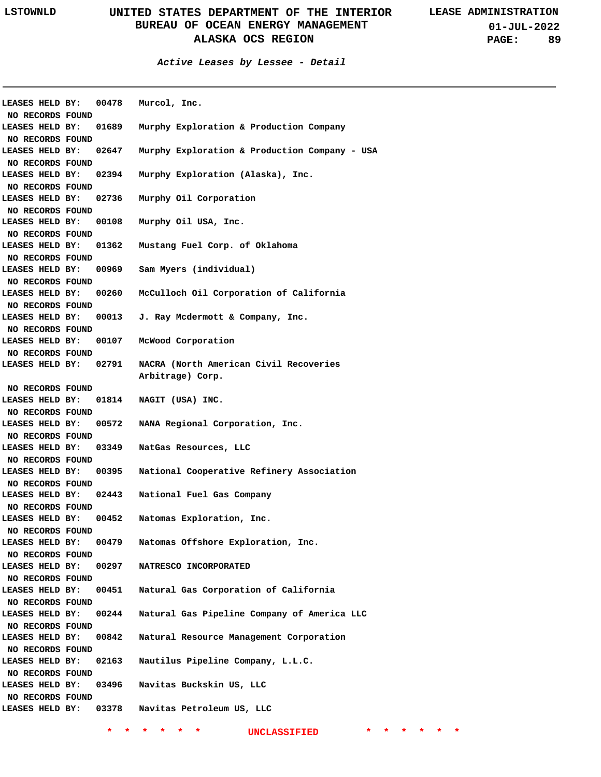**Active Leases by Lessee - Detail**

| LEASES HELD BY:                     |                       | 00478 Murcol, Inc.                              |
|-------------------------------------|-----------------------|-------------------------------------------------|
| NO RECORDS FOUND                    |                       |                                                 |
| LEASES HELD BY:                     | 01689                 | Murphy Exploration & Production Company         |
| NO RECORDS FOUND                    |                       |                                                 |
| LEASES HELD BY:                     | 02647                 | Murphy Exploration & Production Company - USA   |
| NO RECORDS FOUND                    |                       |                                                 |
| LEASES HELD BY:                     | 02394                 | Murphy Exploration (Alaska), Inc.               |
| NO RECORDS FOUND                    |                       |                                                 |
| LEASES HELD BY:                     | 02736                 | Murphy Oil Corporation                          |
| NO RECORDS FOUND                    |                       |                                                 |
| LEASES HELD BY:                     | 00108                 | Murphy Oil USA, Inc.                            |
| NO RECORDS FOUND                    |                       |                                                 |
| LEASES HELD BY:                     | 01362                 | Mustang Fuel Corp. of Oklahoma                  |
| NO RECORDS FOUND                    |                       |                                                 |
| LEASES HELD BY:                     |                       | 00969 Sam Myers (individual)                    |
| NO RECORDS FOUND                    |                       |                                                 |
| LEASES HELD BY:                     | 00260                 | McCulloch Oil Corporation of California         |
| NO RECORDS FOUND                    |                       |                                                 |
| LEASES HELD BY:                     |                       | 00013 J. Ray Mcdermott & Company, Inc.          |
| NO RECORDS FOUND                    |                       |                                                 |
| LEASES HELD BY:                     | 00107                 | McWood Corporation                              |
| NO RECORDS FOUND                    |                       |                                                 |
|                                     | LEASES HELD BY: 02791 | NACRA (North American Civil Recoveries          |
|                                     |                       | Arbitrage) Corp.                                |
| NO RECORDS FOUND                    |                       |                                                 |
| LEASES HELD BY:                     |                       | 01814 NAGIT (USA) INC.                          |
| NO RECORDS FOUND                    |                       |                                                 |
| LEASES HELD BY:                     |                       | 00572 NANA Regional Corporation, Inc.           |
| NO RECORDS FOUND                    |                       |                                                 |
| LEASES HELD BY:                     | 03349                 | NatGas Resources, LLC                           |
| NO RECORDS FOUND                    |                       |                                                 |
| LEASES HELD BY:                     | 00395                 | National Cooperative Refinery Association       |
| NO RECORDS FOUND                    |                       |                                                 |
|                                     | LEASES HELD BY: 02443 | National Fuel Gas Company                       |
| NO RECORDS FOUND                    |                       |                                                 |
|                                     | LEASES HELD BY: 00452 | Natomas Exploration, Inc.                       |
| NO RECORDS FOUND                    | 00479                 | Natomas Offshore Exploration, Inc.              |
| LEASES HELD BY:                     |                       |                                                 |
| NO RECORDS FOUND<br>LEASES HELD BY: | 00297                 | NATRESCO INCORPORATED                           |
| NO RECORDS FOUND                    |                       |                                                 |
| LEASES HELD BY:                     | 00451                 | Natural Gas Corporation of California           |
| NO RECORDS FOUND                    |                       |                                                 |
| LEASES HELD BY:                     | 00244                 | Natural Gas Pipeline Company of America LLC     |
| NO RECORDS FOUND                    |                       |                                                 |
| LEASES HELD BY:                     | 00842                 | Natural Resource Management Corporation         |
| NO RECORDS FOUND                    |                       |                                                 |
| LEASES HELD BY:                     | 02163                 | Nautilus Pipeline Company, L.L.C.               |
| NO RECORDS FOUND                    |                       |                                                 |
| LEASES HELD BY:                     | 03496                 | Navitas Buckskin US, LLC                        |
| NO RECORDS FOUND                    |                       |                                                 |
|                                     |                       | LEASES HELD BY: 03378 Navitas Petroleum US, LLC |
|                                     |                       |                                                 |
|                                     |                       |                                                 |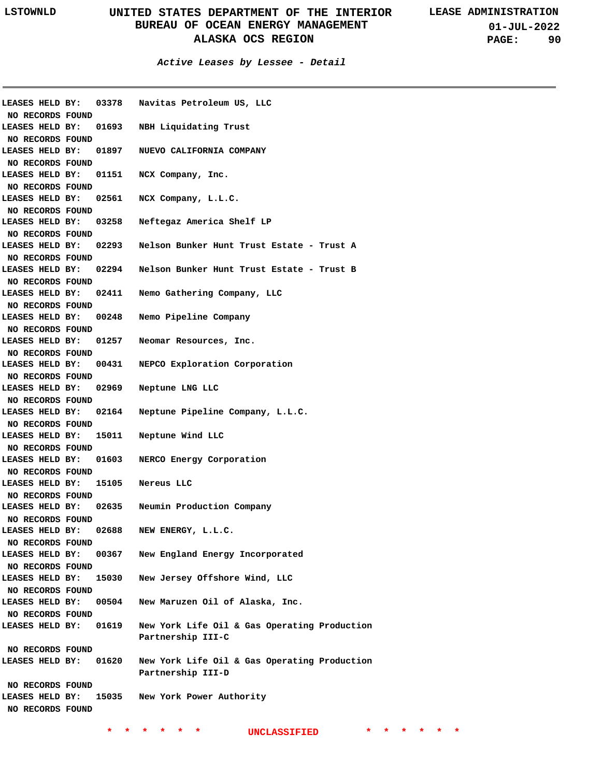**01-JUL-2022 PAGE: 90**

|                                  |       | LEASES HELD BY: 03378 Navitas Petroleum US, LLC                   |
|----------------------------------|-------|-------------------------------------------------------------------|
| NO RECORDS FOUND                 |       |                                                                   |
| LEASES HELD BY:                  |       | 01693 NBH Liquidating Trust                                       |
| NO RECORDS FOUND                 |       |                                                                   |
| LEASES HELD BY:                  |       | 01897 NUEVO CALIFORNIA COMPANY                                    |
| NO RECORDS FOUND                 |       |                                                                   |
| LEASES HELD BY:                  |       | 01151 NCX Company, Inc.                                           |
| NO RECORDS FOUND                 |       |                                                                   |
| LEASES HELD BY:                  |       | 02561 NCX Company, L.L.C.                                         |
| NO RECORDS FOUND                 |       |                                                                   |
| LEASES HELD BY:                  | 03258 | Neftegaz America Shelf LP                                         |
| NO RECORDS FOUND                 |       |                                                                   |
| LEASES HELD BY:                  | 02293 | Nelson Bunker Hunt Trust Estate - Trust A                         |
| NO RECORDS FOUND                 |       |                                                                   |
| LEASES HELD BY:                  |       | 02294 Nelson Bunker Hunt Trust Estate - Trust B                   |
| NO RECORDS FOUND                 |       |                                                                   |
| LEASES HELD BY:                  |       | 02411 Nemo Gathering Company, LLC                                 |
| NO RECORDS FOUND                 |       |                                                                   |
| LEASES HELD BY:                  | 00248 | Nemo Pipeline Company                                             |
| NO RECORDS FOUND                 |       |                                                                   |
| LEASES HELD BY:                  |       | 01257 Neomar Resources, Inc.                                      |
| NO RECORDS FOUND                 |       |                                                                   |
| LEASES HELD BY:                  |       | 00431 NEPCO Exploration Corporation                               |
| NO RECORDS FOUND                 |       |                                                                   |
| LEASES HELD BY:                  | 02969 | Neptune LNG LLC                                                   |
| NO RECORDS FOUND                 |       |                                                                   |
| LEASES HELD BY:                  |       | 02164 Neptune Pipeline Company, L.L.C.                            |
| NO RECORDS FOUND                 |       |                                                                   |
| LEASES HELD BY:                  | 15011 | Neptune Wind LLC                                                  |
| NO RECORDS FOUND                 |       |                                                                   |
| LEASES HELD BY: 01603            |       | NERCO Energy Corporation                                          |
| NO RECORDS FOUND                 |       |                                                                   |
| LEASES HELD BY: 15105 Nereus LLC |       |                                                                   |
| NO RECORDS FOUND                 |       |                                                                   |
|                                  |       | LEASES HELD BY: 02635 Neumin Production Company                   |
| NO RECORDS FOUND                 |       |                                                                   |
| LEASES HELD BY:                  | 02688 | NEW ENERGY, L.L.C.                                                |
| NO RECORDS FOUND                 |       |                                                                   |
| LEASES HELD BY:                  | 00367 | New England Energy Incorporated                                   |
| NO RECORDS FOUND                 |       |                                                                   |
| LEASES HELD BY:                  | 15030 | New Jersey Offshore Wind, LLC                                     |
| NO RECORDS FOUND                 |       |                                                                   |
| LEASES HELD BY:                  | 00504 | New Maruzen Oil of Alaska, Inc.                                   |
| NO RECORDS FOUND                 |       |                                                                   |
| LEASES HELD BY: 01619            |       | New York Life Oil & Gas Operating Production<br>Partnership III-C |
| NO RECORDS FOUND                 |       |                                                                   |
| LEASES HELD BY: 01620            |       | New York Life Oil & Gas Operating Production                      |
|                                  |       | Partnership III-D                                                 |
| NO RECORDS FOUND                 |       |                                                                   |
| LEASES HELD BY:                  | 15035 | New York Power Authority                                          |
| NO RECORDS FOUND                 |       |                                                                   |
|                                  |       |                                                                   |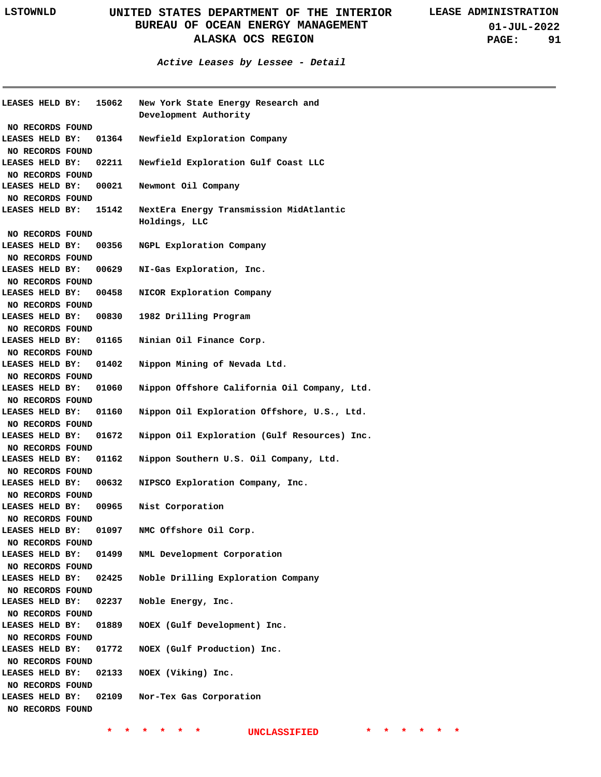| LEASES HELD BY: 15062               |       | New York State Energy Research and                       |
|-------------------------------------|-------|----------------------------------------------------------|
|                                     |       | Development Authority                                    |
| NO RECORDS FOUND                    |       |                                                          |
| <b>LEASES HELD BY: 01364</b>        |       | Newfield Exploration Company                             |
| NO RECORDS FOUND                    |       |                                                          |
| <b>LEASES HELD BY: 02211</b>        |       | Newfield Exploration Gulf Coast LLC                      |
| NO RECORDS FOUND                    |       |                                                          |
| LEASES HELD BY: 00021               |       | Newmont Oil Company                                      |
| NO RECORDS FOUND                    |       |                                                          |
| LEASES HELD BY: 15142               |       | NextEra Energy Transmission MidAtlantic<br>Holdings, LLC |
| NO RECORDS FOUND                    |       |                                                          |
| LEASES HELD BY:                     | 00356 | NGPL Exploration Company                                 |
| NO RECORDS FOUND                    |       |                                                          |
| LEASES HELD BY:                     | 00629 | NI-Gas Exploration, Inc.                                 |
| NO RECORDS FOUND                    |       |                                                          |
| LEASES HELD BY:                     | 00458 | NICOR Exploration Company                                |
| NO RECORDS FOUND                    |       |                                                          |
| LEASES HELD BY:                     | 00830 | 1982 Drilling Program                                    |
| NO RECORDS FOUND                    |       |                                                          |
| LEASES HELD BY:                     | 01165 | Ninian Oil Finance Corp.                                 |
| NO RECORDS FOUND                    |       |                                                          |
| LEASES HELD BY:                     | 01402 | Nippon Mining of Nevada Ltd.                             |
| NO RECORDS FOUND                    |       |                                                          |
| LEASES HELD BY:                     | 01060 | Nippon Offshore California Oil Company, Ltd.             |
| NO RECORDS FOUND                    |       |                                                          |
| LEASES HELD BY:                     | 01160 | Nippon Oil Exploration Offshore, U.S., Ltd.              |
| NO RECORDS FOUND                    |       |                                                          |
| LEASES HELD BY:                     | 01672 | Nippon Oil Exploration (Gulf Resources) Inc.             |
| NO RECORDS FOUND                    |       |                                                          |
| LEASES HELD BY:                     | 01162 | Nippon Southern U.S. Oil Company, Ltd.                   |
| NO RECORDS FOUND                    | 00632 |                                                          |
| LEASES HELD BY:                     |       | NIPSCO Exploration Company, Inc.                         |
| NO RECORDS FOUND<br>LEASES HELD BY: | 00965 | Nist Corporation                                         |
| NO RECORDS FOUND                    |       |                                                          |
| LEASES HELD BY:                     | 01097 | NMC Offshore Oil Corp.                                   |
| NO RECORDS FOUND                    |       |                                                          |
| LEASES HELD BY:                     | 01499 | NML Development Corporation                              |
| NO RECORDS FOUND                    |       |                                                          |
| LEASES HELD BY:                     | 02425 | Noble Drilling Exploration Company                       |
| NO RECORDS FOUND                    |       |                                                          |
| LEASES HELD BY:                     | 02237 | Noble Energy, Inc.                                       |
| NO RECORDS FOUND                    |       |                                                          |
| LEASES HELD BY:                     | 01889 | NOEX (Gulf Development) Inc.                             |
| NO RECORDS FOUND                    |       |                                                          |
| LEASES HELD BY:                     | 01772 | NOEX (Gulf Production) Inc.                              |
| NO RECORDS FOUND                    |       |                                                          |
| LEASES HELD BY:                     | 02133 | NOEX (Viking) Inc.                                       |
| NO RECORDS FOUND                    |       |                                                          |
| LEASES HELD BY:                     | 02109 | Nor-Tex Gas Corporation                                  |
| NO RECORDS FOUND                    |       |                                                          |
|                                     |       |                                                          |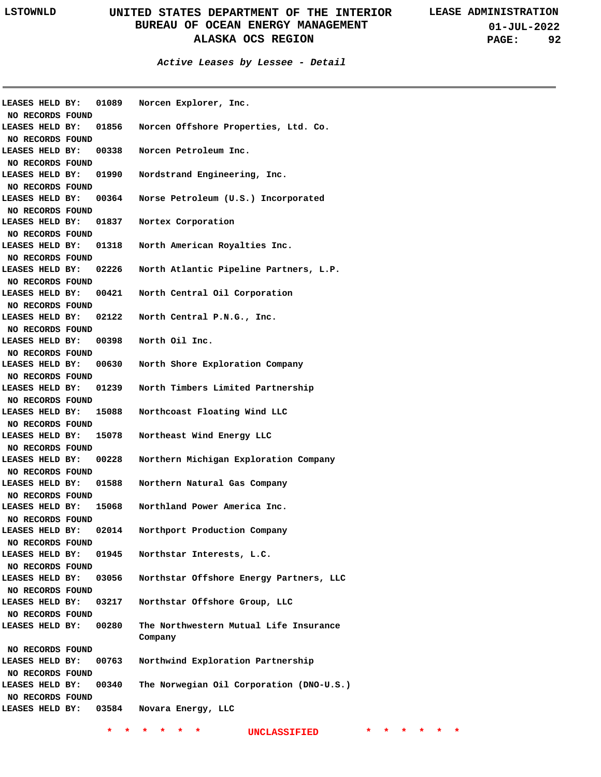| LEASES HELD BY:  | 01089 | Norcen Explorer, Inc.                      |
|------------------|-------|--------------------------------------------|
| NO RECORDS FOUND |       |                                            |
| LEASES HELD BY:  | 01856 | Norcen Offshore Properties, Ltd. Co.       |
| NO RECORDS FOUND |       |                                            |
| LEASES HELD BY:  | 00338 | Norcen Petroleum Inc.                      |
| NO RECORDS FOUND |       |                                            |
| LEASES HELD BY:  | 01990 | Nordstrand Engineering, Inc.               |
| NO RECORDS FOUND |       |                                            |
| LEASES HELD BY:  | 00364 | Norse Petroleum (U.S.) Incorporated        |
| NO RECORDS FOUND |       |                                            |
| LEASES HELD BY:  | 01837 | Nortex Corporation                         |
| NO RECORDS FOUND |       |                                            |
| LEASES HELD BY:  | 01318 | North American Royalties Inc.              |
| NO RECORDS FOUND |       |                                            |
| LEASES HELD BY:  | 02226 | North Atlantic Pipeline Partners, L.P.     |
| NO RECORDS FOUND |       |                                            |
| LEASES HELD BY:  | 00421 | North Central Oil Corporation              |
| NO RECORDS FOUND |       |                                            |
| LEASES HELD BY:  | 02122 | North Central P.N.G., Inc.                 |
| NO RECORDS FOUND |       |                                            |
| LEASES HELD BY:  | 00398 | North Oil Inc.                             |
| NO RECORDS FOUND |       |                                            |
| LEASES HELD BY:  | 00630 | North Shore Exploration Company            |
| NO RECORDS FOUND |       |                                            |
| LEASES HELD BY:  | 01239 | North Timbers Limited Partnership          |
| NO RECORDS FOUND |       |                                            |
| LEASES HELD BY:  | 15088 | Northcoast Floating Wind LLC               |
| NO RECORDS FOUND |       |                                            |
| LEASES HELD BY:  | 15078 | Northeast Wind Energy LLC                  |
| NO RECORDS FOUND |       |                                            |
| LEASES HELD BY:  | 00228 | Northern Michigan Exploration Company      |
| NO RECORDS FOUND |       |                                            |
| LEASES HELD BY:  | 01588 | Northern Natural Gas Company               |
| NO RECORDS FOUND |       |                                            |
| LEASES HELD BY:  | 15068 | Northland Power America Inc.               |
| NO RECORDS FOUND |       |                                            |
| LEASES HELD BY:  | 02014 | Northport Production Company               |
| NO RECORDS FOUND |       |                                            |
| LEASES HELD BY:  | 01945 | Northstar Interests, L.C.                  |
| NO RECORDS FOUND |       |                                            |
| LEASES HELD BY:  | 03056 | Northstar Offshore Energy Partners, LLC    |
| NO RECORDS FOUND |       |                                            |
| LEASES HELD BY:  | 03217 | Northstar Offshore Group, LLC              |
| NO RECORDS FOUND |       |                                            |
| LEASES HELD BY:  | 00280 | The Northwestern Mutual Life Insurance     |
|                  |       | Company                                    |
| NO RECORDS FOUND |       |                                            |
| LEASES HELD BY:  | 00763 | Northwind Exploration Partnership          |
| NO RECORDS FOUND |       |                                            |
| LEASES HELD BY:  | 00340 | The Norwegian Oil Corporation (DNO-U.S.)   |
| NO RECORDS FOUND |       |                                            |
| LEASES HELD BY:  | 03584 | Novara Energy, LLC                         |
|                  |       |                                            |
|                  | *     | *<br>*.<br><b>UNCLASSIFIED</b><br>*.<br>*. |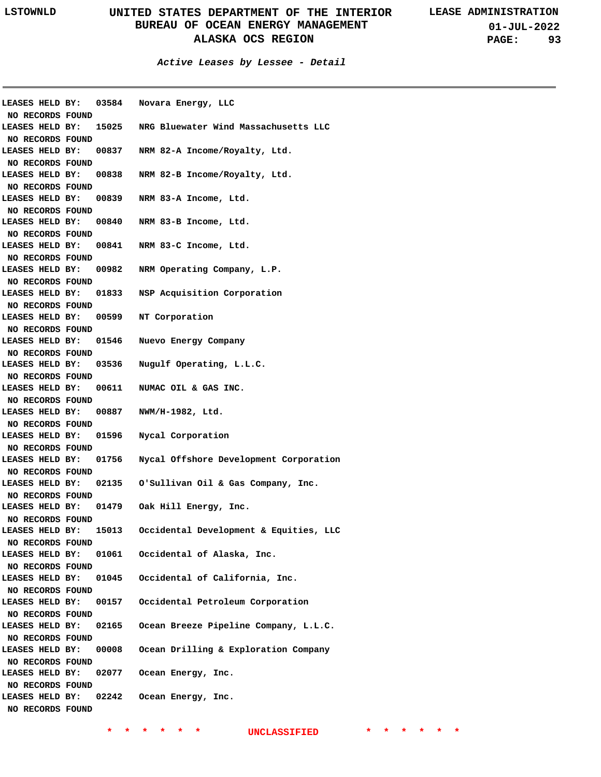| LEASES HELD BY:  | 03584 | Novara Energy, LLC                     |
|------------------|-------|----------------------------------------|
| NO RECORDS FOUND |       |                                        |
| LEASES HELD BY:  | 15025 | NRG Bluewater Wind Massachusetts LLC   |
| NO RECORDS FOUND |       |                                        |
| LEASES HELD BY:  | 00837 | NRM 82-A Income/Royalty, Ltd.          |
| NO RECORDS FOUND |       |                                        |
| LEASES HELD BY:  | 00838 | NRM 82-B Income/Royalty, Ltd.          |
| NO RECORDS FOUND |       |                                        |
| LEASES HELD BY:  | 00839 | NRM 83-A Income, Ltd.                  |
| NO RECORDS FOUND |       |                                        |
| LEASES HELD BY:  | 00840 | NRM 83-B Income, Ltd.                  |
| NO RECORDS FOUND |       |                                        |
| LEASES HELD BY:  | 00841 | NRM 83-C Income, Ltd.                  |
| NO RECORDS FOUND |       |                                        |
| LEASES HELD BY:  | 00982 | NRM Operating Company, L.P.            |
| NO RECORDS FOUND |       |                                        |
| LEASES HELD BY:  | 01833 | NSP Acquisition Corporation            |
| NO RECORDS FOUND |       |                                        |
| LEASES HELD BY:  | 00599 | NT Corporation                         |
| NO RECORDS FOUND |       |                                        |
| LEASES HELD BY:  | 01546 | Nuevo Energy Company                   |
| NO RECORDS FOUND |       |                                        |
| LEASES HELD BY:  | 03536 | Nugulf Operating, L.L.C.               |
| NO RECORDS FOUND |       |                                        |
| LEASES HELD BY:  | 00611 | NUMAC OIL & GAS INC.                   |
| NO RECORDS FOUND |       |                                        |
| LEASES HELD BY:  | 00887 | NWM/H-1982, Ltd.                       |
| NO RECORDS FOUND |       |                                        |
| LEASES HELD BY:  | 01596 | Nycal Corporation                      |
| NO RECORDS FOUND |       |                                        |
| LEASES HELD BY:  | 01756 | Nycal Offshore Development Corporation |
| NO RECORDS FOUND |       |                                        |
| LEASES HELD BY:  | 02135 | O'Sullivan Oil & Gas Company, Inc.     |
| NO RECORDS FOUND |       |                                        |
| LEASES HELD BY:  | 01479 | Oak Hill Energy, Inc.                  |
| NO RECORDS FOUND |       |                                        |
| LEASES HELD BY:  | 15013 | Occidental Development & Equities, LLC |
| NO RECORDS FOUND |       |                                        |
| LEASES HELD BY:  | 01061 | Occidental of Alaska, Inc.             |
| NO RECORDS FOUND |       |                                        |
| LEASES HELD BY:  | 01045 | Occidental of California, Inc.         |
| NO RECORDS FOUND |       |                                        |
| LEASES HELD BY:  | 00157 | Occidental Petroleum Corporation       |
| NO RECORDS FOUND |       |                                        |
| LEASES HELD BY:  | 02165 | Ocean Breeze Pipeline Company, L.L.C.  |
| NO RECORDS FOUND |       |                                        |
| LEASES HELD BY:  | 00008 | Ocean Drilling & Exploration Company   |
| NO RECORDS FOUND |       |                                        |
| LEASES HELD BY:  | 02077 | Ocean Energy, Inc.                     |
| NO RECORDS FOUND |       |                                        |
| LEASES HELD BY:  | 02242 | Ocean Energy, Inc.                     |
| NO RECORDS FOUND |       |                                        |
|                  |       |                                        |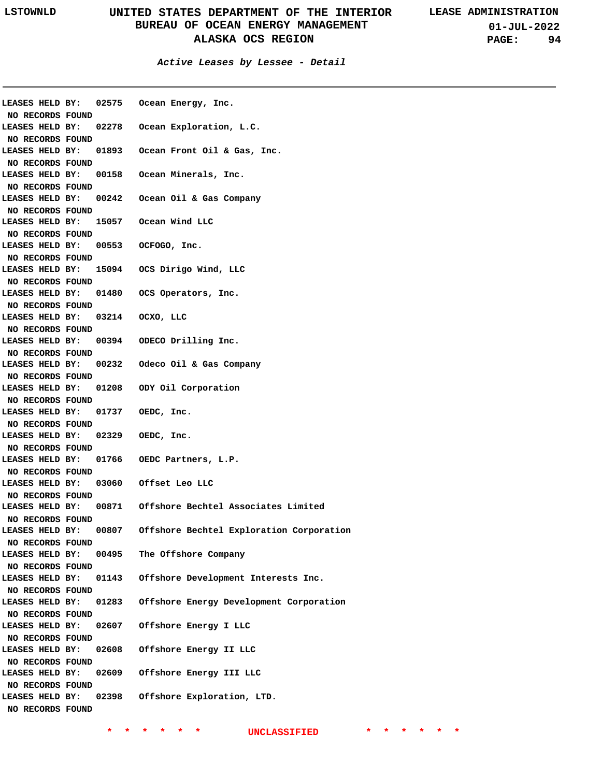**01-JUL-2022 PAGE: 94**

| LEASES HELD BY:                     |       | 02575 Ocean Energy, Inc.                 |
|-------------------------------------|-------|------------------------------------------|
| NO RECORDS FOUND                    |       |                                          |
| LEASES HELD BY:                     | 02278 | Ocean Exploration, L.C.                  |
| NO RECORDS FOUND                    |       |                                          |
| LEASES HELD BY:                     | 01893 | Ocean Front Oil & Gas, Inc.              |
| NO RECORDS FOUND                    |       |                                          |
| LEASES HELD BY:                     | 00158 | Ocean Minerals, Inc.                     |
| NO RECORDS FOUND                    |       |                                          |
| LEASES HELD BY:                     | 00242 | Ocean Oil & Gas Company                  |
| NO RECORDS FOUND                    |       |                                          |
| LEASES HELD BY:                     | 15057 | Ocean Wind LLC                           |
| NO RECORDS FOUND                    |       |                                          |
| LEASES HELD BY:                     | 00553 | OCFOGO, Inc.                             |
| NO RECORDS FOUND                    |       |                                          |
| LEASES HELD BY:                     |       | 15094 OCS Dirigo Wind, LLC               |
| NO RECORDS FOUND                    |       |                                          |
| LEASES HELD BY:                     | 01480 | OCS Operators, Inc.                      |
| NO RECORDS FOUND                    |       |                                          |
| LEASES HELD BY:                     | 03214 | OCXO, LLC                                |
| NO RECORDS FOUND                    |       |                                          |
| LEASES HELD BY:                     | 00394 | ODECO Drilling Inc.                      |
| NO RECORDS FOUND                    |       |                                          |
| LEASES HELD BY:                     | 00232 | Odeco Oil & Gas Company                  |
| NO RECORDS FOUND                    |       |                                          |
| LEASES HELD BY:                     | 01208 | ODY Oil Corporation                      |
| NO RECORDS FOUND                    |       |                                          |
| LEASES HELD BY:                     | 01737 | OEDC, Inc.                               |
| NO RECORDS FOUND                    |       |                                          |
| LEASES HELD BY:                     | 02329 | OEDC, Inc.                               |
| NO RECORDS FOUND                    |       |                                          |
| LEASES HELD BY:                     | 01766 | OEDC Partners, L.P.                      |
| NO RECORDS FOUND                    |       |                                          |
| LEASES HELD BY:                     | 03060 | Offset Leo LLC                           |
| NO RECORDS FOUND                    |       |                                          |
| LEASES HELD BY:                     |       |                                          |
|                                     | 00871 | Offshore Bechtel Associates Limited      |
| NO RECORDS FOUND                    |       |                                          |
| LEASES HELD BY:                     | 00807 |                                          |
|                                     |       | Offshore Bechtel Exploration Corporation |
| NO RECORDS FOUND                    |       |                                          |
| LEASES HELD BY:                     | 00495 | The Offshore Company                     |
| NO RECORDS FOUND                    | 01143 |                                          |
| LEASES HELD BY:                     |       | Offshore Development Interests Inc.      |
| NO RECORDS FOUND                    |       |                                          |
| LEASES HELD BY:                     | 01283 | Offshore Energy Development Corporation  |
| NO RECORDS FOUND                    |       |                                          |
| LEASES HELD BY:                     | 02607 | Offshore Energy I LLC                    |
| NO RECORDS FOUND                    |       |                                          |
| LEASES HELD BY:                     | 02608 | Offshore Energy II LLC                   |
| NO RECORDS FOUND                    |       |                                          |
| LEASES HELD BY:                     | 02609 | Offshore Energy III LLC                  |
| NO RECORDS FOUND                    |       |                                          |
| LEASES HELD BY:<br>NO RECORDS FOUND | 02398 | Offshore Exploration, LTD.               |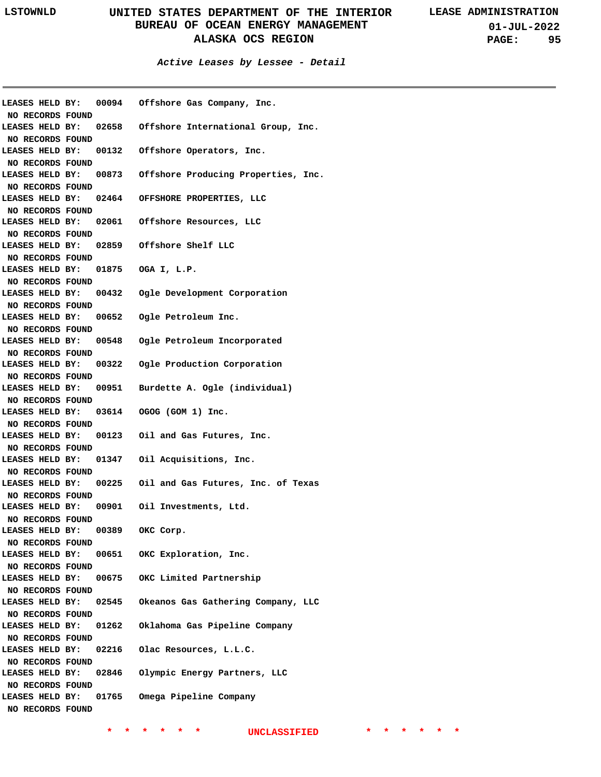**01-JUL-2022 PAGE: 95**

|                                   |                  |                    | LEASES HELD BY: 00094 Offshore Gas Company, Inc.    |
|-----------------------------------|------------------|--------------------|-----------------------------------------------------|
| NO RECORDS FOUND                  |                  |                    |                                                     |
| LEASES HELD BY:                   |                  |                    | 02658 Offshore International Group, Inc.            |
| NO RECORDS FOUND                  |                  |                    |                                                     |
| LEASES HELD BY:                   |                  |                    | 00132 Offshore Operators, Inc.                      |
| NO RECORDS FOUND                  |                  |                    |                                                     |
| LEASES HELD BY:                   |                  |                    | 00873 Offshore Producing Properties, Inc.           |
| NO RECORDS FOUND                  |                  |                    |                                                     |
| LEASES HELD BY:                   |                  |                    | 02464 OFFSHORE PROPERTIES, LLC                      |
| NO RECORDS FOUND                  |                  |                    |                                                     |
|                                   |                  |                    | LEASES HELD BY: 02061 Offshore Resources, LLC       |
| NO RECORDS FOUND                  |                  |                    |                                                     |
|                                   |                  |                    | LEASES HELD BY: 02859 Offshore Shelf LLC            |
| NO RECORDS FOUND                  |                  |                    |                                                     |
| LEASES HELD BY: 01875 OGA I, L.P. |                  |                    |                                                     |
| NO RECORDS FOUND                  |                  |                    |                                                     |
|                                   |                  |                    | LEASES HELD BY: 00432 Ogle Development Corporation  |
| NO RECORDS FOUND                  |                  |                    |                                                     |
|                                   |                  |                    | LEASES HELD BY: 00652 Ogle Petroleum Inc.           |
| NO RECORDS FOUND                  |                  |                    |                                                     |
|                                   |                  |                    | LEASES HELD BY: 00548 Ogle Petroleum Incorporated   |
| NO RECORDS FOUND                  |                  |                    |                                                     |
|                                   |                  |                    | LEASES HELD BY: 00322 Ogle Production Corporation   |
| NO RECORDS FOUND                  |                  |                    |                                                     |
|                                   |                  |                    | LEASES HELD BY: 00951 Burdette A. Ogle (individual) |
| NO RECORDS FOUND                  |                  |                    |                                                     |
|                                   |                  |                    | LEASES HELD BY: 03614 OGOG (GOM 1) Inc.             |
| NO RECORDS FOUND                  |                  |                    |                                                     |
|                                   |                  |                    | LEASES HELD BY: 00123 Oil and Gas Futures, Inc.     |
| NO RECORDS FOUND                  |                  |                    |                                                     |
|                                   |                  |                    | LEASES HELD BY: 01347 Oil Acquisitions, Inc.        |
| NO RECORDS FOUND                  |                  |                    |                                                     |
| LEASES HELD BY:                   |                  |                    | 00225 Oil and Gas Futures, Inc. of Texas            |
| NO RECORDS FOUND                  |                  |                    |                                                     |
|                                   |                  |                    | LEASES HELD BY: 00901 Oil Investments, Ltd.         |
| NO RECORDS FOUND                  |                  |                    |                                                     |
| LEASES HELD BY:                   |                  | 00389<br>OKC Corp. |                                                     |
| NO RECORDS FOUND                  |                  |                    |                                                     |
| LEASES HELD BY:                   |                  |                    | 00651 OKC Exploration, Inc.                         |
| NO RECORDS FOUND                  |                  |                    |                                                     |
| LEASES HELD BY:                   |                  |                    | 00675 OKC Limited Partnership                       |
| NO RECORDS FOUND                  |                  |                    |                                                     |
| LEASES HELD BY:                   |                  | 02545              | Okeanos Gas Gathering Company, LLC                  |
| NO RECORDS FOUND                  |                  |                    |                                                     |
| LEASES HELD BY:                   |                  | 01262              | Oklahoma Gas Pipeline Company                       |
|                                   |                  |                    |                                                     |
| NO RECORDS FOUND                  |                  |                    |                                                     |
| LEASES HELD BY:                   |                  | 02216              | Olac Resources, L.L.C.                              |
| NO RECORDS FOUND                  |                  |                    |                                                     |
| LEASES HELD BY:                   |                  | 02846              | Olympic Energy Partners, LLC                        |
| NO RECORDS FOUND                  |                  |                    |                                                     |
| LEASES HELD BY:                   |                  | 01765              | Omega Pipeline Company                              |
|                                   | NO RECORDS FOUND |                    |                                                     |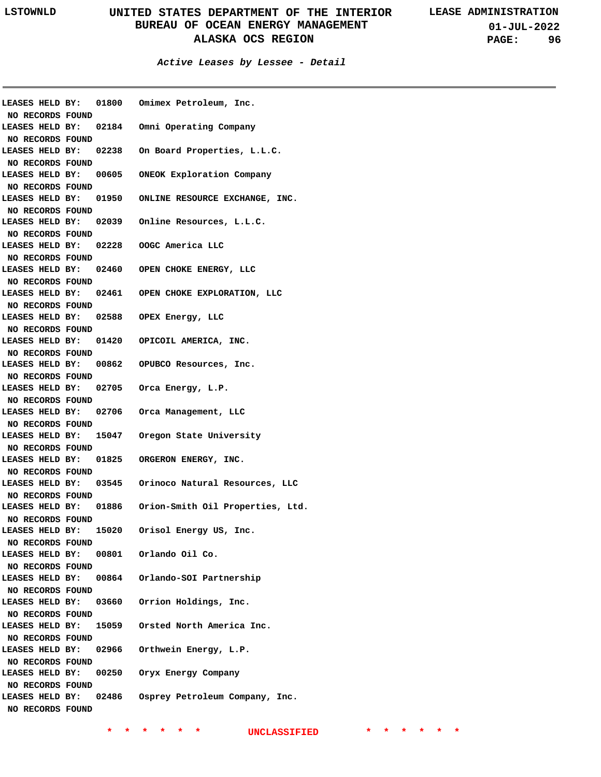**01-JUL-2022 PAGE: 96**

**Active Leases by Lessee - Detail**

|                                     |       | LEASES HELD BY: 01800 Omimex Petroleum, Inc.           |
|-------------------------------------|-------|--------------------------------------------------------|
| NO RECORDS FOUND                    |       |                                                        |
|                                     |       | LEASES HELD BY: 02184 Omni Operating Company           |
| NO RECORDS FOUND                    |       | LEASES HELD BY: 02238 On Board Properties, L.L.C.      |
| NO RECORDS FOUND                    |       |                                                        |
| LEASES HELD BY:                     |       |                                                        |
|                                     |       | 00605 ONEOK Exploration Company                        |
| NO RECORDS FOUND                    |       | LEASES HELD BY: 01950 ONLINE RESOURCE EXCHANGE, INC.   |
|                                     |       |                                                        |
| NO RECORDS FOUND                    |       | LEASES HELD BY: 02039 Online Resources, L.L.C.         |
| NO RECORDS FOUND                    |       |                                                        |
|                                     |       | LEASES HELD BY: 02228 OOGC America LLC                 |
| NO RECORDS FOUND                    |       |                                                        |
| LEASES HELD BY:                     |       | 02460 OPEN CHOKE ENERGY, LLC                           |
|                                     |       |                                                        |
| NO RECORDS FOUND<br>LEASES HELD BY: |       | 02461 OPEN CHOKE EXPLORATION, LLC                      |
| NO RECORDS FOUND                    |       |                                                        |
|                                     |       | LEASES HELD BY: 02588 OPEX Energy, LLC                 |
| NO RECORDS FOUND                    |       |                                                        |
|                                     |       | LEASES HELD BY: 01420 OPICOIL AMERICA, INC.            |
|                                     |       |                                                        |
| NO RECORDS FOUND                    |       | LEASES HELD BY: 00862 OPUBCO Resources, Inc.           |
|                                     |       |                                                        |
| NO RECORDS FOUND                    |       |                                                        |
|                                     |       | LEASES HELD BY: 02705 Orca Energy, L.P.                |
| NO RECORDS FOUND                    |       | LEASES HELD BY: 02706 Orca Management, LLC             |
|                                     |       |                                                        |
| NO RECORDS FOUND<br>LEASES HELD BY: |       | 15047 Oregon State University                          |
| NO RECORDS FOUND                    |       |                                                        |
|                                     |       | LEASES HELD BY: 01825 ORGERON ENERGY, INC.             |
| NO RECORDS FOUND                    |       |                                                        |
|                                     |       | LEASES HELD BY: 03545 Orinoco Natural Resources, LLC   |
| NO RECORDS FOUND                    |       |                                                        |
|                                     |       | LEASES HELD BY: 01886 Orion-Smith Oil Properties, Ltd. |
| NO RECORDS FOUND                    |       |                                                        |
| LEASES HELD BY:                     | 15020 | Orisol Energy US, Inc.                                 |
| NO RECORDS FOUND                    |       |                                                        |
| LEASES HELD BY:                     |       | 00801 Orlando Oil Co.                                  |
| NO RECORDS FOUND                    |       |                                                        |
| LEASES HELD BY:                     |       | 00864 Orlando-SOI Partnership                          |
| NO RECORDS FOUND                    |       |                                                        |
| LEASES HELD BY:                     |       | 03660 Orrion Holdings, Inc.                            |
| NO RECORDS FOUND                    |       |                                                        |
| LEASES HELD BY:                     |       | 15059 Orsted North America Inc.                        |
| NO RECORDS FOUND                    |       |                                                        |
| LEASES HELD BY:                     | 02966 | Orthwein Energy, L.P.                                  |
| NO RECORDS FOUND                    |       |                                                        |
| LEASES HELD BY:                     | 00250 | Oryx Energy Company                                    |
| NO RECORDS FOUND                    |       |                                                        |
| LEASES HELD BY:                     | 02486 | Osprey Petroleum Company, Inc.                         |
|                                     |       |                                                        |
| NO RECORDS FOUND                    |       |                                                        |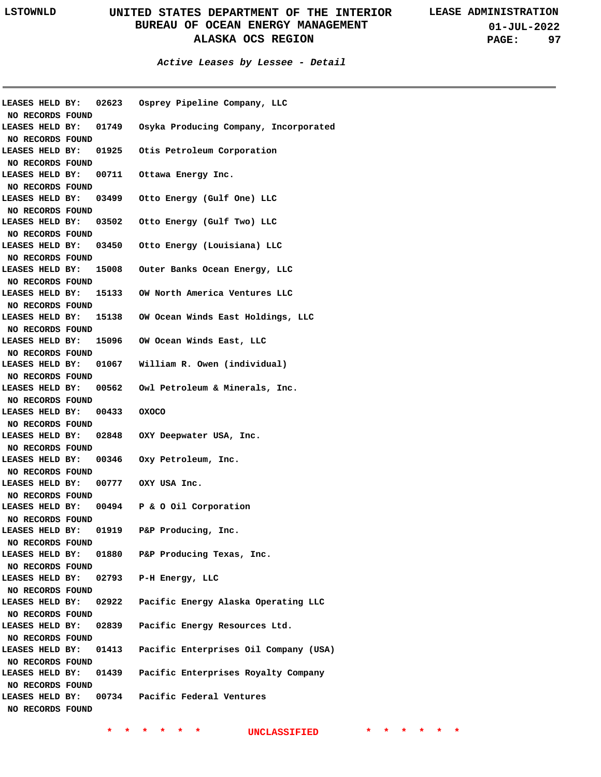**01-JUL-2022 PAGE: 97**

#### **Active Leases by Lessee - Detail**

| NO RECORDS FOUND                    |                             | LEASES HELD BY: 02623 Osprey Pipeline Company, LLC         |
|-------------------------------------|-----------------------------|------------------------------------------------------------|
| LEASES HELD BY:                     |                             | 01749 Osyka Producing Company, Incorporated                |
| NO RECORDS FOUND                    |                             |                                                            |
| LEASES HELD BY:                     |                             | 01925 Otis Petroleum Corporation                           |
| NO RECORDS FOUND                    |                             | 00711 Ottawa Energy Inc.                                   |
| LEASES HELD BY:                     |                             |                                                            |
| NO RECORDS FOUND<br>LEASES HELD BY: |                             | 03499 Otto Energy (Gulf One) LLC                           |
| NO RECORDS FOUND                    |                             |                                                            |
|                                     |                             | LEASES HELD BY: 03502 Otto Energy (Gulf Two) LLC           |
| NO RECORDS FOUND                    |                             |                                                            |
|                                     |                             | LEASES HELD BY: 03450 Otto Energy (Louisiana) LLC          |
| NO RECORDS FOUND                    |                             |                                                            |
|                                     |                             | LEASES HELD BY: 15008 Outer Banks Ocean Energy, LLC        |
| NO RECORDS FOUND                    |                             |                                                            |
|                                     |                             | LEASES HELD BY: 15133 OW North America Ventures LLC        |
| NO RECORDS FOUND                    |                             |                                                            |
|                                     |                             | LEASES HELD BY: 15138 OW Ocean Winds East Holdings, LLC    |
| NO RECORDS FOUND                    |                             |                                                            |
| LEASES HELD BY:                     |                             | 15096 OW Ocean Winds East, LLC                             |
| NO RECORDS FOUND                    |                             |                                                            |
|                                     |                             | LEASES HELD BY: 01067 William R. Owen (individual)         |
| NO RECORDS FOUND                    |                             |                                                            |
|                                     |                             | LEASES HELD BY: 00562 Owl Petroleum & Minerals, Inc.       |
| NO RECORDS FOUND                    |                             |                                                            |
|                                     | LEASES HELD BY: 00433 OXOCO |                                                            |
| NO RECORDS FOUND                    |                             |                                                            |
|                                     |                             | LEASES HELD BY: 02848 OXY Deepwater USA, Inc.              |
| NO RECORDS FOUND                    |                             |                                                            |
|                                     |                             | LEASES HELD BY: 00346 Oxy Petroleum, Inc.                  |
| NO RECORDS FOUND                    |                             |                                                            |
|                                     |                             | LEASES HELD BY: 00777 OXY USA Inc.                         |
| NO RECORDS FOUND                    |                             |                                                            |
|                                     |                             | LEASES HELD BY: 00494 P & O Oil Corporation                |
| NO RECORDS FOUND                    |                             |                                                            |
| LEASES HELD BY:                     | 01919                       | P&P Producing, Inc.                                        |
| NO RECORDS FOUND                    |                             |                                                            |
| LEASES HELD BY:                     |                             | 01880 P&P Producing Texas, Inc.                            |
| NO RECORDS FOUND                    |                             |                                                            |
|                                     |                             | LEASES HELD BY: 02793 P-H Energy, LLC                      |
| NO RECORDS FOUND                    |                             |                                                            |
|                                     |                             | LEASES HELD BY: 02922  Pacific Energy Alaska Operating LLC |
| NO RECORDS FOUND                    |                             |                                                            |
|                                     |                             | LEASES HELD BY: 02839 Pacific Energy Resources Ltd.        |
| NO RECORDS FOUND                    |                             |                                                            |
| LEASES HELD BY:                     |                             | 01413 Pacific Enterprises Oil Company (USA)                |
| NO RECORDS FOUND                    |                             |                                                            |
|                                     |                             | LEASES HELD BY: 01439 Pacific Enterprises Royalty Company  |
| NO RECORDS FOUND                    |                             |                                                            |
| LEASES HELD BY:                     |                             | 00734 Pacific Federal Ventures                             |
| NO RECORDS FOUND                    |                             |                                                            |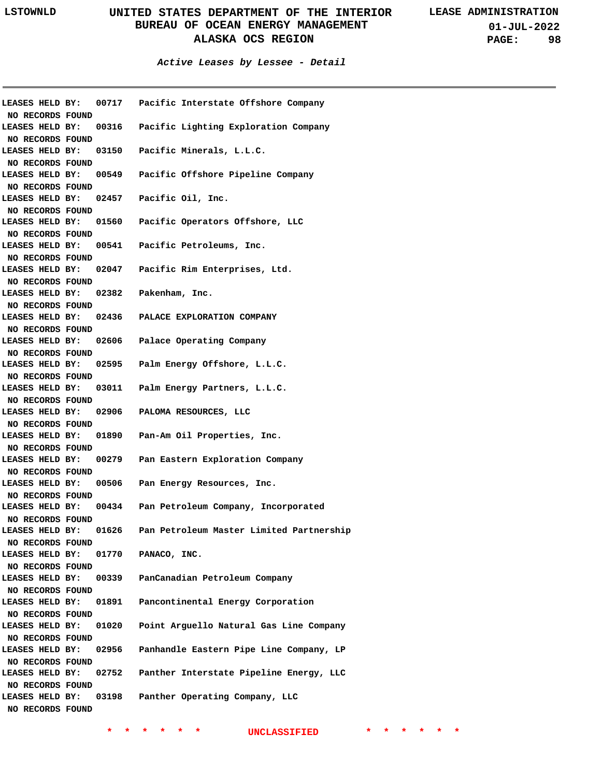**Active Leases by Lessee - Detail**

|                  |                       | LEASES HELD BY: 00717  Pacific Interstate Offshore Company |
|------------------|-----------------------|------------------------------------------------------------|
| NO RECORDS FOUND |                       |                                                            |
| LEASES HELD BY:  |                       | 00316 Pacific Lighting Exploration Company                 |
| NO RECORDS FOUND |                       |                                                            |
| LEASES HELD BY:  |                       | 03150 Pacific Minerals, L.L.C.                             |
| NO RECORDS FOUND |                       |                                                            |
| LEASES HELD BY:  |                       | 00549 Pacific Offshore Pipeline Company                    |
| NO RECORDS FOUND |                       |                                                            |
| LEASES HELD BY:  |                       | 02457 Pacific Oil, Inc.                                    |
| NO RECORDS FOUND |                       |                                                            |
|                  |                       | LEASES HELD BY: 01560  Pacific Operators Offshore, LLC     |
| NO RECORDS FOUND |                       |                                                            |
|                  |                       | LEASES HELD BY: 00541 Pacific Petroleums, Inc.             |
| NO RECORDS FOUND |                       |                                                            |
|                  |                       | LEASES HELD BY: 02047 Pacific Rim Enterprises, Ltd.        |
| NO RECORDS FOUND |                       |                                                            |
|                  | LEASES HELD BY: 02382 | Pakenham, Inc.                                             |
| NO RECORDS FOUND |                       |                                                            |
|                  |                       | LEASES HELD BY: 02436 PALACE EXPLORATION COMPANY           |
| NO RECORDS FOUND |                       |                                                            |
| LEASES HELD BY:  | 02606                 | Palace Operating Company                                   |
| NO RECORDS FOUND |                       |                                                            |
| LEASES HELD BY:  | 02595                 | Palm Energy Offshore, L.L.C.                               |
| NO RECORDS FOUND |                       |                                                            |
| LEASES HELD BY:  | 03011                 | Palm Energy Partners, L.L.C.                               |
| NO RECORDS FOUND |                       |                                                            |
|                  | LEASES HELD BY: 02906 | PALOMA RESOURCES, LLC                                      |
| NO RECORDS FOUND |                       |                                                            |
|                  | LEASES HELD BY: 01890 | Pan-Am Oil Properties, Inc.                                |
| NO RECORDS FOUND |                       |                                                            |
|                  | LEASES HELD BY: 00279 | Pan Eastern Exploration Company                            |
| NO RECORDS FOUND |                       |                                                            |
| LEASES HELD BY:  | 00506                 | Pan Energy Resources, Inc.                                 |
| NO RECORDS FOUND |                       |                                                            |
|                  | LEASES HELD BY: 00434 | Pan Petroleum Company, Incorporated                        |
| NO RECORDS FOUND |                       |                                                            |
| LEASES HELD BY:  | 01626                 | Pan Petroleum Master Limited Partnership                   |
| NO RECORDS FOUND |                       |                                                            |
| LEASES HELD BY:  | 01770                 | PANACO, INC.                                               |
| NO RECORDS FOUND |                       |                                                            |
| LEASES HELD BY:  | 00339                 | PanCanadian Petroleum Company                              |
| NO RECORDS FOUND |                       |                                                            |
| LEASES HELD BY:  | 01891                 | Pancontinental Energy Corporation                          |
| NO RECORDS FOUND |                       |                                                            |
| LEASES HELD BY:  | 01020                 | Point Arguello Natural Gas Line Company                    |
| NO RECORDS FOUND |                       |                                                            |
| LEASES HELD BY:  | 02956                 | Panhandle Eastern Pipe Line Company, LP                    |
| NO RECORDS FOUND |                       |                                                            |
| LEASES HELD BY:  | 02752                 | Panther Interstate Pipeline Energy, LLC                    |
| NO RECORDS FOUND |                       |                                                            |
| LEASES HELD BY:  | 03198                 | Panther Operating Company, LLC                             |
| NO RECORDS FOUND |                       |                                                            |
|                  |                       |                                                            |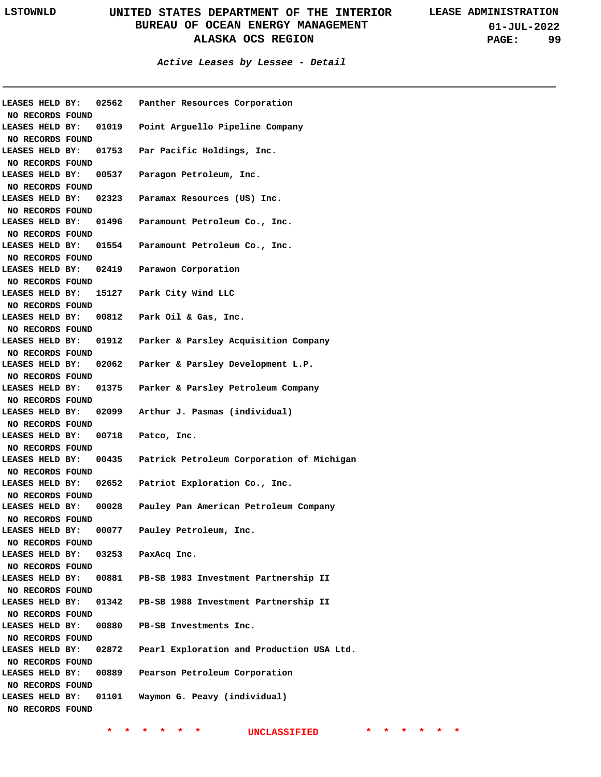**01-JUL-2022 PAGE: 99**

#### **Active Leases by Lessee - Detail**

| LEASES HELD BY:  |  | 02562                 | Panther Resources Corporation              |
|------------------|--|-----------------------|--------------------------------------------|
| NO RECORDS FOUND |  |                       |                                            |
|                  |  | LEASES HELD BY: 01019 | Point Arguello Pipeline Company            |
| NO RECORDS FOUND |  |                       |                                            |
| LEASES HELD BY:  |  |                       | 01753 Par Pacific Holdings, Inc.           |
| NO RECORDS FOUND |  |                       |                                            |
| LEASES HELD BY:  |  |                       | 00537 Paragon Petroleum, Inc.              |
| NO RECORDS FOUND |  |                       |                                            |
| LEASES HELD BY:  |  |                       | 02323 Paramax Resources (US) Inc.          |
| NO RECORDS FOUND |  |                       |                                            |
| LEASES HELD BY:  |  |                       | 01496 Paramount Petroleum Co., Inc.        |
| NO RECORDS FOUND |  |                       |                                            |
| LEASES HELD BY:  |  |                       | 01554 Paramount Petroleum Co., Inc.        |
| NO RECORDS FOUND |  |                       |                                            |
| LEASES HELD BY:  |  |                       | 02419 Parawon Corporation                  |
| NO RECORDS FOUND |  |                       |                                            |
| LEASES HELD BY:  |  |                       | 15127 Park City Wind LLC                   |
| NO RECORDS FOUND |  |                       |                                            |
| LEASES HELD BY:  |  |                       | 00812 Park Oil & Gas, Inc.                 |
| NO RECORDS FOUND |  |                       |                                            |
| LEASES HELD BY:  |  |                       | 01912 Parker & Parsley Acquisition Company |
| NO RECORDS FOUND |  |                       |                                            |
| LEASES HELD BY:  |  |                       | 02062 Parker & Parsley Development L.P.    |
| NO RECORDS FOUND |  |                       |                                            |
| LEASES HELD BY:  |  | 01375                 | Parker & Parsley Petroleum Company         |
| NO RECORDS FOUND |  |                       |                                            |
| LEASES HELD BY:  |  |                       | 02099 Arthur J. Pasmas (individual)        |
| NO RECORDS FOUND |  |                       |                                            |
| LEASES HELD BY:  |  | 00718                 | Patco, Inc.                                |
| NO RECORDS FOUND |  |                       |                                            |
| LEASES HELD BY:  |  | 00435                 | Patrick Petroleum Corporation of Michigan  |
| NO RECORDS FOUND |  |                       |                                            |
| LEASES HELD BY:  |  | 02652                 | Patriot Exploration Co., Inc.              |
| NO RECORDS FOUND |  |                       |                                            |
| LEASES HELD BY:  |  | 00028                 | Pauley Pan American Petroleum Company      |
| NO RECORDS FOUND |  |                       |                                            |
| LEASES HELD BY:  |  | 00077                 | Pauley Petroleum, Inc.                     |
| NO RECORDS FOUND |  |                       |                                            |
| LEASES HELD BY:  |  | 03253                 | PaxAcq Inc.                                |
| NO RECORDS FOUND |  |                       |                                            |
| LEASES HELD BY:  |  | 00881                 | PB-SB 1983 Investment Partnership II       |
| NO RECORDS FOUND |  |                       |                                            |
| LEASES HELD BY:  |  | 01342                 | PB-SB 1988 Investment Partnership II       |
| NO RECORDS FOUND |  |                       |                                            |
| LEASES HELD BY:  |  | 00880                 | PB-SB Investments Inc.                     |
| NO RECORDS FOUND |  |                       |                                            |
| LEASES HELD BY:  |  | 02872                 | Pearl Exploration and Production USA Ltd.  |
| NO RECORDS FOUND |  |                       |                                            |
| LEASES HELD BY:  |  | 00889                 | Pearson Petroleum Corporation              |
| NO RECORDS FOUND |  |                       |                                            |
| LEASES HELD BY:  |  | 01101                 | Waymon G. Peavy (individual)               |
| NO RECORDS FOUND |  |                       |                                            |
|                  |  |                       |                                            |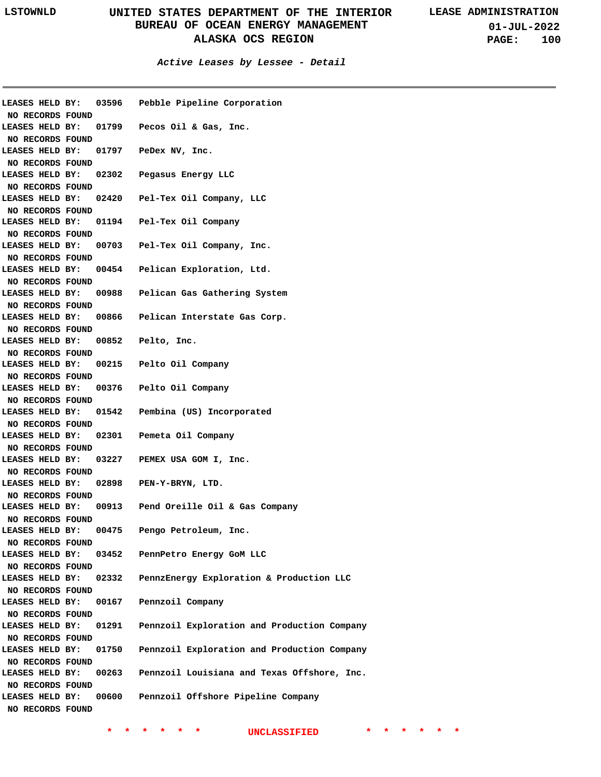**01-JUL-2022 PAGE: 100**

| LEASES HELD BY:<br>NO RECORDS FOUND | 03596 | Pebble Pipeline Corporation                 |
|-------------------------------------|-------|---------------------------------------------|
| LEASES HELD BY:                     | 01799 | Pecos Oil & Gas, Inc.                       |
| NO RECORDS FOUND                    |       |                                             |
| LEASES HELD BY:                     | 01797 | PeDex NV, Inc.                              |
| NO RECORDS FOUND                    |       |                                             |
| LEASES HELD BY:                     | 02302 | Pegasus Energy LLC                          |
| NO RECORDS FOUND                    |       |                                             |
| LEASES HELD BY:                     | 02420 | Pel-Tex Oil Company, LLC                    |
| NO RECORDS FOUND                    |       |                                             |
| LEASES HELD BY:                     | 01194 | Pel-Tex Oil Company                         |
| NO RECORDS FOUND                    |       |                                             |
| LEASES HELD BY:                     | 00703 | Pel-Tex Oil Company, Inc.                   |
| NO RECORDS FOUND                    |       |                                             |
| LEASES HELD BY:                     | 00454 | Pelican Exploration, Ltd.                   |
| NO RECORDS FOUND                    |       |                                             |
| LEASES HELD BY:                     | 00988 | Pelican Gas Gathering System                |
| NO RECORDS FOUND                    |       |                                             |
| LEASES HELD BY:                     | 00866 | Pelican Interstate Gas Corp.                |
| NO RECORDS FOUND                    |       |                                             |
| LEASES HELD BY:                     | 00852 | Pelto, Inc.                                 |
| NO RECORDS FOUND                    |       |                                             |
| LEASES HELD BY:                     | 00215 | Pelto Oil Company                           |
| NO RECORDS FOUND                    |       |                                             |
| LEASES HELD BY:                     | 00376 | Pelto Oil Company                           |
| NO RECORDS FOUND                    |       |                                             |
| LEASES HELD BY:                     | 01542 | Pembina (US) Incorporated                   |
| NO RECORDS FOUND                    |       |                                             |
| LEASES HELD BY:                     | 02301 | Pemeta Oil Company                          |
| NO RECORDS FOUND                    |       |                                             |
| LEASES HELD BY:                     | 03227 | PEMEX USA GOM I, Inc.                       |
| NO RECORDS FOUND                    |       |                                             |
| LEASES HELD BY:                     | 02898 | PEN-Y-BRYN, LTD.                            |
| NO RECORDS FOUND                    |       |                                             |
| LEASES HELD BY:                     | 00913 | Pend Oreille Oil & Gas Company              |
| NO RECORDS FOUND                    |       |                                             |
| LEASES HELD BY:                     | 00475 | Pengo Petroleum, Inc.                       |
| NO RECORDS FOUND                    |       |                                             |
| LEASES HELD BY:                     | 03452 | PennPetro Energy GoM LLC                    |
| NO RECORDS FOUND                    |       |                                             |
| LEASES HELD BY:                     | 02332 | PennzEnergy Exploration & Production LLC    |
| NO RECORDS FOUND                    |       |                                             |
|                                     |       |                                             |
| LEASES HELD BY:                     | 00167 | Pennzoil Company                            |
| NO RECORDS FOUND                    |       |                                             |
| LEASES HELD BY:                     | 01291 | Pennzoil Exploration and Production Company |
| NO RECORDS FOUND                    |       |                                             |
| LEASES HELD BY:                     | 01750 | Pennzoil Exploration and Production Company |
| NO RECORDS FOUND                    |       |                                             |
| LEASES HELD BY:                     | 00263 | Pennzoil Louisiana and Texas Offshore, Inc. |
| NO RECORDS FOUND                    |       |                                             |
| LEASES HELD BY:<br>NO RECORDS FOUND | 00600 | Pennzoil Offshore Pipeline Company          |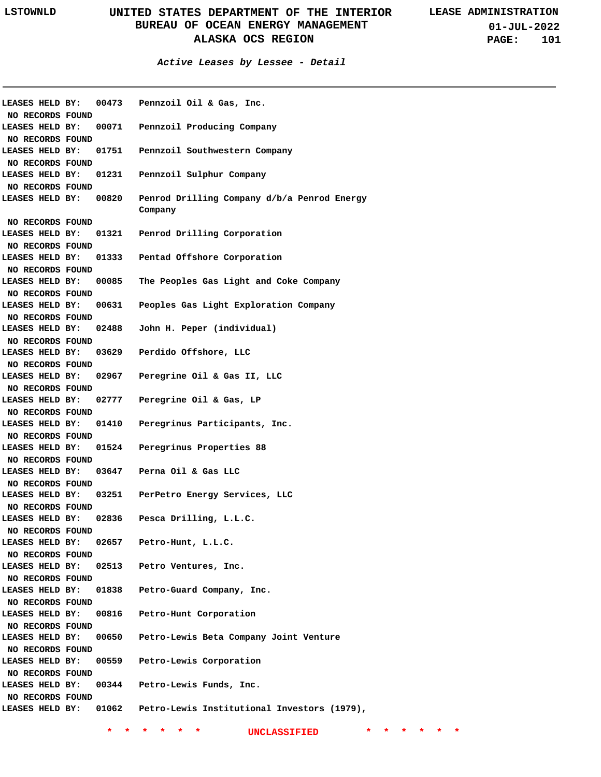| LEASES HELD BY:       | 00473 | Pennzoil Oil & Gas, Inc.                    |
|-----------------------|-------|---------------------------------------------|
| NO RECORDS FOUND      |       |                                             |
| LEASES HELD BY:       | 00071 | Pennzoil Producing Company                  |
| NO RECORDS FOUND      |       |                                             |
| LEASES HELD BY:       | 01751 | Pennzoil Southwestern Company               |
| NO RECORDS FOUND      |       |                                             |
| LEASES HELD BY: 01231 |       | Pennzoil Sulphur Company                    |
| NO RECORDS FOUND      |       |                                             |
| LEASES HELD BY: 00820 |       | Penrod Drilling Company d/b/a Penrod Energy |
|                       |       | Company                                     |
| NO RECORDS FOUND      |       |                                             |
| LEASES HELD BY:       | 01321 | Penrod Drilling Corporation                 |
| NO RECORDS FOUND      |       |                                             |
| LEASES HELD BY:       | 01333 | Pentad Offshore Corporation                 |
| NO RECORDS FOUND      |       |                                             |
| LEASES HELD BY:       | 00085 | The Peoples Gas Light and Coke Company      |
| NO RECORDS FOUND      |       |                                             |
| LEASES HELD BY:       | 00631 | Peoples Gas Light Exploration Company       |
| NO RECORDS FOUND      |       |                                             |
| LEASES HELD BY:       | 02488 | John H. Peper (individual)                  |
| NO RECORDS FOUND      |       |                                             |
| LEASES HELD BY:       | 03629 | Perdido Offshore, LLC                       |
| NO RECORDS FOUND      |       |                                             |
| LEASES HELD BY:       | 02967 | Peregrine Oil & Gas II, LLC                 |
| NO RECORDS FOUND      |       |                                             |
| LEASES HELD BY:       | 02777 | Peregrine Oil & Gas, LP                     |
| NO RECORDS FOUND      |       |                                             |
| LEASES HELD BY:       | 01410 | Peregrinus Participants, Inc.               |
| NO RECORDS FOUND      |       |                                             |
| LEASES HELD BY:       | 01524 | Peregrinus Properties 88                    |
| NO RECORDS FOUND      |       |                                             |
| LEASES HELD BY:       | 03647 | Perna Oil & Gas LLC                         |
| NO RECORDS FOUND      |       |                                             |
| LEASES HELD BY:       | 03251 | PerPetro Energy Services, LLC               |
| NO RECORDS FOUND      |       |                                             |
| LEASES HELD BY:       | 02836 | Pesca Drilling, L.L.C.                      |
| NO RECORDS FOUND      |       |                                             |
| LEASES HELD BY:       | 02657 | Petro-Hunt, L.L.C.                          |
| NO RECORDS FOUND      |       |                                             |
| LEASES HELD BY:       | 02513 | Petro Ventures, Inc.                        |
| NO RECORDS FOUND      |       |                                             |
| LEASES HELD BY:       | 01838 | Petro-Guard Company, Inc.                   |
| NO RECORDS FOUND      |       |                                             |
| LEASES HELD BY:       | 00816 | Petro-Hunt Corporation                      |
| NO RECORDS FOUND      |       |                                             |
| LEASES HELD BY:       | 00650 | Petro-Lewis Beta Company Joint Venture      |
| NO RECORDS FOUND      |       |                                             |
| LEASES HELD BY:       | 00559 | Petro-Lewis Corporation                     |
| NO RECORDS FOUND      |       |                                             |
| LEASES HELD BY:       | 00344 | Petro-Lewis Funds, Inc.                     |
| NO RECORDS FOUND      |       |                                             |
| LEASES HELD BY: 01062 |       | Petro-Lewis Institutional Investors (1979), |
|                       |       |                                             |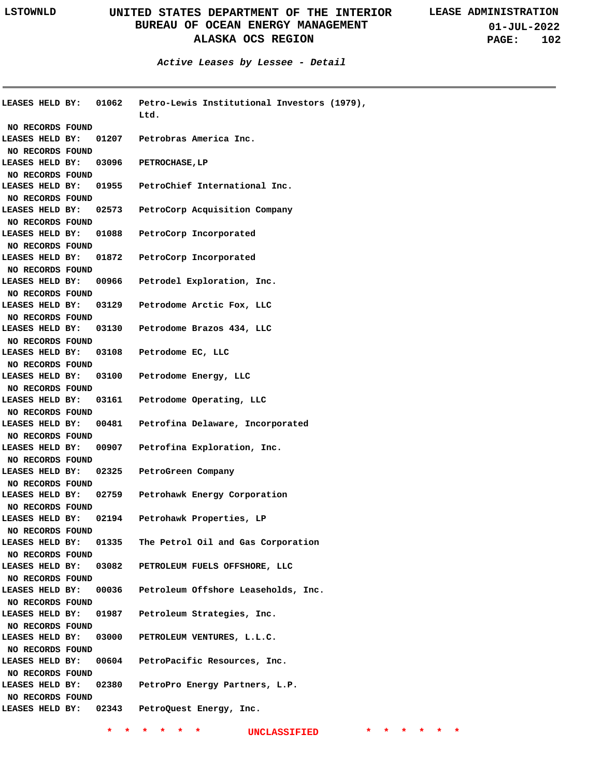**01-JUL-2022 PAGE: 102**

**Active Leases by Lessee - Detail**

| LEASES HELD BY:        | 01062 | Petro-Lewis Institutional Investors (1979),<br>Ltd. |
|------------------------|-------|-----------------------------------------------------|
| NO RECORDS FOUND       |       |                                                     |
| LEASES HELD BY:        | 01207 | Petrobras America Inc.                              |
| NO RECORDS FOUND       |       |                                                     |
| LEASES HELD BY:        | 03096 | <b>PETROCHASE, LP</b>                               |
| NO RECORDS FOUND       |       |                                                     |
| LEASES HELD BY:        | 01955 | PetroChief International Inc.                       |
| NO RECORDS FOUND       |       |                                                     |
| LEASES HELD BY:        | 02573 | PetroCorp Acquisition Company                       |
| NO RECORDS FOUND       |       |                                                     |
| LEASES HELD BY:        | 01088 | PetroCorp Incorporated                              |
| NO RECORDS FOUND       |       |                                                     |
| LEASES HELD BY:        | 01872 | PetroCorp Incorporated                              |
| NO RECORDS FOUND       |       |                                                     |
| LEASES HELD BY:        | 00966 | Petrodel Exploration, Inc.                          |
| NO RECORDS FOUND       |       |                                                     |
| LEASES HELD BY:        | 03129 | Petrodome Arctic Fox, LLC                           |
| NO RECORDS FOUND       |       |                                                     |
| LEASES HELD BY:        | 03130 | Petrodome Brazos 434, LLC                           |
| NO RECORDS FOUND       |       |                                                     |
| LEASES HELD BY:        | 03108 | Petrodome EC, LLC                                   |
| NO RECORDS FOUND       |       |                                                     |
| LEASES HELD BY:        | 03100 | Petrodome Energy, LLC                               |
| NO RECORDS FOUND       |       |                                                     |
| LEASES HELD BY:        |       | 03161 Petrodome Operating, LLC                      |
| NO RECORDS FOUND       |       |                                                     |
| LEASES HELD BY:        | 00481 | Petrofina Delaware, Incorporated                    |
| NO RECORDS FOUND       |       |                                                     |
| LEASES HELD BY:        | 00907 | Petrofina Exploration, Inc.                         |
| NO RECORDS FOUND       |       |                                                     |
| LEASES HELD BY:        | 02325 | PetroGreen Company                                  |
| NO RECORDS FOUND       |       |                                                     |
| LEASES HELD BY:        | 02759 | Petrohawk Energy Corporation                        |
| NO RECORDS FOUND       |       |                                                     |
| LEASES HELD BY:        |       | 02194 Petrohawk Properties, LP                      |
| NO RECORDS FOUND       |       |                                                     |
| LEASES HELD BY:        | 01335 | The Petrol Oil and Gas Corporation                  |
| NO RECORDS FOUND       |       |                                                     |
| LEASES HELD BY:        | 03082 | PETROLEUM FUELS OFFSHORE, LLC                       |
| NO RECORDS FOUND       |       |                                                     |
| LEASES HELD BY:        | 00036 | Petroleum Offshore Leaseholds, Inc.                 |
| NO RECORDS FOUND       |       |                                                     |
| LEASES HELD BY:        | 01987 | Petroleum Strategies, Inc.                          |
| NO RECORDS FOUND       |       |                                                     |
| LEASES HELD BY:        | 03000 | PETROLEUM VENTURES, L.L.C.                          |
| NO RECORDS FOUND       |       |                                                     |
| LEASES HELD BY:        | 00604 | PetroPacific Resources, Inc.                        |
| NO RECORDS FOUND       |       |                                                     |
| LEASES HELD BY:        | 02380 | PetroPro Energy Partners, L.P.                      |
| NO RECORDS FOUND       |       |                                                     |
| <b>LEASES HELD BY:</b> | 02343 | PetroQuest Energy, Inc.                             |
|                        |       |                                                     |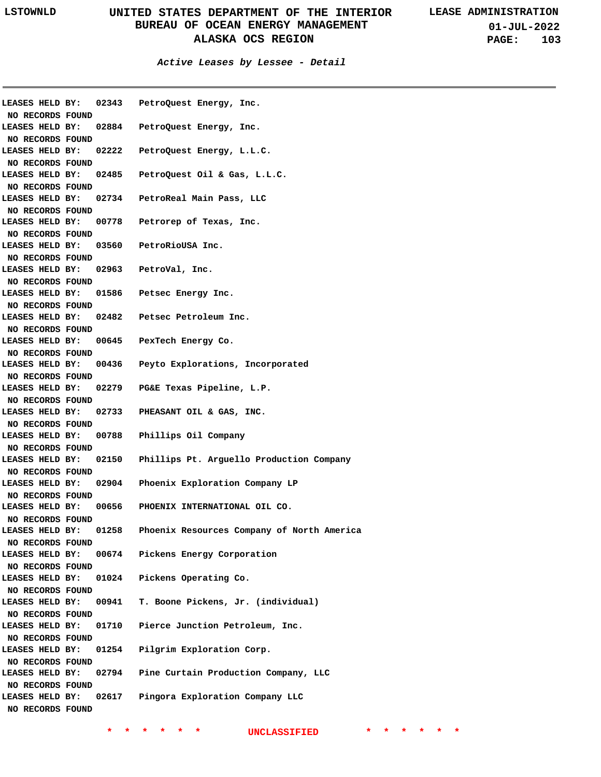**01-JUL-2022 PAGE: 103**

**Active Leases by Lessee - Detail**

| <b>LEASES HELD BY:</b> | 02343 | PetroQuest Energy, Inc.                    |
|------------------------|-------|--------------------------------------------|
| NO RECORDS FOUND       |       |                                            |
| LEASES HELD BY:        | 02884 | PetroQuest Energy, Inc.                    |
| NO RECORDS FOUND       |       |                                            |
| LEASES HELD BY:        | 02222 | PetroQuest Energy, L.L.C.                  |
| NO RECORDS FOUND       |       |                                            |
| LEASES HELD BY:        | 02485 | PetroQuest Oil & Gas, L.L.C.               |
| NO RECORDS FOUND       |       |                                            |
| LEASES HELD BY:        | 02734 | PetroReal Main Pass, LLC                   |
| NO RECORDS FOUND       |       |                                            |
| LEASES HELD BY:        | 00778 | Petrorep of Texas, Inc.                    |
| NO RECORDS FOUND       |       |                                            |
| LEASES HELD BY:        |       | 03560 PetroRioUSA Inc.                     |
| NO RECORDS FOUND       |       |                                            |
| LEASES HELD BY:        |       | 02963 PetroVal, Inc.                       |
| NO RECORDS FOUND       |       |                                            |
| LEASES HELD BY:        |       | 01586 Petsec Energy Inc.                   |
| NO RECORDS FOUND       |       |                                            |
| LEASES HELD BY:        |       | 02482 Petsec Petroleum Inc.                |
| NO RECORDS FOUND       |       |                                            |
| LEASES HELD BY:        |       | 00645 PexTech Energy Co.                   |
| NO RECORDS FOUND       |       |                                            |
| LEASES HELD BY:        | 00436 | Peyto Explorations, Incorporated           |
| NO RECORDS FOUND       |       |                                            |
| <b>LEASES HELD BY:</b> |       | 02279 PG&E Texas Pipeline, L.P.            |
| NO RECORDS FOUND       |       |                                            |
| <b>LEASES HELD BY:</b> | 02733 | PHEASANT OIL & GAS, INC.                   |
| NO RECORDS FOUND       |       |                                            |
| <b>LEASES HELD BY:</b> | 00788 | Phillips Oil Company                       |
| NO RECORDS FOUND       |       |                                            |
| <b>LEASES HELD BY:</b> | 02150 | Phillips Pt. Arguello Production Company   |
| NO RECORDS FOUND       |       |                                            |
| LEASES HELD BY:        | 02904 | Phoenix Exploration Company LP             |
| NO RECORDS FOUND       |       |                                            |
| LEASES HELD BY:        | 00656 | PHOENIX INTERNATIONAL OIL CO.              |
| NO RECORDS FOUND       |       |                                            |
| LEASES HELD BY:        | 01258 | Phoenix Resources Company of North America |
| NO RECORDS FOUND       |       |                                            |
| LEASES HELD BY:        | 00674 | Pickens Energy Corporation                 |
| NO RECORDS FOUND       |       |                                            |
| LEASES HELD BY:        | 01024 | Pickens Operating Co.                      |
| NO RECORDS FOUND       |       |                                            |
| LEASES HELD BY:        | 00941 | T. Boone Pickens, Jr. (individual)         |
| NO RECORDS FOUND       |       |                                            |
| LEASES HELD BY:        | 01710 | Pierce Junction Petroleum, Inc.            |
| NO RECORDS FOUND       |       |                                            |
| LEASES HELD BY:        | 01254 | Pilgrim Exploration Corp.                  |
| NO RECORDS FOUND       |       |                                            |
| LEASES HELD BY:        | 02794 | Pine Curtain Production Company, LLC       |
| NO RECORDS FOUND       |       |                                            |
| LEASES HELD BY:        | 02617 | Pingora Exploration Company LLC            |
| NO RECORDS FOUND       |       |                                            |
|                        |       |                                            |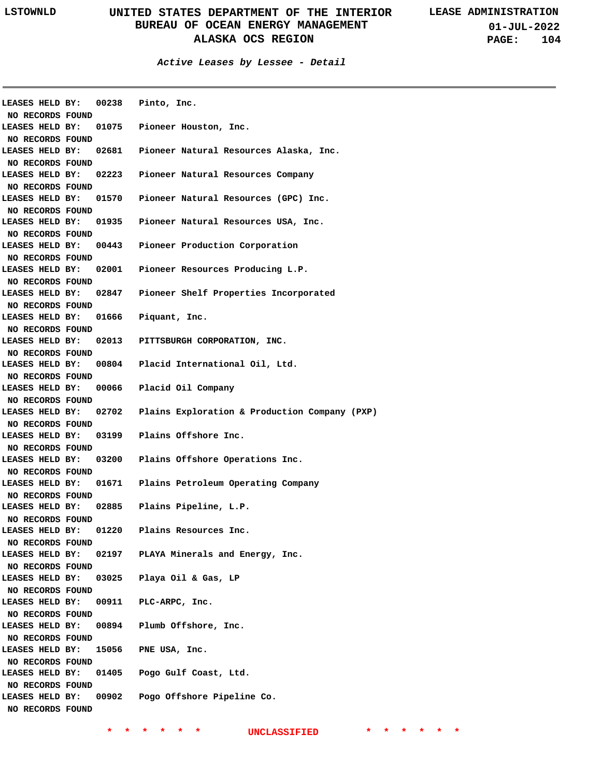**Active Leases by Lessee - Detail**

| LEASES HELD BY:  |       | 00238 Pinto, Inc.                             |
|------------------|-------|-----------------------------------------------|
| NO RECORDS FOUND |       |                                               |
| LEASES HELD BY:  |       | 01075 Pioneer Houston, Inc.                   |
| NO RECORDS FOUND |       |                                               |
| LEASES HELD BY:  | 02681 | Pioneer Natural Resources Alaska, Inc.        |
| NO RECORDS FOUND |       |                                               |
| LEASES HELD BY:  | 02223 | Pioneer Natural Resources Company             |
| NO RECORDS FOUND |       |                                               |
| LEASES HELD BY:  | 01570 | Pioneer Natural Resources (GPC) Inc.          |
| NO RECORDS FOUND |       |                                               |
| LEASES HELD BY:  | 01935 | Pioneer Natural Resources USA, Inc.           |
| NO RECORDS FOUND |       |                                               |
| LEASES HELD BY:  | 00443 | Pioneer Production Corporation                |
| NO RECORDS FOUND |       |                                               |
| LEASES HELD BY:  | 02001 | Pioneer Resources Producing L.P.              |
| NO RECORDS FOUND |       |                                               |
| LEASES HELD BY:  | 02847 | Pioneer Shelf Properties Incorporated         |
| NO RECORDS FOUND |       |                                               |
| LEASES HELD BY:  | 01666 | Piquant, Inc.                                 |
| NO RECORDS FOUND |       |                                               |
| LEASES HELD BY:  | 02013 | PITTSBURGH CORPORATION, INC.                  |
| NO RECORDS FOUND |       |                                               |
| LEASES HELD BY:  | 00804 | Placid International Oil, Ltd.                |
| NO RECORDS FOUND |       |                                               |
| LEASES HELD BY:  |       | 00066 Placid Oil Company                      |
| NO RECORDS FOUND |       |                                               |
| LEASES HELD BY:  | 02702 | Plains Exploration & Production Company (PXP) |
| NO RECORDS FOUND |       |                                               |
| LEASES HELD BY:  |       | 03199 Plains Offshore Inc.                    |
| NO RECORDS FOUND |       |                                               |
| LEASES HELD BY:  |       | 03200 Plains Offshore Operations Inc.         |
| NO RECORDS FOUND |       |                                               |
| LEASES HELD BY:  |       | 01671 Plains Petroleum Operating Company      |
| NO RECORDS FOUND |       |                                               |
| LEASES HELD BY:  |       | 02885 Plains Pipeline, L.P.                   |
| NO RECORDS FOUND |       |                                               |
| LEASES HELD BY:  | 01220 | Plains Resources Inc.                         |
| NO RECORDS FOUND |       |                                               |
| LEASES HELD BY:  | 02197 | PLAYA Minerals and Energy, Inc.               |
| NO RECORDS FOUND |       |                                               |
| LEASES HELD BY:  | 03025 | Playa Oil & Gas, LP                           |
| NO RECORDS FOUND |       |                                               |
| LEASES HELD BY:  | 00911 | PLC-ARPC, Inc.                                |
| NO RECORDS FOUND |       |                                               |
| LEASES HELD BY:  | 00894 | Plumb Offshore, Inc.                          |
|                  |       |                                               |
| NO RECORDS FOUND |       |                                               |
| LEASES HELD BY:  | 15056 | PNE USA, Inc.                                 |
| NO RECORDS FOUND |       |                                               |
| LEASES HELD BY:  | 01405 | Pogo Gulf Coast, Ltd.                         |
| NO RECORDS FOUND |       |                                               |
| LEASES HELD BY:  | 00902 | Pogo Offshore Pipeline Co.                    |
| NO RECORDS FOUND |       |                                               |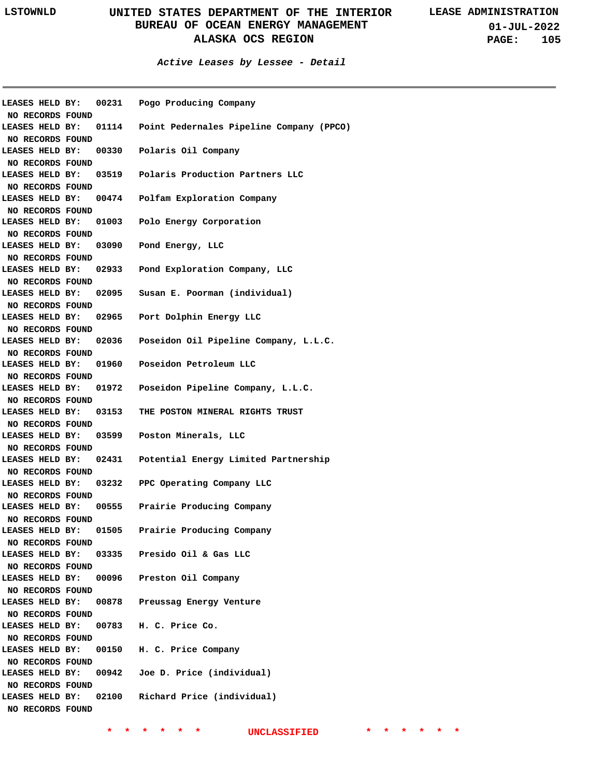#### **Active Leases by Lessee - Detail**

| LEASES HELD BY:<br>NO RECORDS FOUND |       | 00231 Pogo Producing Company                   |
|-------------------------------------|-------|------------------------------------------------|
| LEASES HELD BY:                     |       | 01114 Point Pedernales Pipeline Company (PPCO) |
| NO RECORDS FOUND<br>LEASES HELD BY: |       |                                                |
|                                     |       | 00330 Polaris Oil Company                      |
| NO RECORDS FOUND<br>LEASES HELD BY: |       | 03519 Polaris Production Partners LLC          |
| NO RECORDS FOUND                    |       |                                                |
| LEASES HELD BY:                     |       | 00474 Polfam Exploration Company               |
| NO RECORDS FOUND                    |       |                                                |
| LEASES HELD BY:                     |       | 01003 Polo Energy Corporation                  |
| NO RECORDS FOUND                    |       |                                                |
| LEASES HELD BY:                     |       | 03090 Pond Energy, LLC                         |
| NO RECORDS FOUND                    |       |                                                |
| LEASES HELD BY:                     |       | 02933 Pond Exploration Company, LLC            |
| NO RECORDS FOUND                    |       |                                                |
| LEASES HELD BY:                     |       | 02095 Susan E. Poorman (individual)            |
| NO RECORDS FOUND                    |       |                                                |
| LEASES HELD BY:                     |       | 02965 Port Dolphin Energy LLC                  |
| NO RECORDS FOUND                    |       |                                                |
| LEASES HELD BY:                     |       | 02036 Poseidon Oil Pipeline Company, L.L.C.    |
| NO RECORDS FOUND                    |       |                                                |
| LEASES HELD BY:                     |       | 01960 Poseidon Petroleum LLC                   |
| NO RECORDS FOUND                    |       |                                                |
| LEASES HELD BY:                     |       | 01972 Poseidon Pipeline Company, L.L.C.        |
| NO RECORDS FOUND                    |       |                                                |
| LEASES HELD BY:                     |       | 03153 THE POSTON MINERAL RIGHTS TRUST          |
| NO RECORDS FOUND                    |       |                                                |
| LEASES HELD BY:                     |       | 03599 Poston Minerals, LLC                     |
| NO RECORDS FOUND                    |       |                                                |
| LEASES HELD BY:                     |       | 02431 Potential Energy Limited Partnership     |
| NO RECORDS FOUND                    |       |                                                |
| LEASES HELD BY:                     |       | 03232 PPC Operating Company LLC                |
| NO RECORDS FOUND                    |       |                                                |
| LEASES HELD BY:                     |       | 00555 Prairie Producing Company                |
| NO RECORDS FOUND                    |       |                                                |
| LEASES HELD BY:                     | 01505 | Prairie Producing Company                      |
| NO RECORDS FOUND<br>LEASES HELD BY: |       | 03335 Presido Oil & Gas LLC                    |
| NO RECORDS FOUND                    |       |                                                |
| LEASES HELD BY:                     |       | 00096 Preston Oil Company                      |
| NO RECORDS FOUND                    |       |                                                |
| LEASES HELD BY:                     | 00878 | Preussag Energy Venture                        |
| NO RECORDS FOUND                    |       |                                                |
| LEASES HELD BY:                     |       | 00783 H. C. Price Co.                          |
| NO RECORDS FOUND                    |       |                                                |
| LEASES HELD BY:                     |       | 00150 H. C. Price Company                      |
| NO RECORDS FOUND                    |       |                                                |
| LEASES HELD BY:                     |       | 00942 Joe D. Price (individual)                |
| NO RECORDS FOUND                    |       |                                                |
| LEASES HELD BY:                     |       | 02100 Richard Price (individual)               |
| NO RECORDS FOUND                    |       |                                                |
|                                     |       |                                                |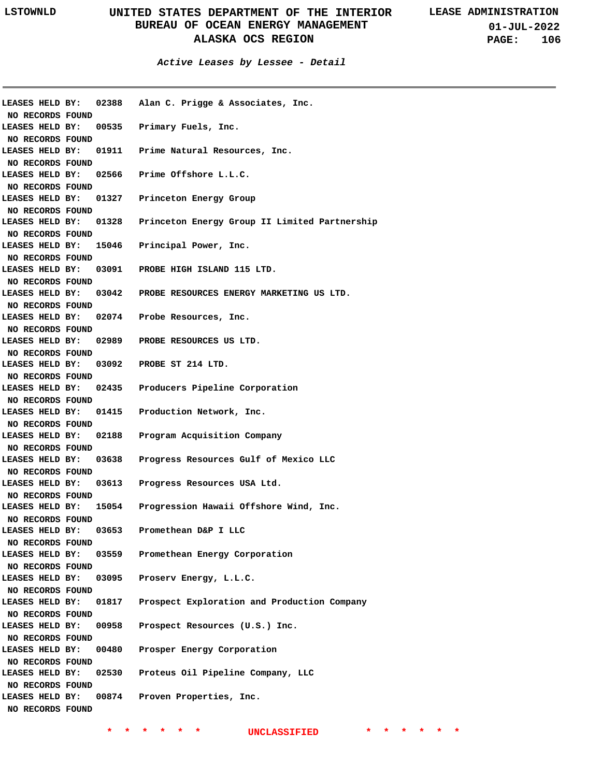**01-JUL-2022 PAGE: 106**

| LEASES HELD BY:  |       | 02388 Alan C. Prigge & Associates, Inc.                             |
|------------------|-------|---------------------------------------------------------------------|
| NO RECORDS FOUND |       |                                                                     |
|                  |       | LEASES HELD BY: 00535 Primary Fuels, Inc.                           |
| NO RECORDS FOUND |       |                                                                     |
|                  |       | LEASES HELD BY: 01911 Prime Natural Resources, Inc.                 |
| NO RECORDS FOUND |       |                                                                     |
|                  |       | LEASES HELD BY: 02566 Prime Offshore L.L.C.                         |
| NO RECORDS FOUND |       |                                                                     |
|                  |       | LEASES HELD BY: 01327 Princeton Energy Group                        |
| NO RECORDS FOUND |       |                                                                     |
|                  |       | LEASES HELD BY: 01328 Princeton Energy Group II Limited Partnership |
| NO RECORDS FOUND |       |                                                                     |
| LEASES HELD BY:  |       | 15046 Principal Power, Inc.                                         |
| NO RECORDS FOUND |       |                                                                     |
| LEASES HELD BY:  |       | 03091 PROBE HIGH ISLAND 115 LTD.                                    |
| NO RECORDS FOUND |       |                                                                     |
| LEASES HELD BY:  |       | 03042 PROBE RESOURCES ENERGY MARKETING US LTD.                      |
| NO RECORDS FOUND |       |                                                                     |
|                  |       | LEASES HELD BY: 02074 Probe Resources, Inc.                         |
| NO RECORDS FOUND |       |                                                                     |
|                  |       | LEASES HELD BY: 02989 PROBE RESOURCES US LTD.                       |
| NO RECORDS FOUND |       |                                                                     |
|                  |       | LEASES HELD BY: 03092 PROBE ST 214 LTD.                             |
| NO RECORDS FOUND |       |                                                                     |
|                  |       | LEASES HELD BY: 02435 Producers Pipeline Corporation                |
| NO RECORDS FOUND |       |                                                                     |
|                  |       | LEASES HELD BY: 01415 Production Network, Inc.                      |
| NO RECORDS FOUND |       |                                                                     |
| LEASES HELD BY:  | 02188 | Program Acquisition Company                                         |
| NO RECORDS FOUND |       |                                                                     |
| LEASES HELD BY:  | 03638 | Progress Resources Gulf of Mexico LLC                               |
| NO RECORDS FOUND |       |                                                                     |
| LEASES HELD BY:  |       | 03613 Progress Resources USA Ltd.                                   |
| NO RECORDS FOUND |       |                                                                     |
| LEASES HELD BY:  |       | 15054 Progression Hawaii Offshore Wind, Inc.                        |
| NO RECORDS FOUND |       |                                                                     |
| LEASES HELD BY:  |       | 03653 Promethean D&P I LLC                                          |
| NO RECORDS FOUND |       |                                                                     |
| LEASES HELD BY:  |       | 03559 Promethean Energy Corporation                                 |
| NO RECORDS FOUND |       |                                                                     |
| LEASES HELD BY:  | 03095 | Proserv Energy, L.L.C.                                              |
| NO RECORDS FOUND |       |                                                                     |
| LEASES HELD BY:  | 01817 | Prospect Exploration and Production Company                         |
| NO RECORDS FOUND |       |                                                                     |
| LEASES HELD BY:  | 00958 | Prospect Resources (U.S.) Inc.                                      |
| NO RECORDS FOUND |       |                                                                     |
| LEASES HELD BY:  | 00480 | Prosper Energy Corporation                                          |
| NO RECORDS FOUND |       |                                                                     |
| LEASES HELD BY:  |       | 02530 Proteus Oil Pipeline Company, LLC                             |
| NO RECORDS FOUND |       |                                                                     |
| LEASES HELD BY:  |       | 00874 Proven Properties, Inc.                                       |
| NO RECORDS FOUND |       |                                                                     |
|                  |       |                                                                     |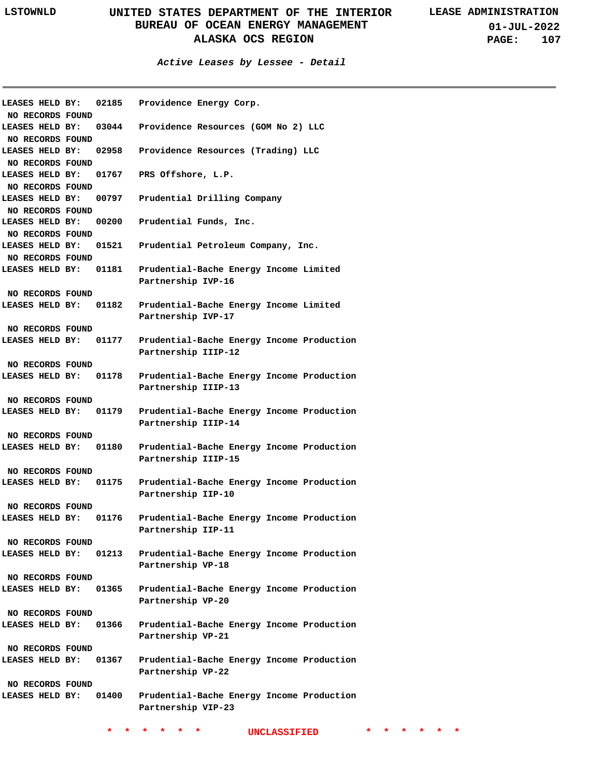**01-JUL-2022 PAGE: 107**

| <b>LEASES HELD BY:</b><br>NO RECORDS FOUND | 02185 | Providence Energy Corp.                                          |
|--------------------------------------------|-------|------------------------------------------------------------------|
| LEASES HELD BY:<br>NO RECORDS FOUND        | 03044 | Providence Resources (GOM No 2) LLC                              |
| LEASES HELD BY:<br>NO RECORDS FOUND        | 02958 | Providence Resources (Trading) LLC                               |
| LEASES HELD BY:<br>NO RECORDS FOUND        |       | 01767 PRS Offshore, L.P.                                         |
| LEASES HELD BY:<br>NO RECORDS FOUND        | 00797 | Prudential Drilling Company                                      |
| LEASES HELD BY:<br>NO RECORDS FOUND        | 00200 | Prudential Funds, Inc.                                           |
| LEASES HELD BY:<br>NO RECORDS FOUND        | 01521 | Prudential Petroleum Company, Inc.                               |
| LEASES HELD BY: 01181                      |       | Prudential-Bache Energy Income Limited<br>Partnership IVP-16     |
| NO RECORDS FOUND                           |       |                                                                  |
| LEASES HELD BY:                            | 01182 | Prudential-Bache Energy Income Limited<br>Partnership IVP-17     |
| NO RECORDS FOUND                           |       |                                                                  |
| <b>LEASES HELD BY:</b>                     | 01177 | Prudential-Bache Energy Income Production<br>Partnership IIIP-12 |
| NO RECORDS FOUND                           |       |                                                                  |
| LEASES HELD BY: 01178                      |       | Prudential-Bache Energy Income Production<br>Partnership IIIP-13 |
| NO RECORDS FOUND                           |       |                                                                  |
| LEASES HELD BY:                            | 01179 | Prudential-Bache Energy Income Production<br>Partnership IIIP-14 |
| NO RECORDS FOUND                           |       |                                                                  |
| LEASES HELD BY:                            | 01180 | Prudential-Bache Energy Income Production<br>Partnership IIIP-15 |
| NO RECORDS FOUND                           |       |                                                                  |
| <b>LEASES HELD BY:</b>                     | 01175 | Prudential-Bache Energy Income Production<br>Partnership IIP-10  |
| NO RECORDS FOUND                           |       |                                                                  |
| LEASES HELD BY:                            | 01176 | Prudential-Bache Energy Income Production<br>Partnership IIP-11  |
| NO RECORDS FOUND                           |       |                                                                  |
| LEASES HELD BY:                            | 01213 | Prudential-Bache Energy Income Production<br>Partnership VP-18   |
| NO RECORDS FOUND                           |       |                                                                  |
| <b>LEASES HELD BY:</b>                     | 01365 | Prudential-Bache Energy Income Production<br>Partnership VP-20   |
| NO RECORDS FOUND                           |       |                                                                  |
| <b>LEASES HELD BY:</b>                     | 01366 | Prudential-Bache Energy Income Production<br>Partnership VP-21   |
| NO RECORDS FOUND                           |       |                                                                  |
| LEASES HELD BY: 01367                      |       | Prudential-Bache Energy Income Production<br>Partnership VP-22   |
| NO RECORDS FOUND                           |       |                                                                  |
| LEASES HELD BY: 01400                      |       | Prudential-Bache Energy Income Production<br>Partnership VIP-23  |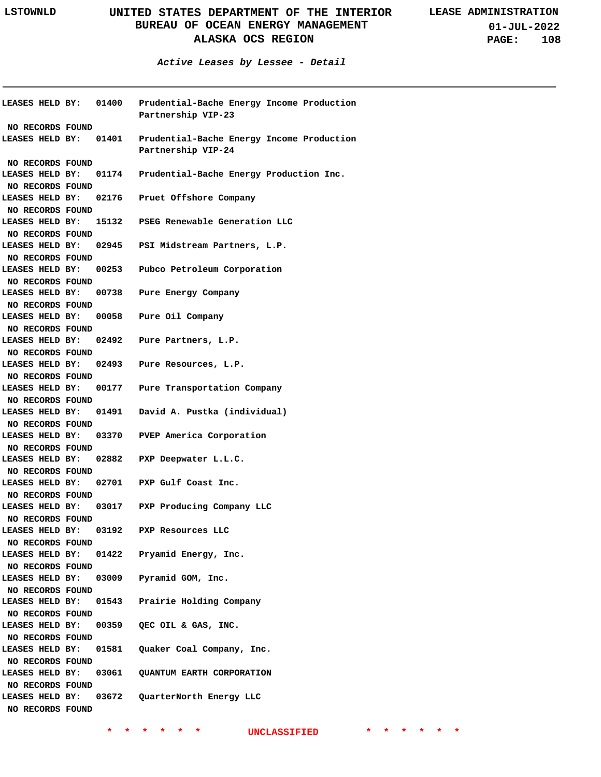**01-JUL-2022 PAGE: 108**

**Active Leases by Lessee - Detail**

|                                                         |                | LEASES HELD BY: 01400    Prudential-Bache Energy Income Production<br>Partnership VIP-23                  |
|---------------------------------------------------------|----------------|-----------------------------------------------------------------------------------------------------------|
| NO RECORDS FOUND<br>LEASES HELD BY:                     |                | 01401 Prudential-Bache Energy Income Production<br>Partnership VIP-24                                     |
| NO RECORDS FOUND<br>LEASES HELD BY:<br>NO RECORDS FOUND |                | 01174 Prudential-Bache Energy Production Inc.                                                             |
| LEASES HELD BY:<br>NO RECORDS FOUND                     |                | 02176 Pruet Offshore Company                                                                              |
| NO RECORDS FOUND                                        |                | LEASES HELD BY: 15132 PSEG Renewable Generation LLC<br>LEASES HELD BY: 02945 PSI Midstream Partners, L.P. |
| NO RECORDS FOUND                                        |                | LEASES HELD BY: 00253 Pubco Petroleum Corporation                                                         |
| NO RECORDS FOUND                                        |                | LEASES HELD BY: 00738 Pure Energy Company                                                                 |
| NO RECORDS FOUND<br>NO RECORDS FOUND                    |                | LEASES HELD BY: 00058 Pure Oil Company                                                                    |
| NO RECORDS FOUND                                        |                | LEASES HELD BY: 02492 Pure Partners, L.P.                                                                 |
| NO RECORDS FOUND                                        |                | LEASES HELD BY: 02493 Pure Resources, L.P.                                                                |
| NO RECORDS FOUND                                        |                | LEASES HELD BY: 00177 Pure Transportation Company<br>LEASES HELD BY: 01491 David A. Pustka (individual)   |
| NO RECORDS FOUND                                        |                | LEASES HELD BY: 03370 PVEP America Corporation                                                            |
| NO RECORDS FOUND<br>NO RECORDS FOUND                    |                | LEASES HELD BY: 02882 PXP Deepwater L.L.C.                                                                |
| NO RECORDS FOUND                                        |                | LEASES HELD BY: 02701 PXP Gulf Coast Inc.                                                                 |
| NO RECORDS FOUND<br>LEASES HELD BY:                     | 03192          | LEASES HELD BY: 03017 PXP Producing Company LLC<br>PXP Resources LLC                                      |
| NO RECORDS FOUND<br>LEASES HELD BY:                     |                | 01422 Pryamid Energy, Inc.                                                                                |
| NO RECORDS FOUND<br>LEASES HELD BY:                     |                | 03009 Pyramid GOM, Inc.                                                                                   |
| NO RECORDS FOUND<br>LEASES HELD BY:<br>NO RECORDS FOUND |                | 01543 Prairie Holding Company                                                                             |
| LEASES HELD BY:<br>NO RECORDS FOUND                     |                | 00359 QEC OIL & GAS, INC.                                                                                 |
| LEASES HELD BY:<br>NO RECORDS FOUND                     |                | 01581 Quaker Coal Company, Inc.                                                                           |
| LEASES HELD BY:<br>NO RECORDS FOUND<br>LEASES HELD BY:  | 03061<br>03672 | QUANTUM EARTH CORPORATION<br>QuarterNorth Energy LLC                                                      |
| NO RECORDS FOUND                                        |                |                                                                                                           |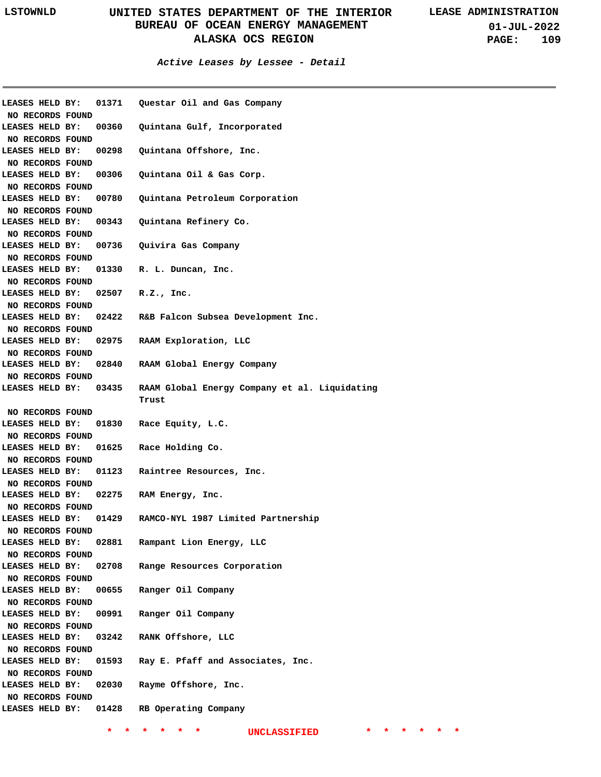| LEASES HELD BY:                     |       | 01371 Questar Oil and Gas Company             |
|-------------------------------------|-------|-----------------------------------------------|
| NO RECORDS FOUND                    |       |                                               |
| LEASES HELD BY:                     | 00360 | Quintana Gulf, Incorporated                   |
| NO RECORDS FOUND                    |       |                                               |
| LEASES HELD BY:                     | 00298 | Quintana Offshore, Inc.                       |
| NO RECORDS FOUND                    |       |                                               |
| LEASES HELD BY:                     | 00306 | Quintana Oil & Gas Corp.                      |
| NO RECORDS FOUND                    |       |                                               |
| LEASES HELD BY:                     | 00780 | Quintana Petroleum Corporation                |
| NO RECORDS FOUND                    |       |                                               |
| LEASES HELD BY:                     |       | 00343 Quintana Refinery Co.                   |
| NO RECORDS FOUND                    |       |                                               |
| LEASES HELD BY:                     |       | 00736 Quivira Gas Company                     |
| NO RECORDS FOUND                    |       |                                               |
| LEASES HELD BY:                     |       | 01330 R. L. Duncan, Inc.                      |
| NO RECORDS FOUND                    |       |                                               |
| LEASES HELD BY:                     | 02507 | R.Z., Inc.                                    |
| NO RECORDS FOUND                    |       |                                               |
| LEASES HELD BY:                     |       | 02422 R&B Falcon Subsea Development Inc.      |
| NO RECORDS FOUND                    |       |                                               |
| LEASES HELD BY:                     |       | 02975 RAAM Exploration, LLC                   |
| NO RECORDS FOUND                    |       |                                               |
| LEASES HELD BY:                     |       | 02840 RAAM Global Energy Company              |
| NO RECORDS FOUND                    |       |                                               |
| <b>LEASES HELD BY:</b>              | 03435 | RAAM Global Energy Company et al. Liquidating |
|                                     |       | Trust                                         |
| NO RECORDS FOUND                    |       |                                               |
| LEASES HELD BY:                     |       | 01830 Race Equity, L.C.                       |
| NO RECORDS FOUND                    |       |                                               |
| LEASES HELD BY:                     |       | 01625 Race Holding Co.                        |
| NO RECORDS FOUND                    |       |                                               |
| LEASES HELD BY:                     | 01123 | Raintree Resources, Inc.                      |
| NO RECORDS FOUND                    |       |                                               |
| LEASES HELD BY:                     | 02275 | RAM Energy, Inc.                              |
| NO RECORDS FOUND                    |       |                                               |
| LEASES HELD BY:                     | 01429 | RAMCO-NYL 1987 Limited Partnership            |
|                                     |       |                                               |
| NO RECORDS FOUND<br>LEASES HELD BY: | 02881 | Rampant Lion Energy, LLC                      |
|                                     |       |                                               |
| NO RECORDS FOUND                    |       |                                               |
| LEASES HELD BY:                     | 02708 | Range Resources Corporation                   |
| NO RECORDS FOUND                    |       |                                               |
| LEASES HELD BY:                     | 00655 | Ranger Oil Company                            |
| NO RECORDS FOUND                    |       |                                               |
| LEASES HELD BY:                     | 00991 | Ranger Oil Company                            |
| NO RECORDS FOUND                    |       |                                               |
| LEASES HELD BY:                     | 03242 | RANK Offshore, LLC                            |
| NO RECORDS FOUND                    |       |                                               |
| LEASES HELD BY:                     | 01593 | Ray E. Pfaff and Associates, Inc.             |
| NO RECORDS FOUND                    |       |                                               |
| LEASES HELD BY:                     | 02030 | Rayme Offshore, Inc.                          |
| NO RECORDS FOUND                    |       |                                               |
| LEASES HELD BY:                     | 01428 | RB Operating Company                          |
|                                     |       |                                               |
|                                     |       | UNCLASSIFIED                                  |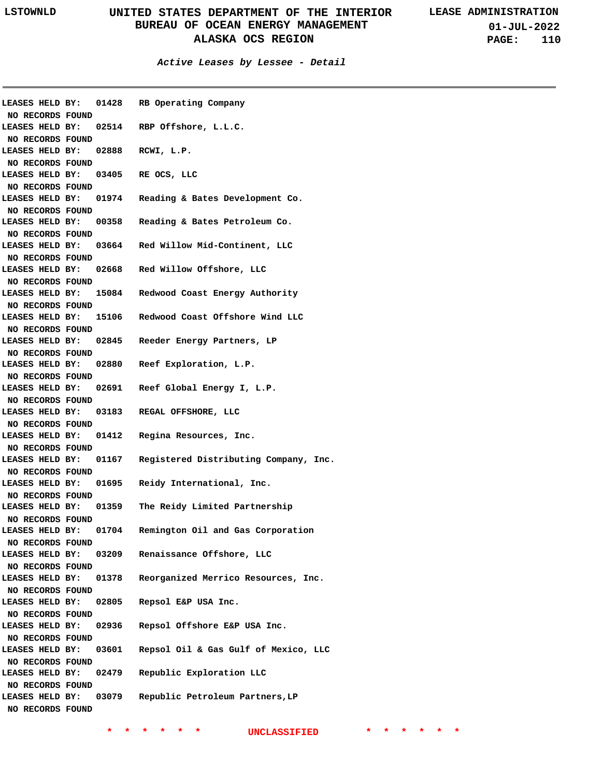| <b>LEASES HELD BY:</b><br>NO RECORDS FOUND |       | 01428 RB Operating Company                       |
|--------------------------------------------|-------|--------------------------------------------------|
| LEASES HELD BY:                            |       | 02514 RBP Offshore, L.L.C.                       |
| NO RECORDS FOUND                           |       |                                                  |
| LEASES HELD BY:                            |       | 02888 RCWI, L.P.                                 |
| NO RECORDS FOUND                           |       |                                                  |
| LEASES HELD BY:                            |       | 03405 RE OCS, LLC                                |
| NO RECORDS FOUND                           |       |                                                  |
| <b>LEASES HELD BY:</b>                     | 01974 | Reading & Bates Development Co.                  |
| NO RECORDS FOUND                           |       |                                                  |
| LEASES HELD BY:                            |       | 00358 Reading & Bates Petroleum Co.              |
| NO RECORDS FOUND                           |       |                                                  |
| LEASES HELD BY:                            |       | 03664 Red Willow Mid-Continent, LLC              |
| NO RECORDS FOUND                           |       |                                                  |
| LEASES HELD BY:                            |       | 02668 Red Willow Offshore, LLC                   |
| NO RECORDS FOUND                           |       |                                                  |
| LEASES HELD BY:                            |       | 15084 Redwood Coast Energy Authority             |
| NO RECORDS FOUND                           |       |                                                  |
| LEASES HELD BY:                            |       | 15106 Redwood Coast Offshore Wind LLC            |
| NO RECORDS FOUND                           |       |                                                  |
| LEASES HELD BY:                            |       | 02845 Reeder Energy Partners, LP                 |
| NO RECORDS FOUND                           |       |                                                  |
| LEASES HELD BY:                            |       | 02880 Reef Exploration, L.P.                     |
| NO RECORDS FOUND                           |       |                                                  |
|                                            |       | LEASES HELD BY: 02691 Reef Global Energy I, L.P. |
| NO RECORDS FOUND                           |       |                                                  |
|                                            |       | LEASES HELD BY: 03183 REGAL OFFSHORE, LLC        |
| NO RECORDS FOUND                           |       |                                                  |
| LEASES HELD BY: 01412                      |       | Regina Resources, Inc.                           |
| NO RECORDS FOUND                           |       |                                                  |
| LEASES HELD BY: 01167                      |       | Registered Distributing Company, Inc.            |
| NO RECORDS FOUND                           |       |                                                  |
| LEASES HELD BY:                            | 01695 | Reidy International, Inc.                        |
| NO RECORDS FOUND                           |       |                                                  |
| LEASES HELD BY:                            | 01359 | The Reidy Limited Partnership                    |
| NO RECORDS FOUND                           |       |                                                  |
| LEASES HELD BY:                            | 01704 | Remington Oil and Gas Corporation                |
| NO RECORDS FOUND                           |       |                                                  |
| LEASES HELD BY:                            | 03209 | Renaissance Offshore, LLC                        |
| NO RECORDS FOUND                           |       |                                                  |
| LEASES HELD BY:                            | 01378 | Reorganized Merrico Resources, Inc.              |
| NO RECORDS FOUND                           |       |                                                  |
| LEASES HELD BY:                            | 02805 | Repsol E&P USA Inc.                              |
| NO RECORDS FOUND                           |       |                                                  |
| LEASES HELD BY:                            | 02936 | Repsol Offshore E&P USA Inc.                     |
| NO RECORDS FOUND                           |       |                                                  |
| LEASES HELD BY:                            | 03601 | Repsol Oil & Gas Gulf of Mexico, LLC             |
| NO RECORDS FOUND                           |       |                                                  |
| LEASES HELD BY:                            | 02479 | Republic Exploration LLC                         |
| NO RECORDS FOUND                           |       |                                                  |
| LEASES HELD BY:                            | 03079 | Republic Petroleum Partners, LP                  |
| NO RECORDS FOUND                           |       |                                                  |
|                                            |       |                                                  |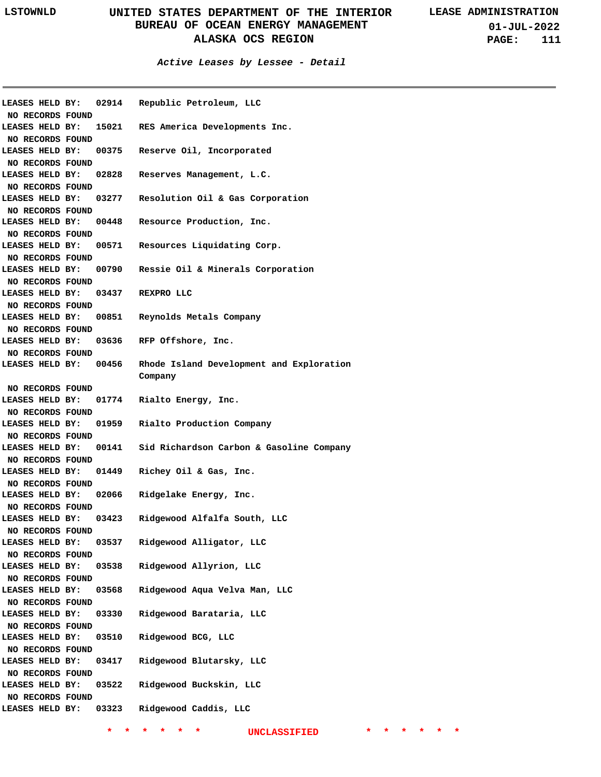#### **Active Leases by Lessee - Detail**

| LEASES HELD BY:       |       | 02914 Republic Petroleum, LLC                       |
|-----------------------|-------|-----------------------------------------------------|
| NO RECORDS FOUND      |       |                                                     |
| LEASES HELD BY:       |       | 15021 RES America Developments Inc.                 |
| NO RECORDS FOUND      |       |                                                     |
| LEASES HELD BY:       |       | 00375 Reserve Oil, Incorporated                     |
| NO RECORDS FOUND      |       |                                                     |
| LEASES HELD BY:       | 02828 | Reserves Management, L.C.                           |
| NO RECORDS FOUND      |       |                                                     |
| LEASES HELD BY:       | 03277 | Resolution Oil & Gas Corporation                    |
| NO RECORDS FOUND      |       |                                                     |
| LEASES HELD BY:       |       | 00448 Resource Production, Inc.                     |
| NO RECORDS FOUND      |       |                                                     |
| LEASES HELD BY:       |       | 00571 Resources Liquidating Corp.                   |
| NO RECORDS FOUND      |       |                                                     |
| LEASES HELD BY:       |       | 00790 Ressie Oil & Minerals Corporation             |
| NO RECORDS FOUND      |       |                                                     |
| LEASES HELD BY:       |       | 03437 REXPROLLC                                     |
| NO RECORDS FOUND      |       |                                                     |
| LEASES HELD BY:       |       | 00851 Reynolds Metals Company                       |
|                       |       |                                                     |
| NO RECORDS FOUND      |       |                                                     |
| LEASES HELD BY:       |       | 03636 RFP Offshore, Inc.                            |
| NO RECORDS FOUND      |       |                                                     |
| LEASES HELD BY: 00456 |       | Rhode Island Development and Exploration<br>Company |
| NO RECORDS FOUND      |       |                                                     |
| LEASES HELD BY:       |       | 01774 Rialto Energy, Inc.                           |
| NO RECORDS FOUND      |       |                                                     |
| LEASES HELD BY:       |       | 01959 Rialto Production Company                     |
| NO RECORDS FOUND      |       |                                                     |
| LEASES HELD BY:       |       | 00141 Sid Richardson Carbon & Gasoline Company      |
| NO RECORDS FOUND      |       |                                                     |
| LEASES HELD BY:       | 01449 | Richey Oil & Gas, Inc.                              |
|                       |       |                                                     |
| NO RECORDS FOUND      |       |                                                     |
| LEASES HELD BY:       | 02066 | Ridgelake Energy, Inc.                              |
| NO RECORDS FOUND      |       |                                                     |
| LEASES HELD BY:       | 03423 | Ridgewood Alfalfa South, LLC                        |
| NO RECORDS FOUND      |       |                                                     |
| LEASES HELD BY:       | 03537 | Ridgewood Alligator, LLC                            |
| NO RECORDS FOUND      |       |                                                     |
| LEASES HELD BY:       | 03538 | Ridgewood Allyrion, LLC                             |
| NO RECORDS FOUND      |       |                                                     |
| LEASES HELD BY:       | 03568 | Ridgewood Aqua Velva Man, LLC                       |
| NO RECORDS FOUND      |       |                                                     |
| LEASES HELD BY:       | 03330 | Ridgewood Barataria, LLC                            |
| NO RECORDS FOUND      |       |                                                     |
| LEASES HELD BY:       | 03510 | Ridgewood BCG, LLC                                  |
| NO RECORDS FOUND      |       |                                                     |
| LEASES HELD BY:       | 03417 | Ridgewood Blutarsky, LLC                            |
|                       |       |                                                     |
|                       |       |                                                     |
| NO RECORDS FOUND      |       |                                                     |
| LEASES HELD BY:       | 03522 | Ridgewood Buckskin, LLC                             |
| NO RECORDS FOUND      |       |                                                     |
| LEASES HELD BY:       | 03323 | Ridgewood Caddis, LLC                               |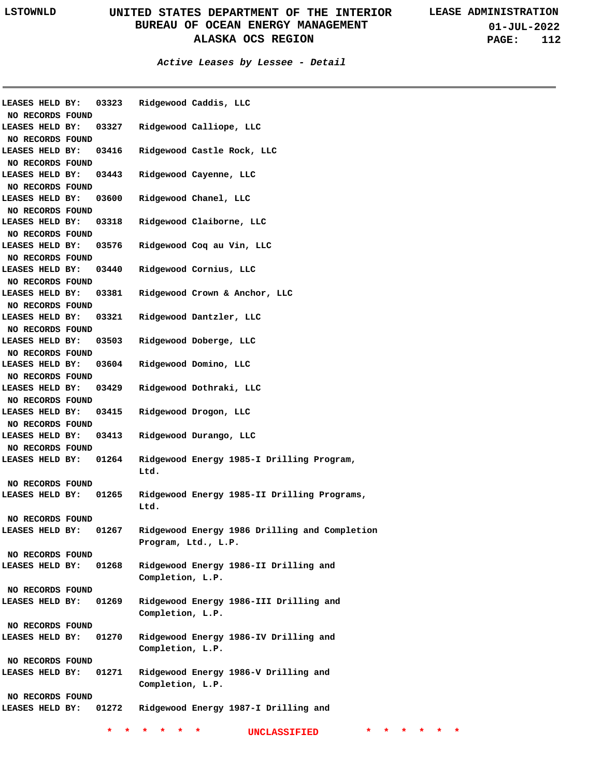**01-JUL-2022 PAGE: 112**

| LEASES HELD BY:  |  | 03323 | Ridgewood Caddis, LLC                         |
|------------------|--|-------|-----------------------------------------------|
| NO RECORDS FOUND |  |       |                                               |
| LEASES HELD BY:  |  | 03327 | Ridgewood Calliope, LLC                       |
| NO RECORDS FOUND |  |       |                                               |
| LEASES HELD BY:  |  | 03416 | Ridgewood Castle Rock, LLC                    |
| NO RECORDS FOUND |  |       |                                               |
| LEASES HELD BY:  |  | 03443 | Ridgewood Cayenne, LLC                        |
| NO RECORDS FOUND |  |       |                                               |
| LEASES HELD BY:  |  | 03600 | Ridgewood Chanel, LLC                         |
| NO RECORDS FOUND |  |       |                                               |
| LEASES HELD BY:  |  | 03318 | Ridgewood Claiborne, LLC                      |
| NO RECORDS FOUND |  |       |                                               |
| LEASES HELD BY:  |  | 03576 | Ridgewood Coq au Vin, LLC                     |
| NO RECORDS FOUND |  |       |                                               |
| LEASES HELD BY:  |  | 03440 | Ridgewood Cornius, LLC                        |
| NO RECORDS FOUND |  |       |                                               |
| LEASES HELD BY:  |  | 03381 | Ridgewood Crown & Anchor, LLC                 |
| NO RECORDS FOUND |  |       |                                               |
| LEASES HELD BY:  |  | 03321 | Ridgewood Dantzler, LLC                       |
| NO RECORDS FOUND |  |       |                                               |
| LEASES HELD BY:  |  | 03503 | Ridgewood Doberge, LLC                        |
| NO RECORDS FOUND |  |       |                                               |
| LEASES HELD BY:  |  | 03604 | Ridgewood Domino, LLC                         |
| NO RECORDS FOUND |  |       |                                               |
| LEASES HELD BY:  |  | 03429 | Ridgewood Dothraki, LLC                       |
| NO RECORDS FOUND |  |       |                                               |
| LEASES HELD BY:  |  | 03415 | Ridgewood Drogon, LLC                         |
| NO RECORDS FOUND |  |       |                                               |
| LEASES HELD BY:  |  | 03413 | Ridgewood Durango, LLC                        |
| NO RECORDS FOUND |  |       |                                               |
| LEASES HELD BY:  |  | 01264 | Ridgewood Energy 1985-I Drilling Program,     |
|                  |  |       | Ltd.                                          |
| NO RECORDS FOUND |  |       |                                               |
| LEASES HELD BY:  |  | 01265 | Ridgewood Energy 1985-II Drilling Programs,   |
|                  |  |       | Ltd.                                          |
| NO RECORDS FOUND |  |       |                                               |
| LEASES HELD BY:  |  | 01267 | Ridgewood Energy 1986 Drilling and Completion |
|                  |  |       | Program, Ltd., L.P.                           |
| NO RECORDS FOUND |  |       |                                               |
| LEASES HELD BY:  |  | 01268 | Ridgewood Energy 1986-II Drilling and         |
|                  |  |       | Completion, L.P.                              |
| NO RECORDS FOUND |  |       |                                               |
| LEASES HELD BY:  |  | 01269 | Ridgewood Energy 1986-III Drilling and        |
|                  |  |       | Completion, L.P.                              |
| NO RECORDS FOUND |  |       |                                               |
| LEASES HELD BY:  |  | 01270 | Ridgewood Energy 1986-IV Drilling and         |
|                  |  |       | Completion, L.P.                              |
|                  |  |       |                                               |
| NO RECORDS FOUND |  |       |                                               |
| LEASES HELD BY:  |  | 01271 | Ridgewood Energy 1986-V Drilling and          |
|                  |  |       | Completion, L.P.                              |
| NO RECORDS FOUND |  |       |                                               |
| LEASES HELD BY:  |  | 01272 | Ridgewood Energy 1987-I Drilling and          |
|                  |  | *     | *<br>UNCLASSIFIED<br>*<br>*.<br>*             |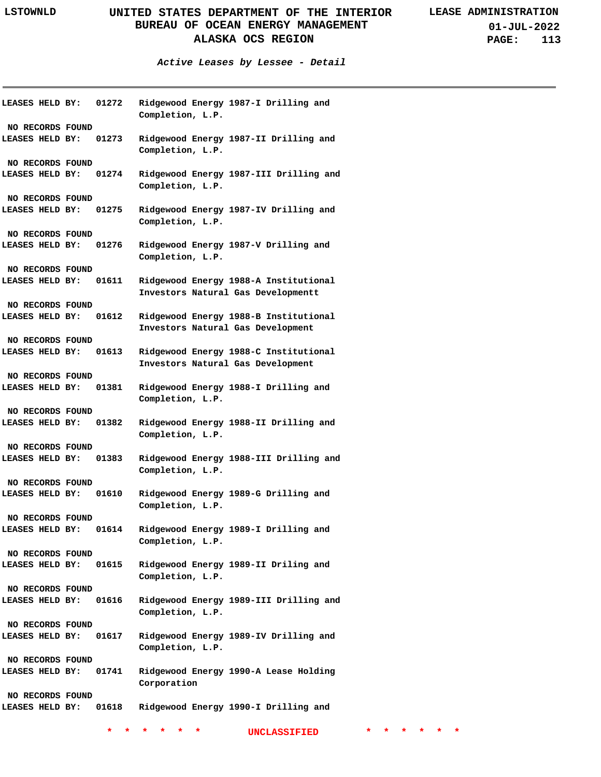**01-JUL-2022 PAGE: 113**

**Active Leases by Lessee - Detail**

**01272 01273 LEASES HELD BY: 01274 LEASES HELD BY: 01275 LEASES HELD BY: 01276 LEASES HELD BY: 01611 LEASES HELD BY: 01612 Ridgewood Energy 1988-B Institutional 01613 LEASES HELD BY: 01381 LEASES HELD BY: 01382 LEASES HELD BY: 01383 LEASES HELD BY: 01610 LEASES HELD BY: 01614 LEASES HELD BY: 01615 01616 01617 LEASES HELD BY: 01741 01618 LEASES HELD BY: LEASES HELD BY: LEASES HELD BY: LEASES HELD BY: LEASES HELD BY: LEASES HELD BY: Ridgewood Energy 1987-I Drilling and Completion, L.P. Ridgewood Energy 1987-II Drilling and Completion, L.P. Ridgewood Energy 1987-III Drilling and Completion, L.P. Ridgewood Energy 1987-IV Drilling and Completion, L.P. Ridgewood Energy 1987-V Drilling and Completion, L.P. Ridgewood Energy 1988-A Institutional Investors Natural Gas Developmentt Investors Natural Gas Development Ridgewood Energy 1988-C Institutional Investors Natural Gas Development Ridgewood Energy 1988-I Drilling and Completion, L.P. Ridgewood Energy 1988-II Drilling and Completion, L.P. Ridgewood Energy 1988-III Drilling and Completion, L.P. Ridgewood Energy 1989-G Drilling and Completion, L.P. Ridgewood Energy 1989-I Drilling and Completion, L.P. Ridgewood Energy 1989-II Driling and Completion, L.P. Ridgewood Energy 1989-III Drilling and Completion, L.P. Ridgewood Energy 1989-IV Drilling and Completion, L.P. Ridgewood Energy 1990-A Lease Holding Corporation Ridgewood Energy 1990-I Drilling and NO RECORDS FOUND NO RECORDS FOUND NO RECORDS FOUND NO RECORDS FOUND NO RECORDS FOUND NO RECORDS FOUND NO RECORDS FOUND NO RECORDS FOUND NO RECORDS FOUND NO RECORDS FOUND NO RECORDS FOUND NO RECORDS FOUND NO RECORDS FOUND NO RECORDS FOUND NO RECORDS FOUND NO RECORDS FOUND NO RECORDS FOUND**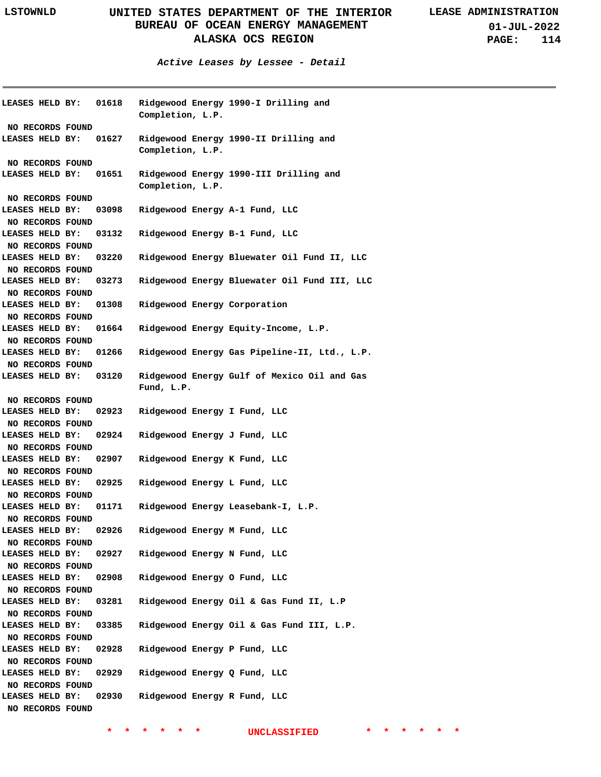**01-JUL-2022 PAGE: 114**

**Active Leases by Lessee - Detail**

| <b>LEASES HELD BY:</b> |  | 01618 | Completion, L.P. | Ridgewood Energy 1990-I Drilling and         |
|------------------------|--|-------|------------------|----------------------------------------------|
| NO RECORDS FOUND       |  |       |                  |                                              |
| LEASES HELD BY:        |  | 01627 | Completion, L.P. | Ridgewood Energy 1990-II Drilling and        |
| NO RECORDS FOUND       |  |       |                  |                                              |
| LEASES HELD BY:        |  | 01651 | Completion, L.P. | Ridgewood Energy 1990-III Drilling and       |
| NO RECORDS FOUND       |  |       |                  |                                              |
| LEASES HELD BY:        |  | 03098 |                  | Ridgewood Energy A-1 Fund, LLC               |
| NO RECORDS FOUND       |  |       |                  |                                              |
| LEASES HELD BY:        |  | 03132 |                  | Ridgewood Energy B-1 Fund, LLC               |
| NO RECORDS FOUND       |  |       |                  |                                              |
| LEASES HELD BY:        |  | 03220 |                  | Ridgewood Energy Bluewater Oil Fund II, LLC  |
| NO RECORDS FOUND       |  |       |                  |                                              |
| LEASES HELD BY:        |  | 03273 |                  | Ridgewood Energy Bluewater Oil Fund III, LLC |
| NO RECORDS FOUND       |  |       |                  |                                              |
| LEASES HELD BY:        |  | 01308 |                  | Ridgewood Energy Corporation                 |
| NO RECORDS FOUND       |  |       |                  |                                              |
| LEASES HELD BY:        |  | 01664 |                  | Ridgewood Energy Equity-Income, L.P.         |
| NO RECORDS FOUND       |  |       |                  |                                              |
| LEASES HELD BY:        |  | 01266 |                  | Ridgewood Energy Gas Pipeline-II, Ltd., L.P. |
| NO RECORDS FOUND       |  |       |                  |                                              |
| LEASES HELD BY:        |  | 03120 | Fund, L.P.       | Ridgewood Energy Gulf of Mexico Oil and Gas  |
| NO RECORDS FOUND       |  |       |                  |                                              |
| LEASES HELD BY:        |  | 02923 |                  | Ridgewood Energy I Fund, LLC                 |
| NO RECORDS FOUND       |  |       |                  |                                              |
| LEASES HELD BY:        |  | 02924 |                  | Ridgewood Energy J Fund, LLC                 |
| NO RECORDS FOUND       |  |       |                  |                                              |
| LEASES HELD BY:        |  | 02907 |                  | Ridgewood Energy K Fund, LLC                 |
| NO RECORDS FOUND       |  |       |                  |                                              |
| LEASES HELD BY:        |  | 02925 |                  | Ridgewood Energy L Fund, LLC                 |
| NO RECORDS FOUND       |  |       |                  |                                              |
| LEASES HELD BY:        |  | 01171 |                  | Ridgewood Energy Leasebank-I, L.P.           |
| NO RECORDS FOUND       |  |       |                  |                                              |
| LEASES HELD BY:        |  | 02926 |                  | Ridgewood Energy M Fund, LLC                 |
| NO RECORDS FOUND       |  |       |                  |                                              |
| LEASES HELD BY:        |  | 02927 |                  | Ridgewood Energy N Fund, LLC                 |
| NO RECORDS FOUND       |  |       |                  |                                              |
| LEASES HELD BY:        |  | 02908 |                  | Ridgewood Energy O Fund, LLC                 |
| NO RECORDS FOUND       |  |       |                  |                                              |
| LEASES HELD BY:        |  | 03281 |                  | Ridgewood Energy Oil & Gas Fund II, L.P      |
| NO RECORDS FOUND       |  |       |                  |                                              |
| LEASES HELD BY:        |  | 03385 |                  | Ridgewood Energy Oil & Gas Fund III, L.P.    |
| NO RECORDS FOUND       |  |       |                  |                                              |
| LEASES HELD BY:        |  | 02928 |                  | Ridgewood Energy P Fund, LLC                 |
| NO RECORDS FOUND       |  |       |                  |                                              |
| LEASES HELD BY:        |  | 02929 |                  | Ridgewood Energy Q Fund, LLC                 |
| NO RECORDS FOUND       |  |       |                  |                                              |
| LEASES HELD BY:        |  | 02930 |                  | Ridgewood Energy R Fund, LLC                 |
| NO RECORDS FOUND       |  |       |                  |                                              |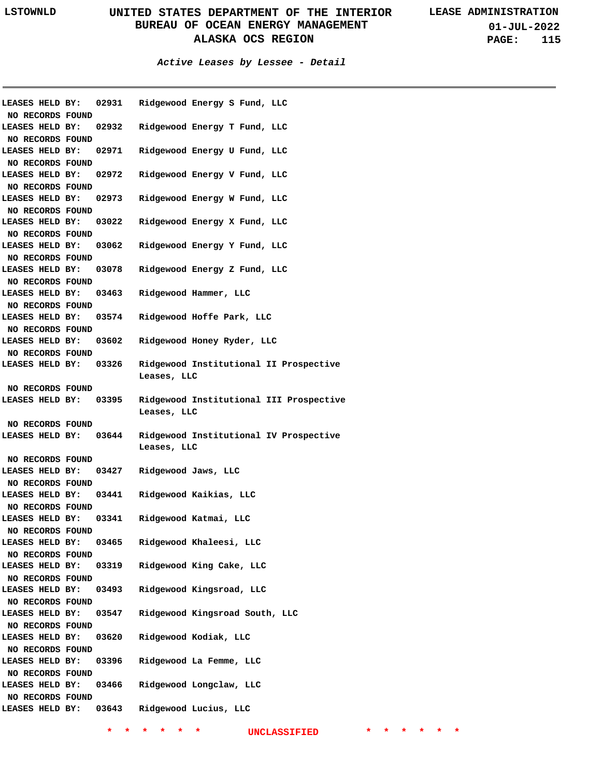**01-JUL-2022 PAGE: 115**

**Active Leases by Lessee - Detail**

|                                     |       | LEASES HELD BY: 02931 Ridgewood Energy S Fund, LLC |  |                                         |
|-------------------------------------|-------|----------------------------------------------------|--|-----------------------------------------|
| NO RECORDS FOUND                    |       |                                                    |  |                                         |
| NO RECORDS FOUND                    |       | LEASES HELD BY: 02932 Ridgewood Energy T Fund, LLC |  |                                         |
|                                     |       | LEASES HELD BY: 02971 Ridgewood Energy U Fund, LLC |  |                                         |
| NO RECORDS FOUND                    |       |                                                    |  |                                         |
| LEASES HELD BY: 02972               |       | Ridgewood Energy V Fund, LLC                       |  |                                         |
| NO RECORDS FOUND                    |       |                                                    |  |                                         |
| LEASES HELD BY: 02973               |       | Ridgewood Energy W Fund, LLC                       |  |                                         |
| NO RECORDS FOUND                    |       |                                                    |  |                                         |
| LEASES HELD BY: 03022               |       | Ridgewood Energy X Fund, LLC                       |  |                                         |
| NO RECORDS FOUND                    |       |                                                    |  |                                         |
| LEASES HELD BY: 03062               |       | Ridgewood Energy Y Fund, LLC                       |  |                                         |
| NO RECORDS FOUND                    |       |                                                    |  |                                         |
| LEASES HELD BY: 03078               |       | Ridgewood Energy Z Fund, LLC                       |  |                                         |
| NO RECORDS FOUND                    |       |                                                    |  |                                         |
| LEASES HELD BY: 03463               |       | Ridgewood Hammer, LLC                              |  |                                         |
| NO RECORDS FOUND                    |       |                                                    |  |                                         |
| LEASES HELD BY: 03574               |       | Ridgewood Hoffe Park, LLC                          |  |                                         |
| NO RECORDS FOUND                    |       |                                                    |  |                                         |
| LEASES HELD BY: 03602               |       | Ridgewood Honey Ryder, LLC                         |  |                                         |
| NO RECORDS FOUND                    |       |                                                    |  |                                         |
| LEASES HELD BY: 03326               |       | Leases, LLC                                        |  | Ridgewood Institutional II Prospective  |
| NO RECORDS FOUND                    |       |                                                    |  |                                         |
| LEASES HELD BY: 03395               |       |                                                    |  | Ridgewood Institutional III Prospective |
|                                     |       |                                                    |  |                                         |
|                                     |       | Leases, LLC                                        |  |                                         |
| NO RECORDS FOUND                    |       |                                                    |  |                                         |
| LEASES HELD BY: 03644               |       |                                                    |  | Ridgewood Institutional IV Prospective  |
|                                     |       | Leases, LLC                                        |  |                                         |
| NO RECORDS FOUND                    |       |                                                    |  |                                         |
|                                     |       | LEASES HELD BY: 03427 Ridgewood Jaws, LLC          |  |                                         |
| NO RECORDS FOUND                    |       |                                                    |  |                                         |
|                                     |       | LEASES HELD BY: 03441 Ridgewood Kaikias, LLC       |  |                                         |
| NO RECORDS FOUND                    |       |                                                    |  |                                         |
| LEASES HELD BY:                     |       | 03341 Ridgewood Katmai, LLC                        |  |                                         |
| NO RECORDS FOUND                    |       |                                                    |  |                                         |
| LEASES HELD BY:                     | 03465 | Ridgewood Khaleesi, LLC                            |  |                                         |
| NO RECORDS FOUND                    |       |                                                    |  |                                         |
| LEASES HELD BY:                     | 03319 | Ridgewood King Cake, LLC                           |  |                                         |
| NO RECORDS FOUND                    |       |                                                    |  |                                         |
| LEASES HELD BY:                     | 03493 | Ridgewood Kingsroad, LLC                           |  |                                         |
| NO RECORDS FOUND                    |       |                                                    |  |                                         |
| LEASES HELD BY:                     | 03547 | Ridgewood Kingsroad South, LLC                     |  |                                         |
| NO RECORDS FOUND                    |       |                                                    |  |                                         |
| LEASES HELD BY:                     | 03620 | Ridgewood Kodiak, LLC                              |  |                                         |
| NO RECORDS FOUND                    |       |                                                    |  |                                         |
| LEASES HELD BY:                     | 03396 | Ridgewood La Femme, LLC                            |  |                                         |
| NO RECORDS FOUND                    |       |                                                    |  |                                         |
| LEASES HELD BY:                     | 03466 | Ridgewood Longclaw, LLC                            |  |                                         |
| NO RECORDS FOUND<br>LEASES HELD BY: | 03643 | Ridgewood Lucius, LLC                              |  |                                         |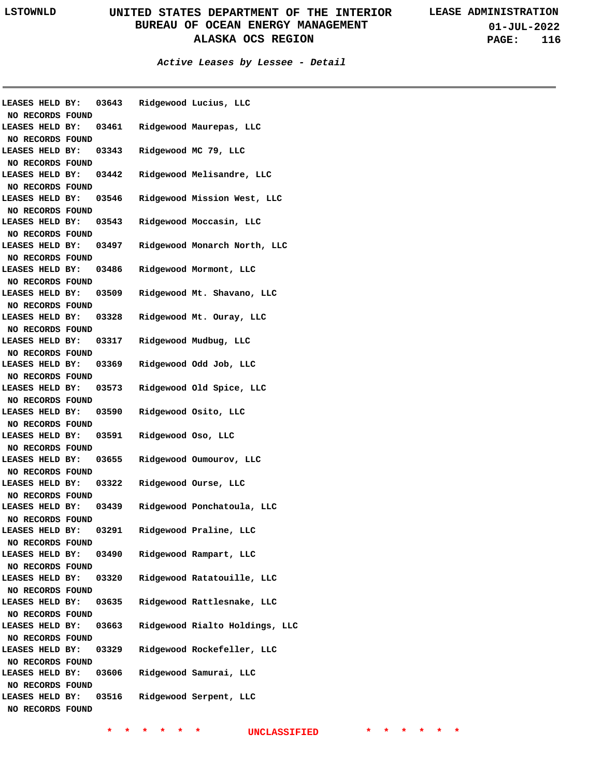**01-JUL-2022 PAGE: 116**

**Active Leases by Lessee - Detail**

| NO RECORDS FOUND                    |  |       |                    | LEASES HELD BY: 03643 Ridgewood Lucius, LLC |
|-------------------------------------|--|-------|--------------------|---------------------------------------------|
| LEASES HELD BY:                     |  |       |                    | 03461 Ridgewood Maurepas, LLC               |
|                                     |  |       |                    |                                             |
| NO RECORDS FOUND<br>LEASES HELD BY: |  |       |                    | 03343 Ridgewood MC 79, LLC                  |
| NO RECORDS FOUND                    |  |       |                    |                                             |
| LEASES HELD BY:                     |  | 03442 |                    | Ridgewood Melisandre, LLC                   |
|                                     |  |       |                    |                                             |
| NO RECORDS FOUND<br>LEASES HELD BY: |  |       |                    | 03546 Ridgewood Mission West, LLC           |
| NO RECORDS FOUND                    |  |       |                    |                                             |
| LEASES HELD BY:                     |  | 03543 |                    | Ridgewood Moccasin, LLC                     |
| NO RECORDS FOUND                    |  |       |                    |                                             |
| LEASES HELD BY:                     |  | 03497 |                    | Ridgewood Monarch North, LLC                |
| NO RECORDS FOUND                    |  |       |                    |                                             |
| LEASES HELD BY:                     |  | 03486 |                    | Ridgewood Mormont, LLC                      |
| NO RECORDS FOUND                    |  |       |                    |                                             |
| LEASES HELD BY:                     |  | 03509 |                    | Ridgewood Mt. Shavano, LLC                  |
| NO RECORDS FOUND                    |  |       |                    |                                             |
| LEASES HELD BY:                     |  | 03328 |                    | Ridgewood Mt. Ouray, LLC                    |
| NO RECORDS FOUND                    |  |       |                    |                                             |
| LEASES HELD BY:                     |  | 03317 |                    | Ridgewood Mudbug, LLC                       |
| NO RECORDS FOUND                    |  |       |                    |                                             |
| LEASES HELD BY:                     |  | 03369 |                    | Ridgewood Odd Job, LLC                      |
| NO RECORDS FOUND                    |  |       |                    |                                             |
| LEASES HELD BY:                     |  |       |                    | 03573 Ridgewood Old Spice, LLC              |
| NO RECORDS FOUND                    |  |       |                    |                                             |
| LEASES HELD BY:                     |  | 03590 |                    | Ridgewood Osito, LLC                        |
| NO RECORDS FOUND                    |  |       |                    |                                             |
| LEASES HELD BY:                     |  | 03591 | Ridgewood Oso, LLC |                                             |
| NO RECORDS FOUND                    |  |       |                    |                                             |
| LEASES HELD BY:                     |  | 03655 |                    | Ridgewood Oumourov, LLC                     |
| NO RECORDS FOUND                    |  |       |                    |                                             |
| LEASES HELD BY:                     |  | 03322 |                    | Ridgewood Ourse, LLC                        |
| NO RECORDS FOUND                    |  |       |                    |                                             |
| LEASES HELD BY:                     |  | 03439 |                    | Ridgewood Ponchatoula, LLC                  |
| NO RECORDS FOUND                    |  |       |                    |                                             |
| LEASES HELD BY:                     |  | 03291 |                    | Ridgewood Praline, LLC                      |
| NO RECORDS FOUND                    |  |       |                    |                                             |
| LEASES HELD BY:                     |  | 03490 |                    | Ridgewood Rampart, LLC                      |
| NO RECORDS FOUND                    |  |       |                    |                                             |
| LEASES HELD BY:                     |  | 03320 |                    | Ridgewood Ratatouille, LLC                  |
| NO RECORDS FOUND                    |  |       |                    |                                             |
| LEASES HELD BY:                     |  | 03635 |                    | Ridgewood Rattlesnake, LLC                  |
| NO RECORDS FOUND                    |  |       |                    |                                             |
| LEASES HELD BY:                     |  | 03663 |                    | Ridgewood Rialto Holdings, LLC              |
| NO RECORDS FOUND                    |  |       |                    |                                             |
| LEASES HELD BY:                     |  | 03329 |                    | Ridgewood Rockefeller, LLC                  |
| NO RECORDS FOUND                    |  |       |                    |                                             |
| LEASES HELD BY:                     |  | 03606 |                    | Ridgewood Samurai, LLC                      |
| NO RECORDS FOUND                    |  |       |                    |                                             |
| LEASES HELD BY:                     |  | 03516 |                    | Ridgewood Serpent, LLC                      |
| NO RECORDS FOUND                    |  |       |                    |                                             |
|                                     |  |       |                    |                                             |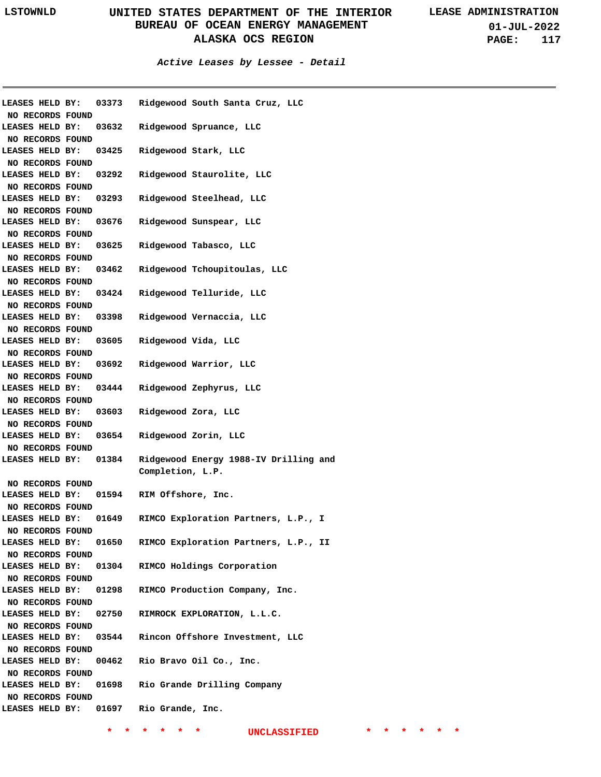**01-JUL-2022 PAGE: 117**

| LEASES HELD BY:  | 03373 | Ridgewood South Santa Cruz, LLC       |
|------------------|-------|---------------------------------------|
| NO RECORDS FOUND |       |                                       |
| LEASES HELD BY:  | 03632 | Ridgewood Spruance, LLC               |
| NO RECORDS FOUND |       |                                       |
| LEASES HELD BY:  | 03425 | Ridgewood Stark, LLC                  |
| NO RECORDS FOUND |       |                                       |
| LEASES HELD BY:  | 03292 | Ridgewood Staurolite, LLC             |
| NO RECORDS FOUND |       |                                       |
| LEASES HELD BY:  | 03293 | Ridgewood Steelhead, LLC              |
| NO RECORDS FOUND |       |                                       |
| LEASES HELD BY:  | 03676 | Ridgewood Sunspear, LLC               |
| NO RECORDS FOUND |       |                                       |
| LEASES HELD BY:  | 03625 | Ridgewood Tabasco, LLC                |
| NO RECORDS FOUND |       |                                       |
| LEASES HELD BY:  | 03462 | Ridgewood Tchoupitoulas, LLC          |
| NO RECORDS FOUND |       |                                       |
| LEASES HELD BY:  | 03424 | Ridgewood Telluride, LLC              |
| NO RECORDS FOUND |       |                                       |
| LEASES HELD BY:  | 03398 | Ridgewood Vernaccia, LLC              |
| NO RECORDS FOUND |       |                                       |
| LEASES HELD BY:  | 03605 | Ridgewood Vida, LLC                   |
| NO RECORDS FOUND |       |                                       |
| LEASES HELD BY:  | 03692 | Ridgewood Warrior, LLC                |
| NO RECORDS FOUND |       |                                       |
| LEASES HELD BY:  | 03444 | Ridgewood Zephyrus, LLC               |
| NO RECORDS FOUND |       |                                       |
| LEASES HELD BY:  | 03603 | Ridgewood Zora, LLC                   |
| NO RECORDS FOUND |       |                                       |
| LEASES HELD BY:  | 03654 | Ridgewood Zorin, LLC                  |
| NO RECORDS FOUND |       |                                       |
| LEASES HELD BY:  | 01384 | Ridgewood Energy 1988-IV Drilling and |
|                  |       | Completion, L.P.                      |
| NO RECORDS FOUND |       |                                       |
| LEASES HELD BY:  | 01594 | RIM Offshore, Inc.                    |
| NO RECORDS FOUND |       |                                       |
| LEASES HELD BY:  | 01649 | RIMCO Exploration Partners, L.P., I   |
| NO RECORDS FOUND |       |                                       |
| LEASES HELD BY:  | 01650 | RIMCO Exploration Partners, L.P., II  |
| NO RECORDS FOUND |       |                                       |
| LEASES HELD BY:  | 01304 | RIMCO Holdings Corporation            |
| NO RECORDS FOUND |       |                                       |
| LEASES HELD BY:  | 01298 | RIMCO Production Company, Inc.        |
| NO RECORDS FOUND |       |                                       |
| LEASES HELD BY:  | 02750 | RIMROCK EXPLORATION, L.L.C.           |
| NO RECORDS FOUND |       |                                       |
| LEASES HELD BY:  | 03544 | Rincon Offshore Investment, LLC       |
| NO RECORDS FOUND |       |                                       |
| LEASES HELD BY:  | 00462 | Rio Bravo Oil Co., Inc.               |
| NO RECORDS FOUND |       |                                       |
| LEASES HELD BY:  | 01698 | Rio Grande Drilling Company           |
| NO RECORDS FOUND |       |                                       |
| LEASES HELD BY:  | 01697 | Rio Grande, Inc.                      |
|                  |       |                                       |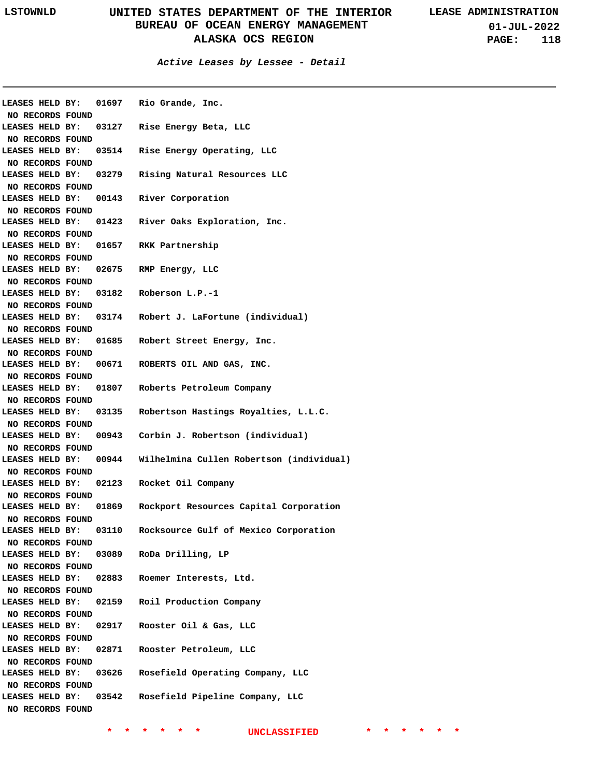**Active Leases by Lessee - Detail**

| <b>LEASES HELD BY:</b> |       | 01697 Rio Grande, Inc.                   |
|------------------------|-------|------------------------------------------|
| NO RECORDS FOUND       |       |                                          |
| LEASES HELD BY:        |       | 03127 Rise Energy Beta, LLC              |
| NO RECORDS FOUND       |       |                                          |
| LEASES HELD BY:        | 03514 | Rise Energy Operating, LLC               |
| NO RECORDS FOUND       |       |                                          |
| LEASES HELD BY:        | 03279 | Rising Natural Resources LLC             |
| NO RECORDS FOUND       |       |                                          |
| LEASES HELD BY:        | 00143 | River Corporation                        |
| NO RECORDS FOUND       |       |                                          |
| LEASES HELD BY:        | 01423 | River Oaks Exploration, Inc.             |
| NO RECORDS FOUND       |       |                                          |
| LEASES HELD BY:        | 01657 | RKK Partnership                          |
| NO RECORDS FOUND       |       |                                          |
| LEASES HELD BY:        | 02675 | RMP Energy, LLC                          |
| NO RECORDS FOUND       |       |                                          |
| LEASES HELD BY:        | 03182 | Roberson L.P.-1                          |
| NO RECORDS FOUND       |       |                                          |
| LEASES HELD BY:        | 03174 | Robert J. LaFortune (individual)         |
| NO RECORDS FOUND       |       |                                          |
| LEASES HELD BY:        | 01685 | Robert Street Energy, Inc.               |
| NO RECORDS FOUND       |       |                                          |
| LEASES HELD BY:        | 00671 | ROBERTS OIL AND GAS, INC.                |
| NO RECORDS FOUND       |       |                                          |
| LEASES HELD BY:        | 01807 | Roberts Petroleum Company                |
| NO RECORDS FOUND       |       |                                          |
| LEASES HELD BY:        | 03135 | Robertson Hastings Royalties, L.L.C.     |
| NO RECORDS FOUND       |       |                                          |
| LEASES HELD BY:        | 00943 | Corbin J. Robertson (individual)         |
| NO RECORDS FOUND       |       |                                          |
| LEASES HELD BY:        | 00944 | Wilhelmina Cullen Robertson (individual) |
| NO RECORDS FOUND       |       |                                          |
| LEASES HELD BY:        | 02123 | Rocket Oil Company                       |
| NO RECORDS FOUND       |       |                                          |
| LEASES HELD BY:        | 01869 | Rockport Resources Capital Corporation   |
| NO RECORDS FOUND       |       |                                          |
| LEASES HELD BY:        | 03110 | Rocksource Gulf of Mexico Corporation    |
| NO RECORDS FOUND       |       |                                          |
| LEASES HELD BY:        | 03089 | RoDa Drilling, LP                        |
| NO RECORDS FOUND       |       |                                          |
| LEASES HELD BY:        | 02883 | Roemer Interests, Ltd.                   |
| NO RECORDS FOUND       |       |                                          |
| LEASES HELD BY:        | 02159 | Roil Production Company                  |
| NO RECORDS FOUND       |       |                                          |
| LEASES HELD BY:        | 02917 | Rooster Oil & Gas, LLC                   |
| NO RECORDS FOUND       |       |                                          |
| LEASES HELD BY:        | 02871 | Rooster Petroleum, LLC                   |
| NO RECORDS FOUND       |       |                                          |
| LEASES HELD BY:        | 03626 | Rosefield Operating Company, LLC         |
| NO RECORDS FOUND       |       |                                          |
|                        |       |                                          |
| LEASES HELD BY:        | 03542 | Rosefield Pipeline Company, LLC          |
| NO RECORDS FOUND       |       |                                          |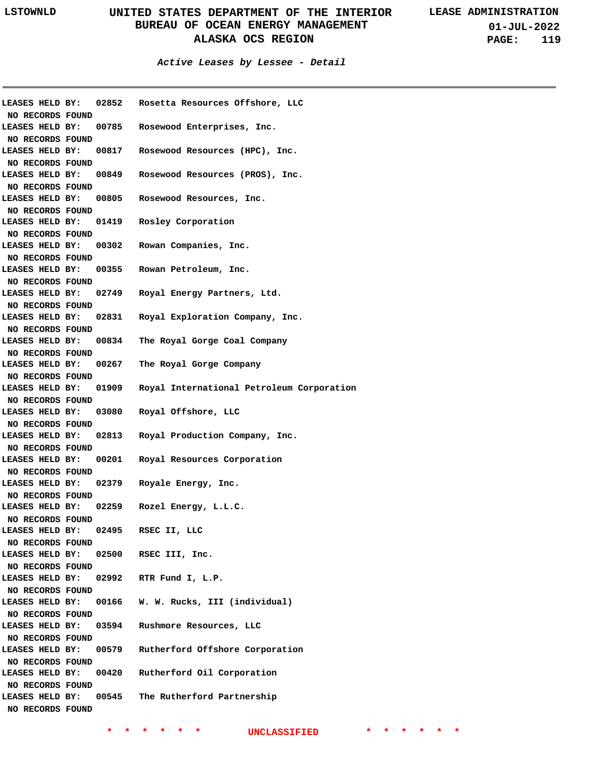**01-JUL-2022 PAGE: 119**

#### **Active Leases by Lessee - Detail**

| NO RECORDS FOUND                           |       | LEASES HELD BY: 02852 Rosetta Resources Offshore, LLC |
|--------------------------------------------|-------|-------------------------------------------------------|
| LEASES HELD BY:                            |       | 00785 Rosewood Enterprises, Inc.                      |
| NO RECORDS FOUND                           |       |                                                       |
| LEASES HELD BY:                            |       | 00817 Rosewood Resources (HPC), Inc.                  |
| NO RECORDS FOUND                           |       |                                                       |
| LEASES HELD BY:                            |       | 00849 Rosewood Resources (PROS), Inc.                 |
| NO RECORDS FOUND                           |       |                                                       |
| LEASES HELD BY:                            |       | 00805 Rosewood Resources, Inc.                        |
| NO RECORDS FOUND                           |       |                                                       |
| LEASES HELD BY:                            |       | 01419 Rosley Corporation                              |
| NO RECORDS FOUND                           |       |                                                       |
| LEASES HELD BY:                            |       | 00302 Rowan Companies, Inc.                           |
| NO RECORDS FOUND                           |       |                                                       |
| LEASES HELD BY:                            |       | 00355 Rowan Petroleum, Inc.                           |
| NO RECORDS FOUND                           |       |                                                       |
| LEASES HELD BY:                            |       | 02749 Royal Energy Partners, Ltd.                     |
| NO RECORDS FOUND                           |       |                                                       |
|                                            |       | LEASES HELD BY: 02831 Royal Exploration Company, Inc. |
| NO RECORDS FOUND                           |       |                                                       |
| <b>LEASES HELD BY:</b>                     |       | 00834 The Royal Gorge Coal Company                    |
| NO RECORDS FOUND                           |       |                                                       |
| <b>LEASES HELD BY:</b>                     |       | 00267 The Royal Gorge Company                         |
| NO RECORDS FOUND                           |       |                                                       |
| <b>LEASES HELD BY:</b>                     |       | 01909 Royal International Petroleum Corporation       |
| NO RECORDS FOUND<br><b>LEASES HELD BY:</b> | 03080 | Royal Offshore, LLC                                   |
| NO RECORDS FOUND                           |       |                                                       |
| <b>LEASES HELD BY:</b>                     |       | 02813 Royal Production Company, Inc.                  |
| NO RECORDS FOUND                           |       |                                                       |
| <b>LEASES HELD BY:</b>                     |       | 00201 Royal Resources Corporation                     |
| NO RECORDS FOUND                           |       |                                                       |
| <b>LEASES HELD BY:</b>                     | 02379 | Royale Energy, Inc.                                   |
| NO RECORDS FOUND                           |       |                                                       |
| <b>LEASES HELD BY:</b>                     |       | 02259 Rozel Energy, L.L.C.                            |
| NO RECORDS FOUND                           |       |                                                       |
| <b>LEASES HELD BY:</b>                     | 02495 | RSEC II, LLC                                          |
| NO RECORDS FOUND                           |       |                                                       |
| LEASES HELD BY:                            | 02500 | RSEC III, Inc.                                        |
| NO RECORDS FOUND                           |       |                                                       |
| LEASES HELD BY:                            |       | 02992 RTR Fund I, L.P.                                |
| NO RECORDS FOUND                           |       |                                                       |
| LEASES HELD BY:                            | 00166 | W. W. Rucks, III (individual)                         |
| NO RECORDS FOUND                           |       |                                                       |
| LEASES HELD BY:                            | 03594 | Rushmore Resources, LLC                               |
| NO RECORDS FOUND                           |       |                                                       |
| LEASES HELD BY:                            |       | 00579 Rutherford Offshore Corporation                 |
| NO RECORDS FOUND                           |       |                                                       |
| LEASES HELD BY:                            |       | 00420 Rutherford Oil Corporation                      |
| NO RECORDS FOUND                           |       |                                                       |
| LEASES HELD BY:                            |       | 00545 The Rutherford Partnership                      |
| NO RECORDS FOUND                           |       |                                                       |
|                                            |       |                                                       |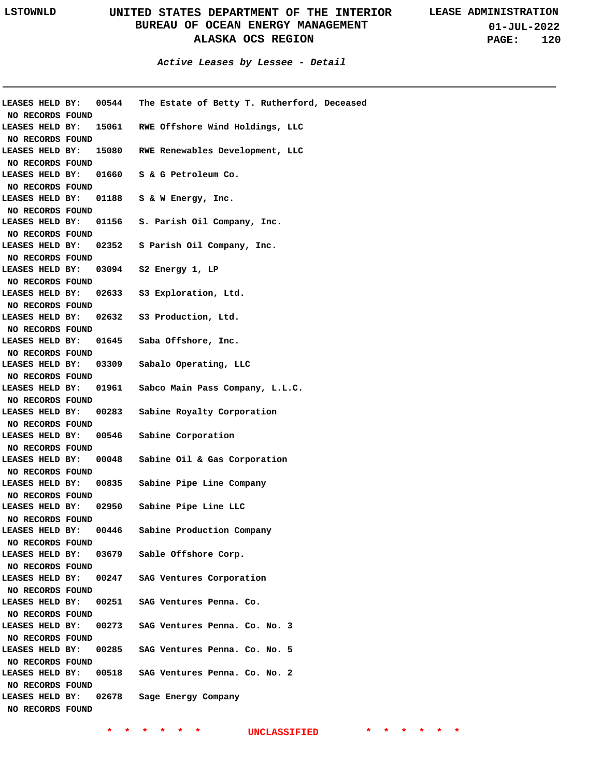|                                           | LEASES HELD BY: 00544 The Estate of Betty T. Rutherford, Deceased |
|-------------------------------------------|-------------------------------------------------------------------|
| NO RECORDS FOUND                          | LEASES HELD BY: 15061 RWE Offshore Wind Holdings, LLC             |
|                                           |                                                                   |
| NO RECORDS FOUND                          | LEASES HELD BY: 15080 RWE Renewables Development, LLC             |
| NO RECORDS FOUND                          |                                                                   |
|                                           | LEASES HELD BY: 01660 S & G Petroleum Co.                         |
| NO RECORDS FOUND                          |                                                                   |
|                                           | LEASES HELD BY: 01188 S & W Energy, Inc.                          |
| NO RECORDS FOUND                          |                                                                   |
|                                           | LEASES HELD BY: 01156 S. Parish Oil Company, Inc.                 |
| NO RECORDS FOUND                          |                                                                   |
|                                           | LEASES HELD BY: 02352 S Parish Oil Company, Inc.                  |
| NO RECORDS FOUND                          |                                                                   |
|                                           | LEASES HELD BY: 03094 S2 Energy 1, LP                             |
| NO RECORDS FOUND                          |                                                                   |
|                                           | LEASES HELD BY: 02633 S3 Exploration, Ltd.                        |
| NO RECORDS FOUND                          |                                                                   |
|                                           | LEASES HELD BY: 02632 S3 Production, Ltd.                         |
| NO RECORDS FOUND                          |                                                                   |
|                                           | LEASES HELD BY: 01645 Saba Offshore, Inc.                         |
| NO RECORDS FOUND                          |                                                                   |
|                                           | LEASES HELD BY: 03309 Sabalo Operating, LLC                       |
| NO RECORDS FOUND                          |                                                                   |
|                                           | LEASES HELD BY: 01961 Sabco Main Pass Company, L.L.C.             |
| NO RECORDS FOUND                          |                                                                   |
|                                           | LEASES HELD BY: 00283 Sabine Royalty Corporation                  |
| NO RECORDS FOUND                          |                                                                   |
|                                           | LEASES HELD BY: 00546 Sabine Corporation                          |
| NO RECORDS FOUND                          |                                                                   |
|                                           | LEASES HELD BY: 00048 Sabine Oil & Gas Corporation                |
| NO RECORDS FOUND                          |                                                                   |
|                                           | LEASES HELD BY: 00835 Sabine Pipe Line Company                    |
| NO RECORDS FOUND                          |                                                                   |
|                                           | LEASES HELD BY: 02950 Sabine Pipe Line LLC                        |
| NO RECORDS FOUND<br>LEASES HELD BY: 00446 | Sabine Production Company                                         |
|                                           |                                                                   |
| NO RECORDS FOUND                          | LEASES HELD BY: 03679 Sable Offshore Corp.                        |
| NO RECORDS FOUND                          |                                                                   |
|                                           | LEASES HELD BY: 00247 SAG Ventures Corporation                    |
| NO RECORDS FOUND                          |                                                                   |
|                                           | LEASES HELD BY: 00251 SAG Ventures Penna. Co.                     |
| NO RECORDS FOUND                          |                                                                   |
|                                           | LEASES HELD BY: 00273 SAG Ventures Penna. Co. No. 3               |
| NO RECORDS FOUND                          |                                                                   |
|                                           | LEASES HELD BY: 00285 SAG Ventures Penna. Co. No. 5               |
| NO RECORDS FOUND                          |                                                                   |
|                                           | LEASES HELD BY: 00518 SAG Ventures Penna. Co. No. 2               |
| NO RECORDS FOUND                          |                                                                   |
|                                           | LEASES HELD BY: 02678 Sage Energy Company                         |
| NO RECORDS FOUND                          |                                                                   |
|                                           |                                                                   |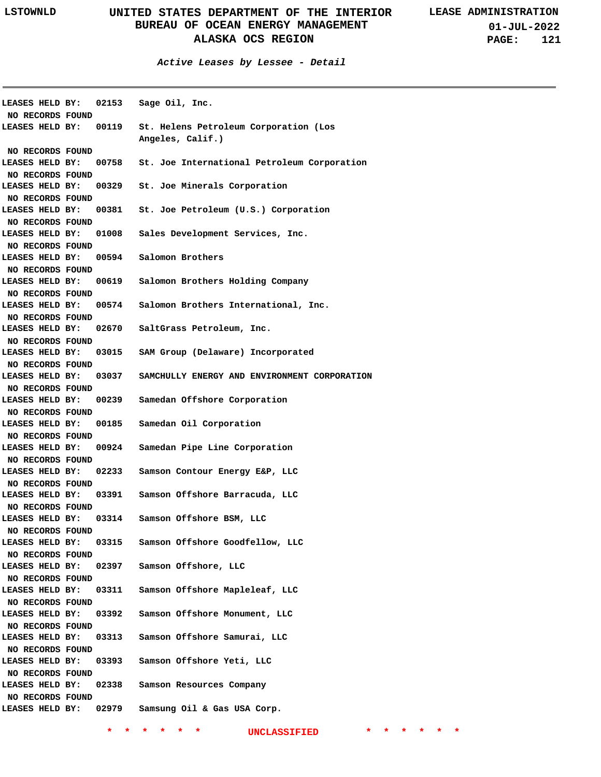**Active Leases by Lessee - Detail**

| LEASES HELD BY:         |       | 02153 Sage Oil, Inc.                                      |
|-------------------------|-------|-----------------------------------------------------------|
| NO RECORDS FOUND        |       |                                                           |
| LEASES HELD BY: 00119   |       | St. Helens Petroleum Corporation (Los<br>Angeles, Calif.) |
| NO RECORDS FOUND        |       |                                                           |
| LEASES HELD BY:         |       | 00758 St. Joe International Petroleum Corporation         |
| NO RECORDS FOUND        |       |                                                           |
| LEASES HELD BY:         |       | 00329 St. Joe Minerals Corporation                        |
| NO RECORDS FOUND        |       |                                                           |
| LEASES HELD BY:         |       | 00381 St. Joe Petroleum (U.S.) Corporation                |
| NO RECORDS FOUND        |       |                                                           |
| LEASES HELD BY:         | 01008 | Sales Development Services, Inc.                          |
| NO RECORDS FOUND        |       |                                                           |
| LEASES HELD BY:         |       | 00594 Salomon Brothers                                    |
| NO RECORDS FOUND        |       |                                                           |
| LEASES HELD BY:         |       | 00619 Salomon Brothers Holding Company                    |
| NO RECORDS FOUND        |       |                                                           |
| LEASES HELD BY:         |       | 00574 Salomon Brothers International, Inc.                |
| NO RECORDS FOUND        |       |                                                           |
| LEASES HELD BY:         |       | 02670 SaltGrass Petroleum, Inc.                           |
|                         |       |                                                           |
| NO RECORDS FOUND        |       |                                                           |
| LEASES HELD BY:         |       | 03015 SAM Group (Delaware) Incorporated                   |
| NO RECORDS FOUND        |       |                                                           |
| LEASES HELD BY:         | 03037 | SAMCHULLY ENERGY AND ENVIRONMENT CORPORATION              |
| NO RECORDS FOUND        |       |                                                           |
| LEASES HELD BY:         | 00239 | Samedan Offshore Corporation                              |
| NO RECORDS FOUND        |       |                                                           |
| LEASES HELD BY:         | 00185 | Samedan Oil Corporation                                   |
| NO RECORDS FOUND        |       |                                                           |
| LEASES HELD BY:         | 00924 | Samedan Pipe Line Corporation                             |
| NO RECORDS FOUND        |       |                                                           |
| LEASES HELD BY:         | 02233 | Samson Contour Energy E&P, LLC                            |
| NO RECORDS FOUND        |       |                                                           |
| LEASES HELD BY:         | 03391 | Samson Offshore Barracuda, LLC                            |
| NO RECORDS FOUND        |       |                                                           |
| LEASES HELD BY:         | 03314 | Samson Offshore BSM, LLC                                  |
| NO RECORDS FOUND        |       |                                                           |
| LEASES HELD BY:         | 03315 | Samson Offshore Goodfellow, LLC                           |
| NO RECORDS FOUND        |       |                                                           |
| LEASES HELD BY:         | 02397 | Samson Offshore, LLC                                      |
| NO RECORDS FOUND        |       |                                                           |
| LEASES HELD BY:         | 03311 | Samson Offshore Mapleleaf, LLC                            |
| NO RECORDS FOUND        |       |                                                           |
| LEASES HELD BY:         | 03392 | Samson Offshore Monument, LLC                             |
| <b>NO RECORDS FOUND</b> |       |                                                           |
| LEASES HELD BY:         | 03313 | Samson Offshore Samurai, LLC                              |
| NO RECORDS FOUND        |       |                                                           |
| LEASES HELD BY:         | 03393 | Samson Offshore Yeti, LLC                                 |
| NO RECORDS FOUND        |       |                                                           |
| LEASES HELD BY:         | 02338 | Samson Resources Company                                  |
| NO RECORDS FOUND        |       |                                                           |
| LEASES HELD BY: 02979   |       | Samsung Oil & Gas USA Corp.                               |
|                         |       |                                                           |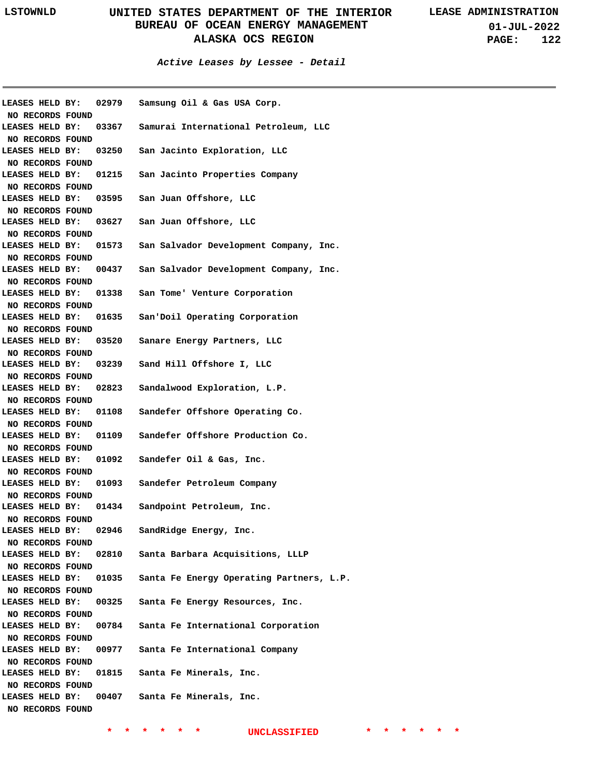**01-JUL-2022 PAGE: 122**

| LEASES HELD BY:  | 02979 | Samsung Oil & Gas USA Corp.                  |
|------------------|-------|----------------------------------------------|
| NO RECORDS FOUND |       |                                              |
| LEASES HELD BY:  |       | 03367 Samurai International Petroleum, LLC   |
| NO RECORDS FOUND |       |                                              |
| LEASES HELD BY:  | 03250 | San Jacinto Exploration, LLC                 |
| NO RECORDS FOUND |       |                                              |
| LEASES HELD BY:  |       | 01215 San Jacinto Properties Company         |
| NO RECORDS FOUND |       |                                              |
| LEASES HELD BY:  | 03595 | San Juan Offshore, LLC                       |
| NO RECORDS FOUND |       |                                              |
| LEASES HELD BY:  |       | 03627 San Juan Offshore, LLC                 |
| NO RECORDS FOUND |       |                                              |
| LEASES HELD BY:  |       | 01573 San Salvador Development Company, Inc. |
| NO RECORDS FOUND |       |                                              |
| LEASES HELD BY:  |       | 00437 San Salvador Development Company, Inc. |
| NO RECORDS FOUND |       |                                              |
| LEASES HELD BY:  |       | 01338 San Tome' Venture Corporation          |
| NO RECORDS FOUND |       |                                              |
| LEASES HELD BY:  |       | 01635 San'Doil Operating Corporation         |
| NO RECORDS FOUND |       |                                              |
| LEASES HELD BY:  |       | 03520 Sanare Energy Partners, LLC            |
| NO RECORDS FOUND |       |                                              |
| LEASES HELD BY:  |       | 03239 Sand Hill Offshore I, LLC              |
| NO RECORDS FOUND |       |                                              |
| LEASES HELD BY:  |       | 02823 Sandalwood Exploration, L.P.           |
| NO RECORDS FOUND |       |                                              |
| LEASES HELD BY:  | 01108 | Sandefer Offshore Operating Co.              |
| NO RECORDS FOUND |       |                                              |
| LEASES HELD BY:  |       | 01109 Sandefer Offshore Production Co.       |
| NO RECORDS FOUND |       |                                              |
| LEASES HELD BY:  |       | 01092 Sandefer Oil & Gas, Inc.               |
| NO RECORDS FOUND |       |                                              |
| LEASES HELD BY:  |       | 01093 Sandefer Petroleum Company             |
| NO RECORDS FOUND |       |                                              |
| LEASES HELD BY:  | 01434 | Sandpoint Petroleum, Inc.                    |
| NO RECORDS FOUND |       |                                              |
| LEASES HELD BY:  | 02946 | SandRidge Energy, Inc.                       |
| NO RECORDS FOUND |       |                                              |
| LEASES HELD BY:  | 02810 | Santa Barbara Acquisitions, LLLP             |
| NO RECORDS FOUND |       |                                              |
| LEASES HELD BY:  | 01035 | Santa Fe Energy Operating Partners, L.P.     |
| NO RECORDS FOUND |       |                                              |
| LEASES HELD BY:  | 00325 | Santa Fe Energy Resources, Inc.              |
| NO RECORDS FOUND |       |                                              |
| LEASES HELD BY:  | 00784 | Santa Fe International Corporation           |
| NO RECORDS FOUND |       |                                              |
| LEASES HELD BY:  | 00977 | Santa Fe International Company               |
| NO RECORDS FOUND |       |                                              |
| LEASES HELD BY:  | 01815 | Santa Fe Minerals, Inc.                      |
| NO RECORDS FOUND |       |                                              |
| LEASES HELD BY:  | 00407 | Santa Fe Minerals, Inc.                      |
| NO RECORDS FOUND |       |                                              |
|                  |       |                                              |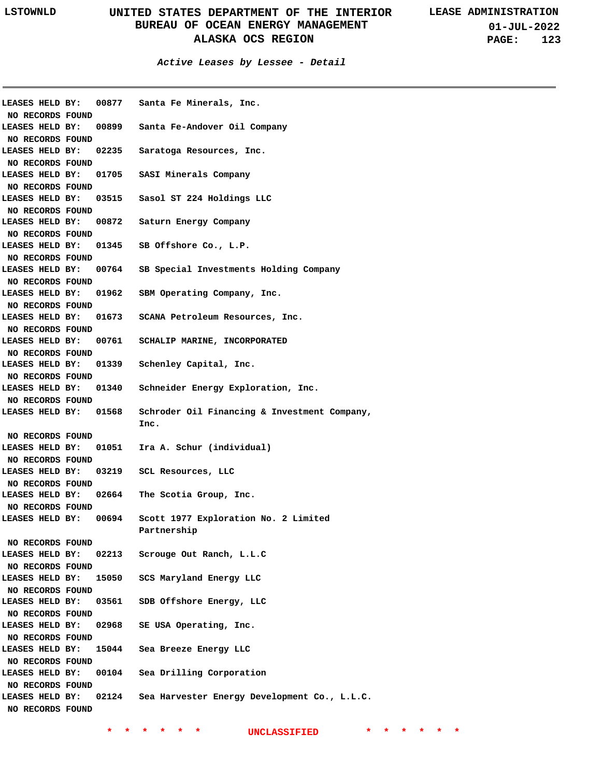**01-JUL-2022 PAGE: 123**

#### **Active Leases by Lessee - Detail**

| LEASES HELD BY:  | 00877 | Santa Fe Minerals, Inc.                      |
|------------------|-------|----------------------------------------------|
| NO RECORDS FOUND |       |                                              |
| LEASES HELD BY:  |       | 00899 Santa Fe-Andover Oil Company           |
| NO RECORDS FOUND |       |                                              |
| LEASES HELD BY:  | 02235 | Saratoga Resources, Inc.                     |
| NO RECORDS FOUND |       |                                              |
| LEASES HELD BY:  | 01705 | SASI Minerals Company                        |
| NO RECORDS FOUND |       |                                              |
| LEASES HELD BY:  | 03515 | Sasol ST 224 Holdings LLC                    |
| NO RECORDS FOUND |       |                                              |
| LEASES HELD BY:  | 00872 | Saturn Energy Company                        |
| NO RECORDS FOUND |       |                                              |
| LEASES HELD BY:  | 01345 | SB Offshore Co., L.P.                        |
| NO RECORDS FOUND |       |                                              |
| LEASES HELD BY:  | 00764 | SB Special Investments Holding Company       |
| NO RECORDS FOUND |       |                                              |
| LEASES HELD BY:  | 01962 | SBM Operating Company, Inc.                  |
| NO RECORDS FOUND |       |                                              |
| LEASES HELD BY:  | 01673 | SCANA Petroleum Resources, Inc.              |
| NO RECORDS FOUND |       |                                              |
| LEASES HELD BY:  | 00761 | SCHALIP MARINE, INCORPORATED                 |
| NO RECORDS FOUND |       |                                              |
| LEASES HELD BY:  | 01339 | Schenley Capital, Inc.                       |
| NO RECORDS FOUND |       |                                              |
| LEASES HELD BY:  | 01340 | Schneider Energy Exploration, Inc.           |
| NO RECORDS FOUND |       |                                              |
| LEASES HELD BY:  | 01568 | Schroder Oil Financing & Investment Company, |
|                  |       | Inc.                                         |
| NO RECORDS FOUND |       |                                              |
| LEASES HELD BY:  | 01051 | Ira A. Schur (individual)                    |
| NO RECORDS FOUND |       |                                              |
| LEASES HELD BY:  | 03219 | SCL Resources, LLC                           |
| NO RECORDS FOUND |       |                                              |
| LEASES HELD BY:  | 02664 | The Scotia Group, Inc.                       |
| NO RECORDS FOUND |       |                                              |
| LEASES HELD BY:  | 00694 | Scott 1977 Exploration No. 2 Limited         |
|                  |       | Partnership                                  |
| NO RECORDS FOUND |       |                                              |
| LEASES HELD BY:  | 02213 | Scrouge Out Ranch, L.L.C                     |
| NO RECORDS FOUND |       |                                              |
| LEASES HELD BY:  | 15050 | SCS Maryland Energy LLC                      |
| NO RECORDS FOUND |       |                                              |
| LEASES HELD BY:  | 03561 | SDB Offshore Energy, LLC                     |
| NO RECORDS FOUND |       |                                              |
| LEASES HELD BY:  | 02968 | SE USA Operating, Inc.                       |
| NO RECORDS FOUND |       |                                              |
| LEASES HELD BY:  | 15044 | Sea Breeze Energy LLC                        |
| NO RECORDS FOUND |       |                                              |
| LEASES HELD BY:  | 00104 | Sea Drilling Corporation                     |
| NO RECORDS FOUND |       |                                              |
| LEASES HELD BY:  | 02124 | Sea Harvester Energy Development Co., L.L.C. |
| NO RECORDS FOUND |       |                                              |
|                  |       |                                              |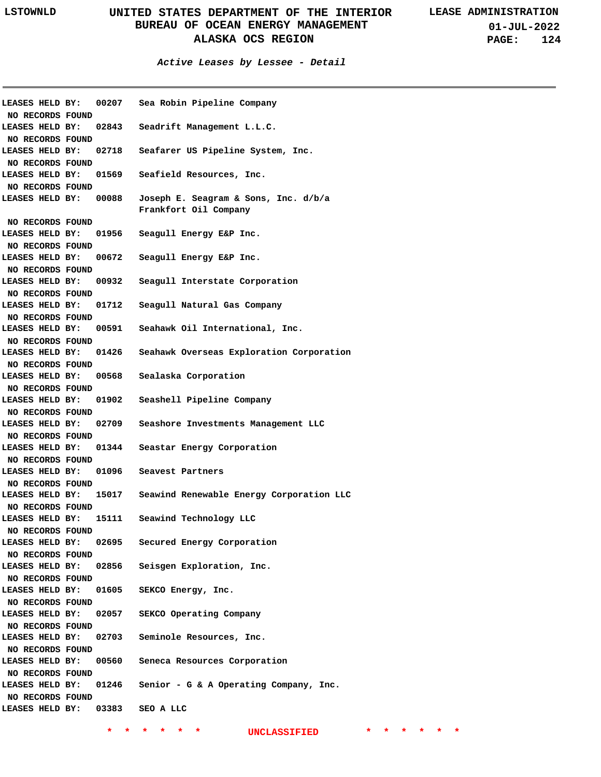**01-JUL-2022 PAGE: 124**

| LEASES HELD BY:         |       | 00207 Sea Robin Pipeline Company         |
|-------------------------|-------|------------------------------------------|
| NO RECORDS FOUND        |       |                                          |
| LEASES HELD BY:         | 02843 | Seadrift Management L.L.C.               |
| NO RECORDS FOUND        |       |                                          |
| LEASES HELD BY:         | 02718 | Seafarer US Pipeline System, Inc.        |
| NO RECORDS FOUND        |       |                                          |
| LEASES HELD BY:         | 01569 | Seafield Resources, Inc.                 |
| NO RECORDS FOUND        |       |                                          |
| <b>LEASES HELD BY:</b>  | 00088 | Joseph E. Seagram & Sons, Inc. d/b/a     |
|                         |       | Frankfort Oil Company                    |
| NO RECORDS FOUND        |       |                                          |
| LEASES HELD BY:         | 01956 | Seagull Energy E&P Inc.                  |
| NO RECORDS FOUND        |       |                                          |
|                         |       |                                          |
| LEASES HELD BY:         | 00672 | Seagull Energy E&P Inc.                  |
| NO RECORDS FOUND        |       |                                          |
| LEASES HELD BY:         | 00932 | Seagull Interstate Corporation           |
| NO RECORDS FOUND        |       |                                          |
| LEASES HELD BY:         | 01712 | Seagull Natural Gas Company              |
| NO RECORDS FOUND        |       |                                          |
| LEASES HELD BY:         | 00591 | Seahawk Oil International, Inc.          |
| NO RECORDS FOUND        |       |                                          |
| LEASES HELD BY:         | 01426 | Seahawk Overseas Exploration Corporation |
| NO RECORDS FOUND        |       |                                          |
| LEASES HELD BY:         | 00568 | Sealaska Corporation                     |
| NO RECORDS FOUND        |       |                                          |
| LEASES HELD BY:         | 01902 | Seashell Pipeline Company                |
|                         |       |                                          |
| NO RECORDS FOUND        |       |                                          |
| LEASES HELD BY:         | 02709 | Seashore Investments Management LLC      |
| NO RECORDS FOUND        |       |                                          |
| LEASES HELD BY:         | 01344 | Seastar Energy Corporation               |
| NO RECORDS FOUND        |       |                                          |
| LEASES HELD BY:         | 01096 | Seavest Partners                         |
| NO RECORDS FOUND        |       |                                          |
| LEASES HELD BY:         | 15017 | Seawind Renewable Energy Corporation LLC |
| NO RECORDS FOUND        |       |                                          |
| LEASES HELD BY:         | 15111 | Seawind Technology LLC                   |
| NO RECORDS FOUND        |       |                                          |
| LEASES HELD BY:         | 02695 | Secured Energy Corporation               |
| NO RECORDS FOUND        |       |                                          |
| LEASES HELD BY:         | 02856 | Seisgen Exploration, Inc.                |
| <b>NO RECORDS FOUND</b> |       |                                          |
| LEASES HELD BY:         | 01605 | SEKCO Energy, Inc.                       |
| NO RECORDS FOUND        |       |                                          |
| LEASES HELD BY:         | 02057 | SEKCO Operating Company                  |
|                         |       |                                          |
| NO RECORDS FOUND        |       |                                          |
| LEASES HELD BY:         | 02703 | Seminole Resources, Inc.                 |
| NO RECORDS FOUND        |       |                                          |
| LEASES HELD BY:         | 00560 | Seneca Resources Corporation             |
| NO RECORDS FOUND        |       |                                          |
| LEASES HELD BY:         | 01246 | Senior - G & A Operating Company, Inc.   |
| NO RECORDS FOUND        |       |                                          |
| LEASES HELD BY:         | 03383 | SEO A LLC                                |
|                         |       |                                          |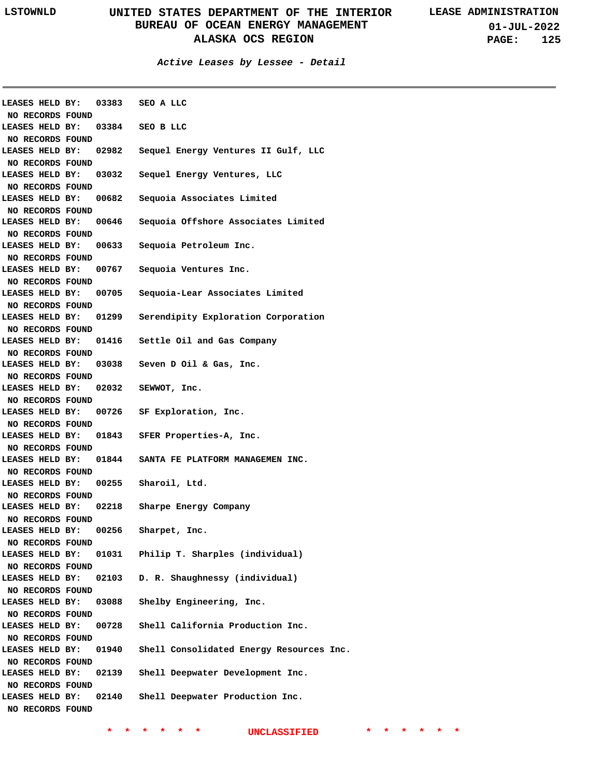| LEASES HELD BY: 03383 SEO A LLC     |       |                                          |
|-------------------------------------|-------|------------------------------------------|
| NO RECORDS FOUND                    |       |                                          |
| LEASES HELD BY:                     |       | $03384$ SEO B LLC                        |
| NO RECORDS FOUND                    |       |                                          |
| LEASES HELD BY:                     | 02982 | Sequel Energy Ventures II Gulf, LLC      |
| NO RECORDS FOUND                    |       |                                          |
| LEASES HELD BY:                     | 03032 | Sequel Energy Ventures, LLC              |
| NO RECORDS FOUND                    |       |                                          |
| LEASES HELD BY:                     | 00682 | Sequoia Associates Limited               |
| NO RECORDS FOUND                    |       |                                          |
| LEASES HELD BY:                     | 00646 | Sequoia Offshore Associates Limited      |
| NO RECORDS FOUND                    |       |                                          |
| LEASES HELD BY:                     | 00633 | Sequoia Petroleum Inc.                   |
| NO RECORDS FOUND                    |       |                                          |
| LEASES HELD BY:                     |       | 00767 Sequoia Ventures Inc.              |
| NO RECORDS FOUND<br>LEASES HELD BY: |       |                                          |
|                                     | 00705 | Sequoia-Lear Associates Limited          |
| NO RECORDS FOUND                    |       |                                          |
| LEASES HELD BY:                     | 01299 | Serendipity Exploration Corporation      |
| NO RECORDS FOUND                    |       |                                          |
| LEASES HELD BY:                     |       | 01416 Settle Oil and Gas Company         |
| NO RECORDS FOUND                    |       |                                          |
| LEASES HELD BY:                     |       | 03038 Seven D Oil & Gas, Inc.            |
| NO RECORDS FOUND                    |       |                                          |
| LEASES HELD BY:                     | 02032 | SEWWOT, Inc.                             |
| NO RECORDS FOUND                    |       |                                          |
| LEASES HELD BY:                     |       | 00726 SF Exploration, Inc.               |
| NO RECORDS FOUND                    |       |                                          |
| LEASES HELD BY:                     | 01843 | SFER Properties-A, Inc.                  |
| NO RECORDS FOUND<br>LEASES HELD BY: |       | 01844 SANTA FE PLATFORM MANAGEMEN INC.   |
|                                     |       |                                          |
| NO RECORDS FOUND<br>LEASES HELD BY: | 00255 | Sharoil, Ltd.                            |
|                                     |       |                                          |
| NO RECORDS FOUND<br>LEASES HELD BY: | 02218 | Sharpe Energy Company                    |
| NO RECORDS FOUND                    |       |                                          |
| LEASES HELD BY:                     | 00256 | Sharpet, Inc.                            |
| NO RECORDS FOUND                    |       |                                          |
| LEASES HELD BY:                     | 01031 | Philip T. Sharples (individual)          |
| NO RECORDS FOUND                    |       |                                          |
| LEASES HELD BY:                     | 02103 | D. R. Shaughnessy (individual)           |
| NO RECORDS FOUND                    |       |                                          |
| LEASES HELD BY:                     | 03088 | Shelby Engineering, Inc.                 |
| NO RECORDS FOUND                    |       |                                          |
| LEASES HELD BY:                     | 00728 | Shell California Production Inc.         |
| NO RECORDS FOUND                    |       |                                          |
| LEASES HELD BY:                     | 01940 | Shell Consolidated Energy Resources Inc. |
| NO RECORDS FOUND                    |       |                                          |
| LEASES HELD BY:                     | 02139 | Shell Deepwater Development Inc.         |
| NO RECORDS FOUND                    |       |                                          |
| LEASES HELD BY:                     | 02140 | Shell Deepwater Production Inc.          |
|                                     |       |                                          |
| NO RECORDS FOUND                    |       |                                          |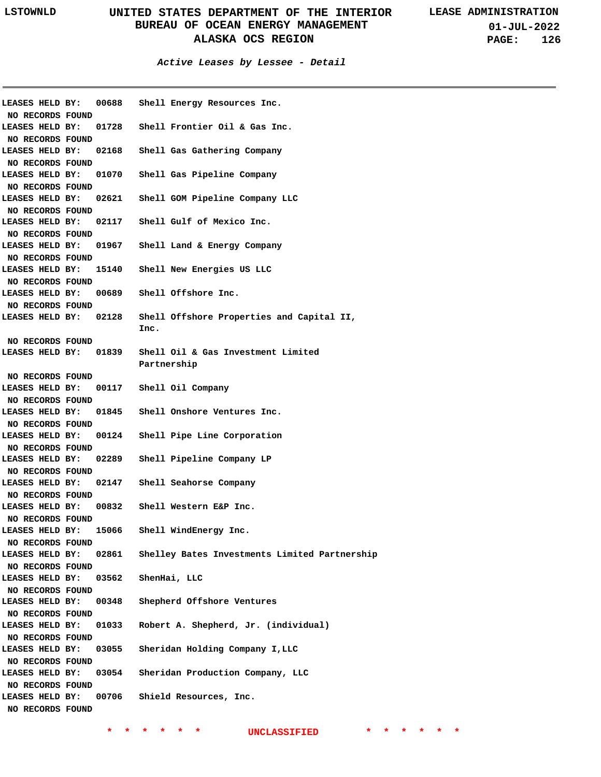#### **Active Leases by Lessee - Detail**

| NO RECORDS FOUND                                        |       | LEASES HELD BY: 00688 Shell Energy Resources Inc. |
|---------------------------------------------------------|-------|---------------------------------------------------|
| LEASES HELD BY:<br>NO RECORDS FOUND                     |       | 01728 Shell Frontier Oil & Gas Inc.               |
| LEASES HELD BY:<br>NO RECORDS FOUND                     |       | 02168 Shell Gas Gathering Company                 |
| LEASES HELD BY:<br>NO RECORDS FOUND                     | 01070 | Shell Gas Pipeline Company                        |
| LEASES HELD BY:<br>NO RECORDS FOUND                     | 02621 | Shell GOM Pipeline Company LLC                    |
| LEASES HELD BY:<br>NO RECORDS FOUND                     |       | 02117 Shell Gulf of Mexico Inc.                   |
| LEASES HELD BY:<br>NO RECORDS FOUND                     | 01967 | Shell Land & Energy Company                       |
| LEASES HELD BY:<br>NO RECORDS FOUND                     |       | 15140 Shell New Energies US LLC                   |
| LEASES HELD BY:<br>NO RECORDS FOUND                     |       | 00689 Shell Offshore Inc.                         |
| LEASES HELD BY:                                         | 02128 | Shell Offshore Properties and Capital II,<br>Inc. |
| NO RECORDS FOUND<br><b>LEASES HELD BY:</b>              | 01839 | Shell Oil & Gas Investment Limited                |
| NO RECORDS FOUND                                        |       | Partnership                                       |
|                                                         |       | LEASES HELD BY: 00117 Shell Oil Company           |
| NO RECORDS FOUND                                        |       |                                                   |
|                                                         |       | LEASES HELD BY: 01845 Shell Onshore Ventures Inc. |
| NO RECORDS FOUND<br>LEASES HELD BY:<br>NO RECORDS FOUND |       | 00124 Shell Pipe Line Corporation                 |
| LEASES HELD BY:<br>NO RECORDS FOUND                     |       | 02289 Shell Pipeline Company LP                   |
| <b>LEASES HELD BY:</b><br>NO RECORDS FOUND              |       | 02147 Shell Seahorse Company                      |
| NO RECORDS FOUND                                        |       | LEASES HELD BY: 00832 Shell Western E&P Inc.      |
| LEASES HELD BY:<br>NO RECORDS FOUND                     | 15066 | Shell WindEnergy Inc.                             |
| LEASES HELD BY:<br>NO RECORDS FOUND                     | 02861 | Shelley Bates Investments Limited Partnership     |
| LEASES HELD BY:<br>NO RECORDS FOUND                     | 03562 | ShenHai, LLC                                      |
| LEASES HELD BY:<br>NO RECORDS FOUND                     | 00348 | Shepherd Offshore Ventures                        |
| LEASES HELD BY:<br>NO RECORDS FOUND                     | 01033 | Robert A. Shepherd, Jr. (individual)              |
| LEASES HELD BY:<br>NO RECORDS FOUND                     | 03055 | Sheridan Holding Company I, LLC                   |
| LEASES HELD BY:<br>NO RECORDS FOUND                     | 03054 | Sheridan Production Company, LLC                  |
| LEASES HELD BY:<br>NO RECORDS FOUND                     | 00706 | Shield Resources, Inc.                            |
|                                                         |       |                                                   |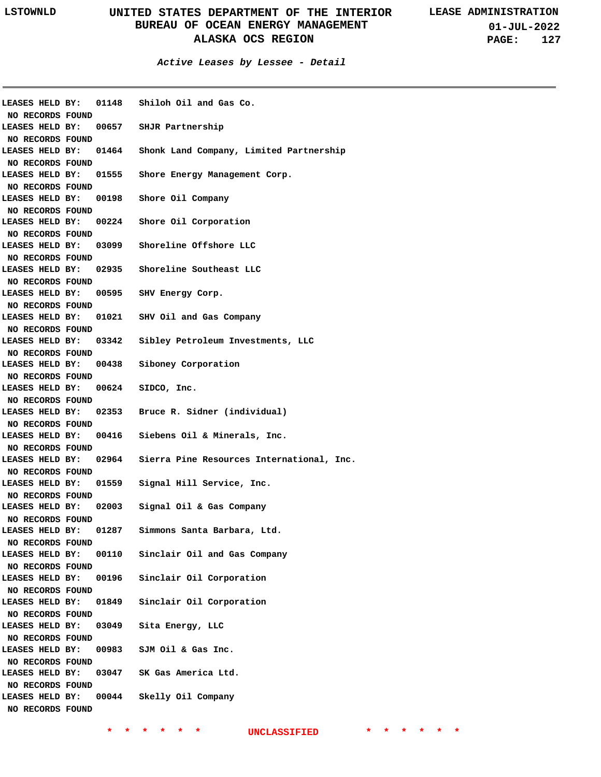**01-JUL-2022 PAGE: 127**

| <b>LEASES HELD BY:</b>  | 01148 | Shiloh Oil and Gas Co.                          |
|-------------------------|-------|-------------------------------------------------|
| NO RECORDS FOUND        |       |                                                 |
| LEASES HELD BY:         |       | 00657 SHJR Partnership                          |
| NO RECORDS FOUND        |       |                                                 |
| LEASES HELD BY:         |       | 01464 Shonk Land Company, Limited Partnership   |
| NO RECORDS FOUND        |       |                                                 |
| LEASES HELD BY:         |       | 01555 Shore Energy Management Corp.             |
| NO RECORDS FOUND        |       |                                                 |
| LEASES HELD BY:         |       | 00198 Shore Oil Company                         |
| NO RECORDS FOUND        |       |                                                 |
| LEASES HELD BY:         |       | 00224 Shore Oil Corporation                     |
| NO RECORDS FOUND        |       |                                                 |
| LEASES HELD BY:         |       | 03099 Shoreline Offshore LLC                    |
| NO RECORDS FOUND        |       |                                                 |
| LEASES HELD BY:         |       | 02935 Shoreline Southeast LLC                   |
| NO RECORDS FOUND        |       |                                                 |
| LEASES HELD BY:         |       | 00595 SHV Energy Corp.                          |
| NO RECORDS FOUND        |       |                                                 |
| LEASES HELD BY:         |       | 01021 SHV Oil and Gas Company                   |
| NO RECORDS FOUND        |       |                                                 |
| LEASES HELD BY:         |       | 03342 Sibley Petroleum Investments, LLC         |
| NO RECORDS FOUND        |       |                                                 |
| LEASES HELD BY:         |       | 00438 Siboney Corporation                       |
| NO RECORDS FOUND        |       |                                                 |
| LEASES HELD BY:         |       | 00624 SIDCO, Inc.                               |
| NO RECORDS FOUND        |       |                                                 |
| LEASES HELD BY:         |       | 02353 Bruce R. Sidner (individual)              |
| NO RECORDS FOUND        |       |                                                 |
| LEASES HELD BY:         |       | 00416 Siebens Oil & Minerals, Inc.              |
| NO RECORDS FOUND        |       |                                                 |
| LEASES HELD BY:         |       | 02964 Sierra Pine Resources International, Inc. |
| NO RECORDS FOUND        |       |                                                 |
| LEASES HELD BY:         |       | 01559 Signal Hill Service, Inc.                 |
| NO RECORDS FOUND        |       |                                                 |
| LEASES HELD BY:         |       | 02003 Signal Oil & Gas Company                  |
| NO RECORDS FOUND        |       |                                                 |
| LEASES HELD BY:         | 01287 | Simmons Santa Barbara, Ltd.                     |
| NO RECORDS FOUND        |       |                                                 |
| LEASES HELD BY:         | 00110 | Sinclair Oil and Gas Company                    |
| <b>NO RECORDS FOUND</b> |       |                                                 |
| LEASES HELD BY:         | 00196 | Sinclair Oil Corporation                        |
| NO RECORDS FOUND        |       |                                                 |
| LEASES HELD BY:         | 01849 | Sinclair Oil Corporation                        |
| <b>NO RECORDS FOUND</b> |       |                                                 |
| LEASES HELD BY:         | 03049 | Sita Energy, LLC                                |
| <b>NO RECORDS FOUND</b> |       |                                                 |
| LEASES HELD BY:         | 00983 | SJM Oil & Gas Inc.                              |
| NO RECORDS FOUND        |       |                                                 |
| LEASES HELD BY:         | 03047 | SK Gas America Ltd.                             |
| NO RECORDS FOUND        |       |                                                 |
| LEASES HELD BY:         | 00044 | Skelly Oil Company                              |
| NO RECORDS FOUND        |       |                                                 |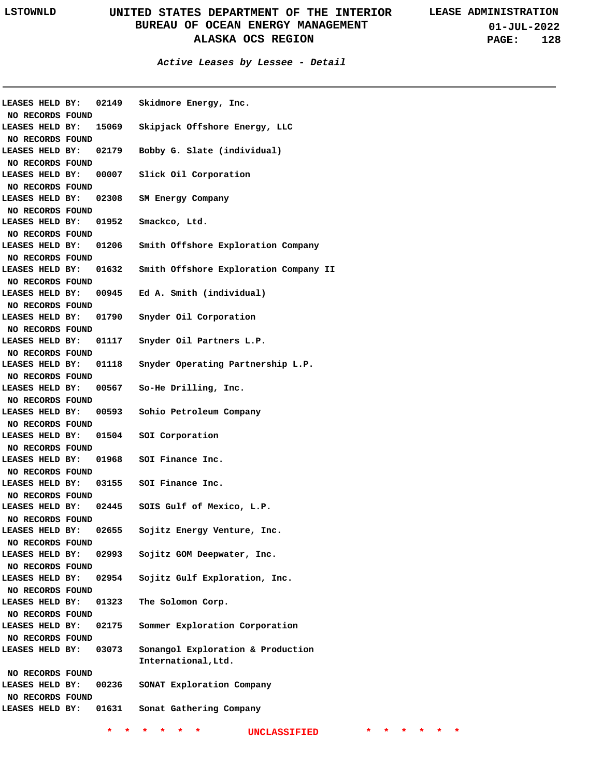**01-JUL-2022 PAGE: 128**

| LEASES HELD BY:                     | 02149 | Skidmore Energy, Inc.                 |
|-------------------------------------|-------|---------------------------------------|
| NO RECORDS FOUND                    |       |                                       |
| LEASES HELD BY:                     | 15069 | Skipjack Offshore Energy, LLC         |
| NO RECORDS FOUND                    |       |                                       |
| LEASES HELD BY:                     | 02179 | Bobby G. Slate (individual)           |
| NO RECORDS FOUND                    |       |                                       |
| LEASES HELD BY:                     | 00007 | Slick Oil Corporation                 |
| NO RECORDS FOUND                    |       |                                       |
| LEASES HELD BY:                     | 02308 | SM Energy Company                     |
| NO RECORDS FOUND                    |       |                                       |
| LEASES HELD BY:                     | 01952 | Smackco, Ltd.                         |
| NO RECORDS FOUND                    |       |                                       |
| LEASES HELD BY:                     | 01206 | Smith Offshore Exploration Company    |
| NO RECORDS FOUND                    |       |                                       |
| LEASES HELD BY:                     | 01632 | Smith Offshore Exploration Company II |
|                                     |       |                                       |
| NO RECORDS FOUND<br>LEASES HELD BY: | 00945 | Ed A. Smith (individual)              |
|                                     |       |                                       |
| NO RECORDS FOUND                    |       |                                       |
| LEASES HELD BY:                     | 01790 | Snyder Oil Corporation                |
| NO RECORDS FOUND                    |       |                                       |
| LEASES HELD BY:                     | 01117 | Snyder Oil Partners L.P.              |
| NO RECORDS FOUND                    |       |                                       |
| LEASES HELD BY:                     | 01118 | Snyder Operating Partnership L.P.     |
| NO RECORDS FOUND                    |       |                                       |
| LEASES HELD BY:                     | 00567 | So-He Drilling, Inc.                  |
| NO RECORDS FOUND                    |       |                                       |
| LEASES HELD BY:                     |       | 00593 Sohio Petroleum Company         |
| NO RECORDS FOUND                    |       |                                       |
| LEASES HELD BY:                     |       | 01504 SOI Corporation                 |
| NO RECORDS FOUND                    |       |                                       |
| LEASES HELD BY:                     |       | 01968 SOI Finance Inc.                |
| NO RECORDS FOUND                    |       |                                       |
| LEASES HELD BY:                     |       | 03155 SOI Finance Inc.                |
| NO RECORDS FOUND                    |       |                                       |
| LEASES HELD BY:                     |       | 02445 SOIS Gulf of Mexico, L.P.       |
| NO RECORDS FOUND                    |       |                                       |
| LEASES HELD BY:                     | 02655 | Sojitz Energy Venture, Inc.           |
| NO RECORDS FOUND                    |       |                                       |
| LEASES HELD BY:                     | 02993 | Sojitz GOM Deepwater, Inc.            |
| NO RECORDS FOUND                    |       |                                       |
| LEASES HELD BY:                     | 02954 | Sojitz Gulf Exploration, Inc.         |
| NO RECORDS FOUND                    |       |                                       |
| LEASES HELD BY:                     | 01323 | The Solomon Corp.                     |
| NO RECORDS FOUND                    |       |                                       |
| LEASES HELD BY:                     | 02175 | Sommer Exploration Corporation        |
|                                     |       |                                       |
| NO RECORDS FOUND                    |       |                                       |
| LEASES HELD BY:                     | 03073 | Sonangol Exploration & Production     |
|                                     |       | International, Ltd.                   |
| NO RECORDS FOUND                    |       |                                       |
| LEASES HELD BY:                     | 00236 | SONAT Exploration Company             |
| NO RECORDS FOUND                    |       |                                       |
| LEASES HELD BY:                     | 01631 | Sonat Gathering Company               |
|                                     |       |                                       |
|                                     | *.    | *<br>UNCLASSIFIED<br>*<br>*           |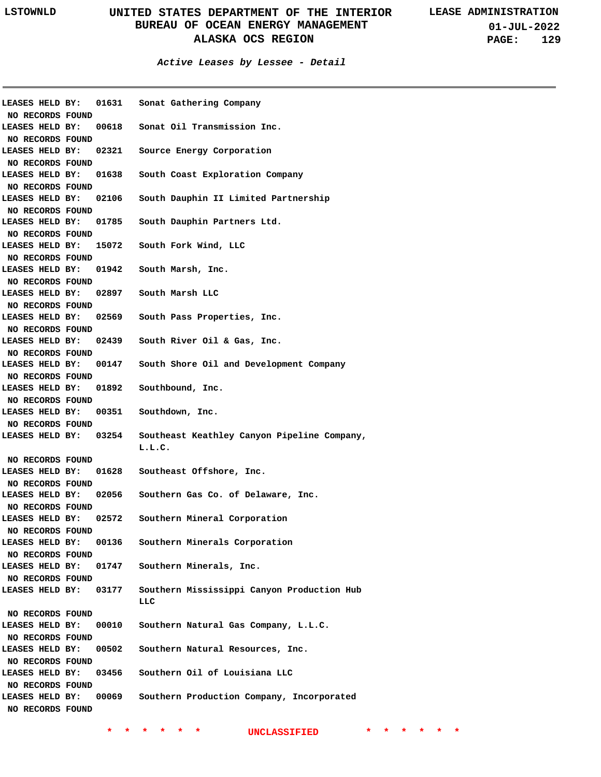#### **Active Leases by Lessee - Detail**

| LEASES HELD BY:  | 01631 | Sonat Gathering Company                     |
|------------------|-------|---------------------------------------------|
| NO RECORDS FOUND |       |                                             |
| LEASES HELD BY:  | 00618 | Sonat Oil Transmission Inc.                 |
| NO RECORDS FOUND |       |                                             |
| LEASES HELD BY:  | 02321 | Source Energy Corporation                   |
| NO RECORDS FOUND |       |                                             |
| LEASES HELD BY:  | 01638 | South Coast Exploration Company             |
| NO RECORDS FOUND |       |                                             |
| LEASES HELD BY:  | 02106 | South Dauphin II Limited Partnership        |
| NO RECORDS FOUND |       |                                             |
| LEASES HELD BY:  | 01785 | South Dauphin Partners Ltd.                 |
| NO RECORDS FOUND |       |                                             |
| LEASES HELD BY:  | 15072 | South Fork Wind, LLC                        |
| NO RECORDS FOUND |       |                                             |
| LEASES HELD BY:  | 01942 | South Marsh, Inc.                           |
| NO RECORDS FOUND |       |                                             |
| LEASES HELD BY:  | 02897 | South Marsh LLC                             |
| NO RECORDS FOUND |       |                                             |
| LEASES HELD BY:  | 02569 | South Pass Properties, Inc.                 |
| NO RECORDS FOUND |       |                                             |
| LEASES HELD BY:  | 02439 | South River Oil & Gas, Inc.                 |
| NO RECORDS FOUND |       |                                             |
| LEASES HELD BY:  | 00147 | South Shore Oil and Development Company     |
| NO RECORDS FOUND |       |                                             |
| LEASES HELD BY:  | 01892 | Southbound, Inc.                            |
| NO RECORDS FOUND |       |                                             |
| LEASES HELD BY:  | 00351 | Southdown, Inc.                             |
| NO RECORDS FOUND |       |                                             |
| LEASES HELD BY:  | 03254 | Southeast Keathley Canyon Pipeline Company, |
|                  |       | L.L.C.                                      |
| NO RECORDS FOUND |       |                                             |
| LEASES HELD BY:  | 01628 | Southeast Offshore, Inc.                    |
| NO RECORDS FOUND |       |                                             |
|                  | 02056 |                                             |
| LEASES HELD BY:  |       | Southern Gas Co. of Delaware, Inc.          |
| NO RECORDS FOUND |       |                                             |
| LEASES HELD BY:  | 02572 | Southern Mineral Corporation                |
| NO RECORDS FOUND |       |                                             |
| LEASES HELD BY:  | 00136 | Southern Minerals Corporation               |
| NO RECORDS FOUND |       |                                             |
| LEASES HELD BY:  | 01747 | Southern Minerals, Inc.                     |
| NO RECORDS FOUND |       |                                             |
| LEASES HELD BY:  | 03177 | Southern Mississippi Canyon Production Hub  |
|                  |       | LLC                                         |
| NO RECORDS FOUND |       |                                             |
| LEASES HELD BY:  | 00010 | Southern Natural Gas Company, L.L.C.        |
| NO RECORDS FOUND |       |                                             |
| LEASES HELD BY:  | 00502 | Southern Natural Resources, Inc.            |
| NO RECORDS FOUND |       |                                             |
| LEASES HELD BY:  | 03456 | Southern Oil of Louisiana LLC               |
| NO RECORDS FOUND |       |                                             |
| LEASES HELD BY:  | 00069 | Southern Production Company, Incorporated   |
| NO RECORDS FOUND |       |                                             |
|                  |       |                                             |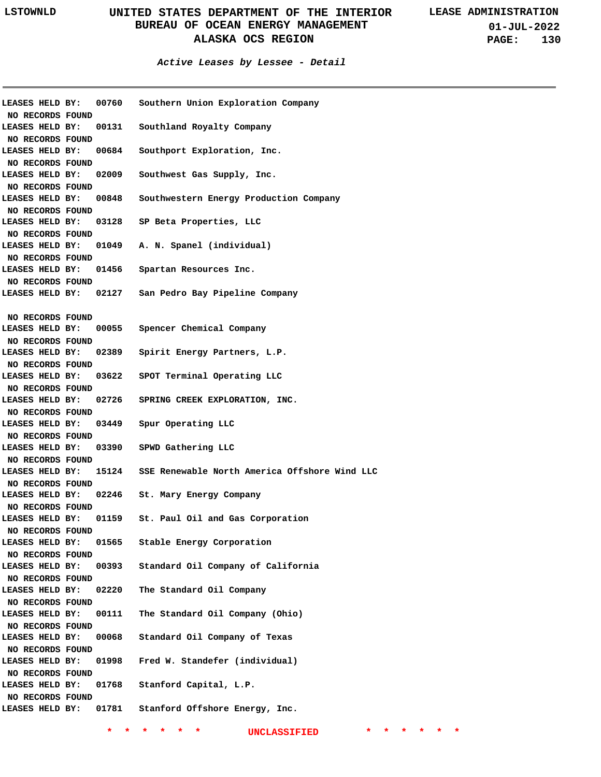**01-JUL-2022 PAGE: 130**

**Active Leases by Lessee - Detail**

| LEASES HELD BY:  | 00760                        | Southern Union Exploration Company                  |
|------------------|------------------------------|-----------------------------------------------------|
| NO RECORDS FOUND |                              |                                                     |
| LEASES HELD BY:  |                              | 00131 Southland Royalty Company                     |
| NO RECORDS FOUND |                              |                                                     |
| LEASES HELD BY:  |                              | 00684 Southport Exploration, Inc.                   |
| NO RECORDS FOUND |                              |                                                     |
| LEASES HELD BY:  | 02009                        | Southwest Gas Supply, Inc.                          |
| NO RECORDS FOUND |                              |                                                     |
| LEASES HELD BY:  | 00848                        | Southwestern Energy Production Company              |
| NO RECORDS FOUND |                              |                                                     |
| LEASES HELD BY:  |                              | 03128 SP Beta Properties, LLC                       |
| NO RECORDS FOUND |                              |                                                     |
| LEASES HELD BY:  |                              | 01049 A. N. Spanel (individual)                     |
| NO RECORDS FOUND |                              |                                                     |
| LEASES HELD BY:  |                              | 01456 Spartan Resources Inc.                        |
| NO RECORDS FOUND |                              |                                                     |
|                  | <b>LEASES HELD BY: 02127</b> | San Pedro Bay Pipeline Company                      |
|                  |                              |                                                     |
| NO RECORDS FOUND |                              |                                                     |
| LEASES HELD BY:  |                              | 00055 Spencer Chemical Company                      |
| NO RECORDS FOUND |                              |                                                     |
| LEASES HELD BY:  | 02389                        | Spirit Energy Partners, L.P.                        |
| NO RECORDS FOUND |                              |                                                     |
| LEASES HELD BY:  |                              | 03622 SPOT Terminal Operating LLC                   |
| NO RECORDS FOUND |                              |                                                     |
| LEASES HELD BY:  |                              | 02726 SPRING CREEK EXPLORATION, INC.                |
| NO RECORDS FOUND |                              |                                                     |
| LEASES HELD BY:  | 03449                        | Spur Operating LLC                                  |
|                  |                              |                                                     |
| NO RECORDS FOUND |                              |                                                     |
| LEASES HELD BY:  |                              | 03390 SPWD Gathering LLC                            |
| NO RECORDS FOUND |                              | 15124 SSE Renewable North America Offshore Wind LLC |
| LEASES HELD BY:  |                              |                                                     |
| NO RECORDS FOUND |                              |                                                     |
| LEASES HELD BY:  |                              | 02246 St. Mary Energy Company                       |
| NO RECORDS FOUND |                              |                                                     |
| LEASES HELD BY:  |                              | 01159 St. Paul Oil and Gas Corporation              |
| NO RECORDS FOUND |                              |                                                     |
| LEASES HELD BY:  | 01565                        | Stable Energy Corporation                           |
| NO RECORDS FOUND |                              |                                                     |
| LEASES HELD BY:  | 00393                        | Standard Oil Company of California                  |
| NO RECORDS FOUND |                              |                                                     |
| LEASES HELD BY:  | 02220                        | The Standard Oil Company                            |
| NO RECORDS FOUND |                              |                                                     |
| LEASES HELD BY:  | 00111                        | The Standard Oil Company (Ohio)                     |
| NO RECORDS FOUND |                              |                                                     |
| LEASES HELD BY:  | 00068                        | Standard Oil Company of Texas                       |
| NO RECORDS FOUND |                              |                                                     |
| LEASES HELD BY:  | 01998                        | Fred W. Standefer (individual)                      |
| NO RECORDS FOUND |                              |                                                     |
| LEASES HELD BY:  | 01768                        | Stanford Capital, L.P.                              |
| NO RECORDS FOUND |                              |                                                     |
| LEASES HELD BY:  | 01781                        | Stanford Offshore Energy, Inc.                      |
|                  |                              |                                                     |
|                  |                              |                                                     |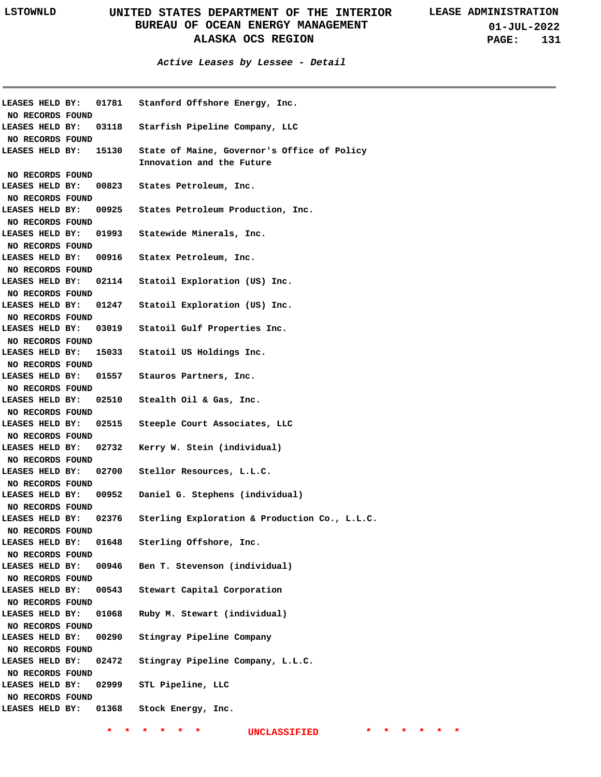**01-JUL-2022 PAGE: 131**

| <b>LEASES HELD BY:</b><br>NO RECORDS FOUND |       | 01781 Stanford Offshore Energy, Inc.                                     |
|--------------------------------------------|-------|--------------------------------------------------------------------------|
| LEASES HELD BY:<br>NO RECORDS FOUND        | 03118 | Starfish Pipeline Company, LLC                                           |
| <b>LEASES HELD BY:</b>                     | 15130 | State of Maine, Governor's Office of Policy<br>Innovation and the Future |
| NO RECORDS FOUND                           |       |                                                                          |
| LEASES HELD BY:                            | 00823 | States Petroleum, Inc.                                                   |
| NO RECORDS FOUND                           |       |                                                                          |
| LEASES HELD BY:                            | 00925 | States Petroleum Production, Inc.                                        |
| NO RECORDS FOUND                           |       |                                                                          |
| LEASES HELD BY:                            |       | 01993 Statewide Minerals, Inc.                                           |
| NO RECORDS FOUND                           |       |                                                                          |
| LEASES HELD BY:                            |       | 00916 Statex Petroleum, Inc.                                             |
| NO RECORDS FOUND                           |       |                                                                          |
| LEASES HELD BY:                            | 02114 | Statoil Exploration (US) Inc.                                            |
| NO RECORDS FOUND<br>LEASES HELD BY:        | 01247 | Statoil Exploration (US) Inc.                                            |
|                                            |       |                                                                          |
| NO RECORDS FOUND<br>LEASES HELD BY:        | 03019 | Statoil Gulf Properties Inc.                                             |
|                                            |       |                                                                          |
| NO RECORDS FOUND<br>LEASES HELD BY:        | 15033 | Statoil US Holdings Inc.                                                 |
| NO RECORDS FOUND                           |       |                                                                          |
| LEASES HELD BY:                            | 01557 | Stauros Partners, Inc.                                                   |
| NO RECORDS FOUND                           |       |                                                                          |
| LEASES HELD BY:                            |       | 02510 Stealth Oil & Gas, Inc.                                            |
| NO RECORDS FOUND                           |       |                                                                          |
| LEASES HELD BY:                            | 02515 | Steeple Court Associates, LLC                                            |
| NO RECORDS FOUND                           |       |                                                                          |
| LEASES HELD BY:                            | 02732 | Kerry W. Stein (individual)                                              |
| NO RECORDS FOUND                           |       |                                                                          |
| LEASES HELD BY:                            | 02700 | Stellor Resources, L.L.C.                                                |
| NO RECORDS FOUND                           |       |                                                                          |
| LEASES HELD BY:                            | 00952 | Daniel G. Stephens (individual)                                          |
| NO RECORDS FOUND                           |       |                                                                          |
| LEASES HELD BY:                            | 02376 | Sterling Exploration & Production Co., L.L.C.                            |
| NO RECORDS FOUND                           |       |                                                                          |
| LEASES HELD BY:                            | 01648 | Sterling Offshore, Inc.                                                  |
| NO RECORDS FOUND                           |       |                                                                          |
| LEASES HELD BY:                            | 00946 | Ben T. Stevenson (individual)                                            |
| NO RECORDS FOUND                           |       |                                                                          |
| LEASES HELD BY:                            | 00543 | Stewart Capital Corporation                                              |
| NO RECORDS FOUND                           |       |                                                                          |
| LEASES HELD BY:                            | 01068 | Ruby M. Stewart (individual)                                             |
| NO RECORDS FOUND                           |       |                                                                          |
| LEASES HELD BY:                            | 00290 | Stingray Pipeline Company                                                |
| NO RECORDS FOUND                           |       |                                                                          |
| LEASES HELD BY:                            | 02472 | Stingray Pipeline Company, L.L.C.                                        |
| NO RECORDS FOUND                           |       |                                                                          |
| LEASES HELD BY:                            | 02999 | STL Pipeline, LLC                                                        |
| NO RECORDS FOUND                           |       |                                                                          |
| LEASES HELD BY:                            | 01368 | Stock Energy, Inc.                                                       |
|                                            |       |                                                                          |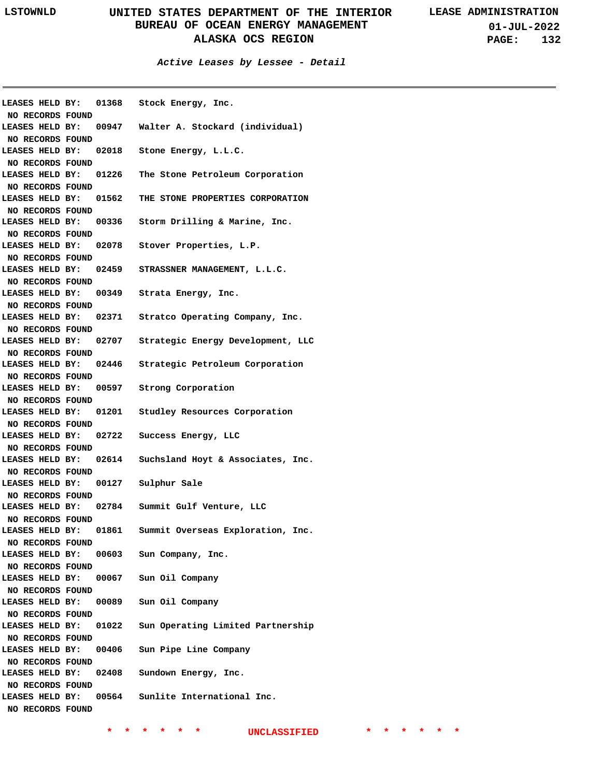**01-JUL-2022 PAGE: 132**

**Active Leases by Lessee - Detail**

| LEASES HELD BY:<br>NO RECORDS FOUND | 01368                 | Stock Energy, Inc.                                    |
|-------------------------------------|-----------------------|-------------------------------------------------------|
|                                     |                       |                                                       |
|                                     |                       | LEASES HELD BY: 00947 Walter A. Stockard (individual) |
| NO RECORDS FOUND                    |                       |                                                       |
| LEASES HELD BY:                     |                       | 02018 Stone Energy, L.L.C.                            |
| NO RECORDS FOUND                    |                       |                                                       |
| LEASES HELD BY:                     |                       | 01226 The Stone Petroleum Corporation                 |
| NO RECORDS FOUND                    |                       |                                                       |
| LEASES HELD BY:                     |                       | 01562 THE STONE PROPERTIES CORPORATION                |
| NO RECORDS FOUND                    |                       |                                                       |
| LEASES HELD BY:                     |                       | 00336 Storm Drilling & Marine, Inc.                   |
| NO RECORDS FOUND                    |                       |                                                       |
| LEASES HELD BY:                     |                       | 02078 Stover Properties, L.P.                         |
| NO RECORDS FOUND                    |                       |                                                       |
| LEASES HELD BY:                     |                       | 02459 STRASSNER MANAGEMENT, L.L.C.                    |
| NO RECORDS FOUND                    |                       |                                                       |
| LEASES HELD BY:                     |                       | 00349 Strata Energy, Inc.                             |
| NO RECORDS FOUND                    |                       |                                                       |
| LEASES HELD BY:                     |                       | 02371 Stratco Operating Company, Inc.                 |
| NO RECORDS FOUND                    |                       |                                                       |
| LEASES HELD BY:                     |                       | 02707 Strategic Energy Development, LLC               |
| NO RECORDS FOUND                    |                       |                                                       |
| LEASES HELD BY:                     | 02446                 | Strategic Petroleum Corporation                       |
| NO RECORDS FOUND                    |                       |                                                       |
| LEASES HELD BY:                     |                       | 00597 Strong Corporation                              |
| NO RECORDS FOUND                    |                       |                                                       |
| LEASES HELD BY:                     |                       | 01201 Studley Resources Corporation                   |
| NO RECORDS FOUND                    |                       |                                                       |
| LEASES HELD BY:                     |                       | 02722 Success Energy, LLC                             |
| NO RECORDS FOUND                    |                       |                                                       |
| LEASES HELD BY:                     | 02614                 | Suchsland Hoyt & Associates, Inc.                     |
| NO RECORDS FOUND                    |                       |                                                       |
| LEASES HELD BY:                     |                       | 00127 Sulphur Sale                                    |
| NO RECORDS FOUND                    |                       |                                                       |
|                                     |                       | LEASES HELD BY: 02784 Summit Gulf Venture, LLC        |
| NO RECORDS FOUND                    |                       |                                                       |
|                                     | LEASES HELD BY: 01861 | Summit Overseas Exploration, Inc.                     |
| NO RECORDS FOUND                    |                       |                                                       |
| LEASES HELD BY:                     |                       | 00603 Sun Company, Inc.                               |
| <b>NO RECORDS FOUND</b>             |                       |                                                       |
| LEASES HELD BY:                     |                       | 00067 Sun Oil Company                                 |
| <b>NO RECORDS FOUND</b>             |                       |                                                       |
| LEASES HELD BY:                     |                       | 00089 Sun Oil Company                                 |
| NO RECORDS FOUND                    |                       |                                                       |
| LEASES HELD BY:                     |                       | 01022 Sun Operating Limited Partnership               |
| NO RECORDS FOUND                    |                       |                                                       |
| LEASES HELD BY:                     | 00406                 | Sun Pipe Line Company                                 |
| NO RECORDS FOUND                    |                       |                                                       |
| LEASES HELD BY:                     |                       | 02408 Sundown Energy, Inc.                            |
| NO RECORDS FOUND                    |                       |                                                       |
| LEASES HELD BY:                     |                       | 00564 Sunlite International Inc.                      |
| NO RECORDS FOUND                    |                       |                                                       |
|                                     |                       |                                                       |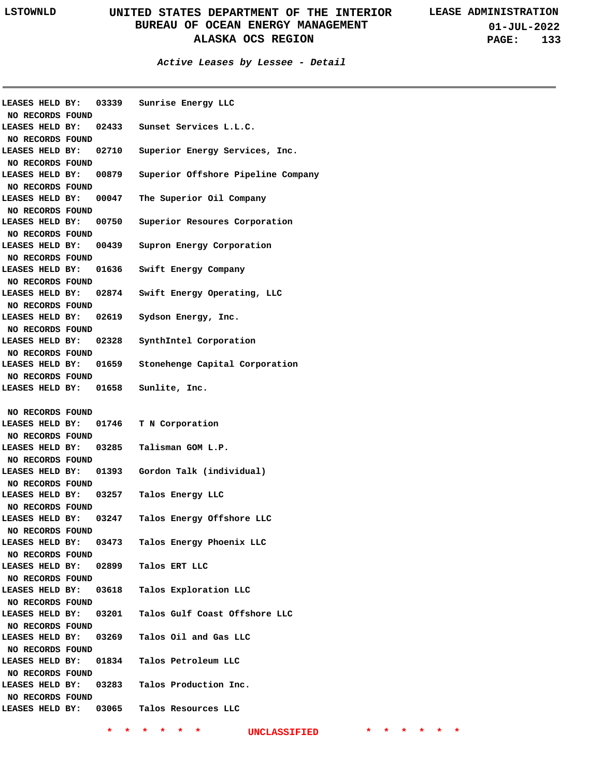**Active Leases by Lessee - Detail**

| NO RECORDS FOUND                    |       | LEASES HELD BY: 03339 Sunrise Energy LLC            |
|-------------------------------------|-------|-----------------------------------------------------|
| LEASES HELD BY:                     |       | 02433 Sunset Services L.L.C.                        |
| NO RECORDS FOUND<br>LEASES HELD BY: |       | 02710 Superior Energy Services, Inc.                |
| NO RECORDS FOUND                    |       |                                                     |
| <b>LEASES HELD BY:</b>              | 00879 | Superior Offshore Pipeline Company                  |
| NO RECORDS FOUND                    |       |                                                     |
| LEASES HELD BY:                     |       | 00047 The Superior Oil Company                      |
| NO RECORDS FOUND                    |       |                                                     |
|                                     |       | LEASES HELD BY: 00750 Superior Resoures Corporation |
| NO RECORDS FOUND                    |       |                                                     |
|                                     |       | LEASES HELD BY: 00439 Supron Energy Corporation     |
| NO RECORDS FOUND                    |       |                                                     |
|                                     |       | LEASES HELD BY: 01636 Swift Energy Company          |
| NO RECORDS FOUND                    |       |                                                     |
|                                     |       | LEASES HELD BY: 02874 Swift Energy Operating, LLC   |
| NO RECORDS FOUND                    |       |                                                     |
|                                     |       | LEASES HELD BY: 02619 Sydson Energy, Inc.           |
| NO RECORDS FOUND                    |       |                                                     |
| <b>LEASES HELD BY:</b>              |       | 02328 SynthIntel Corporation                        |
| NO RECORDS FOUND                    |       |                                                     |
| <b>LEASES HELD BY:</b>              | 01659 | Stonehenge Capital Corporation                      |
| NO RECORDS FOUND                    |       |                                                     |
|                                     |       | LEASES HELD BY: 01658 Sunlite, Inc.                 |
|                                     |       |                                                     |
| NO RECORDS FOUND                    |       |                                                     |
| <b>LEASES HELD BY:</b>              |       | 01746 T N Corporation                               |
| NO RECORDS FOUND                    |       |                                                     |
|                                     |       | LEASES HELD BY: 03285 Talisman GOM L.P.             |
| NO RECORDS FOUND                    |       |                                                     |
|                                     |       | LEASES HELD BY: 01393 Gordon Talk (individual)      |
| NO RECORDS FOUND                    |       |                                                     |
|                                     |       | LEASES HELD BY: 03257 Talos Energy LLC              |
| NO RECORDS FOUND                    |       |                                                     |
| LEASES HELD BY:                     |       | 03247 Talos Energy Offshore LLC                     |
| NO RECORDS FOUND                    |       |                                                     |
|                                     |       | LEASES HELD BY: 03473 Talos Energy Phoenix LLC      |
| NO RECORDS FOUND                    |       |                                                     |
|                                     |       | LEASES HELD BY: 02899 Talos ERT LLC                 |
| NO RECORDS FOUND                    |       |                                                     |
|                                     |       | LEASES HELD BY: 03618 Talos Exploration LLC         |
| NO RECORDS FOUND                    |       |                                                     |
| LEASES HELD BY:                     |       | 03201 Talos Gulf Coast Offshore LLC                 |
| NO RECORDS FOUND                    |       |                                                     |
| LEASES HELD BY:                     |       | 03269 Talos Oil and Gas LLC                         |
| NO RECORDS FOUND                    |       |                                                     |
|                                     |       | LEASES HELD BY: 01834 Talos Petroleum LLC           |
| NO RECORDS FOUND                    |       |                                                     |
|                                     |       | LEASES HELD BY: 03283 Talos Production Inc.         |
| NO RECORDS FOUND                    |       |                                                     |
|                                     |       |                                                     |
|                                     |       | LEASES HELD BY: 03065 Talos Resources LLC           |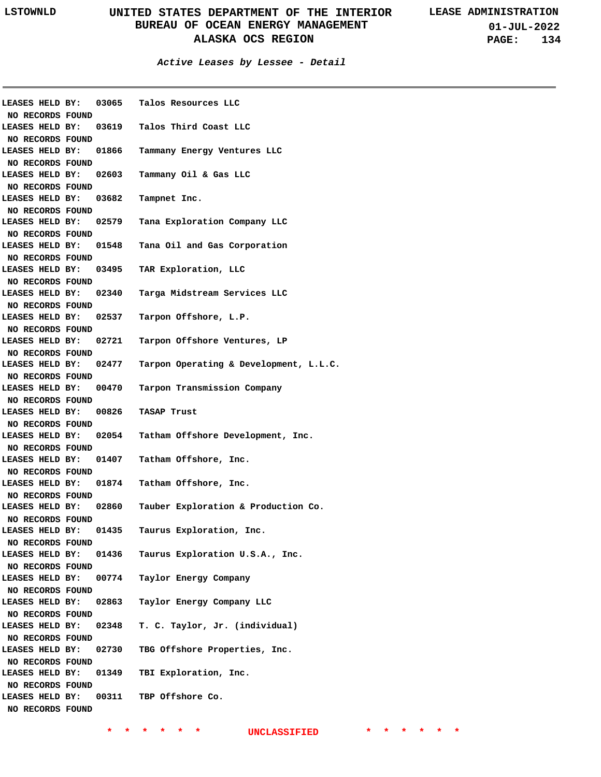**Active Leases by Lessee - Detail**

|                       |       | LEASES HELD BY: 03065 Talos Resources LLC |
|-----------------------|-------|-------------------------------------------|
| NO RECORDS FOUND      |       |                                           |
| LEASES HELD BY:       |       | 03619 Talos Third Coast LLC               |
| NO RECORDS FOUND      |       |                                           |
| LEASES HELD BY:       | 01866 | Tammany Energy Ventures LLC               |
| NO RECORDS FOUND      |       |                                           |
| LEASES HELD BY:       | 02603 | Tammany Oil & Gas LLC                     |
| NO RECORDS FOUND      |       |                                           |
| LEASES HELD BY:       | 03682 | Tampnet Inc.                              |
| NO RECORDS FOUND      |       |                                           |
| LEASES HELD BY:       | 02579 | Tana Exploration Company LLC              |
| NO RECORDS FOUND      |       |                                           |
| LEASES HELD BY:       | 01548 | Tana Oil and Gas Corporation              |
| NO RECORDS FOUND      |       |                                           |
| LEASES HELD BY:       |       | 03495 TAR Exploration, LLC                |
| NO RECORDS FOUND      |       |                                           |
| LEASES HELD BY:       | 02340 | Targa Midstream Services LLC              |
| NO RECORDS FOUND      |       |                                           |
| LEASES HELD BY:       | 02537 |                                           |
|                       |       | Tarpon Offshore, L.P.                     |
| NO RECORDS FOUND      |       |                                           |
| LEASES HELD BY:       | 02721 | Tarpon Offshore Ventures, LP              |
| NO RECORDS FOUND      |       |                                           |
| LEASES HELD BY:       | 02477 | Tarpon Operating & Development, L.L.C.    |
| NO RECORDS FOUND      |       |                                           |
| LEASES HELD BY: 00470 |       | Tarpon Transmission Company               |
| NO RECORDS FOUND      |       |                                           |
|                       |       |                                           |
| LEASES HELD BY: 00826 |       | TASAP Trust                               |
| NO RECORDS FOUND      |       |                                           |
| LEASES HELD BY: 02054 |       | Tatham Offshore Development, Inc.         |
| NO RECORDS FOUND      |       |                                           |
| LEASES HELD BY: 01407 |       | Tatham Offshore, Inc.                     |
| NO RECORDS FOUND      |       |                                           |
| LEASES HELD BY:       | 01874 | Tatham Offshore, Inc.                     |
| NO RECORDS FOUND      |       |                                           |
| LEASES HELD BY:       | 02860 | Tauber Exploration & Production Co.       |
|                       |       |                                           |
| NO RECORDS FOUND      |       |                                           |
| LEASES HELD BY:       | 01435 | Taurus Exploration, Inc.                  |
| NO RECORDS FOUND      |       |                                           |
| LEASES HELD BY:       | 01436 | Taurus Exploration U.S.A., Inc.           |
| NO RECORDS FOUND      |       |                                           |
| LEASES HELD BY:       | 00774 | Taylor Energy Company                     |
| NO RECORDS FOUND      |       |                                           |
| LEASES HELD BY:       | 02863 | Taylor Energy Company LLC                 |
| NO RECORDS FOUND      |       |                                           |
| LEASES HELD BY:       | 02348 | T. C. Taylor, Jr. (individual)            |
| NO RECORDS FOUND      |       |                                           |
| LEASES HELD BY:       | 02730 | TBG Offshore Properties, Inc.             |
| NO RECORDS FOUND      |       |                                           |
| LEASES HELD BY:       | 01349 | TBI Exploration, Inc.                     |
| NO RECORDS FOUND      |       |                                           |
| LEASES HELD BY:       | 00311 | TBP Offshore Co.                          |
| NO RECORDS FOUND      |       |                                           |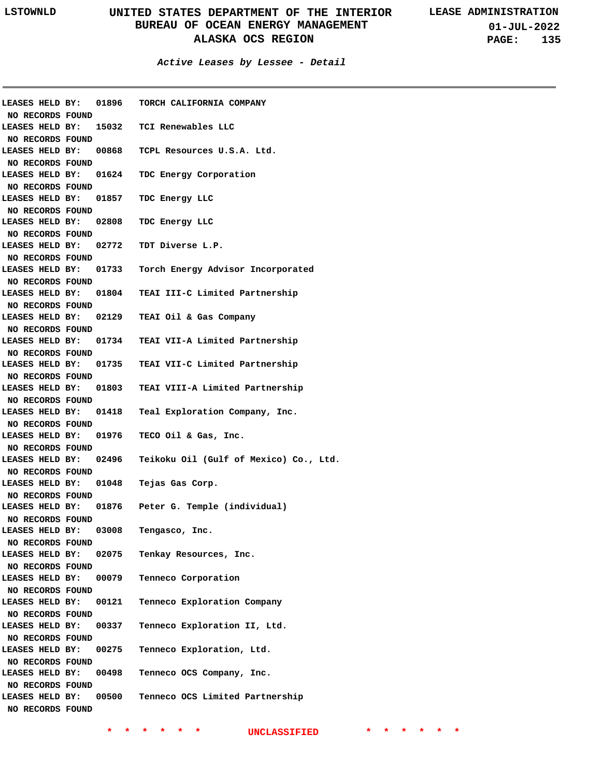**01-JUL-2022 PAGE: 135**

**Active Leases by Lessee - Detail**

|                       |  |       | LEASES HELD BY: 01896 TORCH CALIFORNIA COMPANY |
|-----------------------|--|-------|------------------------------------------------|
| NO RECORDS FOUND      |  |       |                                                |
| LEASES HELD BY:       |  |       | 15032   TCI Renewables LLC                     |
| NO RECORDS FOUND      |  |       |                                                |
| LEASES HELD BY:       |  |       | 00868 TCPL Resources U.S.A. Ltd.               |
| NO RECORDS FOUND      |  |       |                                                |
| LEASES HELD BY:       |  |       | 01624 TDC Energy Corporation                   |
| NO RECORDS FOUND      |  |       |                                                |
| LEASES HELD BY:       |  |       | 01857 TDC Energy LLC                           |
| NO RECORDS FOUND      |  |       |                                                |
|                       |  |       |                                                |
| LEASES HELD BY:       |  |       | 02808 TDC Energy LLC                           |
| NO RECORDS FOUND      |  |       |                                                |
| LEASES HELD BY:       |  |       | 02772 TDT Diverse L.P.                         |
| NO RECORDS FOUND      |  |       |                                                |
| LEASES HELD BY:       |  |       | 01733 Torch Energy Advisor Incorporated        |
| NO RECORDS FOUND      |  |       |                                                |
| LEASES HELD BY:       |  |       | 01804 TEAI III-C Limited Partnership           |
| NO RECORDS FOUND      |  |       |                                                |
| LEASES HELD BY:       |  |       | 02129 TEAI Oil & Gas Company                   |
| NO RECORDS FOUND      |  |       |                                                |
| LEASES HELD BY:       |  |       | 01734 TEAI VII-A Limited Partnership           |
| NO RECORDS FOUND      |  |       |                                                |
| LEASES HELD BY:       |  |       | 01735 TEAI VII-C Limited Partnership           |
|                       |  |       |                                                |
| NO RECORDS FOUND      |  |       |                                                |
| LEASES HELD BY:       |  |       | 01803 TEAI VIII-A Limited Partnership          |
| NO RECORDS FOUND      |  |       |                                                |
| LEASES HELD BY:       |  |       | 01418 Teal Exploration Company, Inc.           |
| NO RECORDS FOUND      |  |       |                                                |
| LEASES HELD BY:       |  |       | 01976 TECO Oil & Gas, Inc.                     |
| NO RECORDS FOUND      |  |       |                                                |
| LEASES HELD BY:       |  |       | 02496 Teikoku Oil (Gulf of Mexico) Co., Ltd.   |
| NO RECORDS FOUND      |  |       |                                                |
| LEASES HELD BY:       |  | 01048 | Tejas Gas Corp.                                |
| NO RECORDS FOUND      |  |       |                                                |
| LEASES HELD BY:       |  |       | 01876 Peter G. Temple (individual)             |
| NO RECORDS FOUND      |  |       |                                                |
| LEASES HELD BY: 03008 |  |       | Tengasco, Inc.                                 |
| NO RECORDS FOUND      |  |       |                                                |
| LEASES HELD BY:       |  | 02075 | Tenkay Resources, Inc.                         |
| NO RECORDS FOUND      |  |       |                                                |
| LEASES HELD BY:       |  | 00079 | Tenneco Corporation                            |
|                       |  |       |                                                |
| NO RECORDS FOUND      |  |       |                                                |
| LEASES HELD BY:       |  | 00121 | Tenneco Exploration Company                    |
| NO RECORDS FOUND      |  |       |                                                |
| LEASES HELD BY:       |  | 00337 | Tenneco Exploration II, Ltd.                   |
| NO RECORDS FOUND      |  |       |                                                |
| LEASES HELD BY:       |  | 00275 | Tenneco Exploration, Ltd.                      |
| NO RECORDS FOUND      |  |       |                                                |
| LEASES HELD BY:       |  | 00498 | Tenneco OCS Company, Inc.                      |
| NO RECORDS FOUND      |  |       |                                                |
| LEASES HELD BY:       |  | 00500 | Tenneco OCS Limited Partnership                |
| NO RECORDS FOUND      |  |       |                                                |
|                       |  |       |                                                |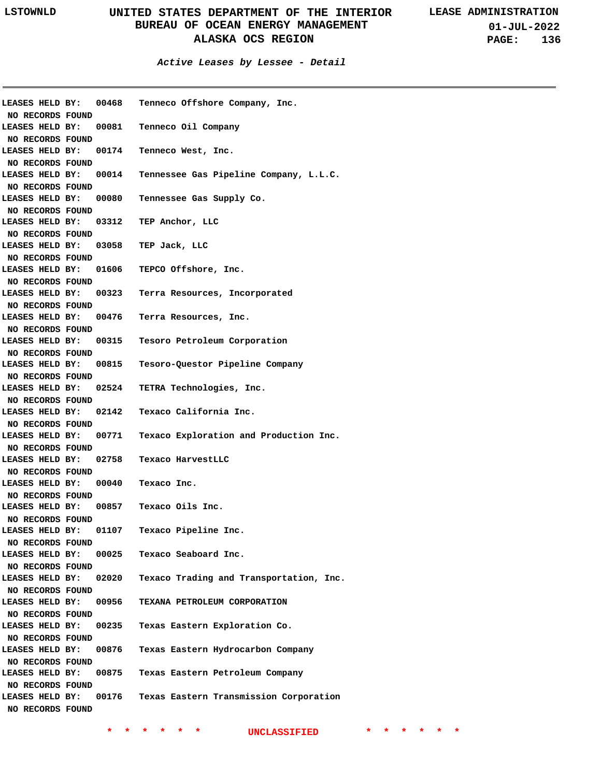**Active Leases by Lessee - Detail**

| <b>LEASES HELD BY:</b>                    | 00468 | Tenneco Offshore Company, Inc.                               |
|-------------------------------------------|-------|--------------------------------------------------------------|
| NO RECORDS FOUND                          |       |                                                              |
|                                           |       | LEASES HELD BY: 00081 Tenneco Oil Company                    |
| NO RECORDS FOUND                          |       |                                                              |
|                                           |       | LEASES HELD BY: 00174 Tenneco West, Inc.                     |
| NO RECORDS FOUND                          |       |                                                              |
|                                           |       | LEASES HELD BY: 00014 Tennessee Gas Pipeline Company, L.L.C. |
| NO RECORDS FOUND                          |       |                                                              |
| LEASES HELD BY:                           |       | 00080 Tennessee Gas Supply Co.                               |
| NO RECORDS FOUND                          |       |                                                              |
| LEASES HELD BY:                           |       | 03312 TEP Anchor, LLC                                        |
| NO RECORDS FOUND                          |       |                                                              |
| LEASES HELD BY:                           |       | 03058 TEP Jack, LLC                                          |
| NO RECORDS FOUND                          |       |                                                              |
| LEASES HELD BY:                           |       | 01606 TEPCO Offshore, Inc.                                   |
| NO RECORDS FOUND                          |       |                                                              |
| LEASES HELD BY:                           |       | 00323 Terra Resources, Incorporated                          |
| NO RECORDS FOUND                          |       |                                                              |
| LEASES HELD BY:                           |       | 00476 Terra Resources, Inc.                                  |
| NO RECORDS FOUND                          |       |                                                              |
| LEASES HELD BY:                           |       | 00315 Tesoro Petroleum Corporation                           |
| NO RECORDS FOUND                          |       |                                                              |
| LEASES HELD BY:                           |       | 00815 Tesoro-Questor Pipeline Company                        |
| NO RECORDS FOUND                          |       |                                                              |
| LEASES HELD BY:                           |       | 02524 TETRA Technologies, Inc.                               |
| NO RECORDS FOUND                          |       |                                                              |
| LEASES HELD BY:                           |       | 02142 Texaco California Inc.                                 |
| NO RECORDS FOUND                          |       |                                                              |
| LEASES HELD BY:                           |       | 00771 Texaco Exploration and Production Inc.                 |
| NO RECORDS FOUND                          |       |                                                              |
| LEASES HELD BY:                           |       | 02758 Texaco HarvestLLC                                      |
| NO RECORDS FOUND                          |       |                                                              |
| <b>LEASES HELD BY:</b>                    |       | 00040 Texaco Inc.                                            |
| NO RECORDS FOUND                          |       |                                                              |
| <b>LEASES HELD BY:</b>                    |       | 00857 Texaco Oils Inc.                                       |
| NO RECORDS FOUND                          |       |                                                              |
| <b>LEASES HELD BY:</b>                    |       | 01107 Texaco Pipeline Inc.                                   |
| NO RECORDS FOUND<br>LEASES HELD BY: 00025 |       |                                                              |
| NO RECORDS FOUND                          |       | Texaco Seaboard Inc.                                         |
| LEASES HELD BY: 02020                     |       | Texaco Trading and Transportation, Inc.                      |
| NO RECORDS FOUND                          |       |                                                              |
| LEASES HELD BY:                           | 00956 | TEXANA PETROLEUM CORPORATION                                 |
| NO RECORDS FOUND                          |       |                                                              |
| LEASES HELD BY:                           | 00235 | Texas Eastern Exploration Co.                                |
| NO RECORDS FOUND                          |       |                                                              |
| LEASES HELD BY:                           | 00876 | Texas Eastern Hydrocarbon Company                            |
| NO RECORDS FOUND                          |       |                                                              |
| LEASES HELD BY:                           |       | 00875 Texas Eastern Petroleum Company                        |
| NO RECORDS FOUND                          |       |                                                              |
| LEASES HELD BY:                           |       | 00176 Texas Eastern Transmission Corporation                 |
| NO RECORDS FOUND                          |       |                                                              |
|                                           |       |                                                              |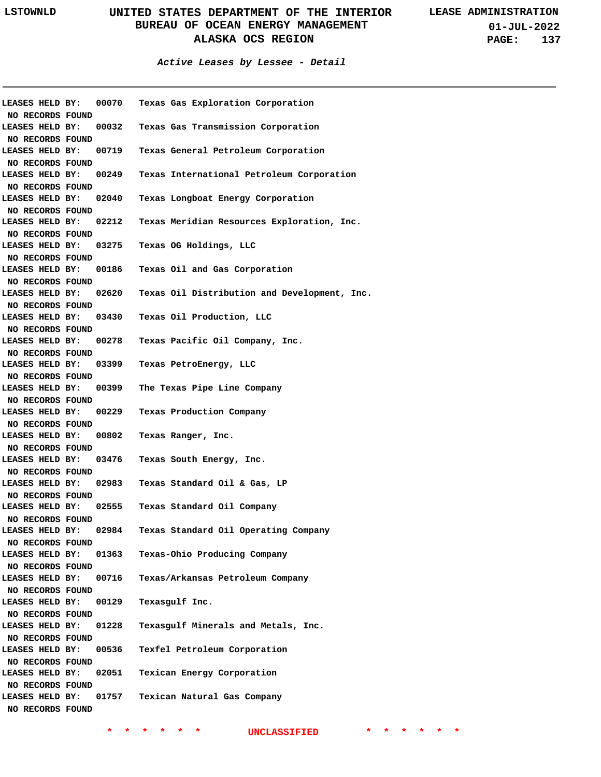**Active Leases by Lessee - Detail**

|                       |       | LEASES HELD BY: 00070 Texas Gas Exploration Corporation            |
|-----------------------|-------|--------------------------------------------------------------------|
| NO RECORDS FOUND      |       |                                                                    |
| LEASES HELD BY: 00032 |       | Texas Gas Transmission Corporation                                 |
| NO RECORDS FOUND      |       |                                                                    |
| LEASES HELD BY: 00719 |       | Texas General Petroleum Corporation                                |
| NO RECORDS FOUND      |       |                                                                    |
| LEASES HELD BY: 00249 |       | Texas International Petroleum Corporation                          |
| NO RECORDS FOUND      |       |                                                                    |
| LEASES HELD BY: 02040 |       | Texas Longboat Energy Corporation                                  |
| NO RECORDS FOUND      |       |                                                                    |
| LEASES HELD BY: 02212 |       | Texas Meridian Resources Exploration, Inc.                         |
| NO RECORDS FOUND      |       |                                                                    |
|                       |       | LEASES HELD BY: 03275 Texas OG Holdings, LLC                       |
| NO RECORDS FOUND      |       |                                                                    |
| LEASES HELD BY: 00186 |       | Texas Oil and Gas Corporation                                      |
| NO RECORDS FOUND      |       |                                                                    |
|                       |       | LEASES HELD BY: 02620 Texas Oil Distribution and Development, Inc. |
| NO RECORDS FOUND      |       |                                                                    |
|                       |       | LEASES HELD BY: 03430 Texas Oil Production, LLC                    |
| NO RECORDS FOUND      |       |                                                                    |
|                       |       | LEASES HELD BY: 00278 Texas Pacific Oil Company, Inc.              |
| NO RECORDS FOUND      |       |                                                                    |
|                       |       | LEASES HELD BY: 03399 Texas PetroEnergy, LLC                       |
| NO RECORDS FOUND      |       |                                                                    |
|                       |       | LEASES HELD BY: 00399 The Texas Pipe Line Company                  |
| NO RECORDS FOUND      |       |                                                                    |
|                       |       | LEASES HELD BY: 00229 Texas Production Company                     |
| NO RECORDS FOUND      |       |                                                                    |
| LEASES HELD BY: 00802 |       | Texas Ranger, Inc.                                                 |
| NO RECORDS FOUND      |       |                                                                    |
| LEASES HELD BY: 03476 |       | Texas South Energy, Inc.                                           |
| NO RECORDS FOUND      |       |                                                                    |
| LEASES HELD BY: 02983 |       | Texas Standard Oil & Gas, LP                                       |
| NO RECORDS FOUND      |       |                                                                    |
| LEASES HELD BY: 02555 |       | Texas Standard Oil Company                                         |
| NO RECORDS FOUND      |       |                                                                    |
| LEASES HELD BY:       | 02984 | Texas Standard Oil Operating Company                               |
| NO RECORDS FOUND      |       |                                                                    |
| LEASES HELD BY:       | 01363 | Texas-Ohio Producing Company                                       |
| NO RECORDS FOUND      |       |                                                                    |
| LEASES HELD BY:       | 00716 | Texas/Arkansas Petroleum Company                                   |
| NO RECORDS FOUND      |       |                                                                    |
| LEASES HELD BY:       | 00129 | Texasgulf Inc.                                                     |
| NO RECORDS FOUND      |       |                                                                    |
| LEASES HELD BY:       | 01228 | Texasgulf Minerals and Metals, Inc.                                |
| NO RECORDS FOUND      |       |                                                                    |
| LEASES HELD BY:       | 00536 | Texfel Petroleum Corporation                                       |
| NO RECORDS FOUND      |       |                                                                    |
| LEASES HELD BY:       | 02051 | Texican Energy Corporation                                         |
| NO RECORDS FOUND      |       |                                                                    |
| LEASES HELD BY:       | 01757 | Texican Natural Gas Company                                        |
| NO RECORDS FOUND      |       |                                                                    |
|                       |       |                                                                    |
|                       |       |                                                                    |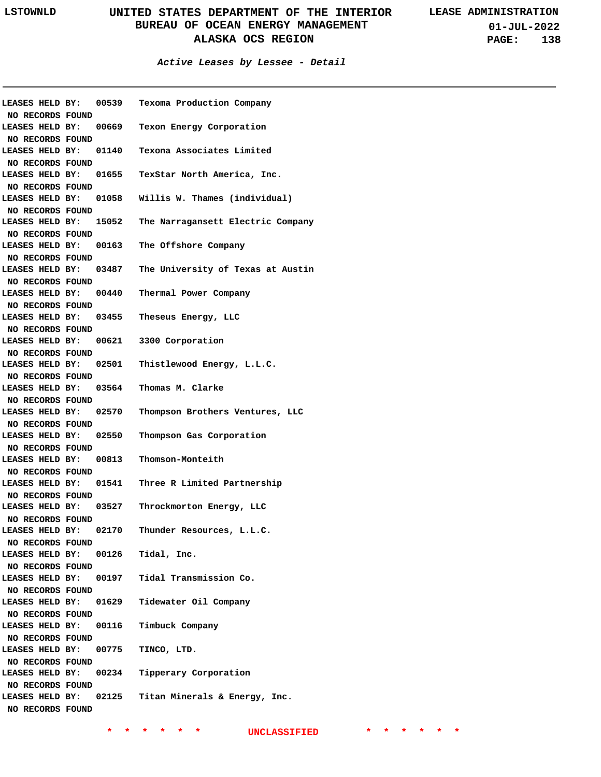**01-JUL-2022 PAGE: 138**

#### **Active Leases by Lessee - Detail**

| LEASES HELD BY:                     | 00539 | Texoma Production Company               |
|-------------------------------------|-------|-----------------------------------------|
| NO RECORDS FOUND<br>LEASES HELD BY: |       | 00669 Texon Energy Corporation          |
| NO RECORDS FOUND                    |       |                                         |
| LEASES HELD BY:                     |       | 01140 Texona Associates Limited         |
| NO RECORDS FOUND                    |       |                                         |
| LEASES HELD BY:                     |       | 01655 TexStar North America, Inc.       |
| NO RECORDS FOUND                    |       |                                         |
| LEASES HELD BY:                     |       | 01058 Willis W. Thames (individual)     |
| NO RECORDS FOUND                    |       |                                         |
| LEASES HELD BY:                     |       | 15052 The Narragansett Electric Company |
| NO RECORDS FOUND                    |       |                                         |
| LEASES HELD BY:                     | 00163 | The Offshore Company                    |
| NO RECORDS FOUND                    |       |                                         |
| LEASES HELD BY:                     | 03487 | The University of Texas at Austin       |
| NO RECORDS FOUND                    |       |                                         |
| LEASES HELD BY:                     |       | 00440 Thermal Power Company             |
| NO RECORDS FOUND                    |       |                                         |
| LEASES HELD BY:                     |       | 03455 Theseus Energy, LLC               |
| NO RECORDS FOUND                    |       |                                         |
| LEASES HELD BY:                     |       | 00621 3300 Corporation                  |
| NO RECORDS FOUND                    |       |                                         |
| LEASES HELD BY:                     |       | 02501 Thistlewood Energy, L.L.C.        |
| NO RECORDS FOUND                    |       |                                         |
| LEASES HELD BY:                     | 03564 | Thomas M. Clarke                        |
| NO RECORDS FOUND                    |       |                                         |
| LEASES HELD BY:                     | 02570 | Thompson Brothers Ventures, LLC         |
| NO RECORDS FOUND                    |       |                                         |
| LEASES HELD BY:                     | 02550 | Thompson Gas Corporation                |
| NO RECORDS FOUND                    |       |                                         |
| LEASES HELD BY:                     | 00813 | Thomson-Monteith                        |
| NO RECORDS FOUND                    |       |                                         |
| LEASES HELD BY:                     |       | 01541 Three R Limited Partnership       |
| NO RECORDS FOUND                    |       |                                         |
| LEASES HELD BY:                     | 03527 | Throckmorton Energy, LLC                |
| NO RECORDS FOUND                    |       |                                         |
| LEASES HELD BY:                     | 02170 | Thunder Resources, L.L.C.               |
| NO RECORDS FOUND                    |       |                                         |
| LEASES HELD BY:                     |       | 00126 Tidal, Inc.                       |
| NO RECORDS FOUND<br>LEASES HELD BY: |       | 00197 Tidal Transmission Co.            |
| NO RECORDS FOUND                    |       |                                         |
| LEASES HELD BY:                     |       | 01629 Tidewater Oil Company             |
| NO RECORDS FOUND                    |       |                                         |
| LEASES HELD BY:                     |       | 00116 Timbuck Company                   |
| NO RECORDS FOUND                    |       |                                         |
| LEASES HELD BY:                     |       | 00775 TINCO, LTD.                       |
| NO RECORDS FOUND                    |       |                                         |
| LEASES HELD BY:                     |       | 00234 Tipperary Corporation             |
| NO RECORDS FOUND                    |       |                                         |
| LEASES HELD BY:                     |       | 02125 Titan Minerals & Energy, Inc.     |
| NO RECORDS FOUND                    |       |                                         |
|                                     |       |                                         |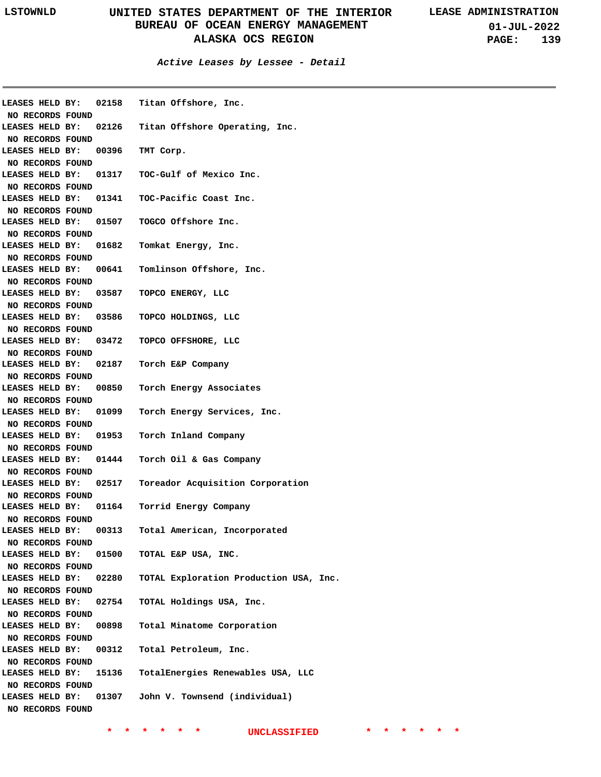**01-JUL-2022 PAGE: 139**

**Active Leases by Lessee - Detail**

| LEASES HELD BY:        | 02158 | Titan Offshore, Inc.                   |
|------------------------|-------|----------------------------------------|
| NO RECORDS FOUND       |       |                                        |
| LEASES HELD BY:        | 02126 | Titan Offshore Operating, Inc.         |
| NO RECORDS FOUND       |       |                                        |
| LEASES HELD BY:        | 00396 | TMT Corp.                              |
| NO RECORDS FOUND       |       |                                        |
| LEASES HELD BY:        | 01317 | TOC-Gulf of Mexico Inc.                |
| NO RECORDS FOUND       |       |                                        |
| LEASES HELD BY:        | 01341 | TOC-Pacific Coast Inc.                 |
| NO RECORDS FOUND       |       |                                        |
| LEASES HELD BY:        | 01507 | TOGCO Offshore Inc.                    |
| NO RECORDS FOUND       |       |                                        |
| LEASES HELD BY:        | 01682 | Tomkat Energy, Inc.                    |
| NO RECORDS FOUND       |       |                                        |
| LEASES HELD BY:        | 00641 | Tomlinson Offshore, Inc.               |
| NO RECORDS FOUND       |       |                                        |
| LEASES HELD BY:        | 03587 | TOPCO ENERGY, LLC                      |
| NO RECORDS FOUND       |       |                                        |
| LEASES HELD BY:        | 03586 | TOPCO HOLDINGS, LLC                    |
| NO RECORDS FOUND       |       |                                        |
| LEASES HELD BY:        | 03472 | TOPCO OFFSHORE, LLC                    |
| NO RECORDS FOUND       |       |                                        |
| LEASES HELD BY:        | 02187 | Torch E&P Company                      |
| NO RECORDS FOUND       |       |                                        |
| LEASES HELD BY:        | 00850 | Torch Energy Associates                |
| NO RECORDS FOUND       |       |                                        |
| LEASES HELD BY:        | 01099 | Torch Energy Services, Inc.            |
| NO RECORDS FOUND       |       |                                        |
| LEASES HELD BY:        | 01953 | Torch Inland Company                   |
| NO RECORDS FOUND       |       |                                        |
| LEASES HELD BY:        | 01444 | Torch Oil & Gas Company                |
| NO RECORDS FOUND       |       |                                        |
| LEASES HELD BY:        | 02517 | Toreador Acquisition Corporation       |
| NO RECORDS FOUND       |       |                                        |
| LEASES HELD BY:        | 01164 | Torrid Energy Company                  |
| NO RECORDS FOUND       |       |                                        |
| LEASES HELD BY:        | 00313 | Total American, Incorporated           |
| NO RECORDS FOUND       |       |                                        |
| <b>LEASES HELD BY:</b> | 01500 | TOTAL E&P USA, INC.                    |
| NO RECORDS FOUND       |       |                                        |
| LEASES HELD BY:        | 02280 | TOTAL Exploration Production USA, Inc. |
| NO RECORDS FOUND       |       |                                        |
| LEASES HELD BY:        | 02754 | TOTAL Holdings USA, Inc.               |
| NO RECORDS FOUND       |       |                                        |
| LEASES HELD BY:        | 00898 | Total Minatome Corporation             |
| NO RECORDS FOUND       |       |                                        |
| LEASES HELD BY:        | 00312 | Total Petroleum, Inc.                  |
| NO RECORDS FOUND       |       |                                        |
| LEASES HELD BY:        | 15136 | TotalEnergies Renewables USA, LLC      |
| NO RECORDS FOUND       |       |                                        |
| LEASES HELD BY:        | 01307 | John V. Townsend (individual)          |
| NO RECORDS FOUND       |       |                                        |
|                        |       |                                        |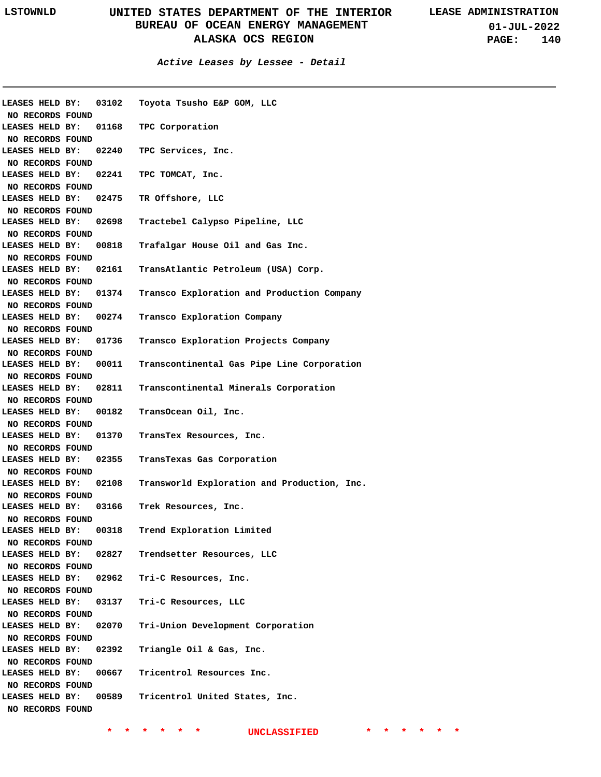**01-JUL-2022 PAGE: 140**

| LEASES HELD BY:        |       | 03102 Toyota Tsusho E&P GOM, LLC                                  |
|------------------------|-------|-------------------------------------------------------------------|
| NO RECORDS FOUND       |       |                                                                   |
|                        |       | LEASES HELD BY: 01168 TPC Corporation                             |
| NO RECORDS FOUND       |       |                                                                   |
|                        |       | LEASES HELD BY: 02240 TPC Services, Inc.                          |
| NO RECORDS FOUND       |       |                                                                   |
| LEASES HELD BY:        |       | 02241 TPC TOMCAT, Inc.                                            |
| NO RECORDS FOUND       |       | LEASES HELD BY: 02475 TR Offshore, LLC                            |
| NO RECORDS FOUND       |       |                                                                   |
| LEASES HELD BY:        |       | 02698 Tractebel Calypso Pipeline, LLC                             |
| NO RECORDS FOUND       |       |                                                                   |
| LEASES HELD BY:        |       | 00818    Trafalgar House Oil and Gas Inc.                         |
| NO RECORDS FOUND       |       |                                                                   |
| LEASES HELD BY:        |       | 02161    TransAtlantic Petroleum (USA) Corp.                      |
| NO RECORDS FOUND       |       |                                                                   |
|                        |       | LEASES HELD BY: 01374 Transco Exploration and Production Company  |
| NO RECORDS FOUND       |       |                                                                   |
|                        |       | LEASES HELD BY: 00274 Transco Exploration Company                 |
| NO RECORDS FOUND       |       |                                                                   |
| <b>LEASES HELD BY:</b> |       | 01736 Transco Exploration Projects Company                        |
| NO RECORDS FOUND       |       |                                                                   |
| <b>LEASES HELD BY:</b> |       | 00011 Transcontinental Gas Pipe Line Corporation                  |
| NO RECORDS FOUND       |       |                                                                   |
|                        |       | LEASES HELD BY: 02811 Transcontinental Minerals Corporation       |
| NO RECORDS FOUND       |       |                                                                   |
| LEASES HELD BY:        |       | 00182 TransOcean Oil, Inc.                                        |
| NO RECORDS FOUND       |       |                                                                   |
| LEASES HELD BY:        |       | 01370 TransTex Resources, Inc.                                    |
| NO RECORDS FOUND       |       |                                                                   |
|                        |       | LEASES HELD BY: 02355 TransTexas Gas Corporation                  |
| NO RECORDS FOUND       |       |                                                                   |
|                        |       | LEASES HELD BY: 02108 Transworld Exploration and Production, Inc. |
| NO RECORDS FOUND       |       |                                                                   |
|                        |       | LEASES HELD BY: 03166 Trek Resources, Inc.                        |
| NO RECORDS FOUND       |       |                                                                   |
| LEASES HELD BY:        | 00318 | Trend Exploration Limited                                         |
| NO RECORDS FOUND       |       |                                                                   |
| LEASES HELD BY:        |       | 02827 Trendsetter Resources, LLC                                  |
| NO RECORDS FOUND       |       |                                                                   |
| LEASES HELD BY:        |       | 02962 Tri-C Resources, Inc.                                       |
| NO RECORDS FOUND       |       |                                                                   |
| LEASES HELD BY:        |       | 03137 Tri-C Resources, LLC                                        |
| NO RECORDS FOUND       |       |                                                                   |
| LEASES HELD BY:        |       | 02070 Tri-Union Development Corporation                           |
| NO RECORDS FOUND       |       |                                                                   |
| LEASES HELD BY:        |       | 02392 Triangle Oil & Gas, Inc.                                    |
| NO RECORDS FOUND       |       |                                                                   |
| LEASES HELD BY:        |       | 00667 Tricentrol Resources Inc.                                   |
| NO RECORDS FOUND       |       |                                                                   |
| LEASES HELD BY:        |       | 00589 Tricentrol United States, Inc.                              |
| NO RECORDS FOUND       |       |                                                                   |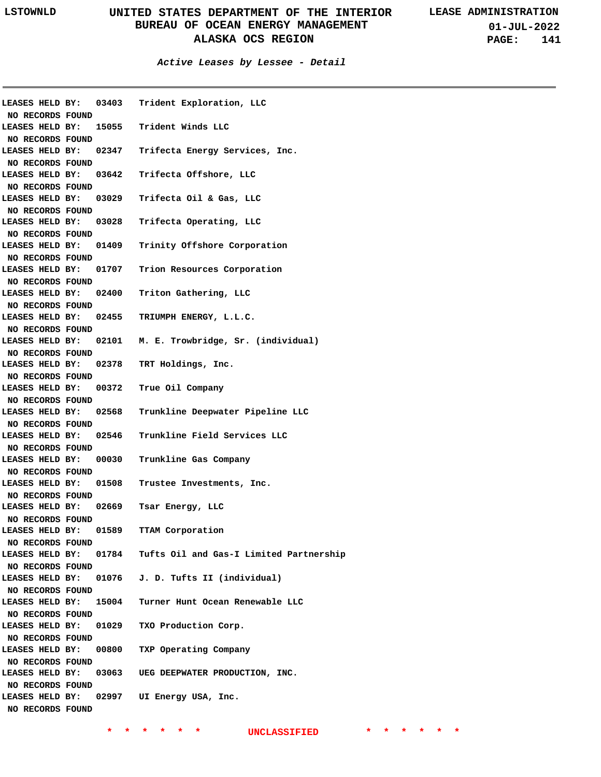|                       | LEASES HELD BY: 03403 Trident Exploration, LLC                |  |
|-----------------------|---------------------------------------------------------------|--|
| NO RECORDS FOUND      |                                                               |  |
|                       | LEASES HELD BY: 15055 Trident Winds LLC                       |  |
| NO RECORDS FOUND      |                                                               |  |
|                       | LEASES HELD BY: 02347 Trifecta Energy Services, Inc.          |  |
| NO RECORDS FOUND      |                                                               |  |
|                       | LEASES HELD BY: 03642 Trifecta Offshore, LLC                  |  |
| NO RECORDS FOUND      |                                                               |  |
|                       | LEASES HELD BY: 03029 Trifecta Oil & Gas, LLC                 |  |
| NO RECORDS FOUND      |                                                               |  |
|                       | LEASES HELD BY: 03028 Trifecta Operating, LLC                 |  |
| NO RECORDS FOUND      |                                                               |  |
|                       | LEASES HELD BY: 01409 Trinity Offshore Corporation            |  |
| NO RECORDS FOUND      |                                                               |  |
|                       | LEASES HELD BY: 01707 Trion Resources Corporation             |  |
| NO RECORDS FOUND      |                                                               |  |
|                       | LEASES HELD BY: 02400 Triton Gathering, LLC                   |  |
| NO RECORDS FOUND      |                                                               |  |
|                       | LEASES HELD BY: 02455 TRIUMPH ENERGY, L.L.C.                  |  |
| NO RECORDS FOUND      |                                                               |  |
|                       | LEASES HELD BY: 02101 M. E. Trowbridge, Sr. (individual)      |  |
| NO RECORDS FOUND      |                                                               |  |
|                       | LEASES HELD BY: 02378 TRT Holdings, Inc.                      |  |
| NO RECORDS FOUND      |                                                               |  |
|                       | LEASES HELD BY: 00372 True Oil Company                        |  |
| NO RECORDS FOUND      |                                                               |  |
|                       | LEASES HELD BY: 02568 Trunkline Deepwater Pipeline LLC        |  |
| NO RECORDS FOUND      |                                                               |  |
|                       | LEASES HELD BY: 02546 Trunkline Field Services LLC            |  |
| NO RECORDS FOUND      |                                                               |  |
|                       | LEASES HELD BY: 00030 Trunkline Gas Company                   |  |
| NO RECORDS FOUND      |                                                               |  |
|                       | LEASES HELD BY: 01508 Trustee Investments, Inc.               |  |
| NO RECORDS FOUND      |                                                               |  |
| LEASES HELD BY: 02669 | Tsar Energy, LLC                                              |  |
| NO RECORDS FOUND      |                                                               |  |
|                       | LEASES HELD BY: 01589 TTAM Corporation                        |  |
| NO RECORDS FOUND      |                                                               |  |
|                       | LEASES HELD BY: 01784 Tufts Oil and Gas-I Limited Partnership |  |
|                       |                                                               |  |
| NO RECORDS FOUND      | LEASES HELD BY: 01076 J. D. Tufts II (individual)             |  |
|                       |                                                               |  |
| NO RECORDS FOUND      |                                                               |  |
| LEASES HELD BY: 15004 | Turner Hunt Ocean Renewable LLC                               |  |
| NO RECORDS FOUND      |                                                               |  |
| LEASES HELD BY: 01029 | TXO Production Corp.                                          |  |
| NO RECORDS FOUND      |                                                               |  |
| LEASES HELD BY: 00800 | TXP Operating Company                                         |  |
| NO RECORDS FOUND      |                                                               |  |
|                       | LEASES HELD BY: 03063 UEG DEEPWATER PRODUCTION, INC.          |  |
| NO RECORDS FOUND      |                                                               |  |
|                       | LEASES HELD BY: 02997 UI Energy USA, Inc.                     |  |
| NO RECORDS FOUND      |                                                               |  |
|                       |                                                               |  |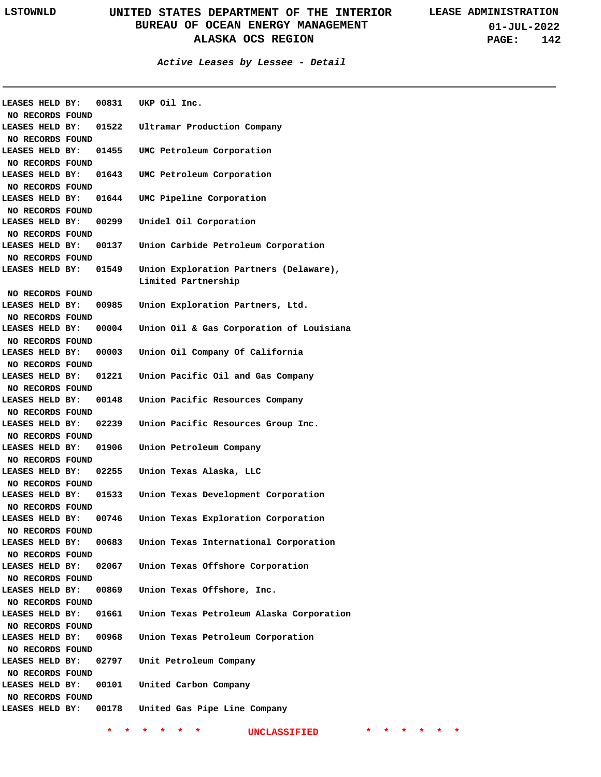#### **Active Leases by Lessee - Detail**

| LEASES HELD BY:        |       | 00831 UKP Oil Inc.                                 |
|------------------------|-------|----------------------------------------------------|
| NO RECORDS FOUND       |       |                                                    |
| LEASES HELD BY:        |       | 01522 Ultramar Production Company                  |
| NO RECORDS FOUND       |       |                                                    |
| LEASES HELD BY:        |       | 01455 UMC Petroleum Corporation                    |
| NO RECORDS FOUND       |       |                                                    |
| LEASES HELD BY:        |       | 01643 UMC Petroleum Corporation                    |
| NO RECORDS FOUND       |       |                                                    |
| LEASES HELD BY:        |       | 01644 UMC Pipeline Corporation                     |
| NO RECORDS FOUND       |       |                                                    |
| LEASES HELD BY:        |       | 00299 Unidel Oil Corporation                       |
| NO RECORDS FOUND       |       |                                                    |
| LEASES HELD BY:        | 00137 | Union Carbide Petroleum Corporation                |
| NO RECORDS FOUND       |       |                                                    |
| LEASES HELD BY:        | 01549 | Union Exploration Partners (Delaware),             |
|                        |       | Limited Partnership                                |
| NO RECORDS FOUND       |       |                                                    |
| LEASES HELD BY:        | 00985 | Union Exploration Partners, Ltd.                   |
| NO RECORDS FOUND       |       |                                                    |
| LEASES HELD BY:        | 00004 | Union Oil & Gas Corporation of Louisiana           |
| NO RECORDS FOUND       |       |                                                    |
| LEASES HELD BY:        | 00003 | Union Oil Company Of California                    |
| NO RECORDS FOUND       |       |                                                    |
| LEASES HELD BY:        |       | 01221 Union Pacific Oil and Gas Company            |
| NO RECORDS FOUND       |       |                                                    |
| LEASES HELD BY:        |       | 00148 Union Pacific Resources Company              |
| NO RECORDS FOUND       |       |                                                    |
| LEASES HELD BY:        |       | 02239 Union Pacific Resources Group Inc.           |
| NO RECORDS FOUND       |       |                                                    |
| <b>LEASES HELD BY:</b> | 01906 | Union Petroleum Company                            |
| NO RECORDS FOUND       |       |                                                    |
| <b>LEASES HELD BY:</b> | 02255 | Union Texas Alaska, LLC                            |
| NO RECORDS FOUND       |       |                                                    |
| LEASES HELD BY:        | 01533 | Union Texas Development Corporation                |
| NO RECORDS FOUND       |       |                                                    |
| <b>LEASES HELD BY:</b> | 00746 | Union Texas Exploration Corporation                |
| NO RECORDS FOUND       |       |                                                    |
| LEASES HELD BY:        | 00683 | Union Texas International Corporation              |
| NO RECORDS FOUND       |       |                                                    |
| LEASES HELD BY:        | 02067 | Union Texas Offshore Corporation                   |
| NO RECORDS FOUND       |       |                                                    |
| LEASES HELD BY:        | 00869 | Union Texas Offshore, Inc.                         |
| NO RECORDS FOUND       |       |                                                    |
| LEASES HELD BY:        | 01661 | Union Texas Petroleum Alaska Corporation           |
| NO RECORDS FOUND       |       |                                                    |
| LEASES HELD BY:        | 00968 | Union Texas Petroleum Corporation                  |
| NO RECORDS FOUND       |       |                                                    |
| LEASES HELD BY:        |       | 02797 Unit Petroleum Company                       |
| NO RECORDS FOUND       |       |                                                    |
| LEASES HELD BY:        | 00101 | United Carbon Company                              |
| NO RECORDS FOUND       |       |                                                    |
|                        |       | LEASES HELD BY: 00178 United Gas Pipe Line Company |
|                        |       |                                                    |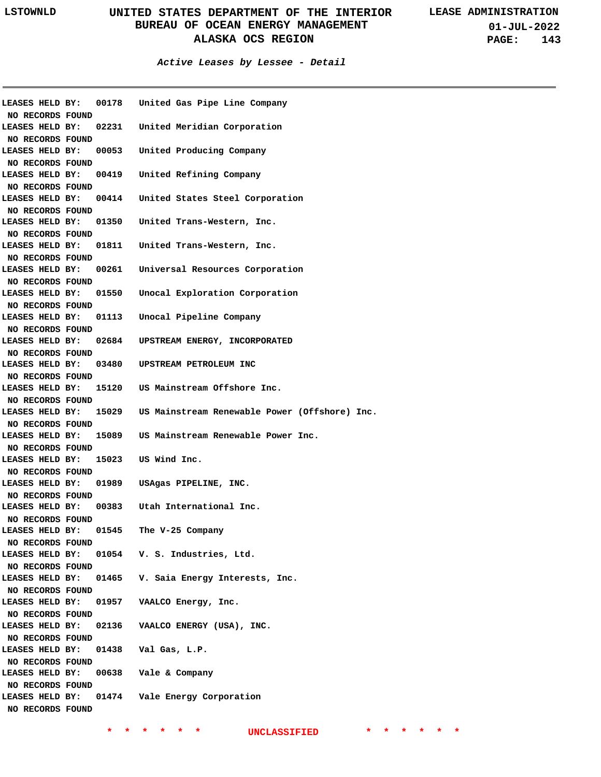**01-JUL-2022 PAGE: 143**

#### **Active Leases by Lessee - Detail**

| LEASES HELD BY:                     |       | 00178 United Gas Pipe Line Company                  |
|-------------------------------------|-------|-----------------------------------------------------|
| NO RECORDS FOUND                    |       |                                                     |
| LEASES HELD BY:                     |       | 02231 United Meridian Corporation                   |
| NO RECORDS FOUND                    |       |                                                     |
| LEASES HELD BY:                     |       | 00053 United Producing Company                      |
| NO RECORDS FOUND                    |       |                                                     |
| LEASES HELD BY:                     |       | 00419 United Refining Company                       |
| NO RECORDS FOUND                    |       |                                                     |
| LEASES HELD BY:                     |       | 00414 United States Steel Corporation               |
| NO RECORDS FOUND                    |       |                                                     |
| LEASES HELD BY:                     |       | 01350 United Trans-Western, Inc.                    |
| NO RECORDS FOUND                    |       |                                                     |
| LEASES HELD BY:                     |       | 01811 United Trans-Western, Inc.                    |
| NO RECORDS FOUND                    |       |                                                     |
| LEASES HELD BY:                     |       | 00261 Universal Resources Corporation               |
| NO RECORDS FOUND                    |       |                                                     |
| LEASES HELD BY:                     |       | 01550 Unocal Exploration Corporation                |
| NO RECORDS FOUND                    |       |                                                     |
| LEASES HELD BY:                     |       | 01113 Unocal Pipeline Company                       |
| NO RECORDS FOUND                    |       |                                                     |
| LEASES HELD BY:                     |       | 02684 UPSTREAM ENERGY, INCORPORATED                 |
| NO RECORDS FOUND                    |       |                                                     |
| LEASES HELD BY:                     |       | 03480 UPSTREAM PETROLEUM INC                        |
| NO RECORDS FOUND                    |       |                                                     |
| LEASES HELD BY:                     |       | 15120 US Mainstream Offshore Inc.                   |
| NO RECORDS FOUND                    |       |                                                     |
| LEASES HELD BY:                     |       | 15029 US Mainstream Renewable Power (Offshore) Inc. |
| NO RECORDS FOUND                    |       |                                                     |
| LEASES HELD BY:                     |       | 15089 US Mainstream Renewable Power Inc.            |
| NO RECORDS FOUND                    |       |                                                     |
| LEASES HELD BY:                     |       | 15023 US Wind Inc.                                  |
| NO RECORDS FOUND                    |       |                                                     |
| LEASES HELD BY:                     | 01989 | USAgas PIPELINE, INC.                               |
| NO RECORDS FOUND                    |       |                                                     |
| LEASES HELD BY:                     |       | 00383 Utah International Inc.                       |
| NO RECORDS FOUND                    |       |                                                     |
| LEASES HELD BY:                     | 01545 | The V-25 Company                                    |
| NO RECORDS FOUND                    |       |                                                     |
|                                     |       | LEASES HELD BY: 01054 V. S. Industries, Ltd.        |
| NO RECORDS FOUND                    |       |                                                     |
| LEASES HELD BY:                     |       | 01465 V. Saia Energy Interests, Inc.                |
| NO RECORDS FOUND                    |       |                                                     |
|                                     |       |                                                     |
| LEASES HELD BY:                     |       | 01957 VAALCO Energy, Inc.                           |
| NO RECORDS FOUND                    |       |                                                     |
| LEASES HELD BY:                     |       | 02136 VAALCO ENERGY (USA), INC.                     |
| NO RECORDS FOUND                    |       |                                                     |
| LEASES HELD BY:                     |       | 01438    Val Gas, L.P.                              |
| NO RECORDS FOUND                    |       |                                                     |
| LEASES HELD BY:                     |       | 00638 Vale & Company                                |
|                                     |       |                                                     |
| NO RECORDS FOUND                    |       |                                                     |
| LEASES HELD BY:<br>NO RECORDS FOUND |       | 01474 Vale Energy Corporation                       |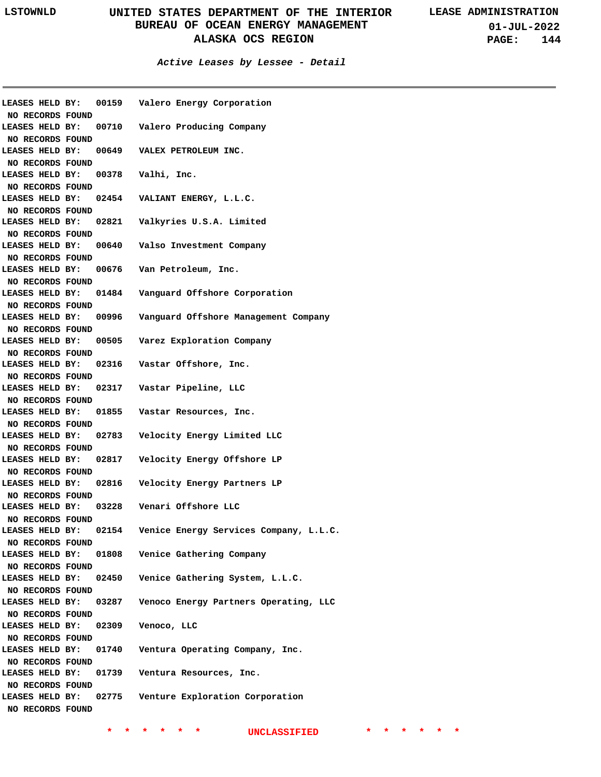**01-JUL-2022 PAGE: 144**

#### **Active Leases by Lessee - Detail**

|                        |                       | LEASES HELD BY: 00159 Valero Energy Corporation |
|------------------------|-----------------------|-------------------------------------------------|
| NO RECORDS FOUND       |                       |                                                 |
|                        |                       | LEASES HELD BY: 00710 Valero Producing Company  |
| NO RECORDS FOUND       |                       |                                                 |
|                        |                       | LEASES HELD BY: 00649 VALEX PETROLEUM INC.      |
| NO RECORDS FOUND       |                       |                                                 |
| LEASES HELD BY:        |                       | 00378 Valhi, Inc.                               |
| NO RECORDS FOUND       |                       |                                                 |
| LEASES HELD BY:        |                       | 02454 VALIANT ENERGY, L.L.C.                    |
| NO RECORDS FOUND       |                       |                                                 |
|                        |                       | LEASES HELD BY: 02821 Valkyries U.S.A. Limited  |
| NO RECORDS FOUND       |                       |                                                 |
| LEASES HELD BY:        |                       | 00640 Valso Investment Company                  |
| NO RECORDS FOUND       |                       |                                                 |
| LEASES HELD BY:        |                       | 00676 Van Petroleum, Inc.                       |
| NO RECORDS FOUND       |                       |                                                 |
| LEASES HELD BY:        |                       | 01484 Vanguard Offshore Corporation             |
| NO RECORDS FOUND       |                       |                                                 |
| LEASES HELD BY:        | 00996                 |                                                 |
|                        |                       | Vanguard Offshore Management Company            |
| NO RECORDS FOUND       |                       |                                                 |
| LEASES HELD BY:        | 00505                 | Varez Exploration Company                       |
| NO RECORDS FOUND       |                       |                                                 |
| LEASES HELD BY:        | 02316                 | Vastar Offshore, Inc.                           |
| NO RECORDS FOUND       |                       |                                                 |
| <b>LEASES HELD BY:</b> | 02317                 | Vastar Pipeline, LLC                            |
| NO RECORDS FOUND       |                       |                                                 |
| <b>LEASES HELD BY:</b> | 01855                 | Vastar Resources, Inc.                          |
| NO RECORDS FOUND       |                       |                                                 |
| <b>LEASES HELD BY:</b> | 02783                 | Velocity Energy Limited LLC                     |
| NO RECORDS FOUND       |                       |                                                 |
| <b>LEASES HELD BY:</b> | 02817                 | Velocity Energy Offshore LP                     |
| NO RECORDS FOUND       |                       |                                                 |
| <b>LEASES HELD BY:</b> | 02816                 | Velocity Energy Partners LP                     |
| NO RECORDS FOUND       |                       |                                                 |
|                        | LEASES HELD BY: 03228 | Venari Offshore LLC                             |
| NO RECORDS FOUND       |                       |                                                 |
| LEASES HELD BY: 02154  |                       | Venice Energy Services Company, L.L.C.          |
| NO RECORDS FOUND       |                       |                                                 |
| LEASES HELD BY:        |                       | 01808 Venice Gathering Company                  |
| NO RECORDS FOUND       |                       |                                                 |
|                        | LEASES HELD BY: 02450 | Venice Gathering System, L.L.C.                 |
| NO RECORDS FOUND       |                       |                                                 |
| LEASES HELD BY:        | 03287                 |                                                 |
|                        |                       | Venoco Energy Partners Operating, LLC           |
| NO RECORDS FOUND       |                       |                                                 |
| LEASES HELD BY:        | 02309                 | Venoco, LLC                                     |
| NO RECORDS FOUND       |                       |                                                 |
| LEASES HELD BY:        | 01740                 | Ventura Operating Company, Inc.                 |
| NO RECORDS FOUND       |                       |                                                 |
| LEASES HELD BY:        | 01739                 | Ventura Resources, Inc.                         |
| NO RECORDS FOUND       |                       |                                                 |
| LEASES HELD BY:        |                       | 02775 Venture Exploration Corporation           |
| NO RECORDS FOUND       |                       |                                                 |
|                        |                       |                                                 |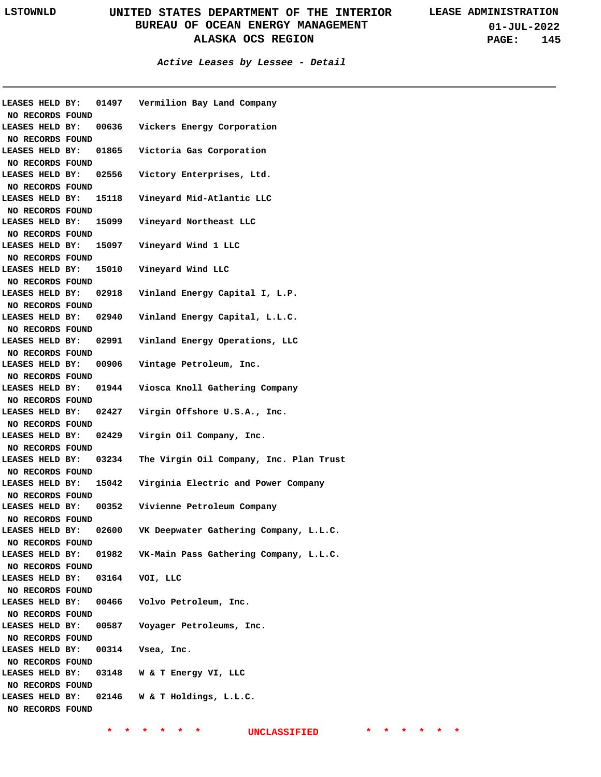**01-JUL-2022 PAGE: 145**

### **Active Leases by Lessee - Detail**

| LEASES HELD BY:<br>NO RECORDS FOUND | 01497 | Vermilion Bay Land Company                   |
|-------------------------------------|-------|----------------------------------------------|
| LEASES HELD BY:                     | 00636 | Vickers Energy Corporation                   |
| NO RECORDS FOUND                    |       |                                              |
| LEASES HELD BY:                     | 01865 | Victoria Gas Corporation                     |
| NO RECORDS FOUND                    |       |                                              |
| LEASES HELD BY:                     | 02556 | Victory Enterprises, Ltd.                    |
| NO RECORDS FOUND                    |       |                                              |
| LEASES HELD BY:                     | 15118 | Vineyard Mid-Atlantic LLC                    |
| NO RECORDS FOUND                    |       |                                              |
| LEASES HELD BY:                     | 15099 | Vineyard Northeast LLC                       |
| NO RECORDS FOUND                    |       |                                              |
| LEASES HELD BY:                     | 15097 | Vineyard Wind 1 LLC                          |
|                                     |       |                                              |
| NO RECORDS FOUND<br>LEASES HELD BY: |       | 15010 Vineyard Wind LLC                      |
|                                     |       |                                              |
| NO RECORDS FOUND                    |       |                                              |
| LEASES HELD BY:                     |       | 02918 Vinland Energy Capital I, L.P.         |
| NO RECORDS FOUND                    |       |                                              |
| LEASES HELD BY:                     |       | 02940 Vinland Energy Capital, L.L.C.         |
| NO RECORDS FOUND                    |       |                                              |
| LEASES HELD BY:                     |       | 02991 Vinland Energy Operations, LLC         |
| NO RECORDS FOUND                    |       |                                              |
| LEASES HELD BY:                     |       | 00906 Vintage Petroleum, Inc.                |
| NO RECORDS FOUND                    |       |                                              |
| LEASES HELD BY: 01944               |       | Viosca Knoll Gathering Company               |
| NO RECORDS FOUND                    |       |                                              |
| LEASES HELD BY: 02427               |       | Virgin Offshore U.S.A., Inc.                 |
| NO RECORDS FOUND                    |       |                                              |
| LEASES HELD BY:                     | 02429 | Virgin Oil Company, Inc.                     |
| NO RECORDS FOUND                    |       |                                              |
| LEASES HELD BY:                     | 03234 | The Virgin Oil Company, Inc. Plan Trust      |
| NO RECORDS FOUND                    |       |                                              |
| LEASES HELD BY:                     | 15042 | Virginia Electric and Power Company          |
| NO RECORDS FOUND                    |       |                                              |
| LEASES HELD BY: 00352               |       | Vivienne Petroleum Company                   |
| NO RECORDS FOUND                    |       |                                              |
| LEASES HELD BY:                     | 02600 | VK Deepwater Gathering Company, L.L.C.       |
| NO RECORDS FOUND                    |       |                                              |
| LEASES HELD BY:                     |       | 01982 VK-Main Pass Gathering Company, L.L.C. |
| NO RECORDS FOUND                    |       |                                              |
| LEASES HELD BY:                     |       | 03164 VOI, LLC                               |
| NO RECORDS FOUND                    |       |                                              |
| LEASES HELD BY:                     |       | 00466 Volvo Petroleum, Inc.                  |
| NO RECORDS FOUND                    |       |                                              |
| LEASES HELD BY:                     | 00587 | Voyager Petroleums, Inc.                     |
| NO RECORDS FOUND                    |       |                                              |
| LEASES HELD BY:                     | 00314 | Vsea, Inc.                                   |
| NO RECORDS FOUND                    |       |                                              |
| LEASES HELD BY:                     |       | 03148 W & T Energy VI, LLC                   |
| NO RECORDS FOUND                    |       |                                              |
| LEASES HELD BY:                     |       | 02146 W & T Holdings, L.L.C.                 |
| NO RECORDS FOUND                    |       |                                              |
|                                     |       |                                              |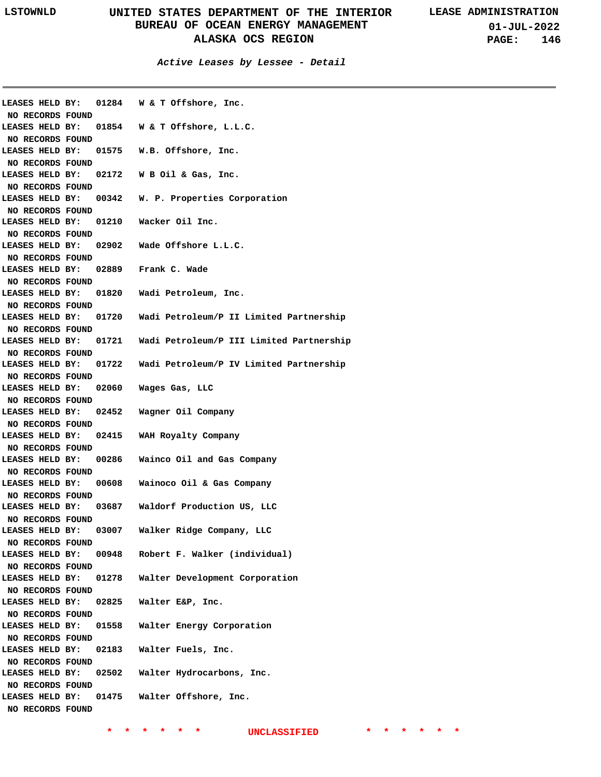**01-JUL-2022 PAGE: 146**

**Active Leases by Lessee - Detail**

|                  |       | LEASES HELD BY: 01284 W & T Offshore, Inc.     |
|------------------|-------|------------------------------------------------|
| NO RECORDS FOUND |       |                                                |
| LEASES HELD BY:  |       | 01854 W & T Offshore, L.L.C.                   |
| NO RECORDS FOUND |       |                                                |
| LEASES HELD BY:  |       | 01575 W.B. Offshore, Inc.                      |
| NO RECORDS FOUND |       |                                                |
| LEASES HELD BY:  |       | 02172 W B Oil & Gas, Inc.                      |
| NO RECORDS FOUND |       |                                                |
| LEASES HELD BY:  |       | 00342 W. P. Properties Corporation             |
| NO RECORDS FOUND |       |                                                |
|                  |       | LEASES HELD BY: 01210 Wacker Oil Inc.          |
| NO RECORDS FOUND |       |                                                |
| LEASES HELD BY:  |       | 02902 Wade Offshore L.L.C.                     |
| NO RECORDS FOUND |       |                                                |
|                  |       | LEASES HELD BY: 02889 Frank C. Wade            |
| NO RECORDS FOUND |       |                                                |
|                  |       | LEASES HELD BY: 01820 Wadi Petroleum, Inc.     |
| NO RECORDS FOUND |       |                                                |
| LEASES HELD BY:  |       | 01720 Wadi Petroleum/P II Limited Partnership  |
| NO RECORDS FOUND |       |                                                |
| LEASES HELD BY:  |       | 01721 Wadi Petroleum/P III Limited Partnership |
| NO RECORDS FOUND |       |                                                |
| LEASES HELD BY:  |       | 01722 Wadi Petroleum/P IV Limited Partnership  |
| NO RECORDS FOUND |       |                                                |
| LEASES HELD BY:  |       | 02060 Wages Gas, LLC                           |
| NO RECORDS FOUND |       |                                                |
|                  |       | LEASES HELD BY: 02452 Wagner Oil Company       |
| NO RECORDS FOUND |       |                                                |
|                  |       | LEASES HELD BY: 02415 WAH Royalty Company      |
| NO RECORDS FOUND |       |                                                |
| LEASES HELD BY:  |       | 00286 Wainco Oil and Gas Company               |
| NO RECORDS FOUND |       |                                                |
| LEASES HELD BY:  |       | 00608 Wainoco Oil & Gas Company                |
| NO RECORDS FOUND |       |                                                |
| LEASES HELD BY:  |       | 03687 Waldorf Production US, LLC               |
| NO RECORDS FOUND |       |                                                |
| LEASES HELD BY:  | 03007 | Walker Ridge Company, LLC                      |
| NO RECORDS FOUND |       |                                                |
| LEASES HELD BY:  |       | 00948 Robert F. Walker (individual)            |
| NO RECORDS FOUND |       |                                                |
| LEASES HELD BY:  | 01278 | Walter Development Corporation                 |
| NO RECORDS FOUND |       |                                                |
| LEASES HELD BY:  | 02825 | Walter E&P, Inc.                               |
| NO RECORDS FOUND |       |                                                |
| LEASES HELD BY:  | 01558 | Walter Energy Corporation                      |
| NO RECORDS FOUND |       |                                                |
| LEASES HELD BY:  | 02183 | Walter Fuels, Inc.                             |
| NO RECORDS FOUND |       |                                                |
| LEASES HELD BY:  | 02502 | Walter Hydrocarbons, Inc.                      |
|                  |       |                                                |
| NO RECORDS FOUND |       |                                                |
| LEASES HELD BY:  | 01475 | Walter Offshore, Inc.                          |
| NO RECORDS FOUND |       |                                                |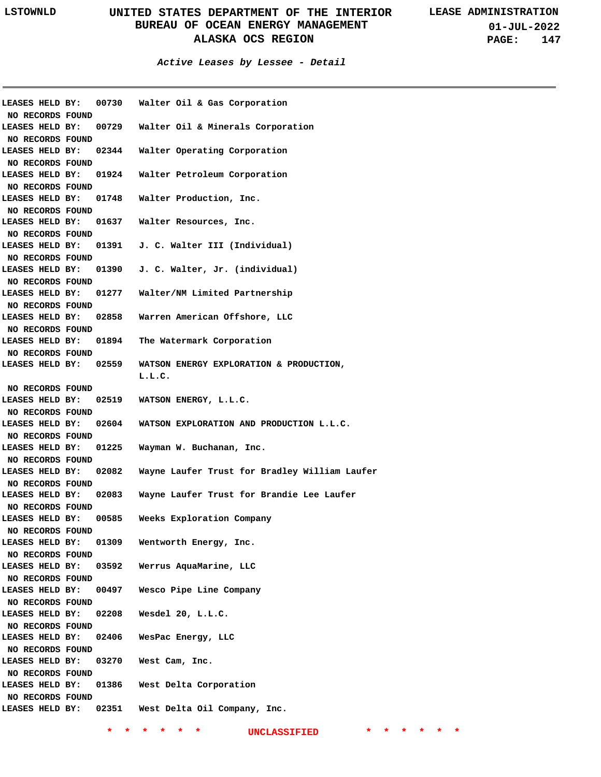**01-JUL-2022 PAGE: 147**

### **Active Leases by Lessee - Detail**

| <b>LEASES HELD BY:</b> |                       | 00730 Walter Oil & Gas Corporation                 |
|------------------------|-----------------------|----------------------------------------------------|
| NO RECORDS FOUND       |                       |                                                    |
| LEASES HELD BY:        |                       | 00729 Walter Oil & Minerals Corporation            |
| NO RECORDS FOUND       |                       |                                                    |
| LEASES HELD BY:        |                       | 02344 Walter Operating Corporation                 |
| NO RECORDS FOUND       |                       |                                                    |
|                        |                       | LEASES HELD BY: 01924 Walter Petroleum Corporation |
| NO RECORDS FOUND       |                       |                                                    |
| LEASES HELD BY:        |                       | 01748 Walter Production, Inc.                      |
| NO RECORDS FOUND       |                       |                                                    |
| LEASES HELD BY:        |                       | 01637 Walter Resources, Inc.                       |
| NO RECORDS FOUND       |                       |                                                    |
| LEASES HELD BY:        |                       | 01391 J. C. Walter III (Individual)                |
| NO RECORDS FOUND       |                       |                                                    |
| LEASES HELD BY:        |                       | 01390 J. C. Walter, Jr. (individual)               |
| NO RECORDS FOUND       |                       |                                                    |
| LEASES HELD BY:        |                       | 01277 Walter/NM Limited Partnership                |
| NO RECORDS FOUND       |                       |                                                    |
| LEASES HELD BY:        |                       | 02858 Warren American Offshore, LLC                |
| NO RECORDS FOUND       |                       |                                                    |
| LEASES HELD BY:        |                       | 01894 The Watermark Corporation                    |
| NO RECORDS FOUND       |                       |                                                    |
|                        | LEASES HELD BY: 02559 | WATSON ENERGY EXPLORATION & PRODUCTION,            |
|                        |                       | L.L.C.                                             |
| NO RECORDS FOUND       |                       |                                                    |
| LEASES HELD BY:        | 02519                 | WATSON ENERGY, L.L.C.                              |
| NO RECORDS FOUND       |                       |                                                    |
| LEASES HELD BY:        | 02604                 | WATSON EXPLORATION AND PRODUCTION L.L.C.           |
| NO RECORDS FOUND       |                       |                                                    |
| LEASES HELD BY:        | 01225                 | Wayman W. Buchanan, Inc.                           |
| NO RECORDS FOUND       |                       |                                                    |
| LEASES HELD BY:        | 02082                 | Wayne Laufer Trust for Bradley William Laufer      |
| NO RECORDS FOUND       |                       |                                                    |
| LEASES HELD BY:        | 02083                 | Wayne Laufer Trust for Brandie Lee Laufer          |
| NO RECORDS FOUND       |                       |                                                    |
| <b>LEASES HELD BY:</b> | 00585                 | Weeks Exploration Company                          |
| NO RECORDS FOUND       |                       |                                                    |
| LEASES HELD BY:        | 01309                 | Wentworth Energy, Inc.                             |
| NO RECORDS FOUND       |                       |                                                    |
| LEASES HELD BY:        | 03592                 | Werrus AquaMarine, LLC                             |
| NO RECORDS FOUND       |                       |                                                    |
| LEASES HELD BY:        | 00497                 | Wesco Pipe Line Company                            |
| NO RECORDS FOUND       |                       |                                                    |
| LEASES HELD BY:        | 02208                 | Wesdel 20, L.L.C.                                  |
| NO RECORDS FOUND       |                       |                                                    |
| LEASES HELD BY:        | 02406                 | WesPac Energy, LLC                                 |
| NO RECORDS FOUND       |                       |                                                    |
| LEASES HELD BY:        | 03270                 | West Cam, Inc.                                     |
| NO RECORDS FOUND       |                       |                                                    |
| LEASES HELD BY:        | 01386                 | West Delta Corporation                             |
| NO RECORDS FOUND       |                       |                                                    |
|                        |                       | LEASES HELD BY: 02351 West Delta Oil Company, Inc. |
|                        |                       |                                                    |
|                        |                       |                                                    |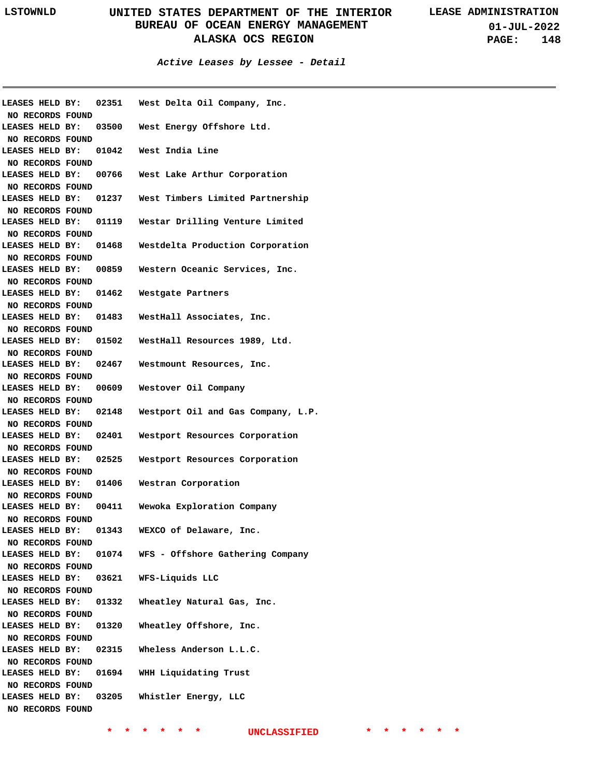**01-JUL-2022 PAGE: 148**

**Active Leases by Lessee - Detail**

|                                     | LEASES HELD BY: |       | 02351 West Delta Oil Company, Inc.                     |
|-------------------------------------|-----------------|-------|--------------------------------------------------------|
| NO RECORDS FOUND                    |                 |       |                                                        |
|                                     |                 |       | LEASES HELD BY: 03500 West Energy Offshore Ltd.        |
| NO RECORDS FOUND                    |                 |       |                                                        |
|                                     |                 |       | LEASES HELD BY: 01042 West India Line                  |
| NO RECORDS FOUND                    |                 |       |                                                        |
|                                     |                 |       | LEASES HELD BY: 00766 West Lake Arthur Corporation     |
| NO RECORDS FOUND                    |                 |       |                                                        |
|                                     |                 |       | LEASES HELD BY: 01237 West Timbers Limited Partnership |
| NO RECORDS FOUND                    |                 |       |                                                        |
|                                     |                 |       | LEASES HELD BY: 01119 Westar Drilling Venture Limited  |
| NO RECORDS FOUND                    |                 |       |                                                        |
| LEASES HELD BY:                     |                 |       | 01468 Westdelta Production Corporation                 |
| NO RECORDS FOUND                    |                 |       |                                                        |
| LEASES HELD BY:                     |                 |       | 00859 Western Oceanic Services, Inc.                   |
| NO RECORDS FOUND                    |                 |       |                                                        |
|                                     |                 |       | LEASES HELD BY: 01462 Westgate Partners                |
| NO RECORDS FOUND                    |                 |       |                                                        |
|                                     |                 |       | LEASES HELD BY: 01483 WestHall Associates, Inc.        |
| NO RECORDS FOUND                    |                 |       |                                                        |
|                                     |                 |       | LEASES HELD BY: 01502 WestHall Resources 1989, Ltd.    |
| NO RECORDS FOUND                    |                 |       |                                                        |
|                                     |                 |       | LEASES HELD BY: 02467 Westmount Resources, Inc.        |
| NO RECORDS FOUND                    |                 |       |                                                        |
| LEASES HELD BY:                     |                 | 00609 | Westover Oil Company                                   |
|                                     |                 |       |                                                        |
| NO RECORDS FOUND<br>LEASES HELD BY: |                 | 02148 | Westport Oil and Gas Company, L.P.                     |
|                                     |                 |       |                                                        |
| NO RECORDS FOUND                    |                 |       |                                                        |
|                                     |                 |       |                                                        |
| LEASES HELD BY:                     |                 |       | 02401 Westport Resources Corporation                   |
| NO RECORDS FOUND                    |                 |       |                                                        |
| LEASES HELD BY:                     |                 | 02525 | Westport Resources Corporation                         |
| NO RECORDS FOUND                    |                 |       |                                                        |
| LEASES HELD BY: 01406               |                 |       | Westran Corporation                                    |
| NO RECORDS FOUND                    |                 |       |                                                        |
| LEASES HELD BY: 00411               |                 |       | Wewoka Exploration Company                             |
| NO RECORDS FOUND                    |                 |       |                                                        |
| LEASES HELD BY: 01343               |                 |       | WEXCO of Delaware, Inc.                                |
| NO RECORDS FOUND                    |                 |       |                                                        |
| LEASES HELD BY:                     |                 | 01074 | WFS - Offshore Gathering Company                       |
| NO RECORDS FOUND                    |                 |       |                                                        |
| LEASES HELD BY:                     |                 | 03621 | WFS-Liquids LLC                                        |
| NO RECORDS FOUND                    |                 |       |                                                        |
| LEASES HELD BY:                     |                 | 01332 | Wheatley Natural Gas, Inc.                             |
| NO RECORDS FOUND                    |                 |       |                                                        |
| LEASES HELD BY:                     |                 | 01320 | Wheatley Offshore, Inc.                                |
| NO RECORDS FOUND                    |                 |       |                                                        |
| LEASES HELD BY:                     |                 | 02315 | Wheless Anderson L.L.C.                                |
| NO RECORDS FOUND                    |                 |       |                                                        |
| LEASES HELD BY:                     |                 |       | 01694 WHH Liquidating Trust                            |
| NO RECORDS FOUND                    |                 |       |                                                        |
| LEASES HELD BY:                     |                 | 03205 | Whistler Energy, LLC                                   |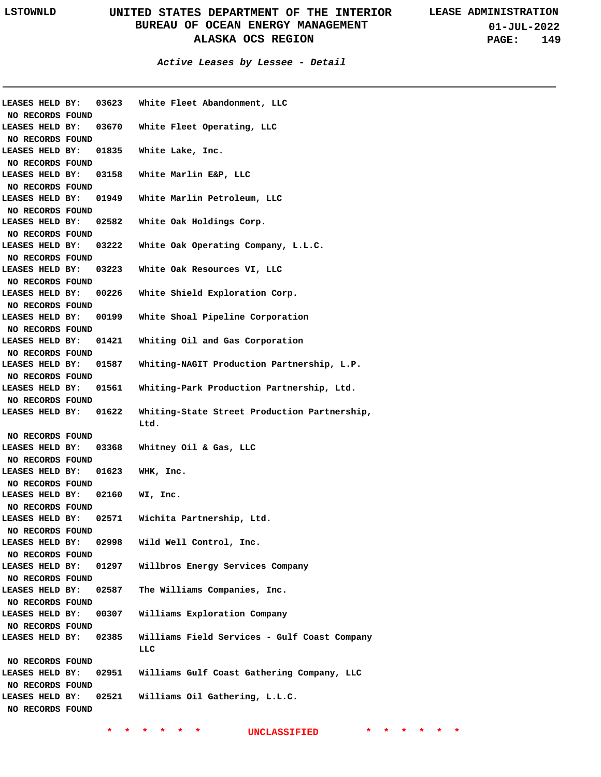**01-JUL-2022 PAGE: 149**

**Active Leases by Lessee - Detail**

|                                     | LEASES HELD BY: | 03623 | White Fleet Abandonment, LLC                 |
|-------------------------------------|-----------------|-------|----------------------------------------------|
| NO RECORDS FOUND                    |                 |       |                                              |
| LEASES HELD BY:                     |                 | 03670 | White Fleet Operating, LLC                   |
| NO RECORDS FOUND                    |                 |       |                                              |
| LEASES HELD BY:                     |                 | 01835 | White Lake, Inc.                             |
| NO RECORDS FOUND                    |                 |       |                                              |
| LEASES HELD BY:                     |                 | 03158 | White Marlin E&P, LLC                        |
| NO RECORDS FOUND                    |                 |       |                                              |
| LEASES HELD BY:                     |                 | 01949 | White Marlin Petroleum, LLC                  |
| NO RECORDS FOUND                    |                 |       |                                              |
| LEASES HELD BY:                     |                 | 02582 | White Oak Holdings Corp.                     |
| NO RECORDS FOUND                    |                 |       |                                              |
| LEASES HELD BY:                     |                 | 03222 | White Oak Operating Company, L.L.C.          |
| NO RECORDS FOUND                    |                 |       |                                              |
| LEASES HELD BY:                     |                 | 03223 | White Oak Resources VI, LLC                  |
| NO RECORDS FOUND                    |                 |       |                                              |
| LEASES HELD BY:                     |                 | 00226 | White Shield Exploration Corp.               |
| NO RECORDS FOUND                    |                 |       |                                              |
| LEASES HELD BY:                     |                 | 00199 | White Shoal Pipeline Corporation             |
| NO RECORDS FOUND                    |                 |       |                                              |
| LEASES HELD BY:                     |                 | 01421 | Whiting Oil and Gas Corporation              |
| NO RECORDS FOUND                    |                 |       |                                              |
| LEASES HELD BY:                     |                 | 01587 | Whiting-NAGIT Production Partnership, L.P.   |
| NO RECORDS FOUND                    |                 |       |                                              |
| LEASES HELD BY:                     |                 | 01561 | Whiting-Park Production Partnership, Ltd.    |
| NO RECORDS FOUND                    |                 |       |                                              |
| LEASES HELD BY:                     |                 | 01622 | Whiting-State Street Production Partnership, |
|                                     |                 |       | Ltd.                                         |
| NO RECORDS FOUND                    |                 |       |                                              |
|                                     |                 |       |                                              |
| LEASES HELD BY:                     |                 | 03368 | Whitney Oil & Gas, LLC                       |
| NO RECORDS FOUND                    |                 |       |                                              |
| LEASES HELD BY:                     |                 | 01623 | WHK, Inc.                                    |
| NO RECORDS FOUND                    |                 |       |                                              |
| LEASES HELD BY:                     |                 | 02160 | WI, Inc.                                     |
| NO RECORDS FOUND                    |                 |       |                                              |
| LEASES HELD BY:                     |                 | 02571 | Wichita Partnership, Ltd.                    |
| NO RECORDS FOUND                    |                 |       |                                              |
| LEASES HELD BY:                     |                 | 02998 | Wild Well Control, Inc.                      |
| NO RECORDS FOUND                    |                 |       |                                              |
| LEASES HELD BY:                     |                 | 01297 | Willbros Energy Services Company             |
| NO RECORDS FOUND                    |                 |       |                                              |
| LEASES HELD BY:                     |                 | 02587 |                                              |
|                                     |                 |       | The Williams Companies, Inc.                 |
| NO RECORDS FOUND                    |                 |       |                                              |
| LEASES HELD BY:                     |                 | 00307 | Williams Exploration Company                 |
| NO RECORDS FOUND                    |                 |       |                                              |
| LEASES HELD BY:                     |                 | 02385 | Williams Field Services - Gulf Coast Company |
|                                     |                 |       | LLC                                          |
| NO RECORDS FOUND                    |                 |       |                                              |
| LEASES HELD BY:                     |                 | 02951 | Williams Gulf Coast Gathering Company, LLC   |
| NO RECORDS FOUND                    |                 |       |                                              |
| LEASES HELD BY:<br>NO RECORDS FOUND |                 | 02521 | Williams Oil Gathering, L.L.C.               |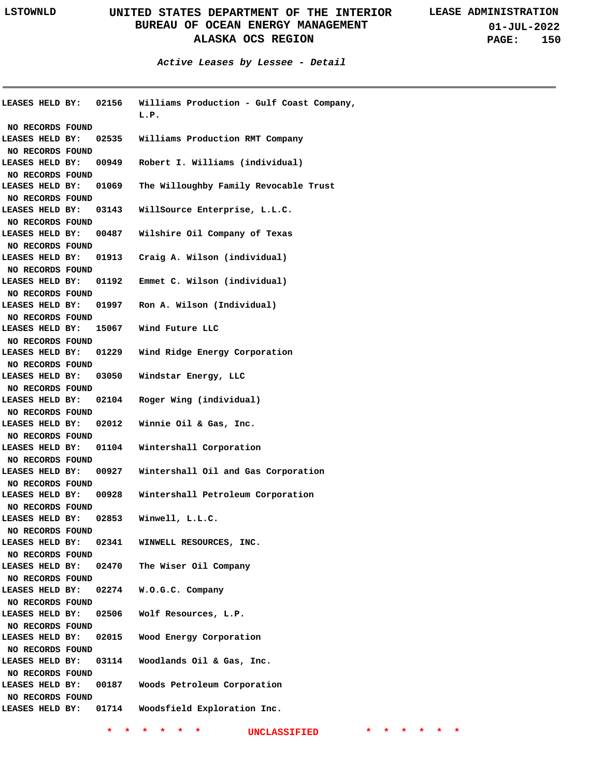**Active Leases by Lessee - Detail**

| <b>LEASES HELD BY:</b> | 02156 | Williams Production - Gulf Coast Company,<br>L.P. |
|------------------------|-------|---------------------------------------------------|
| NO RECORDS FOUND       |       |                                                   |
| LEASES HELD BY:        | 02535 | Williams Production RMT Company                   |
| NO RECORDS FOUND       |       |                                                   |
| LEASES HELD BY:        | 00949 | Robert I. Williams (individual)                   |
| NO RECORDS FOUND       |       |                                                   |
| LEASES HELD BY:        | 01069 | The Willoughby Family Revocable Trust             |
| NO RECORDS FOUND       |       |                                                   |
| LEASES HELD BY:        | 03143 | WillSource Enterprise, L.L.C.                     |
| NO RECORDS FOUND       |       |                                                   |
| LEASES HELD BY:        | 00487 | Wilshire Oil Company of Texas                     |
| NO RECORDS FOUND       |       |                                                   |
| LEASES HELD BY:        | 01913 | Craig A. Wilson (individual)                      |
| NO RECORDS FOUND       |       |                                                   |
| LEASES HELD BY:        | 01192 | Emmet C. Wilson (individual)                      |
| NO RECORDS FOUND       |       |                                                   |
| LEASES HELD BY:        | 01997 | Ron A. Wilson (Individual)                        |
| NO RECORDS FOUND       |       |                                                   |
| LEASES HELD BY:        | 15067 | Wind Future LLC                                   |
| NO RECORDS FOUND       |       |                                                   |
| LEASES HELD BY:        | 01229 | Wind Ridge Energy Corporation                     |
| NO RECORDS FOUND       |       |                                                   |
| LEASES HELD BY:        | 03050 | Windstar Energy, LLC                              |
| NO RECORDS FOUND       |       |                                                   |
| LEASES HELD BY:        | 02104 | Roger Wing (individual)                           |
| NO RECORDS FOUND       |       |                                                   |
| LEASES HELD BY:        | 02012 | Winnie Oil & Gas, Inc.                            |
| NO RECORDS FOUND       |       |                                                   |
| LEASES HELD BY:        | 01104 | Wintershall Corporation                           |
| NO RECORDS FOUND       |       |                                                   |
| LEASES HELD BY:        | 00927 | Wintershall Oil and Gas Corporation               |
| NO RECORDS FOUND       |       |                                                   |
| LEASES HELD BY:        | 00928 | Wintershall Petroleum Corporation                 |
| NO RECORDS FOUND       |       |                                                   |
| LEASES HELD BY:        | 02853 | Winwell, L.L.C.                                   |
| NO RECORDS FOUND       |       |                                                   |
| LEASES HELD BY:        | 02341 | WINWELL RESOURCES, INC.                           |
| NO RECORDS FOUND       |       |                                                   |
| LEASES HELD BY:        | 02470 | The Wiser Oil Company                             |
| NO RECORDS FOUND       |       |                                                   |
| LEASES HELD BY:        | 02274 | W.O.G.C. Company                                  |
| NO RECORDS FOUND       |       |                                                   |
| LEASES HELD BY:        | 02506 | Wolf Resources, L.P.                              |
| NO RECORDS FOUND       |       |                                                   |
| LEASES HELD BY:        | 02015 | Wood Energy Corporation                           |
| NO RECORDS FOUND       |       |                                                   |
| LEASES HELD BY:        | 03114 | Woodlands Oil & Gas, Inc.                         |
| NO RECORDS FOUND       |       |                                                   |
| LEASES HELD BY:        | 00187 | Woods Petroleum Corporation                       |
| NO RECORDS FOUND       |       |                                                   |
| LEASES HELD BY:        | 01714 | Woodsfield Exploration Inc.                       |
|                        |       |                                                   |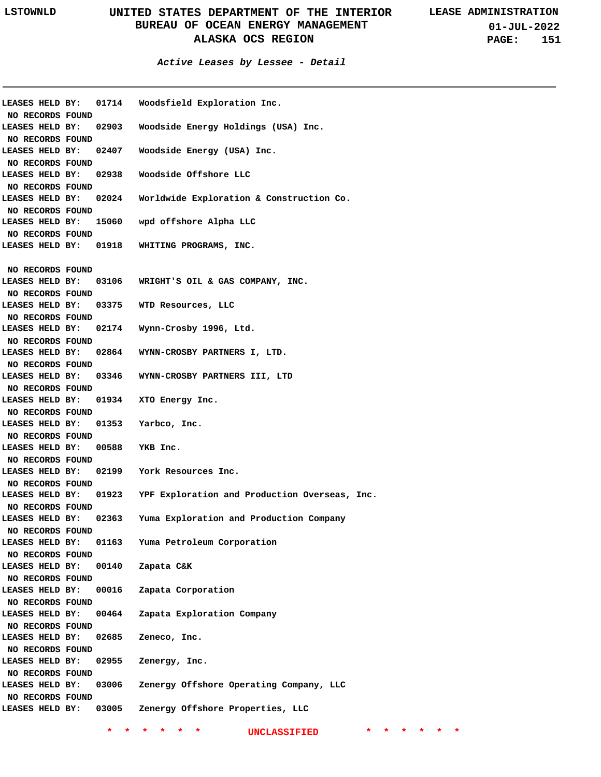**01-JUL-2022 PAGE: 151**

### **Active Leases by Lessee - Detail**

| LEASES HELD BY:  |       | 01714 Woodsfield Exploration Inc.              |
|------------------|-------|------------------------------------------------|
| NO RECORDS FOUND |       |                                                |
| LEASES HELD BY:  | 02903 | Woodside Energy Holdings (USA) Inc.            |
| NO RECORDS FOUND |       |                                                |
| LEASES HELD BY:  | 02407 | Woodside Energy (USA) Inc.                     |
| NO RECORDS FOUND |       |                                                |
| LEASES HELD BY:  | 02938 | Woodside Offshore LLC                          |
| NO RECORDS FOUND |       |                                                |
| LEASES HELD BY:  |       | 02024 Worldwide Exploration & Construction Co. |
| NO RECORDS FOUND |       |                                                |
| LEASES HELD BY:  | 15060 | wpd offshore Alpha LLC                         |
| NO RECORDS FOUND |       |                                                |
| LEASES HELD BY:  | 01918 | WHITING PROGRAMS, INC.                         |
|                  |       |                                                |
| NO RECORDS FOUND |       |                                                |
| LEASES HELD BY:  |       | 03106 WRIGHT'S OIL & GAS COMPANY, INC.         |
| NO RECORDS FOUND |       |                                                |
| LEASES HELD BY:  | 03375 | WTD Resources, LLC                             |
| NO RECORDS FOUND |       |                                                |
| LEASES HELD BY:  |       | 02174 Wynn-Crosby 1996, Ltd.                   |
|                  |       |                                                |
| NO RECORDS FOUND |       |                                                |
| LEASES HELD BY:  |       | 02864 WYNN-CROSBY PARTNERS I, LTD.             |
| NO RECORDS FOUND |       |                                                |
| LEASES HELD BY:  |       | 03346 WYNN-CROSBY PARTNERS III, LTD            |
| NO RECORDS FOUND |       |                                                |
| LEASES HELD BY:  | 01934 | XTO Energy Inc.                                |
| NO RECORDS FOUND |       |                                                |
| LEASES HELD BY:  | 01353 | Yarbco, Inc.                                   |
| NO RECORDS FOUND |       |                                                |
| LEASES HELD BY:  | 00588 | YKB Inc.                                       |
| NO RECORDS FOUND |       |                                                |
| LEASES HELD BY:  |       | 02199 York Resources Inc.                      |
| NO RECORDS FOUND |       |                                                |
| LEASES HELD BY:  | 01923 | YPF Exploration and Production Overseas, Inc.  |
| NO RECORDS FOUND |       |                                                |
| LEASES HELD BY:  | 02363 | Yuma Exploration and Production Company        |
| NO RECORDS FOUND |       |                                                |
| LEASES HELD BY:  | 01163 | Yuma Petroleum Corporation                     |
| NO RECORDS FOUND |       |                                                |
| LEASES HELD BY:  | 00140 | Zapata C&K                                     |
| NO RECORDS FOUND |       |                                                |
| LEASES HELD BY:  | 00016 | Zapata Corporation                             |
| NO RECORDS FOUND |       |                                                |
| LEASES HELD BY:  | 00464 | Zapata Exploration Company                     |
| NO RECORDS FOUND |       |                                                |
| LEASES HELD BY:  | 02685 | Zeneco, Inc.                                   |
| NO RECORDS FOUND |       |                                                |
| LEASES HELD BY:  | 02955 | Zenergy, Inc.                                  |
|                  |       |                                                |
| NO RECORDS FOUND |       |                                                |
| LEASES HELD BY:  | 03006 | Zenergy Offshore Operating Company, LLC        |
| NO RECORDS FOUND |       |                                                |
| LEASES HELD BY:  | 03005 | Zenergy Offshore Properties, LLC               |
|                  |       |                                                |
|                  |       | UNCLASSIFIED                                   |